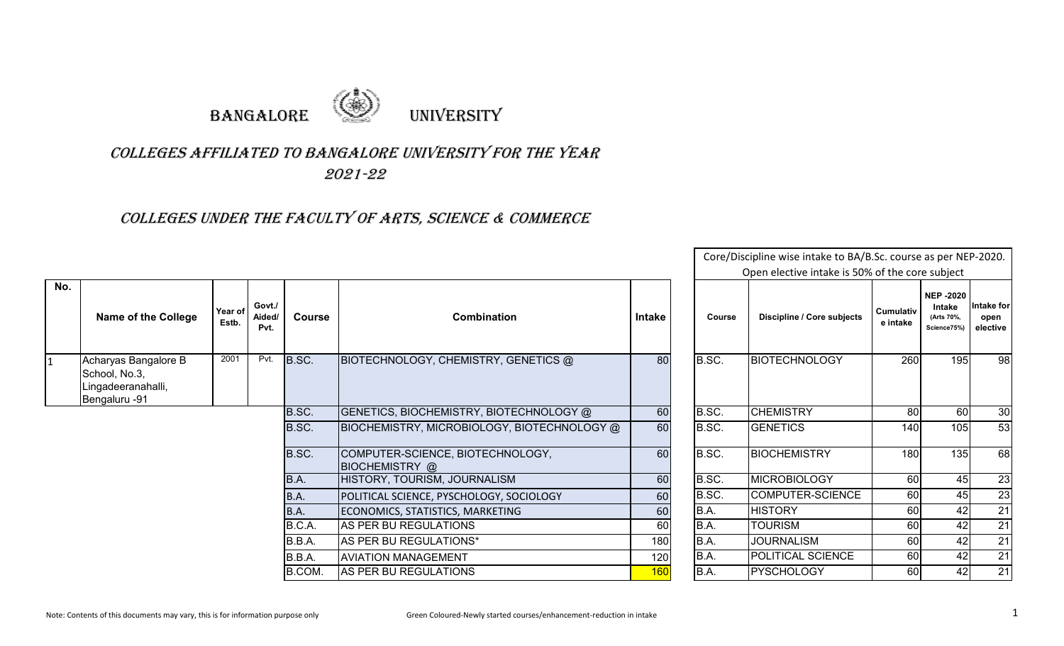

## COLLEGES AFFILIATED TO BANGALORE UNIVERSITY FOR THE YEAR 2021-22

## COLLEGES UNDER THE FACULTY OF ARTS, SCIENCE & COMMERCE

|              |                                                                              |                  |                          |               |                                                           |               |        | Open elective intake is 50% of the core subject |                              |                                                        |                                |
|--------------|------------------------------------------------------------------------------|------------------|--------------------------|---------------|-----------------------------------------------------------|---------------|--------|-------------------------------------------------|------------------------------|--------------------------------------------------------|--------------------------------|
| No.          | <b>Name of the College</b>                                                   | Year of<br>Estb. | Govt./<br>Aided/<br>Pvt. | <b>Course</b> | <b>Combination</b>                                        | <b>Intake</b> | Course | Discipline / Core subjects                      | <b>Cumulativ</b><br>e intake | <b>NEP -2020</b><br>Intake<br>(Arts 70%,<br>Science75% | Intake for<br>open<br>elective |
| $\mathbf{1}$ | Acharyas Bangalore B<br>School, No.3,<br>Lingadeeranahalli,<br>Bengaluru -91 | 2001             | Pvt.                     | B.SC.         | BIOTECHNOLOGY, CHEMISTRY, GENETICS @                      | 80            | B.SC.  | <b>BIOTECHNOLOGY</b>                            | 260                          | 195                                                    | 98                             |
|              |                                                                              |                  |                          | B.SC.         | GENETICS, BIOCHEMISTRY, BIOTECHNOLOGY @                   | 60            | B.SC.  | <b>CHEMISTRY</b>                                | 80                           | 60                                                     | 30                             |
|              |                                                                              |                  |                          | B.SC.         | BIOCHEMISTRY, MICROBIOLOGY, BIOTECHNOLOGY @               | 60            | B.SC.  | <b>GENETICS</b>                                 | 140                          | 105                                                    | 53                             |
|              |                                                                              |                  |                          | B.SC.         | COMPUTER-SCIENCE, BIOTECHNOLOGY,<br><b>BIOCHEMISTRY</b> @ | 60            | B.SC.  | <b>BIOCHEMISTRY</b>                             | 180                          | 135                                                    | 68                             |
|              |                                                                              |                  |                          | B.A.          | HISTORY, TOURISM, JOURNALISM                              | 60            | B.SC.  | <b>MICROBIOLOGY</b>                             | 60                           | 45                                                     | 23                             |
|              |                                                                              |                  |                          | B.A.          | POLITICAL SCIENCE, PYSCHOLOGY, SOCIOLOGY                  | 60            | B.SC.  | COMPUTER-SCIENCE                                | 60                           | 45                                                     | 23                             |
|              |                                                                              |                  |                          | B.A.          | ECONOMICS, STATISTICS, MARKETING                          | 60            | B.A.   | <b>HISTORY</b>                                  | 60                           | 42                                                     | 21                             |
|              |                                                                              |                  |                          | B.C.A.        | AS PER BU REGULATIONS                                     | 60            | B.A.   | <b>TOURISM</b>                                  | 60                           | 42                                                     | 21                             |
|              |                                                                              |                  |                          | B.B.A.        | AS PER BU REGULATIONS*                                    | 180           | B.A.   | <b>JOURNALISM</b>                               | 60                           | 42                                                     | 21                             |
|              |                                                                              |                  |                          | B.B.A.        | <b>AVIATION MANAGEMENT</b>                                | 120           | B.A.   | POLITICAL SCIENCE                               | 60                           | 42                                                     | 21                             |
|              |                                                                              |                  |                          | B.COM.        | AS PER BU REGULATIONS                                     | <b>160</b>    | B.A.   | <b>PYSCHOLOGY</b>                               | 60                           | 42                                                     | 21                             |

Core/Discipline wise intake to BA/B.Sc. course as per NEP-2020.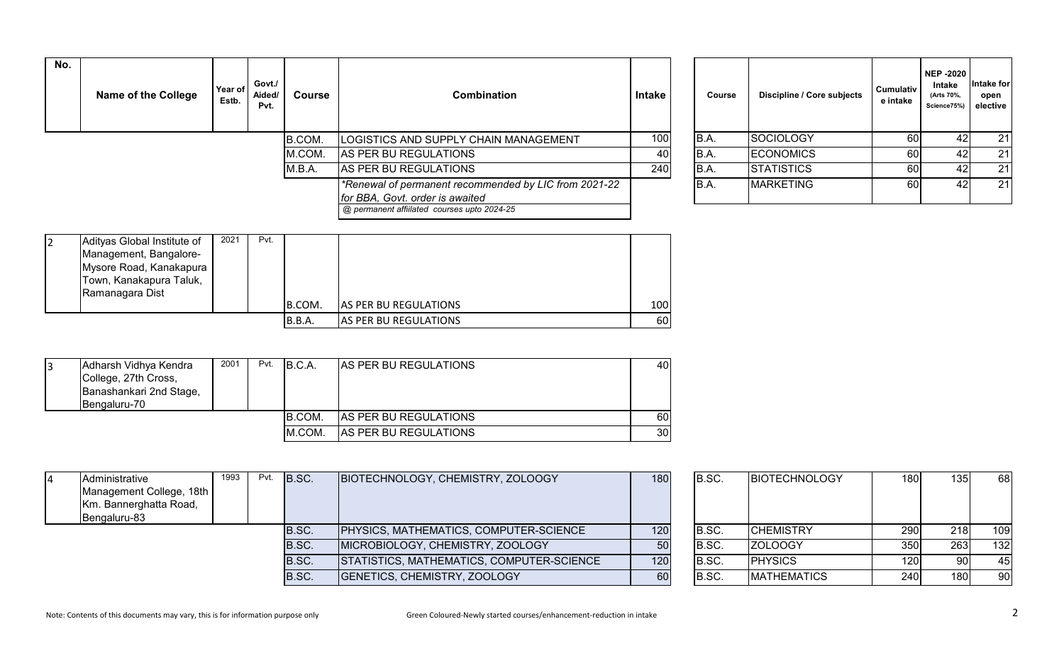| No. | <b>Name of the College</b> | Year of<br>Estb. | Govt./<br>Aided/<br>Pvt. | Course | Combination                                                                                                                             | <b>Intake</b> | Course | Discipline / Core subjects | <b>Cumulativ</b><br>e intake | <b>NEP -2020</b><br><b>Intake</b><br>(Arts 70%,<br>Science75%) | ntake for<br>open<br>elective |
|-----|----------------------------|------------------|--------------------------|--------|-----------------------------------------------------------------------------------------------------------------------------------------|---------------|--------|----------------------------|------------------------------|----------------------------------------------------------------|-------------------------------|
|     |                            |                  |                          | B.COM. | LOGISTICS AND SUPPLY CHAIN MANAGEMENT                                                                                                   | 100           | B.A.   | SOCIOLOGY                  | 60                           |                                                                | 21                            |
|     |                            |                  |                          | M.COM. | AS PER BU REGULATIONS                                                                                                                   | 40            | IB.A.  | <b>ECONOMICS</b>           | 60I                          |                                                                | 21                            |
|     |                            |                  |                          | M.B.A. | AS PER BU REGULATIONS                                                                                                                   | 240           | B.A.   | <b>STATISTICS</b>          | 60                           |                                                                | 21                            |
|     |                            |                  |                          |        | *Renewal of permanent recommended by LIC from 2021-22<br>for BBA, Govt. order is awaited<br>@ permanent affiilated courses upto 2024-25 |               | B.A.   | <b>MARKETING</b>           | 60I                          |                                                                | 21                            |

| Course | Discipline / Core subjects | Cumulativ<br>e intake | <b>NEP-2020</b><br>Intake<br>(Arts 70%,<br>Science75%) | Intake for<br>open<br>elective |
|--------|----------------------------|-----------------------|--------------------------------------------------------|--------------------------------|
| B.A.   | <b>SOCIOLOGY</b>           | 60                    | 42                                                     | 21                             |
| B.A.   | <b>ECONOMICS</b>           | 60                    | 42                                                     | 21                             |
| B.A.   | <b>STATISTICS</b>          | 60                    | 42                                                     | 21                             |
| B.A.   | <b>MARKETING</b>           | 60                    | 42                                                     | 21                             |

| Adityas Global Institute of | 2021 | Pvt. |               |                              |     |
|-----------------------------|------|------|---------------|------------------------------|-----|
| Management, Bangalore-      |      |      |               |                              |     |
| Mysore Road, Kanakapura     |      |      |               |                              |     |
| Town, Kanakapura Taluk,     |      |      |               |                              |     |
| Ramanagara Dist             |      |      |               |                              |     |
|                             |      |      | B.COM.        | <b>AS PER BU REGULATIONS</b> | 100 |
|                             |      |      | <b>B.B.A.</b> | AS PER BU REGULATIONS        | 60  |

| Adharsh Vidhya Kendra<br>College, 27th Cross,<br>Banashankari 2nd Stage,<br>Bengaluru-70 | 2001 | Pvt. | IB.C.A. | <b>JAS PER BU REGULATIONS</b> | 40I             |
|------------------------------------------------------------------------------------------|------|------|---------|-------------------------------|-----------------|
|                                                                                          |      |      | IB.COM. | <b>AS PER BU REGULATIONS</b>  | 60              |
|                                                                                          |      |      | M.COM.  | AS PER BU REGULATIONS         | 30 <sup>1</sup> |

| 14 | Administrative           | 1993 | Pvt. | B.SC. | BIOTECHNOLOGY, CHEMISTRY, ZOLOOGY         | 180 | B.SC. | <b>BIOTECHNOLOGY</b> | 180I       | 135. | 68  |
|----|--------------------------|------|------|-------|-------------------------------------------|-----|-------|----------------------|------------|------|-----|
|    | Management College, 18th |      |      |       |                                           |     |       |                      |            |      |     |
|    | Km. Bannerghatta Road,   |      |      |       |                                           |     |       |                      |            |      |     |
|    | Bengaluru-83             |      |      |       |                                           |     |       |                      |            |      |     |
|    |                          |      |      | B.SC. | PHYSICS, MATHEMATICS, COMPUTER-SCIENCE    | 120 | B.SC. | <b>ICHEMISTRY</b>    | <b>290</b> | 218  | 109 |
|    |                          |      |      | B.SC. | MICROBIOLOGY, CHEMISTRY, ZOOLOGY          |     | B.SC. | <b>ZOLOOGY</b>       | 350        | 263  | 132 |
|    |                          |      |      | B.SC. | STATISTICS, MATHEMATICS, COMPUTER-SCIENCE | 120 | B.SC. | <b>IPHYSICS</b>      | 120I       | 90   | 45  |
|    |                          |      |      | B.SC. | GENETICS, CHEMISTRY, ZOOLOGY              | 60  | B.SC. | <b>MATHEMATICS</b>   | 240        | 180  | 90  |

| B.SC. | <b>BIOTECHNOLOGY</b> | 180 | 135 | 68  |
|-------|----------------------|-----|-----|-----|
|       |                      |     |     |     |
|       |                      |     |     |     |
| B.SC. | <b>CHEMISTRY</b>     | 290 | 218 | 109 |
| B.SC. | ZOLOOGY              | 350 | 263 | 132 |
| B.SC. | <b>PHYSICS</b>       | 120 | 90  | 45  |
| B.SC. | <b>MATHEMATICS</b>   | 240 | 180 | 90  |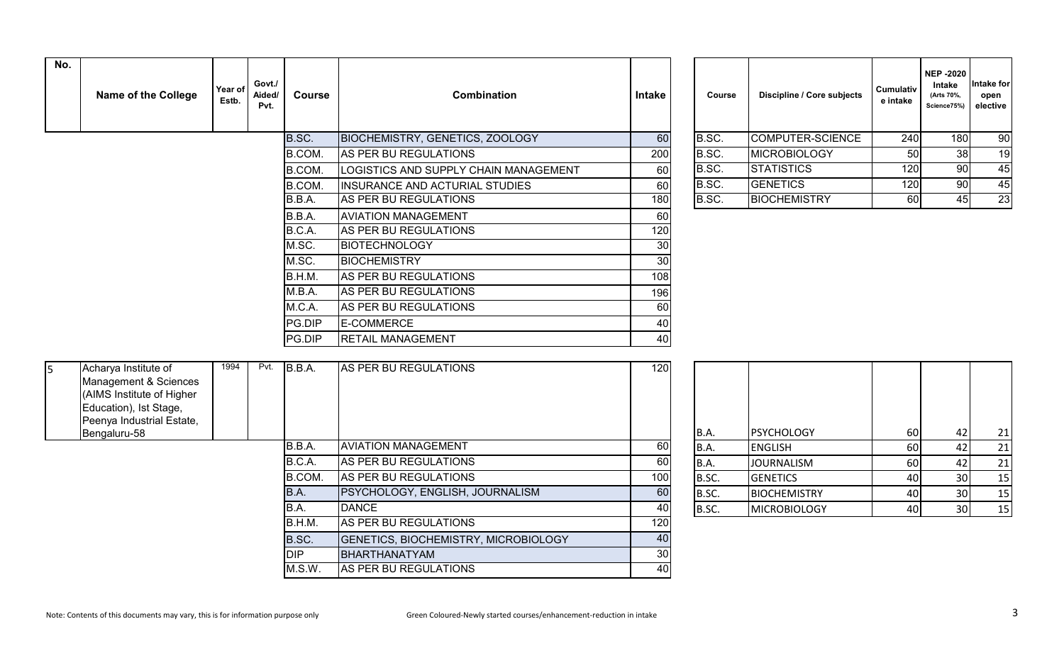| No. | <b>Name of the College</b> | Year of<br>Estb. | Govt./<br>Aided/<br>Pvt. | Course | <b>Combination</b>                     | Intake | <b>Course</b> | <b>Discipline / Core subjects</b> | <b>Cumulativ</b><br>e intake | <b>NEP-2020</b><br>Intake<br>(Arts 70%,<br>Science75%) | ∣ntake foı<br>open<br>elective |
|-----|----------------------------|------------------|--------------------------|--------|----------------------------------------|--------|---------------|-----------------------------------|------------------------------|--------------------------------------------------------|--------------------------------|
|     |                            |                  |                          | B.SC.  | <b>BIOCHEMISTRY, GENETICS, ZOOLOGY</b> | 60     | B.SC.         | COMPUTER-SCIENCE                  | 240                          | 180                                                    | 90                             |
|     |                            |                  |                          | B.COM. | AS PER BU REGULATIONS                  | 200    | B.SC.         | <b>MICROBIOLOGY</b>               | 50                           | 38                                                     | 19                             |
|     |                            |                  |                          | B.COM. | LOGISTICS AND SUPPLY CHAIN MANAGEMENT  | 60     | B.SC.         | <b>STATISTICS</b>                 | 120                          | 90                                                     | 45                             |
|     |                            |                  |                          | B.COM. | <b>INSURANCE AND ACTURIAL STUDIES</b>  | 60     | B.SC.         | <b>GENETICS</b>                   | 120                          | 90                                                     | 45                             |
|     |                            |                  |                          | B.B.A. | AS PER BU REGULATIONS                  | 180    | B.SC.         | <b>BIOCHEMISTRY</b>               | 60                           | 45                                                     | 23                             |
|     |                            |                  |                          | B.B.A. | <b>AVIATION MANAGEMENT</b>             | 60     |               |                                   |                              |                                                        |                                |
|     |                            |                  |                          | B.C.A. | AS PER BU REGULATIONS                  | 120    |               |                                   |                              |                                                        |                                |
|     |                            |                  |                          | M.SC.  | <b>BIOTECHNOLOGY</b>                   | 30     |               |                                   |                              |                                                        |                                |
|     |                            |                  |                          | M.SC.  | <b>BIOCHEMISTRY</b>                    | 30     |               |                                   |                              |                                                        |                                |
|     |                            |                  |                          | B.H.M. | AS PER BU REGULATIONS                  | 108    |               |                                   |                              |                                                        |                                |
|     |                            |                  |                          | M.B.A. | AS PER BU REGULATIONS                  | 196    |               |                                   |                              |                                                        |                                |
|     |                            |                  |                          | M.C.A. | AS PER BU REGULATIONS                  | 60     |               |                                   |                              |                                                        |                                |
|     |                            |                  |                          | PG.DIP | <b>E-COMMERCE</b>                      | 40     |               |                                   |                              |                                                        |                                |
|     |                            |                  |                          | PG.DIP | <b>RETAIL MANAGEMENT</b>               | 40     |               |                                   |                              |                                                        |                                |

| Course | Discipline / Core subjects | <b>Cumulativ</b><br>e intake | <b>NEP -2020</b><br>Intake<br>(Arts 70%,<br>Science75%) | Intake for<br>open<br>elective |
|--------|----------------------------|------------------------------|---------------------------------------------------------|--------------------------------|
| B.SC.  | COMPUTER-SCIENCE           | 240                          | 180                                                     | 90                             |
| B.SC.  | <b>MICROBIOLOGY</b>        | 50                           | 38                                                      | 19                             |
| B.SC.  | <b>STATISTICS</b>          | 120                          | 90                                                      | 45                             |
| B.SC.  | <b>GENETICS</b>            | 120                          | 90                                                      | 45                             |
| B.SC.  | <b>BIOCHEMISTRY</b>        | 60                           | 45                                                      | 23                             |

| 15. | Acharya Institute of<br>Management & Sciences<br>(AIMS Institute of Higher<br>Education), Ist Stage, | 1994 | Pvt. | B.B.A.     | AS PER BU REGULATIONS                       | 120             |       |                     |    |                 |    |
|-----|------------------------------------------------------------------------------------------------------|------|------|------------|---------------------------------------------|-----------------|-------|---------------------|----|-----------------|----|
|     | Peenya Industrial Estate,<br>Bengaluru-58                                                            |      |      |            |                                             |                 | B.A.  | <b>PSYCHOLOGY</b>   | 60 | 42              | 21 |
|     |                                                                                                      |      |      | B.B.A.     | <b>AVIATION MANAGEMENT</b>                  | 60              | B.A.  | <b>ENGLISH</b>      | 60 | 42              | 21 |
|     |                                                                                                      |      |      | B.C.A.     | AS PER BU REGULATIONS                       | 60              | B.A.  | <b>JOURNALISM</b>   | 60 |                 | 21 |
|     |                                                                                                      |      |      | B.COM.     | AS PER BU REGULATIONS                       | 100             | B.SC. | <b>GENETICS</b>     | 40 | 30              | 15 |
|     |                                                                                                      |      |      | B.A.       | <b>PSYCHOLOGY, ENGLISH, JOURNALISM</b>      | 60              | B.SC. | <b>BIOCHEMISTRY</b> | 40 | 30              | 15 |
|     |                                                                                                      |      |      | B.A.       | <b>DANCE</b>                                | 40              | B.SC. | <b>MICROBIOLOGY</b> | 40 | 30 <sup>1</sup> | 15 |
|     |                                                                                                      |      |      | B.H.M.     | AS PER BU REGULATIONS                       | 120             |       |                     |    |                 |    |
|     |                                                                                                      |      |      | B.SC.      | <b>GENETICS, BIOCHEMISTRY, MICROBIOLOGY</b> | 40              |       |                     |    |                 |    |
|     |                                                                                                      |      |      | <b>DIP</b> | BHARTHANATYAM                               | 30 <sup>1</sup> |       |                     |    |                 |    |
|     |                                                                                                      |      |      | M.S.W.     | AS PER BU REGULATIONS                       | 40              |       |                     |    |                 |    |

| B.A.  | <b>PSYCHOLOGY</b>   | 60 | 42 | 21 |
|-------|---------------------|----|----|----|
| B.A.  | <b>ENGLISH</b>      | 60 | 42 | 21 |
| B.A.  | <b>JOURNALISM</b>   | 60 | 42 | 21 |
| B.SC. | <b>GENETICS</b>     | 40 | 30 | 15 |
| B.SC. | <b>BIOCHEMISTRY</b> | 40 | 30 | 15 |
| B.SC. | <b>MICROBIOLOGY</b> | 40 | 30 | 15 |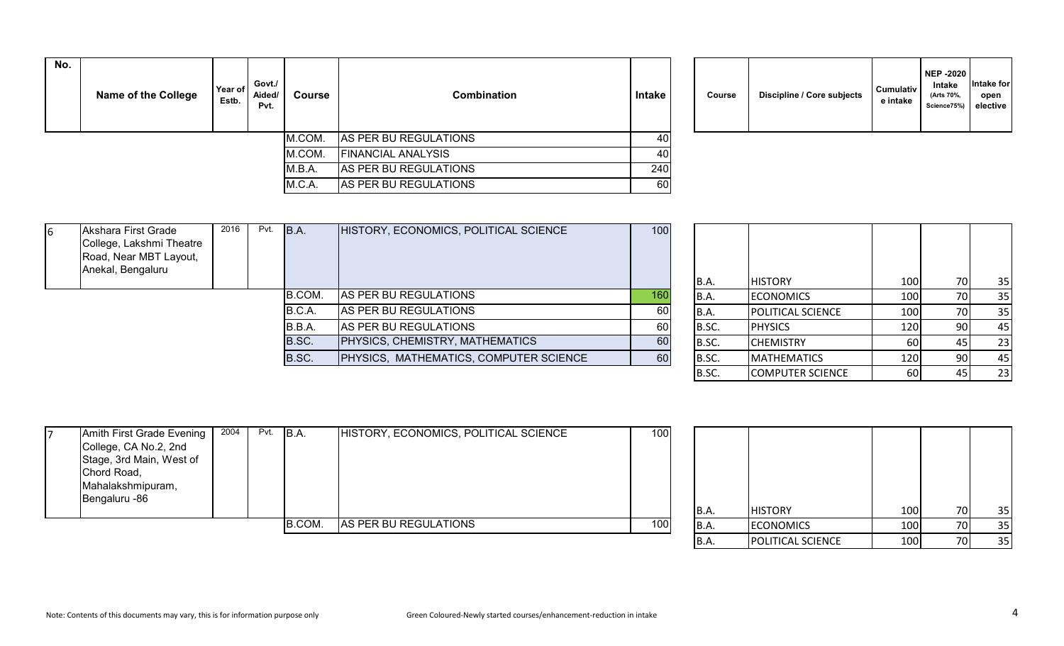| No. | <b>Name of the College</b> | Year of<br>Estb. | Govt./<br>Aided/<br>Pvt. | Course | <b>Combination</b>        | Intake | Course | Discipline / Core subjects | <b>Cumulativ</b><br>e intake |
|-----|----------------------------|------------------|--------------------------|--------|---------------------------|--------|--------|----------------------------|------------------------------|
|     |                            |                  |                          | M.COM. | AS PER BU REGULATIONS     | 40I    |        |                            |                              |
|     |                            |                  |                          | M.COM. | <b>FINANCIAL ANALYSIS</b> | 40I    |        |                            |                              |
|     |                            |                  |                          | M.B.A. | AS PER BU REGULATIONS     | 240    |        |                            |                              |
|     |                            |                  |                          | M.C.A. | AS PER BU REGULATIONS     | 60     |        |                            |                              |

| Course |  | Discipline / Core subjects | <b>Cumulativ</b><br>e intake | <b>NEP -2020</b><br><b>Intake</b><br>(Arts 70%,<br>Science75%) | Intake for<br>open<br>elective |
|--------|--|----------------------------|------------------------------|----------------------------------------------------------------|--------------------------------|
|--------|--|----------------------------|------------------------------|----------------------------------------------------------------|--------------------------------|

| Akshara First Grade<br>6<br>College, Lakshmi Theatre<br>Road, Near MBT Layout, | 2016 | Pvt. | B.A.   | HISTORY, ECONOMICS, POLITICAL SCIENCE  | 100 |                |                          |        |     |              |
|--------------------------------------------------------------------------------|------|------|--------|----------------------------------------|-----|----------------|--------------------------|--------|-----|--------------|
| Anekal, Bengaluru                                                              |      |      |        |                                        |     | B.A.           | <b>HISTORY</b>           | 100    | 70  | 35           |
|                                                                                |      |      | B.COM. | AS PER BU REGULATIONS                  | 160 | IB.A.          | <b>ECONOMICS</b>         | 100    | 70  | 35           |
|                                                                                |      |      | B.C.A. | AS PER BU REGULATIONS                  | 60  | IB.A.          | <b>POLITICAL SCIENCE</b> | 100    |     | 35           |
|                                                                                |      |      | B.B.A. | AS PER BU REGULATIONS                  | 60  | B.SC.          | <b>PHYSICS</b>           | 1201   |     | 45           |
|                                                                                |      |      | B.SC.  | <b>PHYSICS, CHEMISTRY, MATHEMATICS</b> | 60  | B.SC.          | <b>CHEMISTRY</b>         | 60     |     | 23           |
|                                                                                |      |      | B.SC.  | PHYSICS, MATHEMATICS, COMPUTER SCIENCE | 60  | B.SC.          | <b>MATHEMATICS</b>       | 120 I  | 90. | -45          |
|                                                                                |      |      |        |                                        |     | $\overline{a}$ | CORADUTTEDCCIETUCF       | $\sim$ |     | $\mathbf{a}$ |

| B.A.  | <b>HISTORY</b>          | 100 | 70 | 35 |
|-------|-------------------------|-----|----|----|
| B.A.  | <b>ECONOMICS</b>        | 100 | 70 | 35 |
| B.A.  | POLITICAL SCIENCE       | 100 | 70 | 35 |
| B.SC. | <b>PHYSICS</b>          | 120 | 90 | 45 |
| B.SC. | <b>CHEMISTRY</b>        | 60  | 45 | 23 |
| B.SC. | <b>MATHEMATICS</b>      | 120 | 90 | 45 |
| B.SC. | <b>COMPUTER SCIENCE</b> | 60  | 45 | 23 |

|                           |      |      | B.COM. | AS PER BU REGULATIONS                 | 100 <sup>I</sup> | B.A. | <b>ECONOMICS</b> | 100 |     | 35 |
|---------------------------|------|------|--------|---------------------------------------|------------------|------|------------------|-----|-----|----|
|                           |      |      |        |                                       |                  | B.A. | <b>HISTORY</b>   | 100 | 70I | 35 |
| Bengaluru -86             |      |      |        |                                       |                  |      |                  |     |     |    |
| Mahalakshmipuram,         |      |      |        |                                       |                  |      |                  |     |     |    |
| Chord Road,               |      |      |        |                                       |                  |      |                  |     |     |    |
| Stage, 3rd Main, West of  |      |      |        |                                       |                  |      |                  |     |     |    |
| College, CA No.2, 2nd     |      |      |        |                                       |                  |      |                  |     |     |    |
| Amith First Grade Evening | 2004 | Pvt. | B.A.   | HISTORY, ECONOMICS, POLITICAL SCIENCE | 100              |      |                  |     |     |    |

| B.A. | <b>HISTORY</b>    | 100 | 70 | 35 |
|------|-------------------|-----|----|----|
| B.A. | <b>ECONOMICS</b>  | 100 | 70 | 35 |
| B.A. | POLITICAL SCIENCE | 100 | 70 | 35 |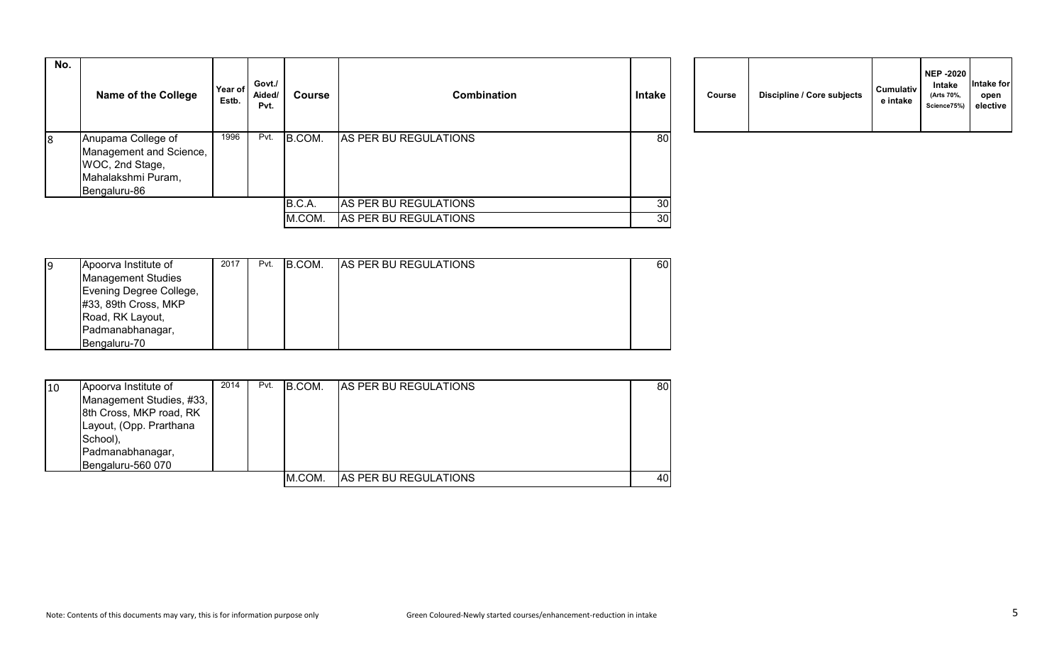| No. | <b>Name of the College</b>                                                                             | Year of<br>Estb. | Govt./<br>Aided/<br>Pvt. | Course | <b>Combination</b>    | <b>Intake</b> | Course | Discipline / Core subjects | <b>Cumulativ</b><br>e intake |
|-----|--------------------------------------------------------------------------------------------------------|------------------|--------------------------|--------|-----------------------|---------------|--------|----------------------------|------------------------------|
| 8   | Anupama College of<br>Management and Science,<br>WOC, 2nd Stage,<br>Mahalakshmi Puram,<br>Bengaluru-86 | 1996             | Pvt.                     | B.COM. | AS PER BU REGULATIONS | 80            |        |                            |                              |
|     |                                                                                                        |                  |                          | B.C.A. | AS PER BU REGULATIONS | 30            |        |                            |                              |
|     |                                                                                                        |                  |                          | M.COM. | AS PER BU REGULATIONS | 30            |        |                            |                              |

| Course | Discipline / Core subjects | <b>Cumulativ</b><br>e intake | <b>NEP -2020</b><br>Intake<br>(Arts 70%,<br>Science75%) | Intake for<br>open<br>elective |
|--------|----------------------------|------------------------------|---------------------------------------------------------|--------------------------------|
|--------|----------------------------|------------------------------|---------------------------------------------------------|--------------------------------|

| 19 | Apoorva Institute of      | 2017 | Pvt. | B.COM. | <b>AS PER BU REGULATIONS</b> | 60 |
|----|---------------------------|------|------|--------|------------------------------|----|
|    | <b>Management Studies</b> |      |      |        |                              |    |
|    | Evening Degree College,   |      |      |        |                              |    |
|    | #33, 89th Cross, MKP      |      |      |        |                              |    |
|    | Road, RK Layout,          |      |      |        |                              |    |
|    | Padmanabhanagar,          |      |      |        |                              |    |
|    | Bengaluru-70              |      |      |        |                              |    |

| 10 | Apoorva Institute of     | 2014 | Pvt. | IB.COM. | <b>IAS PER BU REGULATIONS</b> | 80 |
|----|--------------------------|------|------|---------|-------------------------------|----|
|    | Management Studies, #33, |      |      |         |                               |    |
|    | 8th Cross, MKP road, RK  |      |      |         |                               |    |
|    | Layout, (Opp. Prarthana  |      |      |         |                               |    |
|    | School),                 |      |      |         |                               |    |
|    | Padmanabhanagar,         |      |      |         |                               |    |
|    | Bengaluru-560 070        |      |      |         |                               |    |
|    |                          |      |      | M.COM.  | <b>AS PER BU REGULATIONS</b>  | 40 |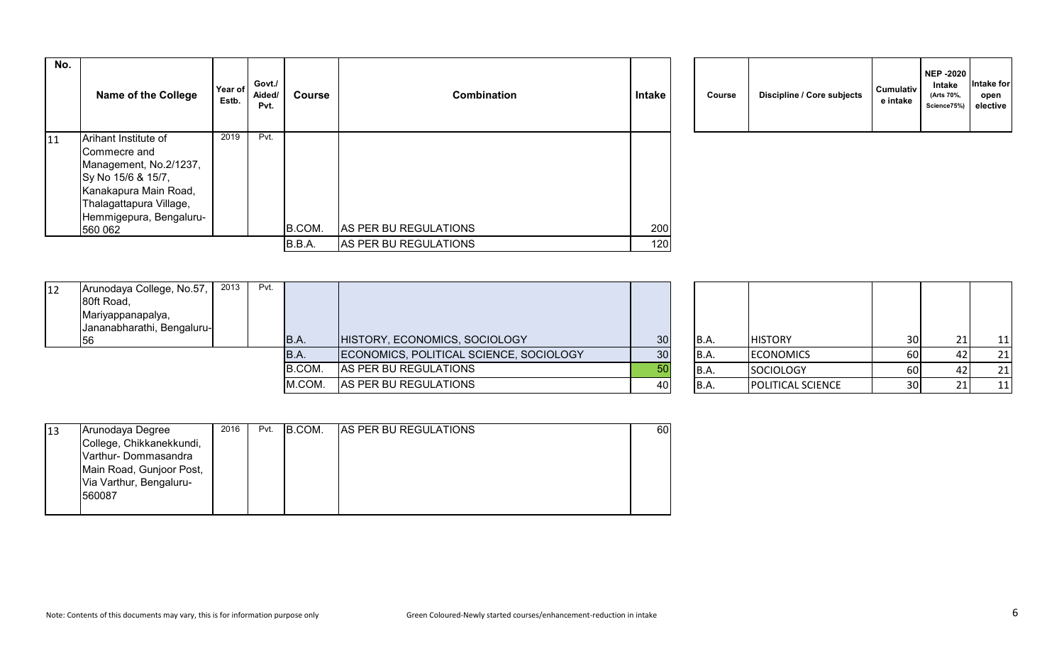| No. | <b>Name of the College</b>                                                                                                                                                     | Year of<br>Estb. | Govt./<br>Aided/<br>Pvt. | Course | <b>Combination</b>    | Intake | Course | Discipline / Core subjects | <b>Cumulativ</b><br>e intake |
|-----|--------------------------------------------------------------------------------------------------------------------------------------------------------------------------------|------------------|--------------------------|--------|-----------------------|--------|--------|----------------------------|------------------------------|
| 11  | Arihant Institute of<br>Commecre and<br>Management, No.2/1237,<br>Sy No 15/6 & 15/7,<br>Kanakapura Main Road,<br>Thalagattapura Village,<br>Hemmigepura, Bengaluru-<br>560 062 | 2019             | Pvt.                     | B.COM. | AS PER BU REGULATIONS | 200    |        |                            |                              |
|     |                                                                                                                                                                                |                  |                          | B.B.A. | AS PER BU REGULATIONS | 120    |        |                            |                              |

| Course | Discipline / Core subjects | <b>Cumulativ</b><br>e intake | <b>NEP -2020</b><br>Intake<br>(Arts 70%,<br>Science75%) | Intake for<br>open<br>elective |
|--------|----------------------------|------------------------------|---------------------------------------------------------|--------------------------------|
|--------|----------------------------|------------------------------|---------------------------------------------------------|--------------------------------|

| <b>12</b> | Arunodaya College, No.57,<br>80ft Road,<br>Mariyappanapalya,<br>Jananabharathi, Bengaluru- | 2013 | Pvt. |             |                                         |    |       |                          |                 |           |
|-----------|--------------------------------------------------------------------------------------------|------|------|-------------|-----------------------------------------|----|-------|--------------------------|-----------------|-----------|
|           | 156                                                                                        |      |      | <b>B.A.</b> | HISTORY, ECONOMICS, SOCIOLOGY           | 30 | IB.A. | <b>HISTORY</b>           | 30 <sup>1</sup> | 11        |
|           |                                                                                            |      |      | <b>B.A.</b> | ECONOMICS, POLITICAL SCIENCE, SOCIOLOGY | 30 | IB.A. | <b>ECONOMICS</b>         | 60              | 21        |
|           |                                                                                            |      |      | B.COM.      | AS PER BU REGULATIONS                   | 50 | IB.A. | SOCIOLOGY                | 60              | 21        |
|           |                                                                                            |      |      | M.COM.      | AS PER BU REGULATIONS                   | 40 | B.A.  | <b>POLITICAL SCIENCE</b> | 30 <sup>1</sup> | <u>11</u> |

| <b>B.A.</b> | <b>HISTORY</b>    | 30 | 21 |  |
|-------------|-------------------|----|----|--|
| <b>B.A.</b> | <b>ECONOMICS</b>  | 60 | 42 |  |
| <b>B.A.</b> | <b>SOCIOLOGY</b>  | 60 | 42 |  |
| B.A.        | POLITICAL SCIENCE | 30 | 21 |  |

| 13 | Arunodaya Degree         | 2016 | Pvt. | B.COM. | <b>AS PER BU REGULATIONS</b> | 60 |
|----|--------------------------|------|------|--------|------------------------------|----|
|    | College, Chikkanekkundi, |      |      |        |                              |    |
|    | Varthur-Dommasandra      |      |      |        |                              |    |
|    | Main Road, Gunjoor Post, |      |      |        |                              |    |
|    | Via Varthur, Bengaluru-  |      |      |        |                              |    |
|    | 560087                   |      |      |        |                              |    |
|    |                          |      |      |        |                              |    |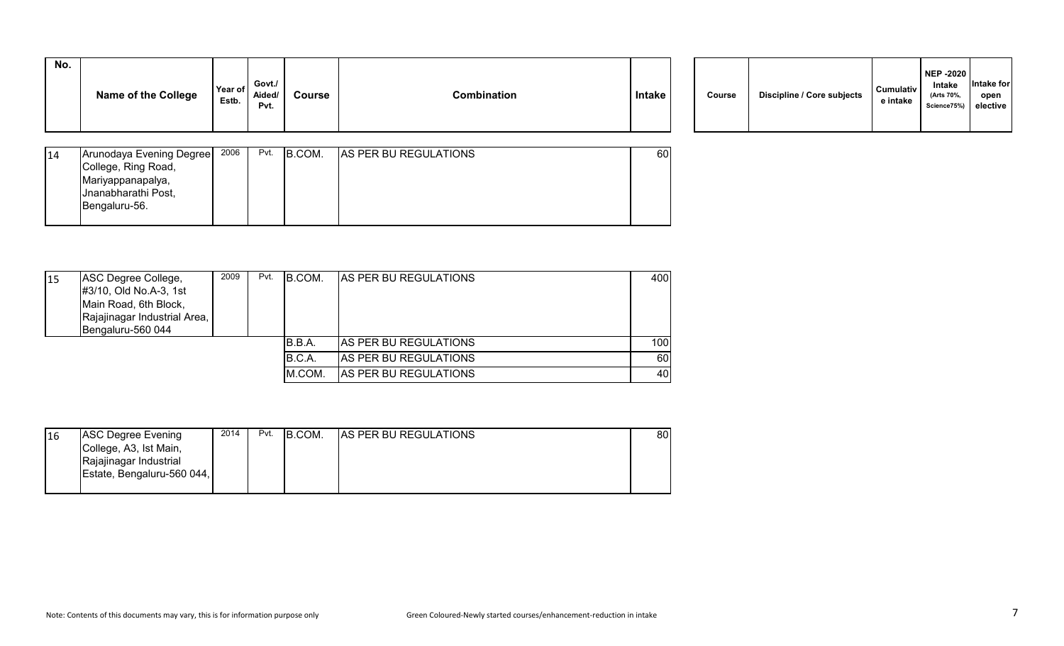| Course | Discipline / Core subjects | Cumulativ<br>e intake | <b>NEP -2020</b><br>Intake<br>(Arts 70%,<br>Science75%) | Intake for<br>open<br>elective |  |
|--------|----------------------------|-----------------------|---------------------------------------------------------|--------------------------------|--|
|--------|----------------------------|-----------------------|---------------------------------------------------------|--------------------------------|--|

| 14 | Arunodaya Evening Degree | 2006 | Pvt. | B.COM. | <b>AS PER BU REGULATIONS</b> | 60 |
|----|--------------------------|------|------|--------|------------------------------|----|
|    | College, Ring Road,      |      |      |        |                              |    |
|    | Mariyappanapalya,        |      |      |        |                              |    |
|    | Jnanabharathi Post,      |      |      |        |                              |    |
|    | Bengaluru-56.            |      |      |        |                              |    |
|    |                          |      |      |        |                              |    |

| 15 | ASC Degree College,<br>#3/10, Old No.A-3, 1st<br>Main Road, 6th Block,<br>Rajajinagar Industrial Area,<br>Bengaluru-560 044 | 2009 | Pvt. | IB.COM. | <b>IAS PER BU REGULATIONS</b> | 400 |
|----|-----------------------------------------------------------------------------------------------------------------------------|------|------|---------|-------------------------------|-----|
|    |                                                                                                                             |      |      | B.B.A.  | <b>AS PER BU REGULATIONS</b>  | 100 |
|    |                                                                                                                             |      |      | B.C.A.  | <b>AS PER BU REGULATIONS</b>  | 60  |
|    |                                                                                                                             |      |      | M.COM.  | AS PER BU REGULATIONS         | 40  |

| 16 | ASC Degree Evening         | 2014 | Pvt. | B.COM. | <b>AS PER BU REGULATIONS</b> | 80 |
|----|----------------------------|------|------|--------|------------------------------|----|
|    | College, A3, Ist Main,     |      |      |        |                              |    |
|    | Rajajinagar Industrial     |      |      |        |                              |    |
|    | Estate, Bengaluru-560 044, |      |      |        |                              |    |
|    |                            |      |      |        |                              |    |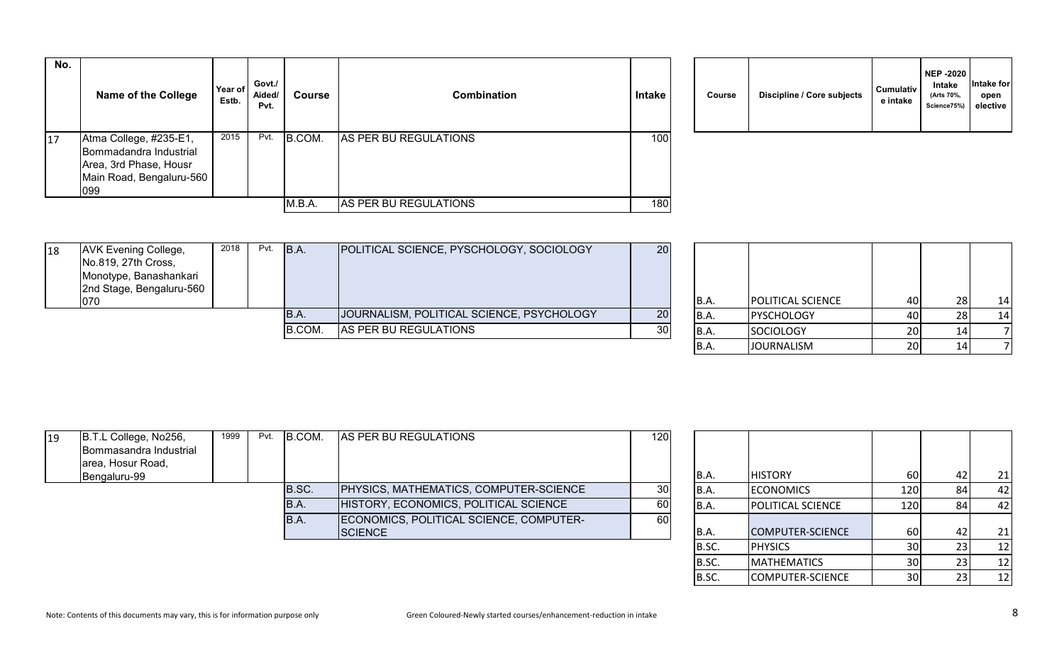| No. | <b>Name of the College</b>                                                                                    | Year of<br>Estb. | Govt./<br>Aided/<br>Pvt. | Course | <b>Combination</b>    | <b>Intake</b>    | Course | Discipline / Core subjects | <b>Cumulativ</b><br>e intake |
|-----|---------------------------------------------------------------------------------------------------------------|------------------|--------------------------|--------|-----------------------|------------------|--------|----------------------------|------------------------------|
| 17  | Atma College, #235-E1,<br>Bommadandra Industrial<br>Area, 3rd Phase, Housr<br>Main Road, Bengaluru-560<br>099 | 2015             | Pvt.                     | B.COM. | AS PER BU REGULATIONS | 100 <sub>l</sub> |        |                            |                              |
|     |                                                                                                               |                  |                          | M.B.A. | AS PER BU REGULATIONS | 180              |        |                            |                              |

| Course | Discipline / Core subjects | <b>Cumulativ</b><br>e intake | <b>NEP -2020</b><br>Intake<br>(Arts 70%,<br>Science75%) | Intake for<br>open<br>elective |
|--------|----------------------------|------------------------------|---------------------------------------------------------|--------------------------------|
|--------|----------------------------|------------------------------|---------------------------------------------------------|--------------------------------|

| 18 | <b>AVK Evening College,</b> | 2018 | Pvt. | B.A.   | POLITICAL SCIENCE, PYSCHOLOGY, SOCIOLOGY  | 20  |       |                          |                      |    |
|----|-----------------------------|------|------|--------|-------------------------------------------|-----|-------|--------------------------|----------------------|----|
|    | No.819, 27th Cross,         |      |      |        |                                           |     |       |                          |                      |    |
|    | Monotype, Banashankari      |      |      |        |                                           |     |       |                          |                      |    |
|    | 2nd Stage, Bengaluru-560    |      |      |        |                                           |     |       |                          |                      |    |
|    | 1070                        |      |      |        |                                           |     | IB.A. | <b>POLITICAL SCIENCE</b> | 40 l                 | 14 |
|    |                             |      |      | IB.A.  | JOURNALISM, POLITICAL SCIENCE, PSYCHOLOGY | 20  | IB.A. | <b>PYSCHOLOGY</b>        | 40                   | 14 |
|    |                             |      |      | B.COM. | AS PER BU REGULATIONS                     | 30I | IB.A. | <b>SOCIOLOGY</b>         | 20 <sup>1</sup>      |    |
|    |                             |      |      |        |                                           |     |       | .                        | $\sim$ $\sim$ $\sim$ |    |

| B.A. | POLITICAL SCIENCE | 40 | 28 | 14 |
|------|-------------------|----|----|----|
| B.A. | PYSCHOLOGY        | 40 | 28 | 14 |
| B.A. | <b>SOCIOLOGY</b>  | 20 | 14 |    |
| B.A. | <b>JOURNALISM</b> | 20 |    |    |

| 19 | B.T.L College, No256,<br>Bommasandra Industrial<br>area, Hosur Road, | 1999 | Pvt. | B.COM. | <b>AS PER BU REGULATIONS</b>            | 120 <sub>1</sub> |             |                          |       |       |
|----|----------------------------------------------------------------------|------|------|--------|-----------------------------------------|------------------|-------------|--------------------------|-------|-------|
|    | Bengaluru-99                                                         |      |      |        |                                         |                  | IB.A.       | <b>HISTORY</b>           | 60    | 21    |
|    |                                                                      |      |      | B.SC.  | PHYSICS, MATHEMATICS, COMPUTER-SCIENCE  | 30               | B.A.        | <b>ECONOMICS</b>         | 120 L | 42    |
|    |                                                                      |      |      | IB.A.  | HISTORY, ECONOMICS, POLITICAL SCIENCE   | 60               | B.A.        | <b>POLITICAL SCIENCE</b> | 120   | 42    |
|    |                                                                      |      |      | IB.A.  | ECONOMICS, POLITICAL SCIENCE, COMPUTER- | 60               |             |                          |       |       |
|    |                                                                      |      |      |        | <b>SCIENCE</b>                          |                  | B.A.        | COMPUTER-SCIENCE         | 60 l  | 21    |
|    |                                                                      |      |      |        |                                         |                  | <b>R</b> SC | <b>DHVSICS</b>           | 3UI   | - 1 2 |

| B.A.  | <b>HISTORY</b>          | 60  | 42 | 21 |
|-------|-------------------------|-----|----|----|
| B.A.  | <b>ECONOMICS</b>        | 120 | 84 | 42 |
| B.A.  | POLITICAL SCIENCE       | 120 | 84 | 42 |
| B.A.  | <b>COMPUTER-SCIENCE</b> | 60  | 42 | 21 |
| B.SC. | <b>PHYSICS</b>          | 30  | 23 | 12 |
| B.SC. | <b>MATHEMATICS</b>      | 30  | 23 | 12 |
| B.SC. | COMPUTER-SCIENCE        | 30  | 23 | 12 |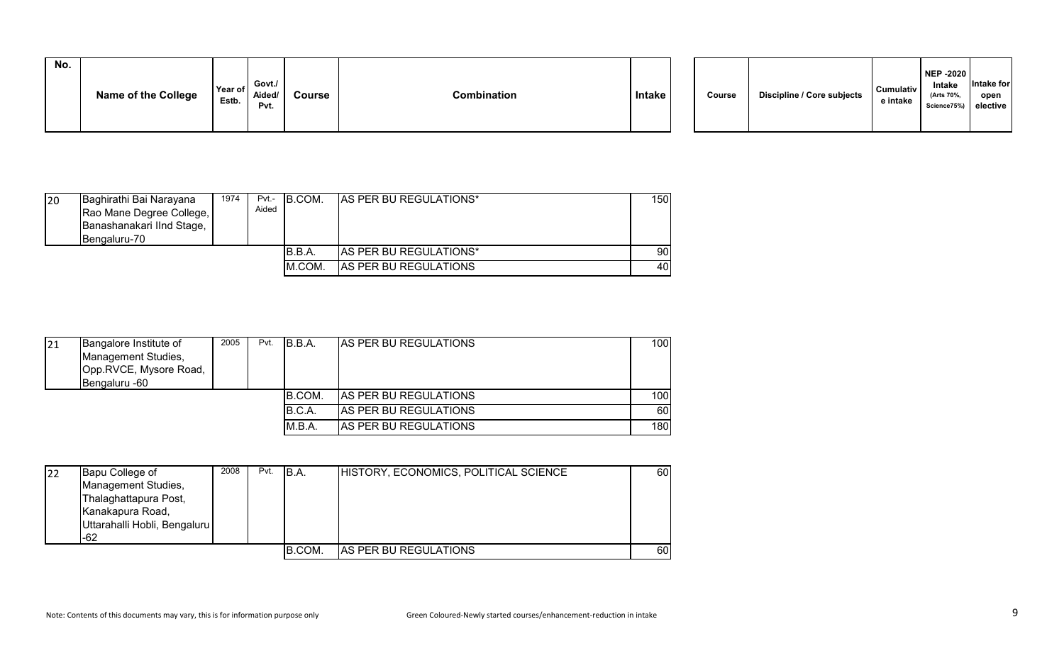| No. | <b>Name of the College</b> | Year of<br>Estb. | Govt./<br>Aided/<br>Pvt. | Course | Combination | Intake |  | Course | Discipline / Core subjects | Cumulativ<br>e intake | NEP -2020<br>Intake<br>(Arts 70%,<br>Science75%) elective | Intake for<br>open |  |
|-----|----------------------------|------------------|--------------------------|--------|-------------|--------|--|--------|----------------------------|-----------------------|-----------------------------------------------------------|--------------------|--|
|-----|----------------------------|------------------|--------------------------|--------|-------------|--------|--|--------|----------------------------|-----------------------|-----------------------------------------------------------|--------------------|--|

| 20 | Baghirathi Bai Narayana<br>Rao Mane Degree College,<br>Banashanakari IInd Stage,<br><b>Bengaluru-70</b> | 1974 | $Pvt -$<br>Aided | <b>IB.COM.</b> | <b>AS PER BU REGULATIONS*</b> | 150 I |
|----|---------------------------------------------------------------------------------------------------------|------|------------------|----------------|-------------------------------|-------|
|    |                                                                                                         |      |                  | B.B.A          | <b>AS PER BU REGULATIONS*</b> | 90 l  |
|    |                                                                                                         |      |                  | M.COM.         | AS PER BU REGULATIONS         | 40    |

| 21 | Bangalore Institute of<br>Management Studies,<br>Opp.RVCE, Mysore Road,<br>Bengaluru -60 | 2005 | Pvt. | IB.B.A.       | <b>JAS PER BU REGULATIONS</b> | 100 |
|----|------------------------------------------------------------------------------------------|------|------|---------------|-------------------------------|-----|
|    |                                                                                          |      |      | <b>B.COM.</b> | <b>AS PER BU REGULATIONS</b>  | 100 |
|    |                                                                                          |      |      | B.C.A.        | <b>AS PER BU REGULATIONS</b>  | 60  |
|    |                                                                                          |      |      | M.B.A.        | <b>AS PER BU REGULATIONS</b>  | 180 |

| 22 | Bapu College of              | 2008 | Pvt. | B.A.   | HISTORY, ECONOMICS, POLITICAL SCIENCE | 60 |
|----|------------------------------|------|------|--------|---------------------------------------|----|
|    | Management Studies,          |      |      |        |                                       |    |
|    | Thalaghattapura Post,        |      |      |        |                                       |    |
|    | Kanakapura Road,             |      |      |        |                                       |    |
|    | Uttarahalli Hobli, Bengaluru |      |      |        |                                       |    |
|    | -62                          |      |      |        |                                       |    |
|    |                              |      |      | B.COM. | <b>AS PER BU REGULATIONS</b>          | 60 |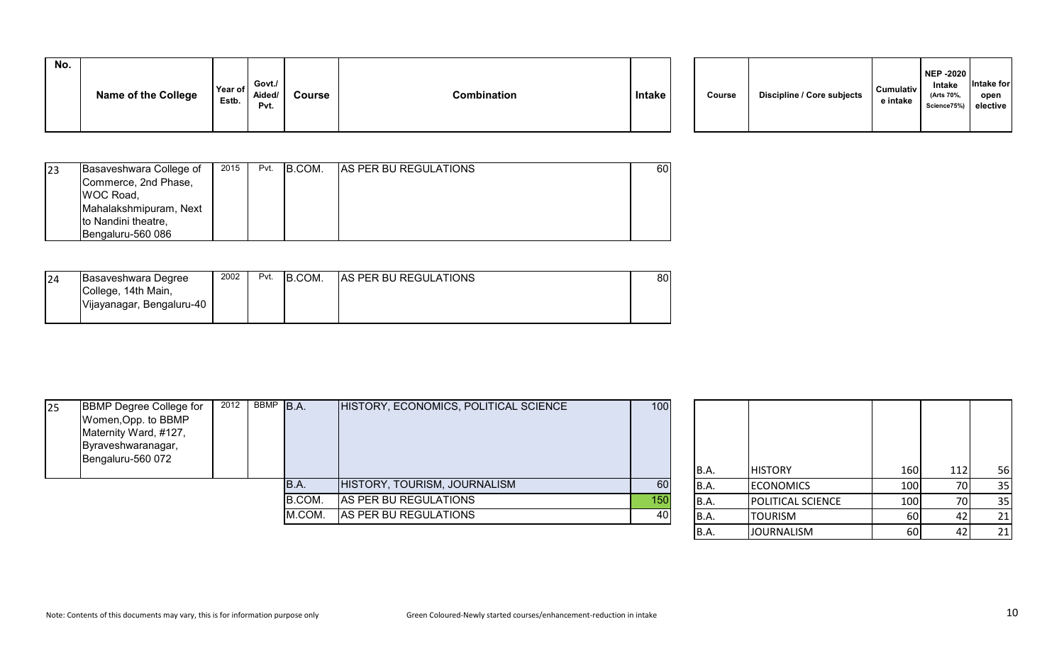| No. | <b>Name of the College</b> | Year of<br>Estb. | Govt./<br>Aided/<br>Pvt. | <b>Course</b> | Combination | <b>Intake</b> |  | Course | Discipline / Core subjects | <b>Cumulativ</b><br>e intake | <b>NEP -2020</b><br>Intake<br>(Arts 70%.<br>Science75%) | Intake for<br>open<br>elective |
|-----|----------------------------|------------------|--------------------------|---------------|-------------|---------------|--|--------|----------------------------|------------------------------|---------------------------------------------------------|--------------------------------|
|-----|----------------------------|------------------|--------------------------|---------------|-------------|---------------|--|--------|----------------------------|------------------------------|---------------------------------------------------------|--------------------------------|

| 23 | Basaveshwara College of | 2015 | Pvt. | IB.COM. | <b>AS PER BU REGULATIONS</b> | 60 |
|----|-------------------------|------|------|---------|------------------------------|----|
|    | Commerce, 2nd Phase,    |      |      |         |                              |    |
|    | <b>WOC Road,</b>        |      |      |         |                              |    |
|    | Mahalakshmipuram, Next  |      |      |         |                              |    |
|    | to Nandini theatre,     |      |      |         |                              |    |
|    | IBengaluru-560 086      |      |      |         |                              |    |

| 24 | Basaveshwara Degree<br>College, 14th Main,<br>Vijayanagar, Bengaluru-40 | 2002 | Pvt. | B.COM. | <b>AS PER BU REGULATIONS</b> | 80 |
|----|-------------------------------------------------------------------------|------|------|--------|------------------------------|----|
|    |                                                                         |      |      |        |                              |    |

| 25 | <b>BBMP Degree College for</b><br>Women, Opp. to BBMP<br>Maternity Ward, #127,<br>Byraveshwaranagar,<br>Bengaluru-560 072 | 2012 | BBMP B.A. |        | HISTORY, ECONOMICS, POLITICAL SCIENCE | 100 | IB.A. | <b>HISTORY</b>           | 160   | 56 |
|----|---------------------------------------------------------------------------------------------------------------------------|------|-----------|--------|---------------------------------------|-----|-------|--------------------------|-------|----|
|    |                                                                                                                           |      |           | B.A.   | HISTORY, TOURISM, JOURNALISM          | 60  | IB.A. | <b>ECONOMICS</b>         | 100 l | 35 |
|    |                                                                                                                           |      |           | B.COM. | AS PER BU REGULATIONS                 | 150 | IB.A. | <b>POLITICAL SCIENCE</b> | 100 l | 35 |
|    |                                                                                                                           |      |           | M.COM. | AS PER BU REGULATIONS                 | 40  | IB.A. | <b>TOURISM</b>           | 60    | 21 |
|    |                                                                                                                           |      |           |        |                                       |     |       |                          |       |    |

| B.A.        | <b>HISTORY</b>    | 160 | 112 | 56 |
|-------------|-------------------|-----|-----|----|
| B.A.        | <b>ECONOMICS</b>  | 100 | 70  | 35 |
| B.A.        | POLITICAL SCIENCE | 100 | 70  | 35 |
| <b>B.A.</b> | <b>TOURISM</b>    | 60  | 42  | 21 |
| B.A.        | <b>JOURNALISM</b> | 60  | 42  | 21 |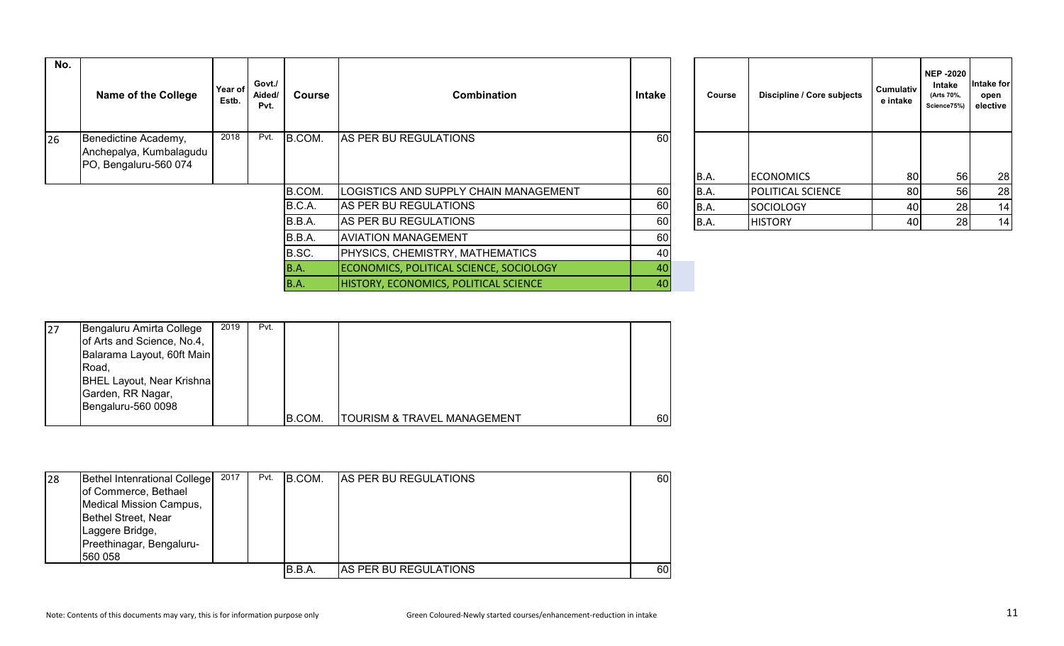| No. | <b>Name of the College</b>                                               | Year of<br>Estb. | Govt./<br>Aided/<br>Pvt. | Course      | <b>Combination</b>                           | Intake | Course      | Discipline / Core subjects | <b>Cumulativ</b><br>e intake | <b>NEP -2020</b><br>Intake<br>(Arts 70%,<br>Science75%) | ntake for<br>open<br>elective |
|-----|--------------------------------------------------------------------------|------------------|--------------------------|-------------|----------------------------------------------|--------|-------------|----------------------------|------------------------------|---------------------------------------------------------|-------------------------------|
| 26  | Benedictine Academy,<br>Anchepalya, Kumbalagudu<br>PO, Bengaluru-560 074 | 2018             | Pvt.                     | B.COM.      | AS PER BU REGULATIONS                        | 60     |             |                            |                              |                                                         |                               |
|     |                                                                          |                  |                          |             |                                              |        | B.A.        | <b>ECONOMICS</b>           | 80                           | 56                                                      | 28                            |
|     |                                                                          |                  |                          | B.COM.      | LOGISTICS AND SUPPLY CHAIN MANAGEMENT        | 60     | <b>B.A.</b> | <b>POLITICAL SCIENCE</b>   | 80                           | 56                                                      | 28                            |
|     |                                                                          |                  |                          | B.C.A.      | AS PER BU REGULATIONS                        | 60     | <b>B.A.</b> | <b>SOCIOLOGY</b>           | 40                           | 28                                                      | 14                            |
|     |                                                                          |                  |                          | B.B.A.      | AS PER BU REGULATIONS                        | 60     | B.A.        | <b>HISTORY</b>             | 40                           | 28                                                      | 14                            |
|     |                                                                          |                  |                          | B.B.A.      | <b>AVIATION MANAGEMENT</b>                   | 60     |             |                            |                              |                                                         |                               |
|     |                                                                          |                  |                          | B.SC.       | <b>PHYSICS, CHEMISTRY, MATHEMATICS</b>       | 40     |             |                            |                              |                                                         |                               |
|     |                                                                          |                  |                          | <b>B.A.</b> | ECONOMICS, POLITICAL SCIENCE, SOCIOLOGY      | 40     |             |                            |                              |                                                         |                               |
|     |                                                                          |                  |                          | B.A.        | <b>HISTORY, ECONOMICS, POLITICAL SCIENCE</b> | 40     |             |                            |                              |                                                         |                               |

| Course | Discipline / Core subjects | Cumulativ<br>e intake | <b>NEP-2020</b><br>Intake<br>(Arts 70%,<br>Science75%) | Intake for<br>open<br>elective |
|--------|----------------------------|-----------------------|--------------------------------------------------------|--------------------------------|
|        |                            |                       |                                                        |                                |
| B.A.   | <b>ECONOMICS</b>           | 80                    | 56                                                     | 28                             |
| B.A.   | POLITICAL SCIENCE          | 80                    | 56                                                     | 28                             |
| B.A.   | <b>SOCIOLOGY</b>           | 40                    | 28                                                     | 14                             |
| B.A.   | <b>HISTORY</b>             | 40                    | 28                                                     | 14                             |

| 27 | Bengaluru Amirta College<br>of Arts and Science, No.4,<br>Balarama Layout, 60ft Main<br>Road,<br><b>BHEL Layout, Near Krishna</b><br>Garden, RR Nagar, | 2019 | Pvt. |        |                             |    |
|----|--------------------------------------------------------------------------------------------------------------------------------------------------------|------|------|--------|-----------------------------|----|
|    | Bengaluru-560 0098                                                                                                                                     |      |      | B.COM. | TOURISM & TRAVEL MANAGEMENT | 60 |

| 28 | Bethel Intenrational College   | 2017 | Pvt. | B.COM. | <b>AS PER BU REGULATIONS</b> | 60  |
|----|--------------------------------|------|------|--------|------------------------------|-----|
|    | of Commerce, Bethael           |      |      |        |                              |     |
|    | <b>Medical Mission Campus,</b> |      |      |        |                              |     |
|    | Bethel Street, Near            |      |      |        |                              |     |
|    | Laggere Bridge,                |      |      |        |                              |     |
|    | Preethinagar, Bengaluru-       |      |      |        |                              |     |
|    | 560 058                        |      |      |        |                              |     |
|    |                                |      |      | B.B.A. | <b>AS PER BU REGULATIONS</b> | 60I |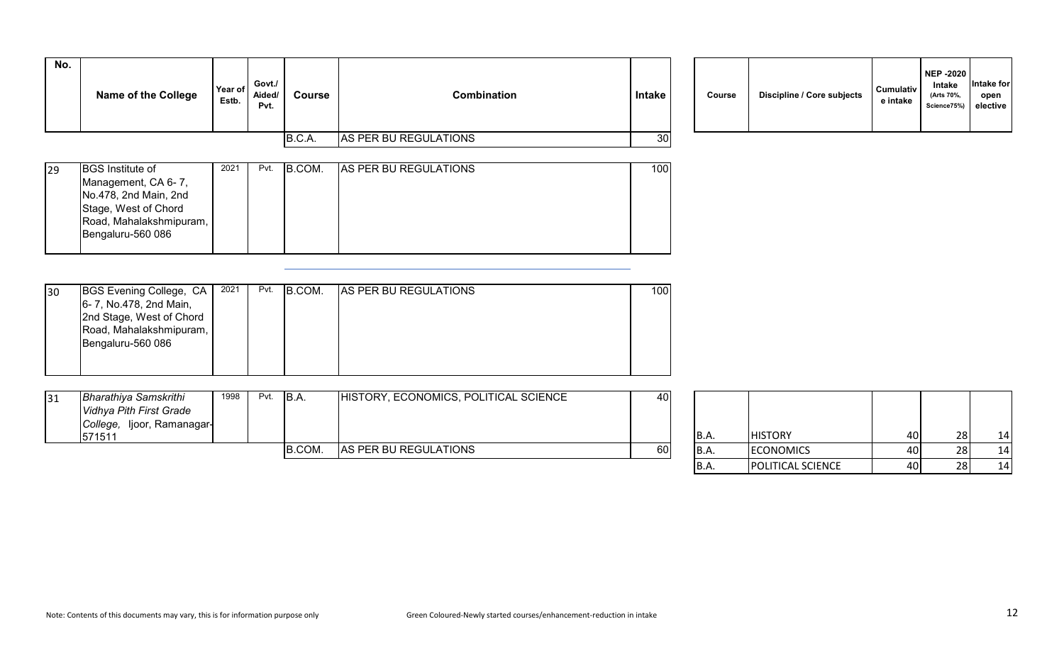| No. | <b>Name of the College</b> | Year of<br>Estb. | Govt./<br>Aided/<br>Pvt. | Course | <b>Combination</b>    | <b>Intake</b> | Course | <b>Discipline / Core subjects</b> | <b>Cumulativ</b><br>e intake |
|-----|----------------------------|------------------|--------------------------|--------|-----------------------|---------------|--------|-----------------------------------|------------------------------|
|     |                            |                  |                          | B.C.A. | AS PER BU REGULATIONS | 30            |        |                                   |                              |

| Course | Discipline / Core subjects | <b>Cumulativ</b><br>e intake | <b>NEP -2020</b><br>Intake<br>(Arts 70%,<br>Science75%) | Intake for<br>open<br>elective |
|--------|----------------------------|------------------------------|---------------------------------------------------------|--------------------------------|
|--------|----------------------------|------------------------------|---------------------------------------------------------|--------------------------------|

| 29 | <b>BGS</b> Institute of                      | 2021 | Pvt. | B.COM. | <b>AS PER BU REGULATIONS</b> | 100 |
|----|----------------------------------------------|------|------|--------|------------------------------|-----|
|    | Management, CA 6-7,<br>No.478, 2nd Main, 2nd |      |      |        |                              |     |
|    | Stage, West of Chord                         |      |      |        |                              |     |
|    | Road, Mahalakshmipuram,<br>Bengaluru-560 086 |      |      |        |                              |     |
|    |                                              |      |      |        |                              |     |

| 30 | BGS Evening College, CA  | 2021 | Pvt. | B.COM. | <b>AS PER BU REGULATIONS</b> | 100 |
|----|--------------------------|------|------|--------|------------------------------|-----|
|    | 6- 7, No.478, 2nd Main,  |      |      |        |                              |     |
|    | 2nd Stage, West of Chord |      |      |        |                              |     |
|    | Road, Mahalakshmipuram,  |      |      |        |                              |     |
|    | Bengaluru-560 086        |      |      |        |                              |     |
|    |                          |      |      |        |                              |     |
|    |                          |      |      |        |                              |     |

| <b>Bharathiya Samskrithi</b> | 1998 | Pvt. | B.A    | HISTORY, ECONOMICS, POLITICAL SCIENCE | 40 |                          |                  |      |                      |    |
|------------------------------|------|------|--------|---------------------------------------|----|--------------------------|------------------|------|----------------------|----|
| Vidhya Pith First Grade      |      |      |        |                                       |    |                          |                  |      |                      |    |
| College, Ijoor, Ramanagar-   |      |      |        |                                       |    |                          |                  |      |                      |    |
| 571511                       |      |      |        |                                       |    | B.A                      | <b>HISTORY</b>   | 40 I |                      | 14 |
|                              |      |      | B.COM. | AS PER BU REGULATIONS                 | 60 | IB.A.                    | <b>ECONOMICS</b> | 40 I |                      | 14 |
|                              |      |      |        |                                       |    | $\overline{\phantom{a}}$ |                  | .    | $\sim$ $\sim$ $\sim$ | .  |

| B.A. | <b>HISTORY</b>    | 40 | 28 | 14 |
|------|-------------------|----|----|----|
| B.A. | <b>ECONOMICS</b>  | 40 | 28 | 14 |
| B.A. | POLITICAL SCIENCE | 40 | 28 | 14 |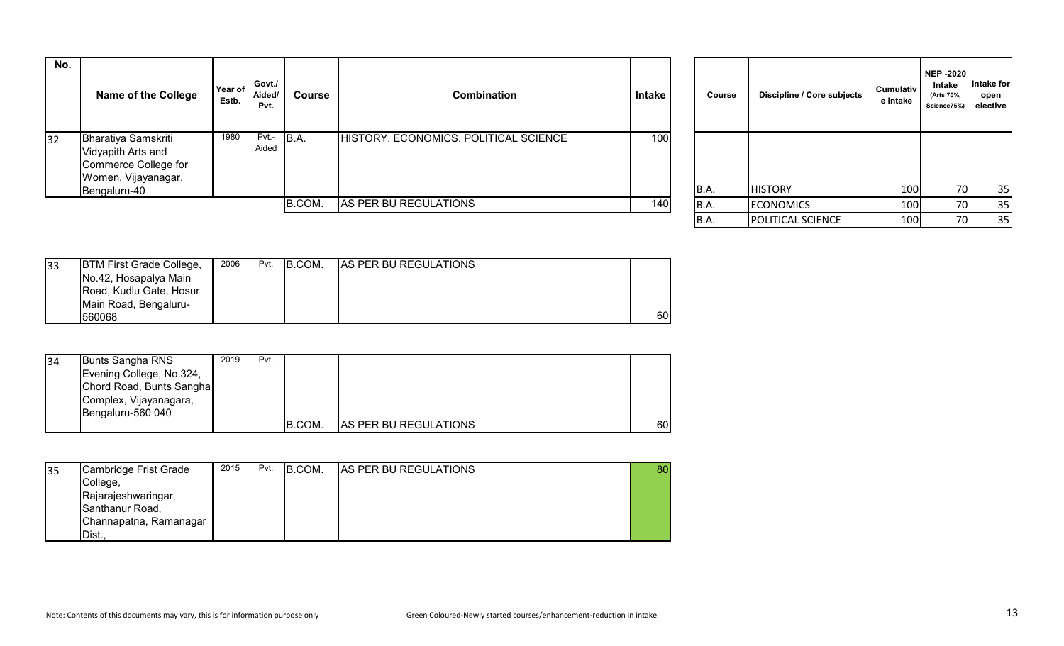| No. | Name of the College                                                                                             | Year of<br>Estb. | Govt./<br>Aided/<br>Pvt. | Course | Combination                           | Intake | Course      | Discipline / Core subjects | <b>Cumulativ</b><br>e intake | <b>NEP-2020</b><br>Intake<br>(Arts 70%,<br>Science75%) | Intake for<br>open<br>elective |
|-----|-----------------------------------------------------------------------------------------------------------------|------------------|--------------------------|--------|---------------------------------------|--------|-------------|----------------------------|------------------------------|--------------------------------------------------------|--------------------------------|
| 32  | <b>Bharatiya Samskriti</b><br>Vidyapith Arts and<br>Commerce College for<br>Women, Vijayanagar,<br>Bengaluru-40 | 1980             | $Pvt - B.A.$<br>Aided    |        | HISTORY, ECONOMICS, POLITICAL SCIENCE | 100    | <b>B.A.</b> | <b>HISTORY</b>             | 100                          | 70I                                                    | 35                             |
|     |                                                                                                                 |                  |                          | B.COM. | AS PER BU REGULATIONS                 | 140    | <b>B.A.</b> | <b>ECONOMICS</b>           | 100                          | 70I                                                    | 35                             |
|     |                                                                                                                 |                  |                          |        |                                       |        |             | - - - -                    | $   -$                       |                                                        | $\sim$ $-$                     |

| Course | Discipline / Core subjects | Cumulativ<br>e intake | <b>NEP-2020</b><br>Intake<br>(Arts 70%,<br>Science75%) | Intake for<br>open<br>elective |
|--------|----------------------------|-----------------------|--------------------------------------------------------|--------------------------------|
| B.A.   | <b>HISTORY</b>             |                       | 70                                                     |                                |
|        |                            | 100                   |                                                        | 35                             |
| B.A.   | <b>ECONOMICS</b>           | 100                   | 70                                                     | 35                             |
| B.A.   | POLITICAL SCIENCE          | 100                   | 70                                                     | 35                             |

| 33 | <b>BTM First Grade College,</b> | 2006 | Pvt. | B.COM. | <b>AS PER BU REGULATIONS</b> |    |
|----|---------------------------------|------|------|--------|------------------------------|----|
|    | No.42, Hosapalya Main           |      |      |        |                              |    |
|    | Road, Kudlu Gate, Hosur         |      |      |        |                              |    |
|    | Main Road, Bengaluru-           |      |      |        |                              |    |
|    | 560068                          |      |      |        |                              | 60 |

| 34 | Bunts Sangha RNS         | 2019 | Pvt. |        |                              |    |
|----|--------------------------|------|------|--------|------------------------------|----|
|    | Evening College, No.324, |      |      |        |                              |    |
|    | Chord Road, Bunts Sangha |      |      |        |                              |    |
|    | Complex, Vijayanagara,   |      |      |        |                              |    |
|    | Bengaluru-560 040        |      |      |        |                              |    |
|    |                          |      |      | B.COM. | <b>AS PER BU REGULATIONS</b> | 60 |

| 35 | Cambridge Frist Grade  | 2015 | Pvt. | B.COM. | <b>AS PER BU REGULATIONS</b> | 80 |
|----|------------------------|------|------|--------|------------------------------|----|
|    | College,               |      |      |        |                              |    |
|    | Rajarajeshwaringar,    |      |      |        |                              |    |
|    | Santhanur Road,        |      |      |        |                              |    |
|    | Channapatna, Ramanagar |      |      |        |                              |    |
|    | Dist.,                 |      |      |        |                              |    |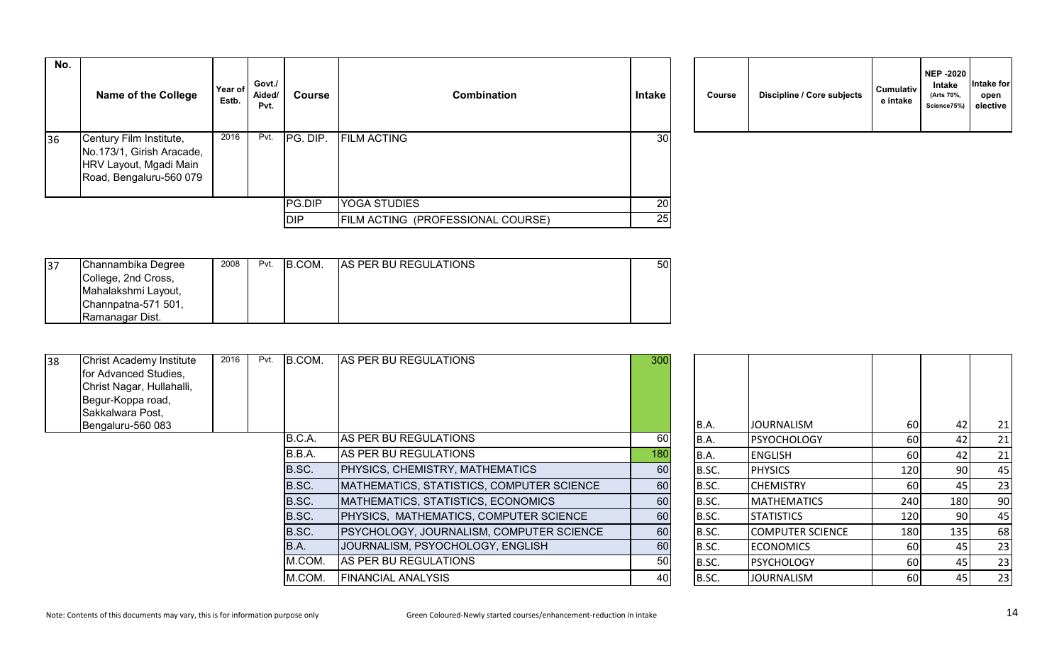| No. | <b>Name of the College</b>                                                                                | Year of<br>Estb. | Govt./<br>Aided/<br>Pvt. | <b>Course</b> | <b>Combination</b>                | Intake | Course | Discipline / Core subjects | <b>Cumulativ</b><br>e intake |
|-----|-----------------------------------------------------------------------------------------------------------|------------------|--------------------------|---------------|-----------------------------------|--------|--------|----------------------------|------------------------------|
| 36  | Century Film Institute,<br>No.173/1, Girish Aracade,<br>HRV Layout, Mgadi Main<br>Road, Bengaluru-560 079 | 2016             | Pvt.                     | PG. DIP.      | <b>FILM ACTING</b>                | 30     |        |                            |                              |
|     |                                                                                                           |                  |                          | PG.DIP        | <b>YOGA STUDIES</b>               | 20     |        |                            |                              |
|     |                                                                                                           |                  |                          | <b>DIP</b>    | FILM ACTING (PROFESSIONAL COURSE) | 25     |        |                            |                              |

| Course | Discipline / Core subjects | <b>Cumulativ</b><br>e intake | <b>NEP -2020</b><br>Intake<br>(Arts 70%,<br>Science75%) | Intake for<br>open<br>elective |
|--------|----------------------------|------------------------------|---------------------------------------------------------|--------------------------------|
|--------|----------------------------|------------------------------|---------------------------------------------------------|--------------------------------|

| Channambika Degree  | 2008 | Pvt. | IB.COM. | <b>AS PER BU REGULATIONS</b> | 50 |
|---------------------|------|------|---------|------------------------------|----|
| College, 2nd Cross, |      |      |         |                              |    |
| Mahalakshmi Layout, |      |      |         |                              |    |
| Channpatna-571 501, |      |      |         |                              |    |
| Ramanagar Dist.     |      |      |         |                              |    |

| 38 | <b>Christ Academy Institute</b><br>for Advanced Studies,<br>Christ Nagar, Hullahalli,<br>Begur-Koppa road,<br>Sakkalwara Post, | 2016 | Pvt. | B.COM. | AS PER BU REGULATIONS                     | 300 |             |                         |           |     |    |
|----|--------------------------------------------------------------------------------------------------------------------------------|------|------|--------|-------------------------------------------|-----|-------------|-------------------------|-----------|-----|----|
|    | Bengaluru-560 083                                                                                                              |      |      |        |                                           |     | <b>B.A.</b> | <b>JOURNALISM</b>       | 60        |     | 21 |
|    |                                                                                                                                |      |      | B.C.A. | AS PER BU REGULATIONS                     | 60  | B.A.        | <b>PSYOCHOLOGY</b>      | <b>60</b> | 42  | 21 |
|    |                                                                                                                                |      |      | B.B.A. | AS PER BU REGULATIONS                     | 180 | B.A.        | <b>ENGLISH</b>          | <b>60</b> |     | 21 |
|    |                                                                                                                                |      |      | B.SC.  | PHYSICS, CHEMISTRY, MATHEMATICS           | 60  | B.SC.       | <b>PHYSICS</b>          | 120       | 90  | 45 |
|    |                                                                                                                                |      |      | B.SC.  | MATHEMATICS, STATISTICS, COMPUTER SCIENCE | 60  | B.SC.       | <b>CHEMISTRY</b>        | 60        | 45  | 23 |
|    |                                                                                                                                |      |      | B.SC.  | MATHEMATICS, STATISTICS, ECONOMICS        | 60  | B.SC.       | <b>MATHEMATICS</b>      | 240       | 180 | 90 |
|    |                                                                                                                                |      |      | B.SC.  | PHYSICS, MATHEMATICS, COMPUTER SCIENCE    | 60  | B.SC.       | <b>STATISTICS</b>       | 120       | 90  | 45 |
|    |                                                                                                                                |      |      | B.SC.  | PSYCHOLOGY, JOURNALISM, COMPUTER SCIENCE  | 60  | B.SC.       | <b>COMPUTER SCIENCE</b> | 180       | 135 | 68 |
|    |                                                                                                                                |      |      | B.A.   | JOURNALISM, PSYOCHOLOGY, ENGLISH          | 60  | B.SC.       | <b>ECONOMICS</b>        | 60 l      | 45. | 23 |
|    |                                                                                                                                |      |      | M.COM. | AS PER BU REGULATIONS                     | 50  | B.SC.       | PSYCHOLOGY              | 60        | 45  | 23 |
|    |                                                                                                                                |      |      | M.COM. | <b>FINANCIAL ANALYSIS</b>                 | 40  | B.SC.       | <b>JOURNALISM</b>       | 60        | 45  | 23 |

| B.A.  | <b>JOURNALISM</b>       | 60  | 42  | 21 |
|-------|-------------------------|-----|-----|----|
| B.A.  | <b>PSYOCHOLOGY</b>      | 60  | 42  | 21 |
| B.A.  | <b>ENGLISH</b>          | 60  | 42  | 21 |
| B.SC. | <b>PHYSICS</b>          | 120 | 90  | 45 |
| B.SC. | <b>CHEMISTRY</b>        | 60  | 45  | 23 |
| B.SC. | <b>MATHEMATICS</b>      | 240 | 180 | 90 |
| B.SC. | <b>STATISTICS</b>       | 120 | 90  | 45 |
| B.SC. | <b>COMPUTER SCIENCE</b> | 180 | 135 | 68 |
| B.SC. | <b>ECONOMICS</b>        | 60  | 45  | 23 |
| B.SC. | <b>PSYCHOLOGY</b>       | 60  | 45  | 23 |
| B.SC. | <b>JOURNALISM</b>       | 60  | 45  | 23 |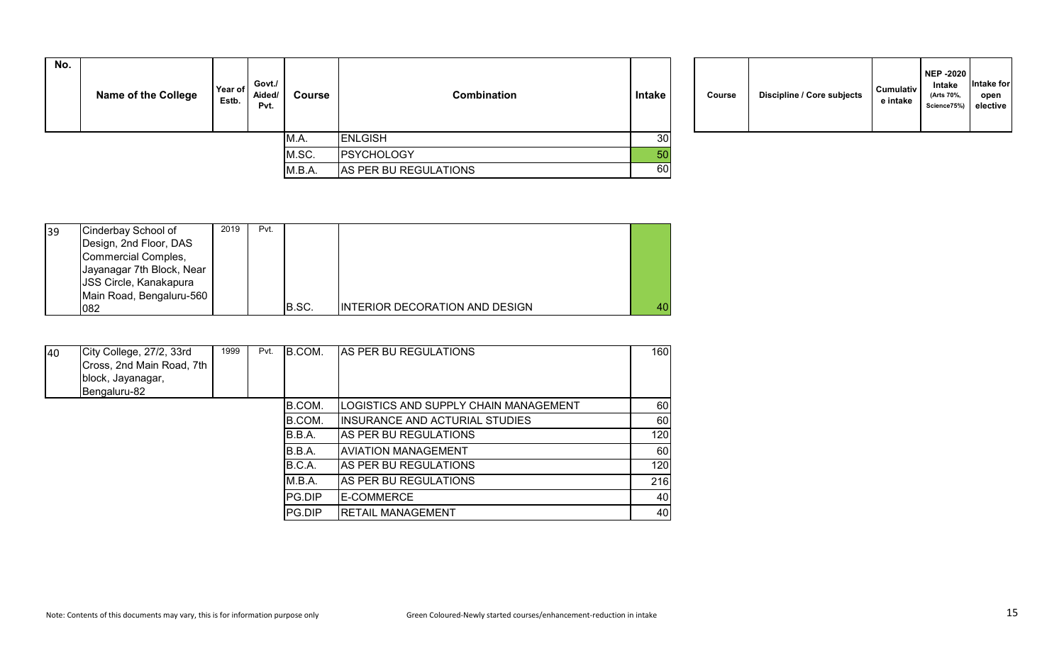| No. | <b>Name of the College</b> | Year of<br>Estb. | Govt./<br>Aided/<br>Pvt. | <b>Course</b> | <b>Combination</b><br>Intake |                 | Course | <b>Discipline / Core subjects</b> | <b>Cumulativ</b><br>e intake |
|-----|----------------------------|------------------|--------------------------|---------------|------------------------------|-----------------|--------|-----------------------------------|------------------------------|
|     |                            |                  |                          | IM.A.         | ENLGISH                      | 30 <sup>°</sup> |        |                                   |                              |
|     |                            |                  |                          | M.SC.         | PSYCHOLOGY                   | 50              |        |                                   |                              |
|     |                            |                  |                          | M.B.A.        | AS PER BU REGULATIONS        | 60              |        |                                   |                              |

| 39 | Cinderbay School of           | 2019 | Pvt. |       |                                       |    |
|----|-------------------------------|------|------|-------|---------------------------------------|----|
|    | Design, 2nd Floor, DAS        |      |      |       |                                       |    |
|    | Commercial Comples,           |      |      |       |                                       |    |
|    | Jayanagar 7th Block, Near     |      |      |       |                                       |    |
|    | <b>JSS Circle, Kanakapura</b> |      |      |       |                                       |    |
|    | Main Road, Bengaluru-560      |      |      |       |                                       |    |
|    | 082                           |      |      | B.SC. | <b>INTERIOR DECORATION AND DESIGN</b> | 40 |

| 40 | City College, 27/2, 33rd<br>Cross, 2nd Main Road, 7th<br>block, Jayanagar,<br>Bengaluru-82 | 1999 | Pvt. | B.COM.        | AS PER BU REGULATIONS                 | 160 |
|----|--------------------------------------------------------------------------------------------|------|------|---------------|---------------------------------------|-----|
|    |                                                                                            |      |      | B.COM.        | LOGISTICS AND SUPPLY CHAIN MANAGEMENT | 60  |
|    |                                                                                            |      |      | B.COM.        | IINSURANCE AND ACTURIAL STUDIES       | 60  |
|    |                                                                                            |      |      | B.B.A.        | <b>AS PER BU REGULATIONS</b>          | 120 |
|    |                                                                                            |      |      | B.B.A.        | IAVIATION MANAGEMENT                  | 60  |
|    |                                                                                            |      |      | B.C.A.        | IAS PER BU REGULATIONS                | 120 |
|    |                                                                                            |      |      | M.B.A.        | <b>AS PER BU REGULATIONS</b>          | 216 |
|    |                                                                                            |      |      | <b>PG.DIP</b> | <b>IE-COMMERCE</b>                    | 40  |
|    |                                                                                            |      |      | <b>PG.DIP</b> | <b>RETAIL MANAGEMENT</b>              | 40  |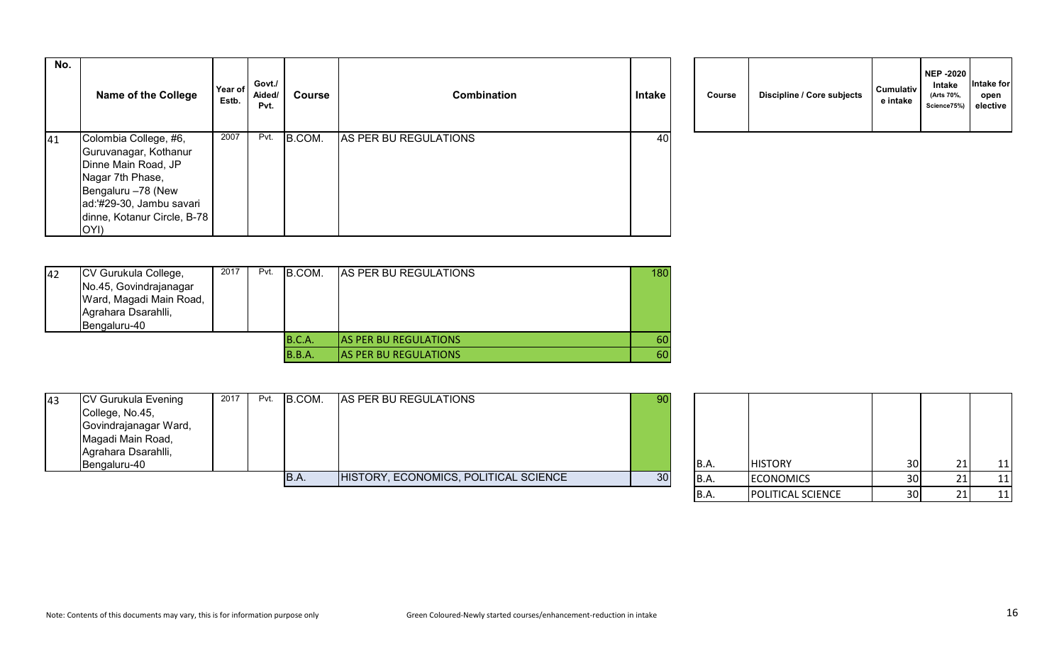| No. | <b>Name of the College</b>                                            | Year of<br>Estb. | Govt./<br>Aided/<br>Pvt. | <b>Course</b> | <b>Combination</b>    | Intake | Course | Discipline / Core subjects | <b>Cumulativ</b><br>e intake |
|-----|-----------------------------------------------------------------------|------------------|--------------------------|---------------|-----------------------|--------|--------|----------------------------|------------------------------|
| 41  | Colombia College, #6,<br>Guruvanagar, Kothanur<br>Dinne Main Road, JP | 2007             | Pvt.                     | B.COM.        | AS PER BU REGULATIONS | 40     |        |                            |                              |
|     | Nagar 7th Phase,<br>Bengaluru -78 (New                                |                  |                          |               |                       |        |        |                            |                              |
|     | ad:'#29-30, Jambu savari<br>dinne, Kotanur Circle, B-78<br>OYI)       |                  |                          |               |                       |        |        |                            |                              |

|  | Course | Discipline / Core subjects | <b>Cumulativ</b><br>e intake | <b>NEP -2020</b><br>Intake<br>(Arts 70%,<br>Science75%) | Intake for<br>open<br>elective |  |
|--|--------|----------------------------|------------------------------|---------------------------------------------------------|--------------------------------|--|
|--|--------|----------------------------|------------------------------|---------------------------------------------------------|--------------------------------|--|

| 42 | CV Gurukula College,    | 2017 | Pvt. | B.COM. | <b>AS PER BU REGULATIONS</b>  | 180 |
|----|-------------------------|------|------|--------|-------------------------------|-----|
|    | No.45, Govindrajanagar  |      |      |        |                               |     |
|    | Ward, Magadi Main Road, |      |      |        |                               |     |
|    | Agrahara Dsarahlli,     |      |      |        |                               |     |
|    | Bengaluru-40            |      |      |        |                               |     |
|    |                         |      |      | B.C.A. | <b>JAS PER BU REGULATIONS</b> | 60  |
|    |                         |      |      | B.B.A. | <b>AS PER BU REGULATIONS</b>  | 60  |

| 43 | <b>CV Gurukula Evening</b> | 2017 | Pvt. | B.COM. | AS PER BU REGULATIONS                 | 90 |       |                  |                 |    |
|----|----------------------------|------|------|--------|---------------------------------------|----|-------|------------------|-----------------|----|
|    | College, No.45,            |      |      |        |                                       |    |       |                  |                 |    |
|    | Govindrajanagar Ward,      |      |      |        |                                       |    |       |                  |                 |    |
|    | Magadi Main Road,          |      |      |        |                                       |    |       |                  |                 |    |
|    | Agrahara Dsarahlli,        |      |      |        |                                       |    |       |                  |                 |    |
|    | Bengaluru-40               |      |      |        |                                       |    | IB.A. | <b>HISTORY</b>   | 30 <sup>1</sup> | 11 |
|    |                            |      |      | IB.A   | HISTORY, ECONOMICS, POLITICAL SCIENCE | 30 | IB.A. | <b>ECONOMICS</b> | 30 <sup>1</sup> | 11 |
|    |                            |      |      |        |                                       |    |       |                  |                 |    |

| <b>B.A.</b> | <b>HISTORY</b>    | 30 | 21 | 11 |
|-------------|-------------------|----|----|----|
| B.A.        | <b>ECONOMICS</b>  | 30 | 21 |    |
| B.A.        | POLITICAL SCIENCE | 30 |    |    |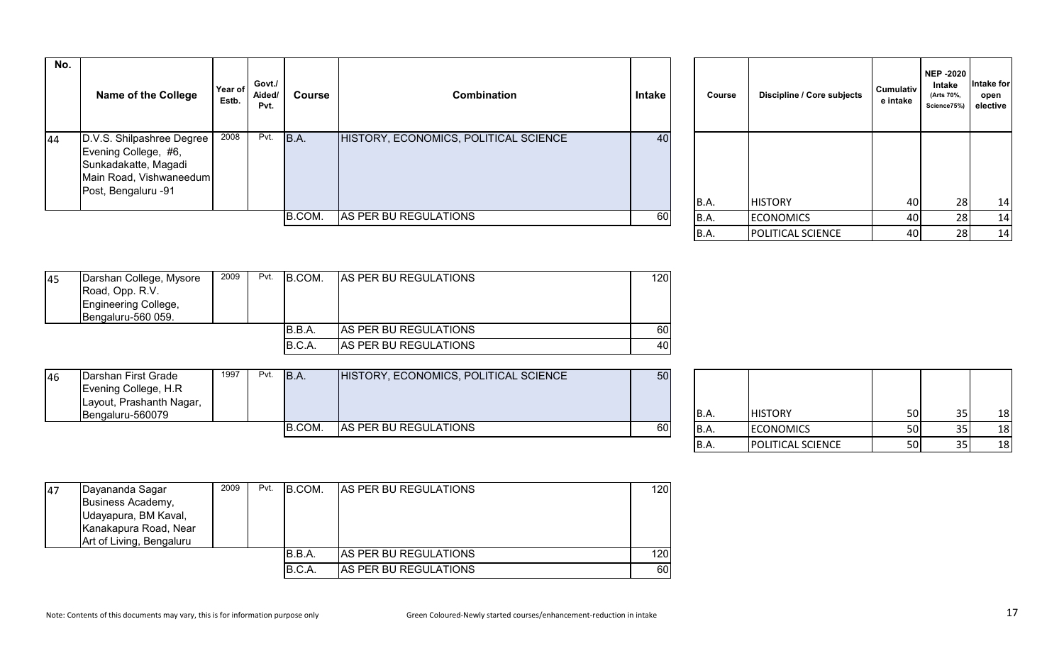|    | No. | Name of the College                                                                                                         | Year of<br>Estb. | Govt./<br>Aided/<br>Pvt. | Course | Combination                           | Intake          | Course      | Discipline / Core subjects | Cumulativ<br>e intake | <b>NEP -2020</b><br>Intake<br>(Arts 70%,<br>Science75%) | Intake for<br>open<br>elective |
|----|-----|-----------------------------------------------------------------------------------------------------------------------------|------------------|--------------------------|--------|---------------------------------------|-----------------|-------------|----------------------------|-----------------------|---------------------------------------------------------|--------------------------------|
| 44 |     | D.V.S. Shilpashree Degree<br>Evening College, #6,<br>Sunkadakatte, Magadi<br>Main Road, Vishwaneedum<br>Post, Bengaluru -91 | 2008             | Pvt.                     | B.A.   | HISTORY, ECONOMICS, POLITICAL SCIENCE | 40              | <b>B.A.</b> | <b>HISTORY</b>             | 40                    | 28                                                      | 14                             |
|    |     |                                                                                                                             |                  |                          | B.COM. | AS PER BU REGULATIONS                 | 60 <sub>1</sub> | B.A.        | <b>ECONOMICS</b>           | 40                    | 28                                                      | 14                             |
|    |     |                                                                                                                             |                  |                          |        |                                       |                 |             | - - - -                    | $ -$                  | $-1$                                                    |                                |

| Course | Discipline / Core subjects | <b>Cumulativ</b><br>e intake | <b>NEP -2020</b><br>Intake<br>(Arts 70%,<br>Science75%) | <b>Intake for</b><br>open<br>elective |
|--------|----------------------------|------------------------------|---------------------------------------------------------|---------------------------------------|
| B.A.   | <b>HISTORY</b>             | 40                           | 28                                                      | 14                                    |
| B.A.   | <b>ECONOMICS</b>           | 40                           | 28                                                      | 14                                    |
| B.A.   | POLITICAL SCIENCE          | 40                           | 28                                                      | 14                                    |

| 45 | Darshan College, Mysore | 2009 | Pvt. | IB.COM. | <b>AS PER BU REGULATIONS</b> | 120I |
|----|-------------------------|------|------|---------|------------------------------|------|
|    | Road, Opp. R.V.         |      |      |         |                              |      |
|    | Engineering College,    |      |      |         |                              |      |
|    | Bengaluru-560 059.      |      |      |         |                              |      |
|    |                         |      |      | IB.B.A. | <b>AS PER BU REGULATIONS</b> | 60 I |
|    |                         |      |      | B.C.A.  | AS PER BU REGULATIONS        | 40I  |

| 46 | Darshan First Grade      | 1997 | Pvt. | <b>B.A.</b> | HISTORY, ECONOMICS, POLITICAL SCIENCE | 50 |       |                  |           |    |
|----|--------------------------|------|------|-------------|---------------------------------------|----|-------|------------------|-----------|----|
|    | Evening College, H.R     |      |      |             |                                       |    |       |                  |           |    |
|    | Layout, Prashanth Nagar, |      |      |             |                                       |    |       |                  |           |    |
|    | Bengaluru-560079         |      |      |             |                                       |    | IB.A. | <b>HISTORY</b>   | 50 l      | 18 |
|    |                          |      |      | B.COM.      | AS PER BU REGULATIONS                 | 60 | IB.A. | <b>ECONOMICS</b> | <b>50</b> | 18 |

| B.A.        | <b>HISTORY</b>    | 50 | 35 | 18. |
|-------------|-------------------|----|----|-----|
| <b>B.A.</b> | <b>ECONOMICS</b>  | 50 |    |     |
| <b>B.A.</b> | POLITICAL SCIENCE | 50 |    |     |

| 47 | Dayananda Sagar<br>Business Academy,<br>Udayapura, BM Kaval,<br>Kanakapura Road, Near | 2009 | Pvt. | <b>B.COM.</b> | <b>AS PER BU REGULATIONS</b> | 120 |
|----|---------------------------------------------------------------------------------------|------|------|---------------|------------------------------|-----|
|    | Art of Living, Bengaluru                                                              |      |      |               |                              |     |
|    |                                                                                       |      |      | B.B.A.        | AS PER BU REGULATIONS        | 120 |
|    |                                                                                       |      |      | B.C.A.        | AS PER BU REGULATIONS        | 60  |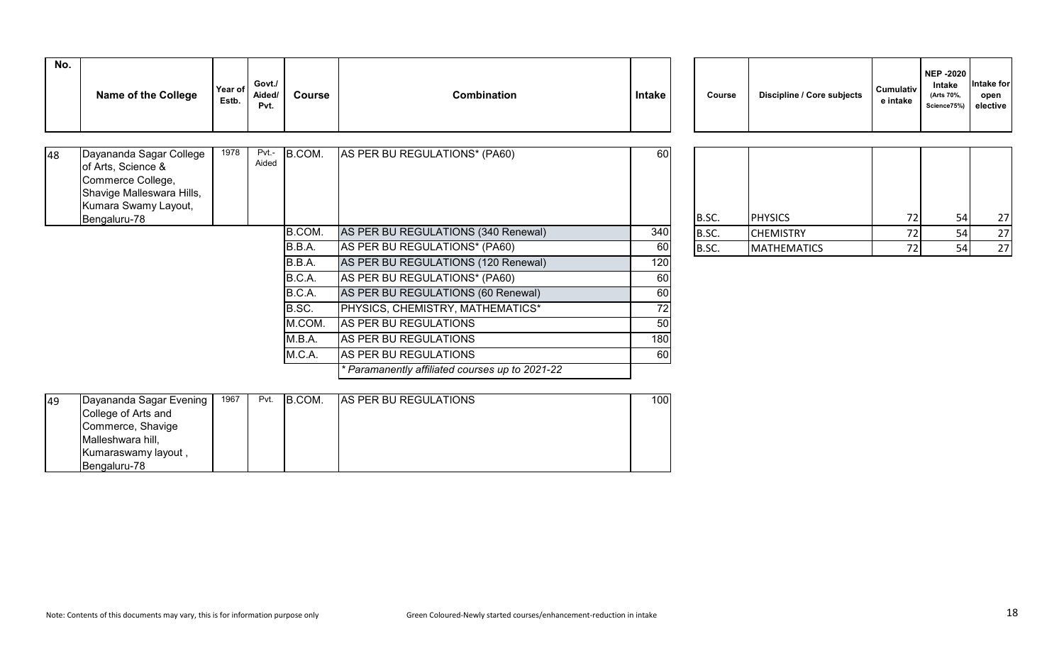| No. | <b>Name of the College</b> | Year of<br>Estb. | Govt./<br>Aided/<br>Pvt. | <b>Course</b> | <b>Combination</b> | <b>Intake</b> | Course | Discipline / Core subjects | <b>Cumulativ</b><br>e intake |
|-----|----------------------------|------------------|--------------------------|---------------|--------------------|---------------|--------|----------------------------|------------------------------|
|     |                            |                  |                          |               |                    |               |        |                            |                              |

| Dayananda Sagar College<br>of Arts, Science &<br>Commerce College,<br>Shavige Malleswara Hills,<br>Kumara Swamy Layout,<br>Bengaluru-78 | 1978 | Pvt.-<br>Aided | B.COM. | AS PER BU REGULATIONS* (PA60)                 | 60  | B.SC. | <b>PHYSICS</b>     | 72 | 54 | 27 |
|-----------------------------------------------------------------------------------------------------------------------------------------|------|----------------|--------|-----------------------------------------------|-----|-------|--------------------|----|----|----|
|                                                                                                                                         |      |                | B.COM. | AS PER BU REGULATIONS (340 Renewal)           | 340 | B.SC. | <b>CHEMISTRY</b>   |    | 54 | 27 |
|                                                                                                                                         |      |                | B.B.A. | AS PER BU REGULATIONS* (PA60)                 | 60  | B.SC. | <b>MATHEMATICS</b> |    | 54 | 27 |
|                                                                                                                                         |      |                | B.B.A. | AS PER BU REGULATIONS (120 Renewal)           | 120 |       |                    |    |    |    |
|                                                                                                                                         |      |                | B.C.A. | AS PER BU REGULATIONS* (PA60)                 | 60  |       |                    |    |    |    |
|                                                                                                                                         |      |                | B.C.A. | AS PER BU REGULATIONS (60 Renewal)            | 60  |       |                    |    |    |    |
|                                                                                                                                         |      |                | B.SC.  | PHYSICS, CHEMISTRY, MATHEMATICS*              | 72  |       |                    |    |    |    |
|                                                                                                                                         |      |                | M.COM. | AS PER BU REGULATIONS                         | 50  |       |                    |    |    |    |
|                                                                                                                                         |      |                | M.B.A. | AS PER BU REGULATIONS                         | 180 |       |                    |    |    |    |
|                                                                                                                                         |      |                | M.C.A. | AS PER BU REGULATIONS                         | 60  |       |                    |    |    |    |
|                                                                                                                                         |      |                |        | Paramanently affiliated courses up to 2021-22 |     |       |                    |    |    |    |

| Course      | Discipline / Core subjects | e intake | (Arts 70%,<br>Science75%) | open<br>elective |
|-------------|----------------------------|----------|---------------------------|------------------|
|             |                            |          |                           |                  |
|             |                            |          |                           |                  |
| B.SC.       | <b>PHYSICS</b>             | 72       | 54                        | 27               |
| <b>R</b> SC | <b>CHEMISTRY</b>           | 72.      | 54                        | 27               |

**NEP -2020 Intake** 

**Intake for** 

| B.SC.       | <b>IPHYSICS</b>    | ¬<br>∸  | гΛ |  |
|-------------|--------------------|---------|----|--|
| IB.SC.      | <b>CHEMISTRY</b>   | ┐へ<br>∠ |    |  |
| <b>IRSC</b> | <b>MATHEMATICS</b> | ¬       | гл |  |

| 49 | Dayananda Sagar Evening | 1967 | Pvt. | B.COM. | <b>AS PER BU REGULATIONS</b> | 100 <sup>1</sup> |
|----|-------------------------|------|------|--------|------------------------------|------------------|
|    | College of Arts and     |      |      |        |                              |                  |
|    | Commerce, Shavige       |      |      |        |                              |                  |
|    | Malleshwara hill,       |      |      |        |                              |                  |
|    | Kumaraswamy layout,     |      |      |        |                              |                  |
|    | Bengaluru-78            |      |      |        |                              |                  |

48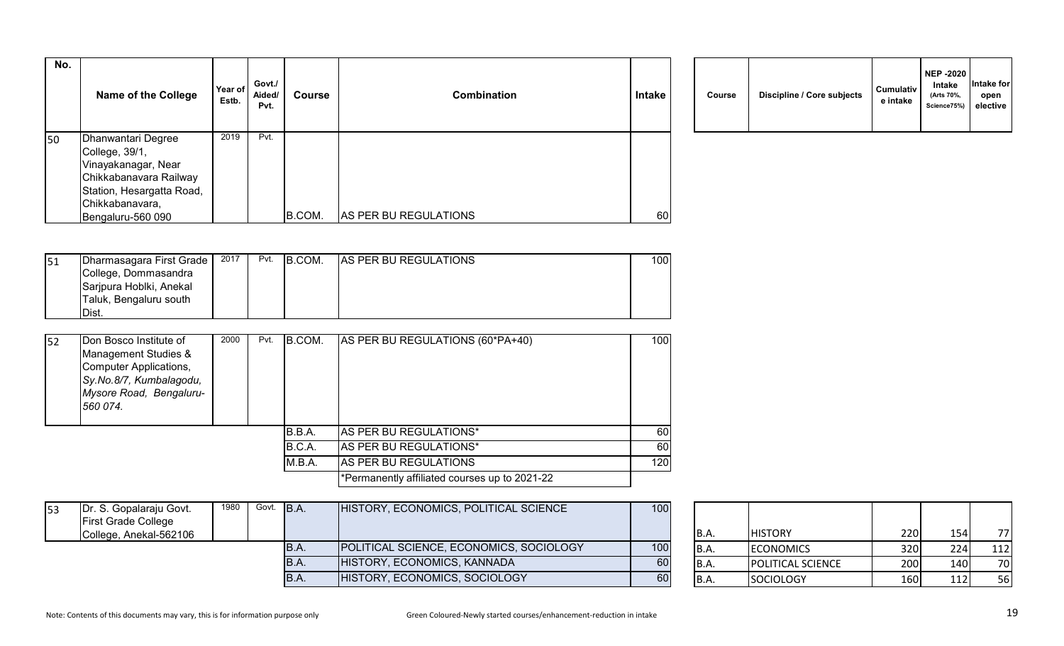| No. | <b>Name of the College</b> | Year of<br>Estb. | Govt./<br>Aided/<br>Pvt. | <b>Course</b> | <b>Combination</b>    | <b>Intake</b> | Course | Discipline / Core subjects | <b>Cumulativ</b><br>e intake |
|-----|----------------------------|------------------|--------------------------|---------------|-----------------------|---------------|--------|----------------------------|------------------------------|
| 50  | Dhanwantari Degree         | 2019             | Pvt.                     |               |                       |               |        |                            |                              |
|     | College, 39/1,             |                  |                          |               |                       |               |        |                            |                              |
|     | Vinayakanagar, Near        |                  |                          |               |                       |               |        |                            |                              |
|     | Chikkabanavara Railway     |                  |                          |               |                       |               |        |                            |                              |
|     | Station, Hesargatta Road,  |                  |                          |               |                       |               |        |                            |                              |
|     | Chikkabanavara,            |                  |                          |               |                       |               |        |                            |                              |
|     | Bengaluru-560 090          |                  |                          | B.COM.        | AS PER BU REGULATIONS | 60            |        |                            |                              |

|  | Course | Discipline / Core subjects | <b>Cumulativ</b><br>e intake | <b>NEP -2020</b><br><b>Intake</b><br>(Arts 70%,<br>Science75%) | Intake for<br>open<br>elective |  |
|--|--------|----------------------------|------------------------------|----------------------------------------------------------------|--------------------------------|--|
|--|--------|----------------------------|------------------------------|----------------------------------------------------------------|--------------------------------|--|

| 51 | Dharmasagara First Grade | 2017 | Pvt. | B.COM. | AS PER BU REGULATIONS | 1001 |
|----|--------------------------|------|------|--------|-----------------------|------|
|    | College, Dommasandra     |      |      |        |                       |      |
|    | Sarjpura Hoblki, Anekal  |      |      |        |                       |      |
|    | Taluk, Bengaluru south   |      |      |        |                       |      |
|    | <b>IDist.</b>            |      |      |        |                       |      |

| I <sub>52</sub> | Don Bosco Institute of<br>Management Studies &<br>Computer Applications,<br>Sy.No.8/7, Kumbalagodu,<br>Mysore Road, Bengaluru-<br>560 074. | 2000 | Pvt. | B.COM. | AS PER BU REGULATIONS (60*PA+40)              | 100 |
|-----------------|--------------------------------------------------------------------------------------------------------------------------------------------|------|------|--------|-----------------------------------------------|-----|
|                 |                                                                                                                                            |      |      | B.B.A. | <b>AS PER BU REGULATIONS*</b>                 | 60I |
|                 |                                                                                                                                            |      |      | B.C.A. | AS PER BU REGULATIONS*                        | 60  |
|                 |                                                                                                                                            |      |      | M.B.A. | <b>AS PER BU REGULATIONS</b>                  | 120 |
|                 |                                                                                                                                            |      |      |        | *Permanently affiliated courses up to 2021-22 |     |

| $\vert$ 53 | Dr. S. Gopalaraju Govt.<br><b>First Grade College</b> | 1980 l | Govt. B.A. |             | HISTORY, ECONOMICS, POLITICAL SCIENCE   | 100 |       |                          |      |     |     |
|------------|-------------------------------------------------------|--------|------------|-------------|-----------------------------------------|-----|-------|--------------------------|------|-----|-----|
|            | College, Anekal-562106                                |        |            |             |                                         |     | IB.A. | <b>HISTORY</b>           | 220I |     | 77  |
|            |                                                       |        |            | IB.A.       | POLITICAL SCIENCE, ECONOMICS, SOCIOLOGY | 100 | IB.A. | <b>IECONOMICS</b>        | 320  | 224 | 112 |
|            |                                                       |        |            | <b>B.A.</b> | HISTORY, ECONOMICS, KANNADA             | 60  | B.A.  | <b>POLITICAL SCIENCE</b> | 200  | 140 | 70  |
|            |                                                       |        |            | IB.A.       | HISTORY, ECONOMICS, SOCIOLOGY           | 60  | B.A   | <b>SOCIOLOGY</b>         | 160  |     | 56  |

| B.A.        | <b>HISTORY</b>           | 220 | 154I | 77  |
|-------------|--------------------------|-----|------|-----|
| <b>B.A.</b> | <b>ECONOMICS</b>         | 320 | 224  | 112 |
| B.A.        | <b>POLITICAL SCIENCE</b> | 200 | 140  | 70  |
| B.A.        | SOCIOLOGY                | 160 | 112  | 56  |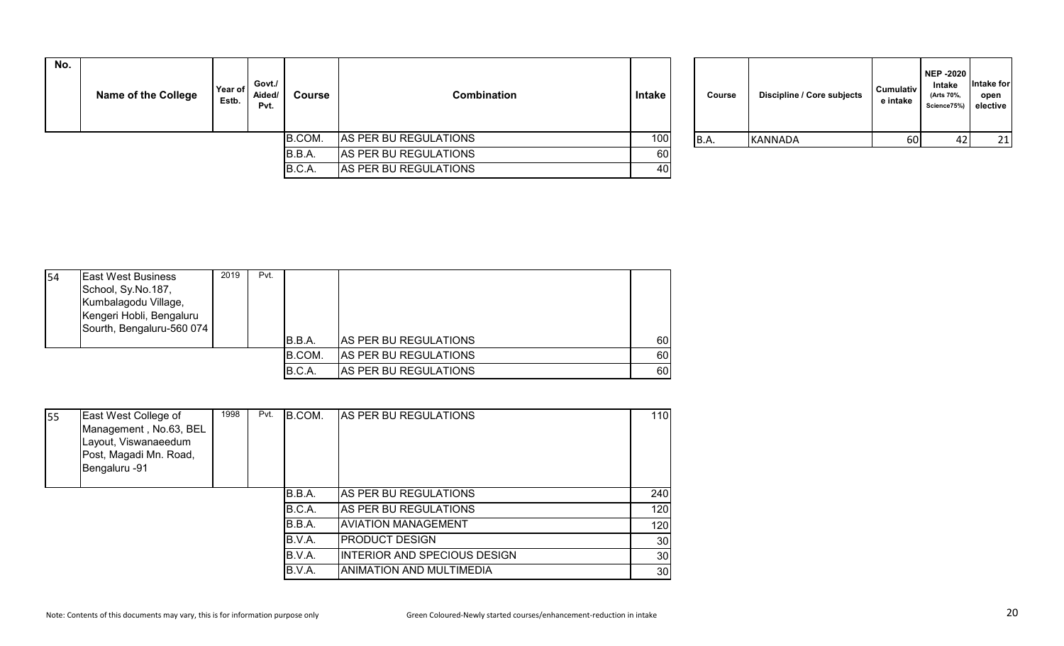| No. | <b>Name of the College</b> | Year of<br>Estb. | Govt./<br>Aided/<br>Pvt. | Course | Combination           | Intake | Course | Discipline / Core subjects | <b>Cumulativ</b><br>e intake | NEP -2020<br>Intake<br>(Arts 70%,<br>Science75%) elective | <b>Intake for</b><br>open |
|-----|----------------------------|------------------|--------------------------|--------|-----------------------|--------|--------|----------------------------|------------------------------|-----------------------------------------------------------|---------------------------|
|     |                            |                  |                          | B.COM. | AS PER BU REGULATIONS | 100    | B.A.   | <b>KANNADA</b>             | 60                           |                                                           | 21                        |
|     |                            |                  |                          | B.B.A. | AS PER BU REGULATIONS | 60     |        |                            |                              |                                                           |                           |
|     |                            |                  |                          | B.C.A. | AS PER BU REGULATIONS | 40     |        |                            |                              |                                                           |                           |

| Course | Discipline / Core subjects | <b>Cumulativ</b><br>e intake | <b>NEP -2020</b><br><b>Intake</b><br>(Arts 70%,<br>Science75%) | Intake for<br>open<br>elective |
|--------|----------------------------|------------------------------|----------------------------------------------------------------|--------------------------------|
| B.A.   | KANNADA                    | 60                           | 42                                                             | 21                             |

| 54 | <b>East West Business</b><br>School, Sy.No.187,<br>Kumbalagodu Village,<br>Kengeri Hobli, Bengaluru<br>Sourth, Bengaluru-560 074 | 2019 | Pvt. | B.B.A. | <b>AS PER BU REGULATIONS</b> | 60 |
|----|----------------------------------------------------------------------------------------------------------------------------------|------|------|--------|------------------------------|----|
|    |                                                                                                                                  |      |      | B.COM. | <b>AS PER BU REGULATIONS</b> | 60 |
|    |                                                                                                                                  |      |      | B.C.A. | AS PER BU REGULATIONS        | 60 |

| <b>55</b> | East West College of<br>Management, No.63, BEL<br>Layout, Viswanaeedum<br>Post, Magadi Mn. Road,<br>Bengaluru -91 | 1998 | Pvt. | B.COM. | AS PER BU REGULATIONS               | 110             |
|-----------|-------------------------------------------------------------------------------------------------------------------|------|------|--------|-------------------------------------|-----------------|
|           |                                                                                                                   |      |      | B.B.A. | AS PER BU REGULATIONS               | 240             |
|           |                                                                                                                   |      |      | B.C.A. | AS PER BU REGULATIONS               | 120             |
|           |                                                                                                                   |      |      | B.B.A. | AVIATION MANAGEMENT                 | 120             |
|           |                                                                                                                   |      |      | B.V.A. | <b>PRODUCT DESIGN</b>               | 30 <sup>°</sup> |
|           |                                                                                                                   |      |      | B.V.A. | <b>INTERIOR AND SPECIOUS DESIGN</b> | 30              |
|           |                                                                                                                   |      |      | B.V.A. | ANIMATION AND MULTIMEDIA            | 30              |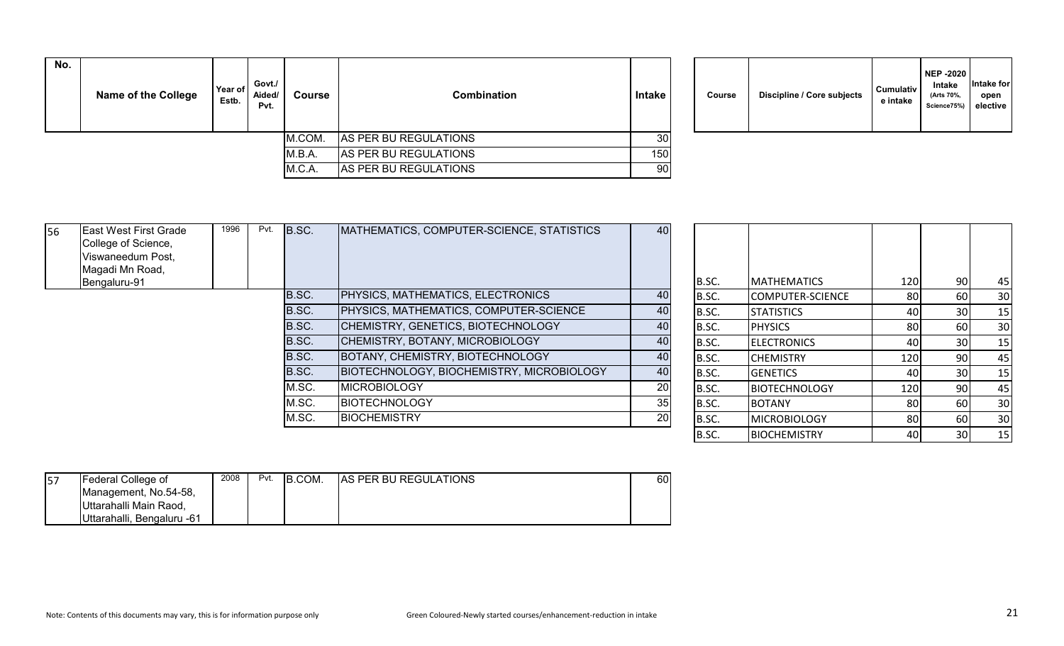| No. | <b>Name of the College</b> | Year of<br>Estb. | Govt./<br>Aided/<br>Pvt. | Course | <b>Combination</b>    | Intake | Course | <b>Discipline / Core subjects</b> | <b>Cumulativ</b><br>e intake |
|-----|----------------------------|------------------|--------------------------|--------|-----------------------|--------|--------|-----------------------------------|------------------------------|
|     |                            |                  |                          | M.COM. | AS PER BU REGULATIONS | 30     |        |                                   |                              |
|     |                            |                  |                          | M.B.A. | AS PER BU REGULATIONS | 150    |        |                                   |                              |
|     |                            |                  |                          | M.C.A. | AS PER BU REGULATIONS | 901    |        |                                   |                              |

| Course | Discipline / Core subjects | <b>Cumulativ</b><br>e intake | <b>NEP -2020</b><br>Intake<br>(Arts 70%,<br>Science75%) | Intake for<br>open<br>elective |  |
|--------|----------------------------|------------------------------|---------------------------------------------------------|--------------------------------|--|
|--------|----------------------------|------------------------------|---------------------------------------------------------|--------------------------------|--|

| 56 | <b>East West First Grade</b><br>College of Science,<br>Viswaneedum Post,<br>Magadi Mn Road,<br>Bengaluru-91 | 1996 | Pvt. | B.SC. | MATHEMATICS, COMPUTER-SCIENCE, STATISTICS | 40              | B.SC. | IMATHEMATICS         | 120  | 90 <sup>1</sup> | 45 |
|----|-------------------------------------------------------------------------------------------------------------|------|------|-------|-------------------------------------------|-----------------|-------|----------------------|------|-----------------|----|
|    |                                                                                                             |      |      | B.SC. | PHYSICS, MATHEMATICS, ELECTRONICS         | 40              | B.SC. | COMPUTER-SCIENCE     | 80   | 60              | 30 |
|    |                                                                                                             |      |      | B.SC. | PHYSICS, MATHEMATICS, COMPUTER-SCIENCE    | 40              | B.SC. | <b>STATISTICS</b>    | 40I  | 30 <sup>1</sup> | 15 |
|    |                                                                                                             |      |      | B.SC. | CHEMISTRY, GENETICS, BIOTECHNOLOGY        | 40              | B.SC. | <b>PHYSICS</b>       | 80   | 60              | 30 |
|    |                                                                                                             |      |      | B.SC. | CHEMISTRY, BOTANY, MICROBIOLOGY           | 40              | B.SC. | <b>ELECTRONICS</b>   | 40   | 30              | 15 |
|    |                                                                                                             |      |      | B.SC. | BOTANY, CHEMISTRY, BIOTECHNOLOGY          | 40              | B.SC. | <b>CHEMISTRY</b>     | 120  | 90              | 45 |
|    |                                                                                                             |      |      | B.SC. | BIOTECHNOLOGY, BIOCHEMISTRY, MICROBIOLOGY | 40              | B.SC. | <b>GENETICS</b>      | 40   | 30I             | 15 |
|    |                                                                                                             |      |      | M.SC. | <b>MICROBIOLOGY</b>                       | 20              | B.SC. | <b>BIOTECHNOLOGY</b> | 120  | 90              | 45 |
|    |                                                                                                             |      |      | M.SC. | <b>BIOTECHNOLOGY</b>                      | 35 <sub>l</sub> | B.SC. | <b>BOTANY</b>        | 80 l | -60 I           | 30 |
|    |                                                                                                             |      |      | M.SC. | <b>BIOCHEMISTRY</b>                       | 20 <sup>1</sup> | B.SC. | <b>MICROBIOLOGY</b>  | 80   | 60              | 30 |
|    |                                                                                                             |      |      |       |                                           |                 | B.SC. | <b>BIOCHEMISTRY</b>  | 40   | 30l             | 15 |

| 57 | Federal College of         | 2008 | Pvt. | B.COM. | <b>AS PER BU REGULATIONS</b> | 60 |
|----|----------------------------|------|------|--------|------------------------------|----|
|    | Management, No.54-58,      |      |      |        |                              |    |
|    | Uttarahalli Main Raod,     |      |      |        |                              |    |
|    | Uttarahalli, Bengaluru -61 |      |      |        |                              |    |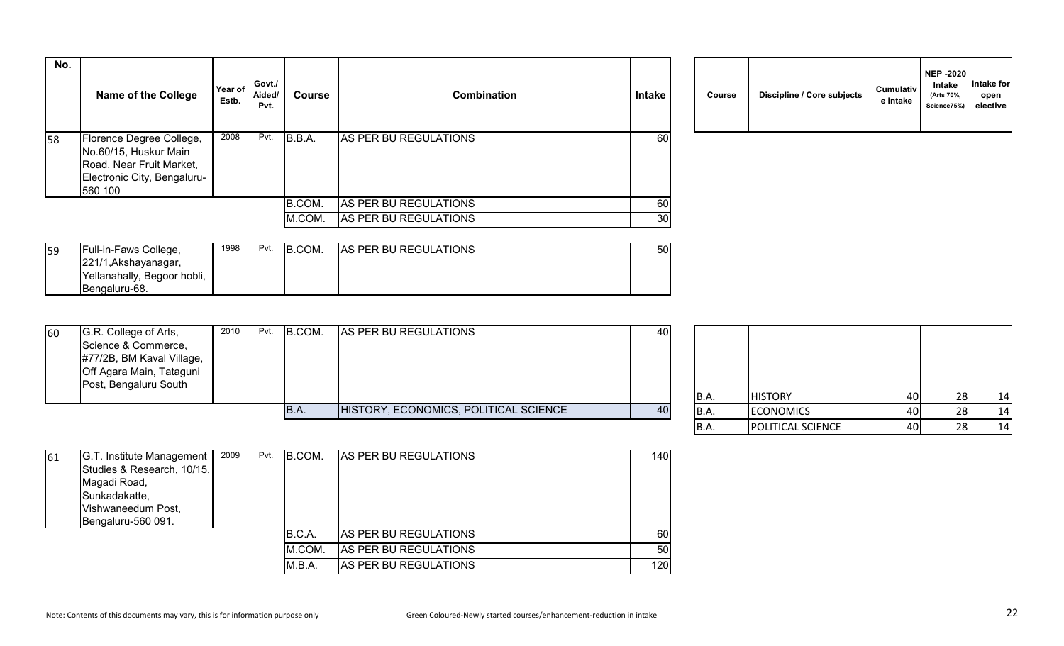| No. | <b>Name of the College</b>                                                                                              | Year of<br>Estb. | Govt./<br>Aided/<br>Pvt. | Course | <b>Combination</b>    | <b>Intake</b> | Course | Discipline / Core subjects | <b>Cumulativ</b><br>e intake |
|-----|-------------------------------------------------------------------------------------------------------------------------|------------------|--------------------------|--------|-----------------------|---------------|--------|----------------------------|------------------------------|
| 58  | Florence Degree College,<br>No.60/15, Huskur Main<br>Road, Near Fruit Market,<br>Electronic City, Bengaluru-<br>560 100 | 2008             | Pvt.                     | B.B.A. | AS PER BU REGULATIONS | 60            |        |                            |                              |
|     |                                                                                                                         |                  |                          | B.COM. | AS PER BU REGULATIONS | 60            |        |                            |                              |
|     |                                                                                                                         |                  |                          | M.COM. | AS PER BU REGULATIONS | 30            |        |                            |                              |

| Course | Discipline / Core subjects | <b>Cumulativ</b><br>e intake | <b>NEP -2020</b><br>Intake<br>(Arts 70%,<br>Science75%) | Intake for<br>open<br>elective |
|--------|----------------------------|------------------------------|---------------------------------------------------------|--------------------------------|
|--------|----------------------------|------------------------------|---------------------------------------------------------|--------------------------------|

| 59 | Full-in-Faws College,       | 1998 | Pvt. | B.COM. | <b>AS PER BU REGULATIONS</b> | 50 |
|----|-----------------------------|------|------|--------|------------------------------|----|
|    | 221/1, Akshayanagar,        |      |      |        |                              |    |
|    | Yellanahally, Begoor hobli, |      |      |        |                              |    |
|    | <b>IBengaluru-68.</b>       |      |      |        |                              |    |

| 60 | G.R. College of Arts,     | 2010 | Pvt. | B.COM. | AS PER BU REGULATIONS                 | 40              |       |                  |    |    |
|----|---------------------------|------|------|--------|---------------------------------------|-----------------|-------|------------------|----|----|
|    | Science & Commerce,       |      |      |        |                                       |                 |       |                  |    |    |
|    | #77/2B, BM Kaval Village, |      |      |        |                                       |                 |       |                  |    |    |
|    | Off Agara Main, Tataguni  |      |      |        |                                       |                 |       |                  |    |    |
|    | Post, Bengaluru South     |      |      |        |                                       |                 |       |                  |    |    |
|    |                           |      |      |        |                                       |                 | IB.A. | <b>HISTORY</b>   | 40 | 14 |
|    |                           |      |      | B.A.   | HISTORY, ECONOMICS, POLITICAL SCIENCE | 40 <sup>1</sup> | B.A.  | <b>ECONOMICS</b> | 40 | 14 |

| <b>B.A.</b> | <b>HISTORY</b>    | 40 | 28 | 14 |
|-------------|-------------------|----|----|----|
| B.A.        | <b>ECONOMICS</b>  | 40 | 28 | 14 |
| B.A.        | POLITICAL SCIENCE | 40 | 28 | 14 |

| 61 | G.T. Institute Management  | 2009 | Pvt. | <b>B.COM.</b> | <b>AS PER BU REGULATIONS</b> | 140 |
|----|----------------------------|------|------|---------------|------------------------------|-----|
|    | Studies & Research, 10/15, |      |      |               |                              |     |
|    | Magadi Road,               |      |      |               |                              |     |
|    | Sunkadakatte,              |      |      |               |                              |     |
|    | Vishwaneedum Post,         |      |      |               |                              |     |
|    | Bengaluru-560 091.         |      |      |               |                              |     |
|    |                            |      |      | B.C.A.        | <b>AS PER BU REGULATIONS</b> | 60I |
|    |                            |      |      | M.COM.        | AS PER BU REGULATIONS        | 50  |
|    |                            |      |      | M.B.A.        | AS PER BU REGULATIONS        | 120 |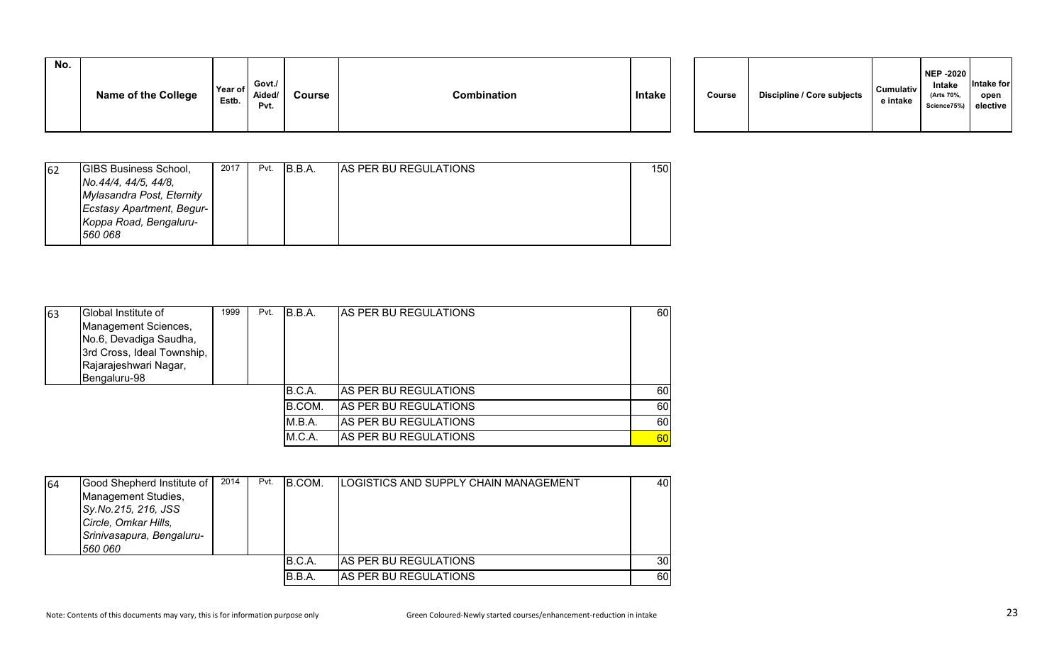| No. |                            |                  |                          |        |             |               |        |                                   |                              |
|-----|----------------------------|------------------|--------------------------|--------|-------------|---------------|--------|-----------------------------------|------------------------------|
|     | <b>Name of the College</b> | Year of<br>Estb. | Govt./<br>Aided/<br>Pvt. | Course | Combination | <b>Intake</b> | Course | <b>Discipline / Core subjects</b> | <b>Cumulativ</b><br>e intake |
|     |                            |                  |                          |        |             |               |        |                                   |                              |

| 62 | <b>GIBS Business School,</b>     | 2017 | Pvt. | IB.B.A. | <b>AS PER BU REGULATIONS</b> | 150 |
|----|----------------------------------|------|------|---------|------------------------------|-----|
|    | No.44/4, 44/5, 44/8,             |      |      |         |                              |     |
|    | Mylasandra Post, Eternity        |      |      |         |                              |     |
|    | <b>Ecstasy Apartment, Begur-</b> |      |      |         |                              |     |
|    | Koppa Road, Bengaluru-           |      |      |         |                              |     |
|    | 560 068                          |      |      |         |                              |     |

| 63 | Global Institute of<br>Management Sciences,<br>No.6, Devadiga Saudha,<br>3rd Cross, Ideal Township,<br>Rajarajeshwari Nagar,<br>Bengaluru-98 | 1999 | Pvt. | B.B.A. | <b>IAS PER BU REGULATIONS</b> | 60 |
|----|----------------------------------------------------------------------------------------------------------------------------------------------|------|------|--------|-------------------------------|----|
|    |                                                                                                                                              |      |      | B.C.A. | <b>AS PER BU REGULATIONS</b>  | 60 |
|    |                                                                                                                                              |      |      | B.COM. | AS PER BU REGULATIONS         | 60 |
|    |                                                                                                                                              |      |      | M.B.A. | AS PER BU REGULATIONS         | 60 |
|    |                                                                                                                                              |      |      | M.C.A. | <b>AS PER BU REGULATIONS</b>  | 60 |

| 64 | Good Shepherd Institute of<br>Management Studies,<br>Sy.No.215, 216, JSS<br>Circle, Omkar Hills,<br>Srinivasapura, Bengaluru-<br>560 060 | 2014 | Pvt. | B.COM. | ILOGISTICS AND SUPPLY CHAIN MANAGEMENT | 40              |
|----|------------------------------------------------------------------------------------------------------------------------------------------|------|------|--------|----------------------------------------|-----------------|
|    |                                                                                                                                          |      |      | B.C.A. | <b>AS PER BU REGULATIONS</b>           | 30 <sub>l</sub> |
|    |                                                                                                                                          |      |      | B.B.A. | AS PER BU REGULATIONS                  | 60              |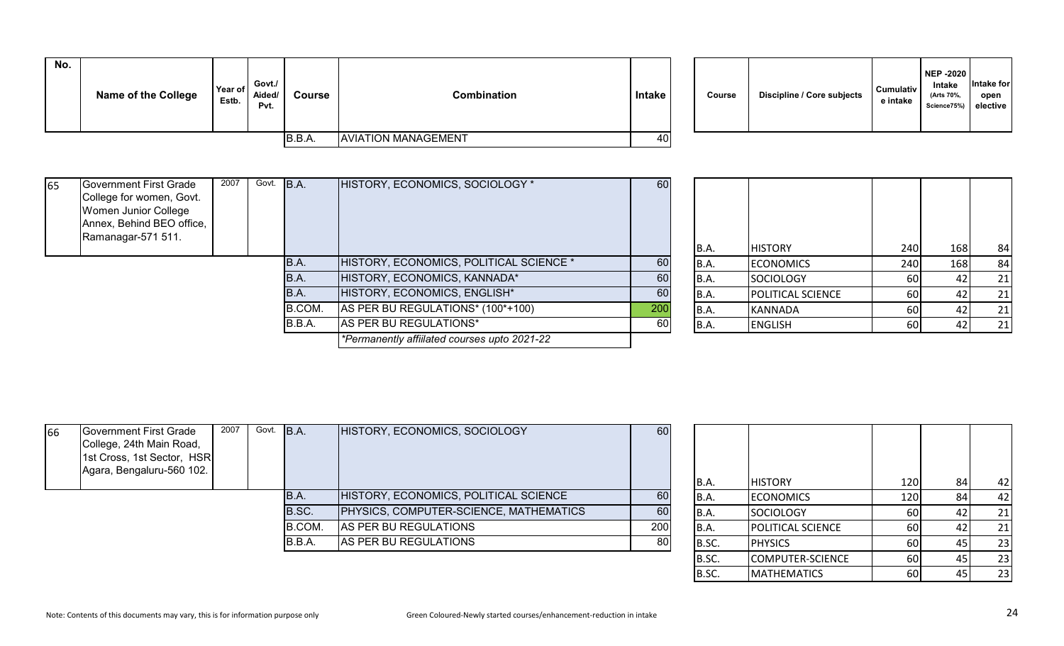| No. | <b>Name of the College</b> | Year of<br>Estb. | Govt./<br>Aided/<br>Pvt. | <b>Course</b> | Combination                | <b>Intake</b> | Course | Discipline / Core subjects | <b>Cumulativ</b><br>e intake |
|-----|----------------------------|------------------|--------------------------|---------------|----------------------------|---------------|--------|----------------------------|------------------------------|
|     |                            |                  |                          | B.B.A.        | <b>AVIATION MANAGEMENT</b> | 40            |        |                            |                              |

| Discipline / Core subjects<br>Course | <b>Cumulativ</b><br>e intake | <b>NEP -2020</b><br><b>Intake</b><br>(Arts 70%,<br>Science75%) | Intake for<br>open<br>elective |
|--------------------------------------|------------------------------|----------------------------------------------------------------|--------------------------------|
|--------------------------------------|------------------------------|----------------------------------------------------------------|--------------------------------|

| 65 | Government First Grade    | 2007 | Govt. B.A. |        | HISTORY, ECONOMICS, SOCIOLOGY *              | 60  |       |                   |     |     |    |
|----|---------------------------|------|------------|--------|----------------------------------------------|-----|-------|-------------------|-----|-----|----|
|    | College for women, Govt.  |      |            |        |                                              |     |       |                   |     |     |    |
|    | Women Junior College      |      |            |        |                                              |     |       |                   |     |     |    |
|    | Annex, Behind BEO office, |      |            |        |                                              |     |       |                   |     |     |    |
|    | Ramanagar-571 511.        |      |            |        |                                              |     |       |                   |     |     |    |
|    |                           |      |            |        |                                              |     | B.A.  | <b>HISTORY</b>    | 240 | 168 | 84 |
|    |                           |      |            | IB.A.  | HISTORY, ECONOMICS, POLITICAL SCIENCE *      | 60  | B.A.  | <b>ECONOMICS</b>  | 240 | 168 | 84 |
|    |                           |      |            | B.A.   | HISTORY, ECONOMICS, KANNADA*                 | 60  | B.A.  | <b>SOCIOLOGY</b>  | 60  | 42  | 21 |
|    |                           |      |            | B.A.   | HISTORY, ECONOMICS, ENGLISH*                 | 60  | B.A.  | POLITICAL SCIENCE | 60  | 42  | 21 |
|    |                           |      |            | B.COM. | AS PER BU REGULATIONS* (100*+100)            | 200 | B.A.  | KANNADA           | 60  | 42  | 21 |
|    |                           |      |            | B.B.A. | AS PER BU REGULATIONS*                       | 60  | IB.A. | <b>ENGLISH</b>    | 60  | 42  | 21 |
|    |                           |      |            |        | *Permanently affiilated courses upto 2021-22 |     |       |                   |     |     |    |

| 66 | Government First Grade<br>College, 24th Main Road,<br>1st Cross, 1st Sector, HSR<br>Agara, Bengaluru-560 102. | 2007 | Govt. B.A. |        | HISTORY, ECONOMICS, SOCIOLOGY          | 60  | IB.A. | <b>HISTORY</b>           | 120   | 42     |
|----|---------------------------------------------------------------------------------------------------------------|------|------------|--------|----------------------------------------|-----|-------|--------------------------|-------|--------|
|    |                                                                                                               |      |            | IB.A.  | HISTORY, ECONOMICS, POLITICAL SCIENCE  | 60  | IB.A. | <b>ECONOMICS</b>         | 120 I | 42     |
|    |                                                                                                               |      |            | B.SC.  | PHYSICS, COMPUTER-SCIENCE, MATHEMATICS | 60  | IB.A. | SOCIOLOGY                | 60    | 21     |
|    |                                                                                                               |      |            | B.COM. | AS PER BU REGULATIONS                  | 200 | IB.A. | <b>POLITICAL SCIENCE</b> | 60    | 21     |
|    |                                                                                                               |      |            | B.B.A. | AS PER BU REGULATIONS                  | 80  | B.SC. | <b>PHYSICS</b>           | 60    | 23     |
|    |                                                                                                               |      |            |        |                                        |     | $ -$  |                          | $-1$  | $\sim$ |

| B.A.  | <b>HISTORY</b>          | 120 | 84 | 42 |
|-------|-------------------------|-----|----|----|
| B.A.  | <b>ECONOMICS</b>        | 120 | 84 | 42 |
| B.A.  | <b>SOCIOLOGY</b>        | 60  | 42 | 21 |
| B.A.  | POLITICAL SCIENCE       | 60  | 42 | 21 |
| B.SC. | <b>PHYSICS</b>          | 60  | 45 | 23 |
| B.SC. | <b>COMPUTER-SCIENCE</b> | 60  | 45 | 23 |
| B.SC. | <b>MATHEMATICS</b>      | 60  | 45 | 23 |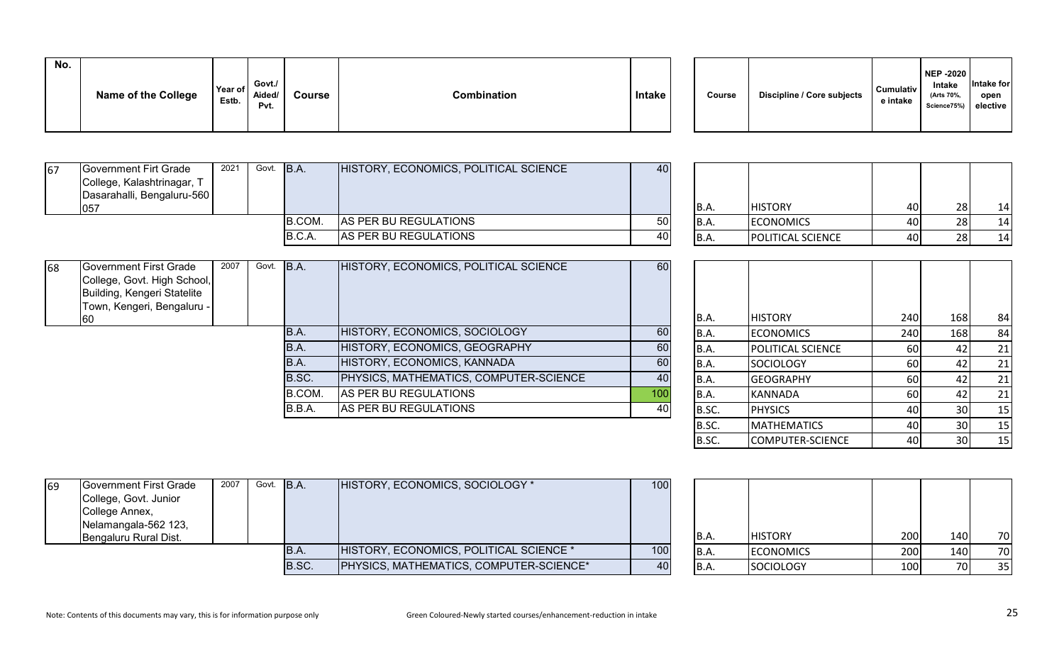| No. | <b>Name of the College</b> | Year of<br>Estb. | Govt./<br>Aided/<br>Pvt. | <b>Course</b> | Combination | Intake |  | Course | <b>Discipline / Core subjects</b> | <b>Cumulativ</b><br>e intake | NEP -2020<br>Intake<br>(Arts 70%,<br>Science75%) elective | Intake for<br>open |
|-----|----------------------------|------------------|--------------------------|---------------|-------------|--------|--|--------|-----------------------------------|------------------------------|-----------------------------------------------------------|--------------------|
|-----|----------------------------|------------------|--------------------------|---------------|-------------|--------|--|--------|-----------------------------------|------------------------------|-----------------------------------------------------------|--------------------|

| 67 | Government Firt Grade      | 2021 | Govt. B.A. |        | HISTORY, ECONOMICS, POLITICAL SCIENCE | 40              |       |                          |      |     |    |
|----|----------------------------|------|------------|--------|---------------------------------------|-----------------|-------|--------------------------|------|-----|----|
|    | College, Kalashtrinagar, T |      |            |        |                                       |                 |       |                          |      |     |    |
|    | Dasarahalli, Bengaluru-560 |      |            |        |                                       |                 |       |                          |      |     |    |
|    | 1057                       |      |            |        |                                       |                 | IB.A. | <b>HISTORY</b>           | 40 I | ว8I | 14 |
|    |                            |      |            | B.COM. | AS PER BU REGULATIONS                 | 50 <sub>l</sub> | IB.A. | <b>ECONOMICS</b>         | 40 I |     | 14 |
|    |                            |      |            | B.C.A  | AS PER BU REGULATIONS                 | 40              | IB.A. | <b>POLITICAL SCIENCE</b> | 40 I | 28I | 14 |

| 68 | Government First Grade<br>College, Govt. High School,<br>Building, Kengeri Statelite<br>Town, Kengeri, Bengaluru - | 2007 | Govt. | B.A.   | HISTORY, ECONOMICS, POLITICAL SCIENCE  | 60              |       |                          |           |     |    |
|----|--------------------------------------------------------------------------------------------------------------------|------|-------|--------|----------------------------------------|-----------------|-------|--------------------------|-----------|-----|----|
|    | 160                                                                                                                |      |       |        |                                        |                 | B.A.  | <b>HISTORY</b>           | 240       | 168 | 84 |
|    |                                                                                                                    |      |       | IB.A.  | HISTORY, ECONOMICS, SOCIOLOGY          | 60              | B.A.  | <b>ECONOMICS</b>         | 240       | 168 | 84 |
|    |                                                                                                                    |      |       | IB.A.  | HISTORY, ECONOMICS, GEOGRAPHY          | 60              | IB.A. | <b>POLITICAL SCIENCE</b> | <b>60</b> |     | 21 |
|    |                                                                                                                    |      |       | IB.A.  | HISTORY, ECONOMICS, KANNADA            | 60              | IB.A. | SOCIOLOGY                | <b>60</b> |     | 21 |
|    |                                                                                                                    |      |       | B.SC.  | PHYSICS, MATHEMATICS, COMPUTER-SCIENCE | 40              | IB.A. | <b>GEOGRAPHY</b>         | 60        |     | 21 |
|    |                                                                                                                    |      |       | B.COM. | AS PER BU REGULATIONS                  | 10 <sub>C</sub> | B.A.  | KANNADA                  | 60        |     | 21 |
|    |                                                                                                                    |      |       | B.B.A. | AS PER BU REGULATIONS                  | 40              | B.SC. | <b>PHYSICS</b>           | 40 l      |     | 15 |
|    |                                                                                                                    |      |       |        |                                        |                 |       |                          |           |     |    |

| B.A.  | <b>HISTORY</b>          | 240 | 168 | 84 |
|-------|-------------------------|-----|-----|----|
| B.A.  | <b>ECONOMICS</b>        | 240 | 168 | 84 |
| B.A.  | POLITICAL SCIENCE       | 60  | 42  | 21 |
| B.A.  | <b>SOCIOLOGY</b>        | 60  | 42  | 21 |
| B.A.  | <b>GEOGRAPHY</b>        | 60  | 42  | 21 |
| B.A.  | <b>KANNADA</b>          | 60  | 42  | 21 |
| B.SC. | <b>PHYSICS</b>          | 40  | 30  | 15 |
| B.SC. | <b>MATHEMATICS</b>      | 40  | 30  | 15 |
| B.SC. | <b>COMPUTER-SCIENCE</b> | 40  | 30  | 15 |

| 69 | Government First Grade<br>College, Govt. Junior<br>College Annex,<br>Nelamangala-562 123,<br>Bengaluru Rural Dist. | 2007 | Govt. B.A. |       | HISTORY, ECONOMICS, SOCIOLOGY *         | 100 | IB.A. | <b>HISTORY</b>   | 200 <sup> </sup> | 140 | 70 |
|----|--------------------------------------------------------------------------------------------------------------------|------|------------|-------|-----------------------------------------|-----|-------|------------------|------------------|-----|----|
|    |                                                                                                                    |      |            | IB.A. | HISTORY, ECONOMICS, POLITICAL SCIENCE * | 100 | IB.A. | <b>ECONOMICS</b> | 200              | 140 | 70 |
|    |                                                                                                                    |      |            | B.SC. | PHYSICS, MATHEMATICS, COMPUTER-SCIENCE* |     | IB.A. | SOCIOLOGY        | 100              |     | 35 |

| B.A.        | <b>HISTORY</b>   | 200 | 140 | 70 |
|-------------|------------------|-----|-----|----|
| B.A.        | <b>ECONOMICS</b> | 200 | 140 | 70 |
| <b>B.A.</b> | <b>SOCIOLOGY</b> | 100 | 70  | 35 |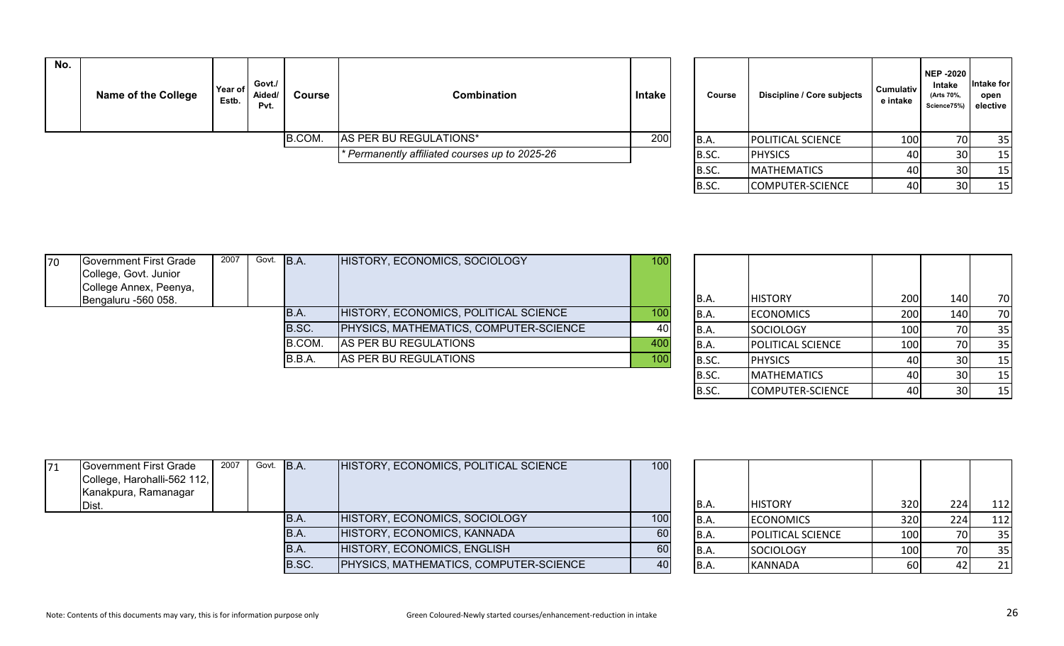| No. | <b>Name of the College</b> | Year of<br>Estb. | Govt./<br>Aided/<br>Pvt. | <b>Course</b> | Combination                                    | <b>Intake</b> | Course | Discipline / Core subjects | Cumulativ<br>e intake | NEP -2020<br>Intake<br>(Arts 70%,<br>Science75%) elective | <b>Intake for</b><br>open |
|-----|----------------------------|------------------|--------------------------|---------------|------------------------------------------------|---------------|--------|----------------------------|-----------------------|-----------------------------------------------------------|---------------------------|
|     |                            |                  |                          | B.COM.        | AS PER BU REGULATIONS*                         | 200           | B.A.   | <b>POLITICAL SCIENCE</b>   | 100                   | 70I                                                       | 35                        |
|     |                            |                  |                          |               | * Permanently affiliated courses up to 2025-26 |               | B.SC.  | <b>PHYSICS</b>             | 40                    | 30                                                        | 15                        |
|     |                            |                  |                          |               |                                                |               | IB.SC. | <b>IMATHEMATICS</b>        | 40 l                  | 30I                                                       | 15                        |

| Course | Discipline / Core subjects | Cumulativ<br>e intake | <b>NEP-2020</b><br>Intake<br>(Arts 70%,<br>Science75%) | Intake for<br>open<br>elective |
|--------|----------------------------|-----------------------|--------------------------------------------------------|--------------------------------|
| B.A.   | POLITICAL SCIENCE          | 100                   | 70                                                     | 35                             |
| B.SC.  | <b>PHYSICS</b>             | 40                    | 30                                                     | 15                             |
| B.SC.  | <b>MATHEMATICS</b>         | 40                    | 30                                                     | 15                             |
| B.SC.  | <b>COMPUTER-SCIENCE</b>    | 40                    | 30                                                     | 15                             |

| College Annex, Peenya,<br>Bengaluru -560 058. |  |        |                                        |     | B.A.  | <b>HISTORY</b>           | <b>200</b> | 140 | 70  |
|-----------------------------------------------|--|--------|----------------------------------------|-----|-------|--------------------------|------------|-----|-----|
|                                               |  |        |                                        |     |       |                          |            |     |     |
|                                               |  | IB.A.  | HISTORY, ECONOMICS, POLITICAL SCIENCE  | 100 | IB.A. | <b>ECONOMICS</b>         | 200        | 140 | 70  |
|                                               |  | B.SC.  | PHYSICS, MATHEMATICS, COMPUTER-SCIENCE | 40  | IB.A  | <b>SOCIOLOGY</b>         | 100I       |     | -35 |
|                                               |  | B.COM. | AS PER BU REGULATIONS                  | 400 | IB.A. | <b>POLITICAL SCIENCE</b> | 100        | 70  | 35  |
|                                               |  | B.B.A. | AS PER BU REGULATIONS                  | 100 | B.SC. | <b>PHYSICS</b>           | 40 I       |     | 15  |
|                                               |  |        |                                        |     |       |                          |            |     |     |

| B.A.  | <b>HISTORY</b>     | 200 | 140 | 70 |
|-------|--------------------|-----|-----|----|
| B.A.  | <b>ECONOMICS</b>   | 200 | 140 | 70 |
| B.A.  | SOCIOLOGY          | 100 | 70  | 35 |
| B.A.  | POLITICAL SCIENCE  | 100 | 70  | 35 |
| B.SC. | <b>PHYSICS</b>     | 40  | 30  | 15 |
| B.SC. | <b>MATHEMATICS</b> | 40  | 30  | 15 |
| B.SC. | COMPUTER-SCIENCE   | 40  | 30  | 15 |

| 71 | Government First Grade      | 2007 | Govt. B.A. |       | HISTORY, ECONOMICS, POLITICAL SCIENCE         | 100 |       |                          |      |     |     |
|----|-----------------------------|------|------------|-------|-----------------------------------------------|-----|-------|--------------------------|------|-----|-----|
|    | College, Harohalli-562 112, |      |            |       |                                               |     |       |                          |      |     |     |
|    | Kanakpura, Ramanagar        |      |            |       |                                               |     |       |                          |      |     |     |
|    | Dist.                       |      |            |       |                                               |     | IB.A. | <b>HISTORY</b>           | 320I | 224 | 112 |
|    |                             |      |            | IB.A. | HISTORY, ECONOMICS, SOCIOLOGY                 | 100 | IB.A. | <b>ECONOMICS</b>         | 320I | 224 | 112 |
|    |                             |      |            | IB.A. | HISTORY, ECONOMICS, KANNADA                   | 60  | IB.A. | <b>POLITICAL SCIENCE</b> | 100  |     | 35  |
|    |                             |      |            | IB.A. | HISTORY, ECONOMICS, ENGLISH                   | 60  | IB.A. | SOCIOLOGY                | 100  |     | 35  |
|    |                             |      |            | B.SC. | <b>PHYSICS, MATHEMATICS, COMPUTER-SCIENCE</b> |     | IB.A. | KANNADA                  | 60   |     | 21  |

| <b>B.A.</b> | <b>HISTORY</b>    | 320 | 224 | 112 |
|-------------|-------------------|-----|-----|-----|
| B.A.        | <b>ECONOMICS</b>  | 320 | 224 | 112 |
| <b>B.A.</b> | POLITICAL SCIENCE | 100 | 70  | 35  |
| B.A.        | <b>SOCIOLOGY</b>  | 100 | 70  | 35  |
| B.A.        | KANNADA           | 60  | 42  | 21  |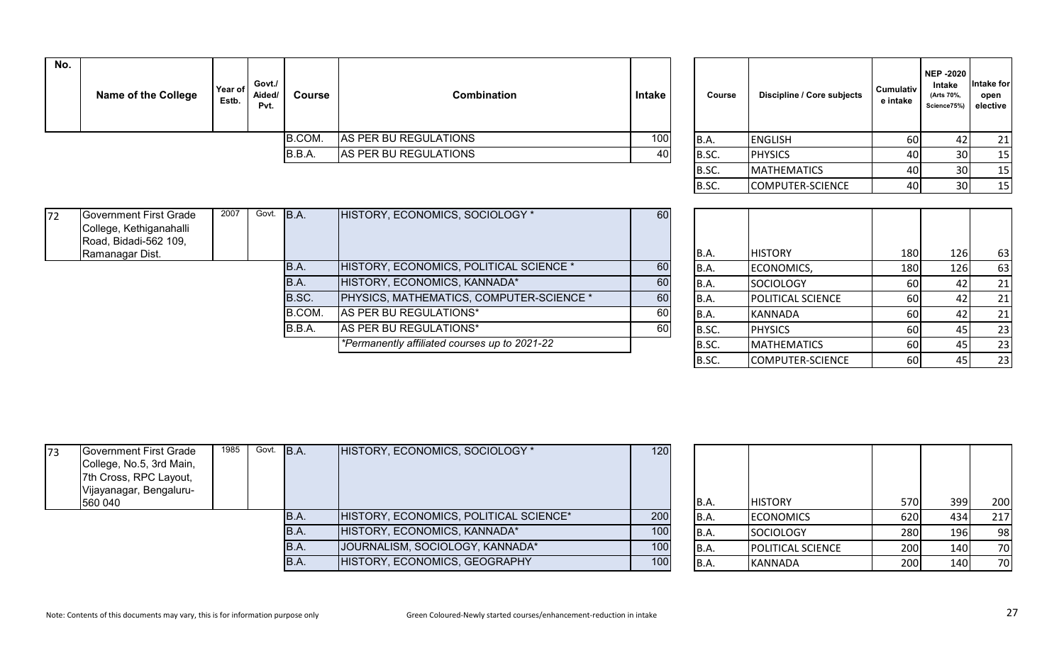| No. | <b>Name of the College</b> | Year of<br>Estb. | Govt./<br>Aided/<br>Pvt. | Course | <b>Combination</b>    | Intake | Course | Discipline / Core subjects | Cumulativ<br>e intake | NEP -2020<br>Intake<br>(Arts 70%,<br>Science75%) elective | Intake for<br>open |
|-----|----------------------------|------------------|--------------------------|--------|-----------------------|--------|--------|----------------------------|-----------------------|-----------------------------------------------------------|--------------------|
|     |                            |                  |                          | B.COM. | AS PER BU REGULATIONS | 100    | B.A.   | <b>ENGLISH</b>             | 60                    |                                                           | 21                 |
|     |                            |                  |                          | B.B.A. | AS PER BU REGULATIONS |        | B.SC.  | <b>PHYSICS</b>             | 40                    | 30I                                                       | 15                 |
|     |                            |                  |                          |        |                       |        | Inc    | $\mathbf{R}$               | $\sqrt{2}$            | $\sim$                                                    | $\overline{A}$     |

| Course | Discipline / Core subjects | <b>Cumulativ</b><br>e intake | <b>NEP-2020</b><br>Intake<br>(Arts 70%,<br>Science75%) | Intake for<br>open<br>elective |
|--------|----------------------------|------------------------------|--------------------------------------------------------|--------------------------------|
| B.A.   | <b>ENGLISH</b>             | 60                           | 42                                                     | 21                             |
| B.SC.  | <b>PHYSICS</b>             | 40                           | 30                                                     | 15                             |
| B.SC.  | <b>MATHEMATICS</b>         | 40                           | 30                                                     | 15                             |
| B.SC.  | <b>COMPUTER-SCIENCE</b>    | 40                           | 30                                                     | 15                             |

| 172 | Government First Grade  | 2007 | Govt. | B.A.   | HISTORY, ECONOMICS, SOCIOLOGY *                 | 60  |       |                          |      |     |        |
|-----|-------------------------|------|-------|--------|-------------------------------------------------|-----|-------|--------------------------|------|-----|--------|
|     | College, Kethiganahalli |      |       |        |                                                 |     |       |                          |      |     |        |
|     | Road, Bidadi-562 109,   |      |       |        |                                                 |     |       |                          |      |     |        |
|     | Ramanagar Dist.         |      |       |        |                                                 |     | B.A.  | <b>HISTORY</b>           | 180  | 126 | 63     |
|     |                         |      |       | B.A.   | HISTORY, ECONOMICS, POLITICAL SCIENCE *         | 60  | B.A.  | ECONOMICS,               | 180  | 126 | 63     |
|     |                         |      |       | IB.A.  | HISTORY, ECONOMICS, KANNADA*                    | 60I | IB.A. | <b>SOCIOLOGY</b>         | 60 l |     | 21     |
|     |                         |      |       | B.SC.  | <b>PHYSICS, MATHEMATICS, COMPUTER-SCIENCE *</b> | 60  | B.A.  | <b>POLITICAL SCIENCE</b> | 60 l |     | 21     |
|     |                         |      |       | B.COM. | AS PER BU REGULATIONS*                          | 60I | B.A.  | KANNADA                  | 60   |     | 21     |
|     |                         |      |       | B.B.A. | AS PER BU REGULATIONS*                          | 60I | B.SC. | <b>PHYSICS</b>           | 60   |     | 23     |
|     |                         |      |       |        | *Permanently affiliated courses up to 2021-22   |     | B.SC. | <b>MATHEMATICS</b>       | 60 l |     | 23     |
|     |                         |      |       |        |                                                 |     | $ -$  |                          | $-1$ |     | $\sim$ |

| B.A.  | <b>HISTORY</b>          | 180 | 126 | 63 |
|-------|-------------------------|-----|-----|----|
| B.A.  | ECONOMICS,              | 180 | 126 | 63 |
| B.A.  | <b>SOCIOLOGY</b>        | 60  | 42  | 21 |
| B.A.  | POLITICAL SCIENCE       | 60  | 42  | 21 |
| B.A.  | KANNADA                 | 60  | 42  | 21 |
| B.SC. | <b>PHYSICS</b>          | 60  | 45  | 23 |
| B.SC. | <b>MATHEMATICS</b>      | 60  | 45  | 23 |
| B.SC. | <b>COMPUTER-SCIENCE</b> | 60  | 45  | 23 |

| 173 | Government First Grade<br>College, No.5, 3rd Main,<br>7th Cross, RPC Layout, | 1985 | Govt. B.A. |       | HISTORY, ECONOMICS, SOCIOLOGY *        | 120 |       |                          |      |     |     |
|-----|------------------------------------------------------------------------------|------|------------|-------|----------------------------------------|-----|-------|--------------------------|------|-----|-----|
|     | Vijayanagar, Bengaluru-<br>560 040                                           |      |            |       |                                        |     | IB.A. | <b>HISTORY</b>           | 570I | 399 | 200 |
|     |                                                                              |      |            | B.A.  | HISTORY, ECONOMICS, POLITICAL SCIENCE* | 200 | IB.A. | <b>ECONOMICS</b>         | 620  | 434 | 217 |
|     |                                                                              |      |            | IB.A. | HISTORY, ECONOMICS, KANNADA*           | 100 | IB.A. | SOCIOLOGY                | 280  | 196 | 98  |
|     |                                                                              |      |            | IB.A. | JOURNALISM, SOCIOLOGY, KANNADA*        | 100 | IB.A. | <b>POLITICAL SCIENCE</b> | 200  | 140 | 70  |
|     |                                                                              |      |            | IB.A. | HISTORY, ECONOMICS, GEOGRAPHY          | 100 | IB.A. | KANNADA                  | 200  | 140 | 70  |

| B.A. | <b>HISTORY</b>    | 570 | 399 | 200 |
|------|-------------------|-----|-----|-----|
| B.A. | <b>ECONOMICS</b>  | 620 | 434 | 217 |
| B.A. | SOCIOLOGY         | 280 | 196 | 98  |
| B.A. | POLITICAL SCIENCE | 200 | 140 | 70  |
| B.A. | <b>KANNADA</b>    | 200 | 140 | 70  |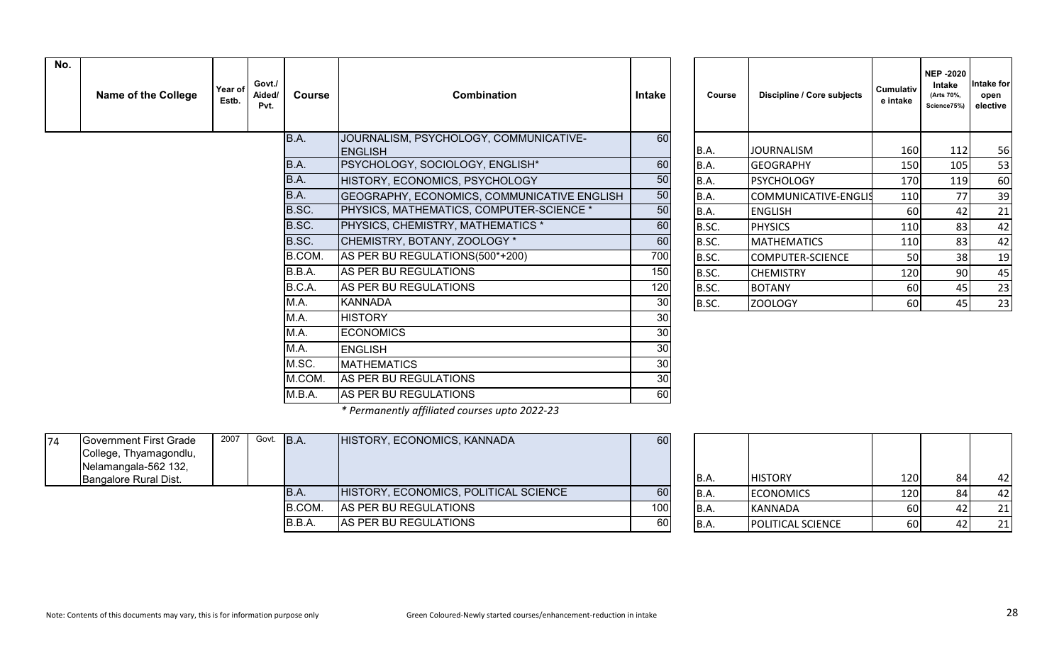| No. | <b>Name of the College</b> | Year of<br>Estb. | Govt./<br>Aided/<br>Pvt. | <b>Course</b> | <b>Combination</b>                                       | <b>Intake</b> | Course | Discipline / Core subjects | Cumulativ<br>e intake | <b>NEP-2020</b><br>Intake<br>(Arts 70%,<br>Science75%) | Intake for<br>open<br>elective |
|-----|----------------------------|------------------|--------------------------|---------------|----------------------------------------------------------|---------------|--------|----------------------------|-----------------------|--------------------------------------------------------|--------------------------------|
|     |                            |                  |                          | B.A.          | JOURNALISM, PSYCHOLOGY, COMMUNICATIVE-<br><b>ENGLISH</b> | 60            | B.A.   | <b>JOURNALISM</b>          | 160                   | 112                                                    | 56                             |
|     |                            |                  |                          | B.A.          | PSYCHOLOGY, SOCIOLOGY, ENGLISH*                          | 60            | B.A.   | <b>GEOGRAPHY</b>           | <b>150</b>            | 105                                                    | 53                             |
|     |                            |                  |                          | B.A.          | HISTORY, ECONOMICS, PSYCHOLOGY                           | 50            | B.A.   | <b>PSYCHOLOGY</b>          | 170                   | 119                                                    | 60                             |
|     |                            |                  |                          | B.A.          | GEOGRAPHY, ECONOMICS, COMMUNICATIVE ENGLISH              | 50            | B.A.   | COMMUNICATIVE-ENGLIS       | 110                   | 77                                                     | 39                             |
|     |                            |                  |                          | B.SC.         | <b>PHYSICS, MATHEMATICS, COMPUTER-SCIENCE *</b>          | 50            | B.A.   | <b>ENGLISH</b>             | 60                    | 42                                                     | 21                             |
|     |                            |                  |                          | B.SC.         | <b>PHYSICS, CHEMISTRY, MATHEMATICS *</b>                 | 60            | B.SC.  | <b>PHYSICS</b>             | 110                   | 83                                                     | 42                             |
|     |                            |                  |                          | B.SC.         | CHEMISTRY, BOTANY, ZOOLOGY *                             | 60            | B.SC.  | <b>MATHEMATICS</b>         | 110                   | 83                                                     | 42                             |
|     |                            |                  |                          | B.COM.        | AS PER BU REGULATIONS(500*+200)                          | 700           | B.SC.  | COMPUTER-SCIENCE           | 50                    | 38                                                     | 19                             |
|     |                            |                  |                          | B.B.A.        | AS PER BU REGULATIONS                                    | 150           | B.SC.  | <b>CHEMISTRY</b>           | 120                   | 90                                                     | 45                             |
|     |                            |                  |                          | B.C.A.        | AS PER BU REGULATIONS                                    | 120           | B.SC.  | <b>BOTANY</b>              | <b>60</b>             | 45                                                     | 23                             |
|     |                            |                  |                          | M.A.          | <b>KANNADA</b>                                           | 30            | B.SC.  | <b>ZOOLOGY</b>             | 60                    | 45                                                     | 23                             |
|     |                            |                  |                          | M.A.          | <b>HISTORY</b>                                           | 30            |        |                            |                       |                                                        |                                |
|     |                            |                  |                          | M.A.          | <b>ECONOMICS</b>                                         | 30            |        |                            |                       |                                                        |                                |
|     |                            |                  |                          | M.A.          | <b>ENGLISH</b>                                           | 30            |        |                            |                       |                                                        |                                |
|     |                            |                  |                          | M.SC.         | <b>MATHEMATICS</b>                                       | 30            |        |                            |                       |                                                        |                                |
|     |                            |                  |                          | M.COM.        | AS PER BU REGULATIONS                                    | 30            |        |                            |                       |                                                        |                                |
|     |                            |                  |                          | M.B.A.        | AS PER BU REGULATIONS                                    | 60            |        |                            |                       |                                                        |                                |

| Course | Discipline / Core subjects | <b>Cumulativ</b><br>e intake | <b>NEP -2020</b><br>Intake<br>(Arts 70%,<br>Science75%) | Intake for<br>open<br>elective |
|--------|----------------------------|------------------------------|---------------------------------------------------------|--------------------------------|
| B.A.   | <b>JOURNALISM</b>          | 160                          | 112                                                     | 56                             |
| B.A.   | <b>GEOGRAPHY</b>           | 150                          | 105                                                     | 53                             |
| B.A.   | <b>PSYCHOLOGY</b>          | 170                          | 119                                                     | 60                             |
| B.A.   | COMMUNICATIVE-ENGLIS       | 110                          | 77                                                      | 39                             |
| B.A.   | <b>ENGLISH</b>             | 60                           | 42                                                      | 21                             |
| B.SC.  | <b>PHYSICS</b>             | 110                          | 83                                                      | 42                             |
| B.SC.  | <b>MATHEMATICS</b>         | 110                          | 83                                                      | 42                             |
| B.SC.  | <b>COMPUTER-SCIENCE</b>    | 50                           | 38                                                      | 19                             |
| B.SC.  | <b>CHEMISTRY</b>           | 120                          | 90                                                      | 45                             |
| B.SC.  | <b>BOTANY</b>              | 60                           | 45                                                      | 23                             |
| B.SC.  | ZOOLOGY                    | 60                           | 45                                                      | 23                             |

*\* Permanently affiliated courses upto 2022-23*

| 74 | Government First Grade | 2007 | Govt. B.A. |        | HISTORY, ECONOMICS, KANNADA           | 60  |       |                          |           |     |
|----|------------------------|------|------------|--------|---------------------------------------|-----|-------|--------------------------|-----------|-----|
|    | College, Thyamagondlu, |      |            |        |                                       |     |       |                          |           |     |
|    | Nelamangala-562 132,   |      |            |        |                                       |     |       |                          |           |     |
|    | Bangalore Rural Dist.  |      |            |        |                                       |     | IB.A. | <b>HISTORY</b>           | 1201      | -42 |
|    |                        |      |            | IB.A.  | HISTORY, ECONOMICS, POLITICAL SCIENCE | 60  | IB.A. | <b>ECONOMICS</b>         | 1201      | 42  |
|    |                        |      |            | B.COM  | AS PER BU REGULATIONS                 | 100 | IB.A. | KANNADA                  | <b>60</b> | 21  |
|    |                        |      |            | B.B.A. | AS PER BU REGULATIONS                 | 60  | IB.A. | <b>POLITICAL SCIENCE</b> | 60        | 21  |

| B.A.        | <b>HISTORY</b>    | 120 | 84 |  |
|-------------|-------------------|-----|----|--|
| B.A.        | <b>ECONOMICS</b>  | 120 | 84 |  |
| <b>B.A.</b> | <b>KANNADA</b>    | 60  | 42 |  |
| B.A.        | POLITICAL SCIENCE | 60  | 42 |  |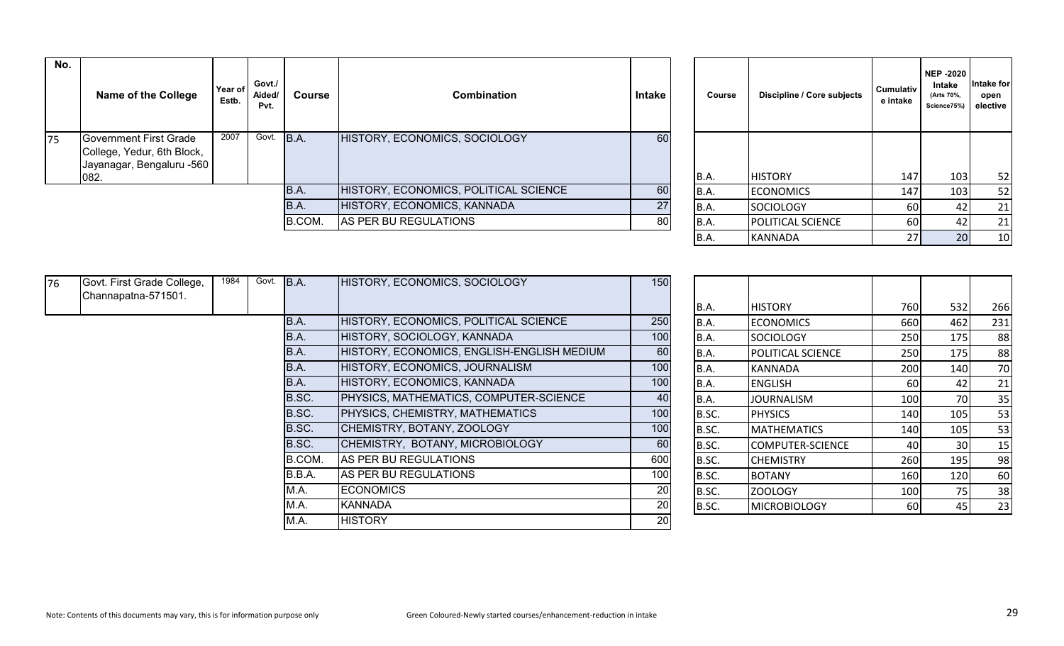| No. | <b>Name of the College</b>                                                                          | Year of<br>Estb. | Govt./<br>Aided/<br>Pvt. | Course | <b>Combination</b>                    | Intake | Course        | Discipline / Core subjects | Cumulativ<br>e intake  | <b>NEP -2020</b><br>Intake<br>(Arts 70%,<br>Science75%) | <b>Intake for</b><br>open<br>elective |
|-----|-----------------------------------------------------------------------------------------------------|------------------|--------------------------|--------|---------------------------------------|--------|---------------|----------------------------|------------------------|---------------------------------------------------------|---------------------------------------|
| 175 | <b>Government First Grade</b><br>College, Yedur, 6th Block,<br>Jayanagar, Bengaluru -560  <br> 082. | 2007             | Govt.                    | B.A.   | HISTORY, ECONOMICS, SOCIOLOGY         | 60     | B.A.          | <b>HISTORY</b>             | 147                    | 103 <sub>1</sub>                                        | 52                                    |
|     |                                                                                                     |                  |                          | B.A.   | HISTORY, ECONOMICS, POLITICAL SCIENCE | 60     | B.A.          | <b>ECONOMICS</b>           | 147                    | 103                                                     | 52                                    |
|     |                                                                                                     |                  |                          | B.A.   | HISTORY, ECONOMICS, KANNADA           | 27     | B.A.          | SOCIOLOGY                  | 60                     |                                                         | 21                                    |
|     |                                                                                                     |                  |                          | B.COM. | AS PER BU REGULATIONS                 | 80     | B.A.          | <b>POLITICAL SCIENCE</b>   | 60                     |                                                         | 21                                    |
|     |                                                                                                     |                  |                          |        |                                       |        | $\sim$ $\sim$ | .                          | $\sim$ $ \blacksquare$ | $\sim$ $\sim$ $\sim$ $\sim$                             | $\sim$                                |

| Course | Discipline / Core subjects | Cumulativ<br>e intake | <b>NEP -2020</b><br>Intake<br>(Arts 70%,<br>Science75%) | Intake for<br>open<br>elective |
|--------|----------------------------|-----------------------|---------------------------------------------------------|--------------------------------|
| B.A.   | <b>HISTORY</b>             | 147                   | 103                                                     | 52                             |
| B.A.   | <b>ECONOMICS</b>           | 147                   | 103                                                     | 52                             |
| B.A.   | <b>SOCIOLOGY</b>           | 60                    | 42                                                      | 21                             |
| B.A.   | POLITICAL SCIENCE          | 60                    | 42                                                      | 21                             |
| B.A.   | KANNADA                    | 27                    | 20                                                      | 10                             |

| 76 | Govt. First Grade College,<br>Channapatna-571501. | 1984 | Govt. | B.A.   | HISTORY, ECONOMICS, SOCIOLOGY                 | 150              |       |                          |     |     |     |
|----|---------------------------------------------------|------|-------|--------|-----------------------------------------------|------------------|-------|--------------------------|-----|-----|-----|
|    |                                                   |      |       |        |                                               |                  | B.A.  | <b>HISTORY</b>           | 760 | 532 | 266 |
|    |                                                   |      |       | B.A.   | HISTORY, ECONOMICS, POLITICAL SCIENCE         | 250              | B.A.  | <b>ECONOMICS</b>         | 660 | 462 | 231 |
|    |                                                   |      |       | B.A.   | HISTORY, SOCIOLOGY, KANNADA                   | 100              | B.A.  | <b>SOCIOLOGY</b>         | 250 | 175 | 88  |
|    |                                                   |      |       | B.A.   | HISTORY, ECONOMICS, ENGLISH-ENGLISH MEDIUM    | 60               | B.A.  | <b>POLITICAL SCIENCE</b> | 250 | 175 | 88  |
|    |                                                   |      |       | B.A.   | HISTORY, ECONOMICS, JOURNALISM                | 100              | B.A.  | <b>KANNADA</b>           | 200 | 140 | 70  |
|    |                                                   |      |       | B.A.   | HISTORY, ECONOMICS, KANNADA                   | 100              | B.A.  | <b>ENGLISH</b>           | 60  | 42  | 21  |
|    |                                                   |      |       | B.SC.  | <b>PHYSICS, MATHEMATICS, COMPUTER-SCIENCE</b> | 40               | B.A.  | <b>JOURNALISM</b>        | 100 | 70  | 35  |
|    |                                                   |      |       | B.SC.  | <b>PHYSICS, CHEMISTRY, MATHEMATICS</b>        | 100              | B.SC. | <b>PHYSICS</b>           | 140 | 105 | 53  |
|    |                                                   |      |       | B.SC.  | CHEMISTRY, BOTANY, ZOOLOGY                    | 100              | B.SC. | <b>MATHEMATICS</b>       | 140 | 105 | 53  |
|    |                                                   |      |       | B.SC.  | CHEMISTRY, BOTANY, MICROBIOLOGY               | 60               | B.SC. | COMPUTER-SCIENCE         | 40  | 30  | 15  |
|    |                                                   |      |       | B.COM. | <b>AS PER BU REGULATIONS</b>                  | 600              | B.SC. | <b>CHEMISTRY</b>         | 260 | 195 | 98  |
|    |                                                   |      |       | B.B.A. | AS PER BU REGULATIONS                         | 100 <sub>1</sub> | B.SC. | <b>BOTANY</b>            | 160 | 120 | 60  |
|    |                                                   |      |       | M.A.   | <b>IECONOMICS</b>                             | 20               | B.SC. | <b>ZOOLOGY</b>           | 100 |     | 38  |
|    |                                                   |      |       | M.A.   | KANNADA                                       | 20               | B.SC. | <b>MICROBIOLOGY</b>      | 60  | 451 | 23  |
|    |                                                   |      |       | M.A.   | <b>HISTORY</b>                                | 20               |       |                          |     |     |     |

| <b>HISTORY</b>          | 760 | 532 | 266 |
|-------------------------|-----|-----|-----|
| <b>ECONOMICS</b>        | 660 | 462 | 231 |
| <b>SOCIOLOGY</b>        | 250 | 175 | 88  |
| POLITICAL SCIENCE       | 250 | 175 | 88  |
| <b>KANNADA</b>          | 200 | 140 | 70  |
| <b>ENGLISH</b>          | 60  | 42  | 21  |
| <b>JOURNALISM</b>       | 100 | 70  | 35  |
| <b>PHYSICS</b>          | 140 | 105 | 53  |
| <b>MATHEMATICS</b>      | 140 | 105 | 53  |
| <b>COMPUTER-SCIENCE</b> | 40  | 30  | 15  |
| <b>CHEMISTRY</b>        | 260 | 195 | 98  |
| <b>BOTANY</b>           | 160 | 120 | 60  |
| <b>ZOOLOGY</b>          | 100 | 75  | 38  |
| <b>MICROBIOLOGY</b>     | 60  | 45  | 23  |
|                         |     |     |     |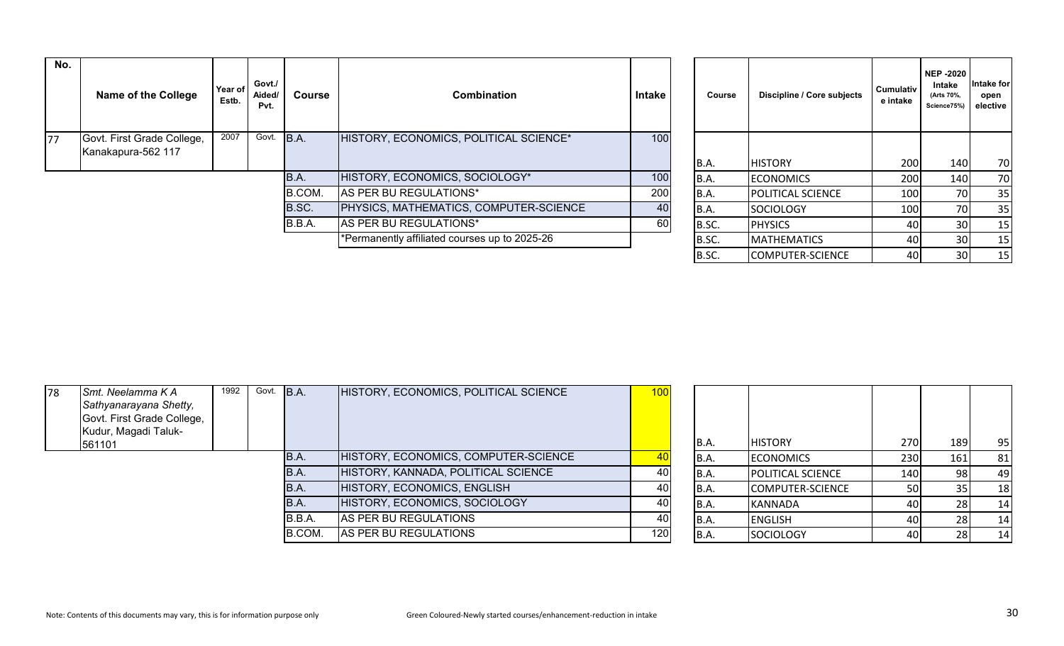| No.             | Name of the College                              | Year of<br>Estb. | Govt./<br>Aided/<br>Pvt. | Course | <b>Combination</b>                            | <b>Intake</b> | Course | Discipline / Core subjects | <b>Cumulativ</b><br>e intake | <b>NEP-2020</b><br>Intake<br>(Arts 70%,<br>Science75%) | <b>Intake for</b><br>open<br>elective |
|-----------------|--------------------------------------------------|------------------|--------------------------|--------|-----------------------------------------------|---------------|--------|----------------------------|------------------------------|--------------------------------------------------------|---------------------------------------|
| $\overline{77}$ | Govt. First Grade College,<br>Kanakapura-562 117 | 2007             | Govt.                    | B.A.   | HISTORY, ECONOMICS, POLITICAL SCIENCE*        | 100           | B.A.   | <b>HISTORY</b>             | 200                          | 140                                                    | 70                                    |
|                 |                                                  |                  |                          | B.A.   | HISTORY, ECONOMICS, SOCIOLOGY*                | 100           | B.A.   | <b>ECONOMICS</b>           | <b>200</b>                   | 140                                                    | 70                                    |
|                 |                                                  |                  |                          | B.COM. | AS PER BU REGULATIONS*                        | 200           | B.A.   | <b>POLITICAL SCIENCE</b>   | 100                          | 70I                                                    | 35                                    |
|                 |                                                  |                  |                          | B.SC.  | <b>PHYSICS, MATHEMATICS, COMPUTER-SCIENCE</b> | 40            | B.A.   | <b>SOCIOLOGY</b>           | 100                          | 70I                                                    | 35                                    |
|                 |                                                  |                  |                          | B.B.A. | AS PER BU REGULATIONS*                        | 60            | B.SC.  | <b>PHYSICS</b>             | 40                           | 30I                                                    | 15                                    |
|                 |                                                  |                  |                          |        | *Permanently affiliated courses up to 2025-26 |               | B.SC.  | <b>MATHEMATICS</b>         | 40                           | 30I                                                    | 15                                    |

| Course      | Discipline / Core subjects | <b>Cumulativ</b><br>e intake | <b>NEP -2020</b><br>Intake<br>(Arts 70%,<br>Science75%) | Intake for<br>open<br>elective |
|-------------|----------------------------|------------------------------|---------------------------------------------------------|--------------------------------|
| <b>B.A.</b> | <b>HISTORY</b>             | 200                          | 140                                                     | 70                             |
| B.A.        | <b>ECONOMICS</b>           | 200                          | 140                                                     | 70                             |
| B.A.        | POLITICAL SCIENCE          | 100                          | 70                                                      | 35                             |
| B.A.        | <b>SOCIOLOGY</b>           | 100                          | 70                                                      | 35                             |
| B.SC.       | <b>PHYSICS</b>             | 40                           | 30                                                      | 15                             |
| B.SC.       | <b>MATHEMATICS</b>         | 40                           | 30                                                      | 15                             |
| B.SC.       | <b>COMPUTER-SCIENCE</b>    | 40                           | 30                                                      | 15                             |

| 78 | Smt. Neelamma K A<br><b>Sathyanarayana Shetty,</b><br>Govt. First Grade College,<br>Kudur, Magadi Taluk- | 1992 | Govt. B.A. |        | HISTORY, ECONOMICS, POLITICAL SCIENCE | 100 |       |                          |                  |     |     |
|----|----------------------------------------------------------------------------------------------------------|------|------------|--------|---------------------------------------|-----|-------|--------------------------|------------------|-----|-----|
|    | 561101                                                                                                   |      |            |        |                                       |     | B.A.  | <b>HISTORY</b>           | 270 <sub>1</sub> | 189 | 95  |
|    |                                                                                                          |      |            | B.A.   | HISTORY, ECONOMICS, COMPUTER-SCIENCE  |     | IB.A. | <b>ECONOMICS</b>         | 230              | 161 | 81  |
|    |                                                                                                          |      |            | B.A.   | HISTORY, KANNADA, POLITICAL SCIENCE   | 40  | IB.A. | <b>POLITICAL SCIENCE</b> | 140 I            |     | 49  |
|    |                                                                                                          |      |            | B.A.   | HISTORY, ECONOMICS, ENGLISH           | 40  | IB.A. | COMPUTER-SCIENCE         | <b>50</b>        |     | -18 |
|    |                                                                                                          |      |            | B.A.   | HISTORY, ECONOMICS, SOCIOLOGY         | 40  | IB.A. | KANNADA                  | 40               |     | -14 |
|    |                                                                                                          |      |            | B.B.A. | AS PER BU REGULATIONS                 | 40  | IB.A. | <b>ENGLISH</b>           | 40               |     | -14 |
|    |                                                                                                          |      |            | B.COM. | AS PER BU REGULATIONS                 | 120 | IB.A. | <b>SOCIOLOGY</b>         | 40               |     | -14 |
|    |                                                                                                          |      |            |        |                                       |     |       |                          |                  |     |     |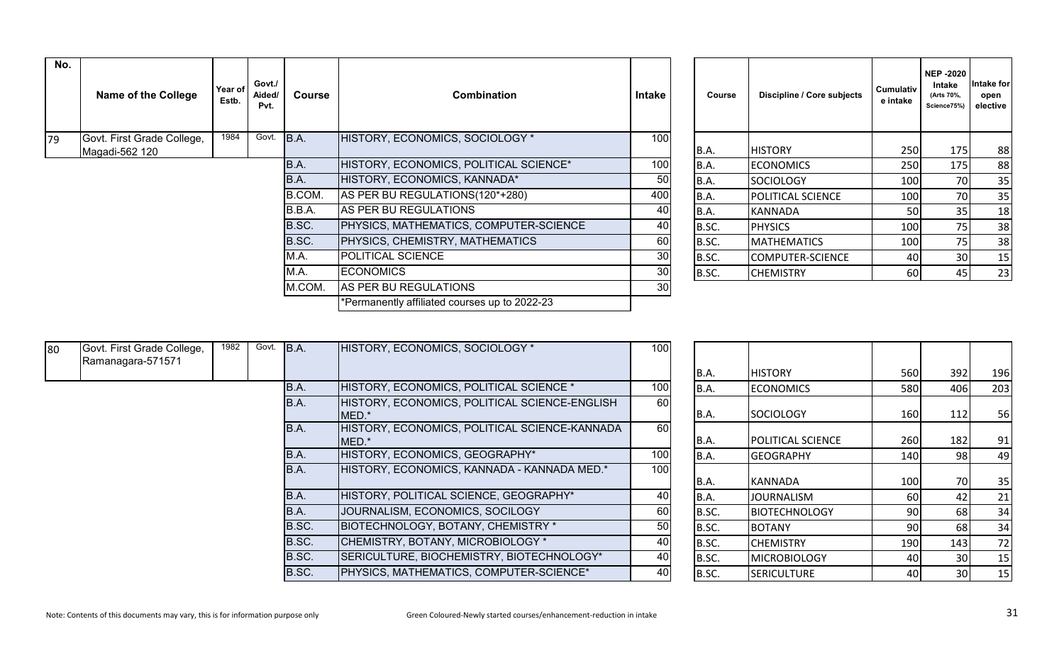| No. | <b>Name of the College</b> | Year of<br>Estb.       | Govt./<br>Aided/<br>Pvt. | <b>Course</b> | <b>Combination</b>                            | Intake | Course | Discipline / Core subjects | <b>Cumulativ</b><br>e intake | <b>NEP -2020</b><br>Intake<br>(Arts 70%,<br>Science75% | ntake for<br>open<br>elective |
|-----|----------------------------|------------------------|--------------------------|---------------|-----------------------------------------------|--------|--------|----------------------------|------------------------------|--------------------------------------------------------|-------------------------------|
| 79  | Govt. First Grade College, | 1984                   | Govt. B.A.               |               | HISTORY, ECONOMICS, SOCIOLOGY *               | 100    |        |                            |                              |                                                        |                               |
|     | Magadi-562 120             | <b>HISTORY</b><br>B.A. |                          | 250           | 175                                           | 88     |        |                            |                              |                                                        |                               |
|     |                            |                        |                          | B.A.          | HISTORY, ECONOMICS, POLITICAL SCIENCE*        | 100    | B.A.   | <b>ECONOMICS</b>           | 250                          | 175                                                    | 88                            |
|     |                            |                        |                          | B.A.          | HISTORY, ECONOMICS, KANNADA*                  | 50     | B.A.   | SOCIOLOGY                  | 100                          | 70                                                     | 35                            |
|     |                            |                        |                          | B.COM.        | AS PER BU REGULATIONS(120*+280)               | 400    | B.A.   | <b>POLITICAL SCIENCE</b>   | 100                          | 70                                                     | 35                            |
|     |                            |                        |                          | B.B.A.        | AS PER BU REGULATIONS                         | 40     | B.A.   | IKANNADA                   | 50                           | 35                                                     | 18                            |
|     |                            |                        |                          | B.SC.         | PHYSICS, MATHEMATICS, COMPUTER-SCIENCE        | 40     | B.SC.  | <b>PHYSICS</b>             | 100                          | 75I                                                    | 38                            |
|     |                            |                        |                          | B.SC.         | PHYSICS, CHEMISTRY, MATHEMATICS               | 60     | B.SC.  | <b>MATHEMATICS</b>         | 100                          | 751                                                    | 38                            |
|     |                            |                        |                          | M.A.          | POLITICAL SCIENCE                             | 30     | B.SC.  | COMPUTER-SCIENCE           | 40                           | 30 <sup>l</sup>                                        | 15                            |
|     |                            |                        |                          | M.A.          | <b>ECONOMICS</b>                              | 30     | B.SC.  | <b>CHEMISTRY</b>           | 60                           | 45                                                     | 23                            |
|     |                            |                        |                          | M.COM.        | AS PER BU REGULATIONS                         | 30     |        |                            |                              |                                                        |                               |
|     |                            |                        |                          |               | *Permanently affiliated courses up to 2022-23 |        |        |                            |                              |                                                        |                               |
|     |                            |                        |                          |               |                                               |        |        |                            |                              |                                                        |                               |

| Course | Discipline / Core subjects | <b>Cumulativ</b><br>e intake | <b>NEP -2020</b><br>Intake<br>(Arts 70%,<br>Science75%) | Intake for<br>open<br>elective |
|--------|----------------------------|------------------------------|---------------------------------------------------------|--------------------------------|
| B.A.   | <b>HISTORY</b>             | 250                          | 175                                                     | 88                             |
| B.A.   | <b>ECONOMICS</b>           | 250                          | 175                                                     | 88                             |
| B.A.   | <b>SOCIOLOGY</b>           | 100                          | 70                                                      | 35                             |
| B.A.   | POLITICAL SCIENCE          | 100                          | 70                                                      | 35                             |
| B.A.   | KANNADA                    | 50                           | 35                                                      | 18                             |
| B.SC.  | <b>PHYSICS</b>             | 100                          | 75                                                      | 38                             |
| B.SC.  | <b>MATHEMATICS</b>         | 100                          | 75                                                      | 38                             |
| B.SC.  | <b>COMPUTER-SCIENCE</b>    | 40                           | 30                                                      | 15                             |
| B.SC.  | <b>CHEMISTRY</b>           | 60                           | 45                                                      | 23                             |

| 80 | Govt. First Grade College,<br>Ramanagara-571571 | 1982 | Govt. | B.A.  | HISTORY, ECONOMICS, SOCIOLOGY *                         | 100 |             |                          |              |     |     |
|----|-------------------------------------------------|------|-------|-------|---------------------------------------------------------|-----|-------------|--------------------------|--------------|-----|-----|
|    |                                                 |      |       |       |                                                         |     | IB.A.       | <b>HISTORY</b>           | 560          | 392 | 196 |
|    |                                                 |      |       | B.A.  | HISTORY, ECONOMICS, POLITICAL SCIENCE *                 | 100 | <b>B.A.</b> | <b>ECONOMICS</b>         | 580 <b>1</b> | 406 | 203 |
|    |                                                 |      |       | B.A.  | HISTORY, ECONOMICS, POLITICAL SCIENCE-ENGLISH<br>IMED.* | 60  | B.A.        | <b>SOCIOLOGY</b>         | 160          | 112 | 56  |
|    |                                                 |      |       | IB.A. | HISTORY, ECONOMICS, POLITICAL SCIENCE-KANNADA<br>MED.*  | 60  | B.A.        | <b>POLITICAL SCIENCE</b> | 260          | 182 | 91  |
|    |                                                 |      |       | IB.A. | HISTORY, ECONOMICS, GEOGRAPHY*                          | 100 | B.A.        | <b>GEOGRAPHY</b>         | 140 I        | 981 | 49  |
|    |                                                 |      |       | IB.A. | HISTORY, ECONOMICS, KANNADA - KANNADA MED.*             | 100 | IB.A.       | IKANNADA                 | 100          | 70I | 35  |
|    |                                                 |      |       | IB.A. | HISTORY, POLITICAL SCIENCE, GEOGRAPHY*                  | 40  | B.A.        | <b>JOURNALISM</b>        | 60           |     | 21  |
|    |                                                 |      |       | IB.A. | JOURNALISM, ECONOMICS, SOCILOGY                         | 60  | B.SC.       | <b>BIOTECHNOLOGY</b>     | 90 l         |     | 34  |
|    |                                                 |      |       | B.SC. | <b>BIOTECHNOLOGY, BOTANY, CHEMISTRY *</b>               | 50  | B.SC.       | <b>BOTANY</b>            | 90 l         | 68  | 34  |
|    |                                                 |      |       | B.SC. | CHEMISTRY, BOTANY, MICROBIOLOGY *                       | 40  | B.SC.       | <b>CHEMISTRY</b>         | 190          | 143 | 72  |
|    |                                                 |      |       | B.SC. | SERICULTURE, BIOCHEMISTRY, BIOTECHNOLOGY*               | 40  | B.SC.       | <b>MICROBIOLOGY</b>      | 40 I         | 30I | 15  |
|    |                                                 |      |       | B.SC. | PHYSICS, MATHEMATICS, COMPUTER-SCIENCE*                 | 40  | B.SC.       | <b>SERICULTURE</b>       | 40           | 30I | 15  |

| B.A.  | <b>HISTORY</b>       | 560 | 392 | 196 |
|-------|----------------------|-----|-----|-----|
| B.A.  | <b>ECONOMICS</b>     | 580 | 406 | 203 |
| B.A.  | <b>SOCIOLOGY</b>     | 160 | 112 | 56  |
| B.A.  | POLITICAL SCIENCE    | 260 | 182 | 91  |
| B.A.  | <b>GEOGRAPHY</b>     | 140 | 98  | 49  |
| B.A.  | KANNADA              | 100 | 70  | 35  |
| B.A.  | <b>JOURNALISM</b>    | 60  | 42  | 21  |
| B.SC. | <b>BIOTECHNOLOGY</b> | 90  | 68  | 34  |
| B.SC. | <b>BOTANY</b>        | 90  | 68  | 34  |
| B.SC. | <b>CHEMISTRY</b>     | 190 | 143 | 72  |
| B.SC. | <b>MICROBIOLOGY</b>  | 40  | 30  | 15  |
| B.SC. | <b>SERICULTURE</b>   | 40  | 30  | 15  |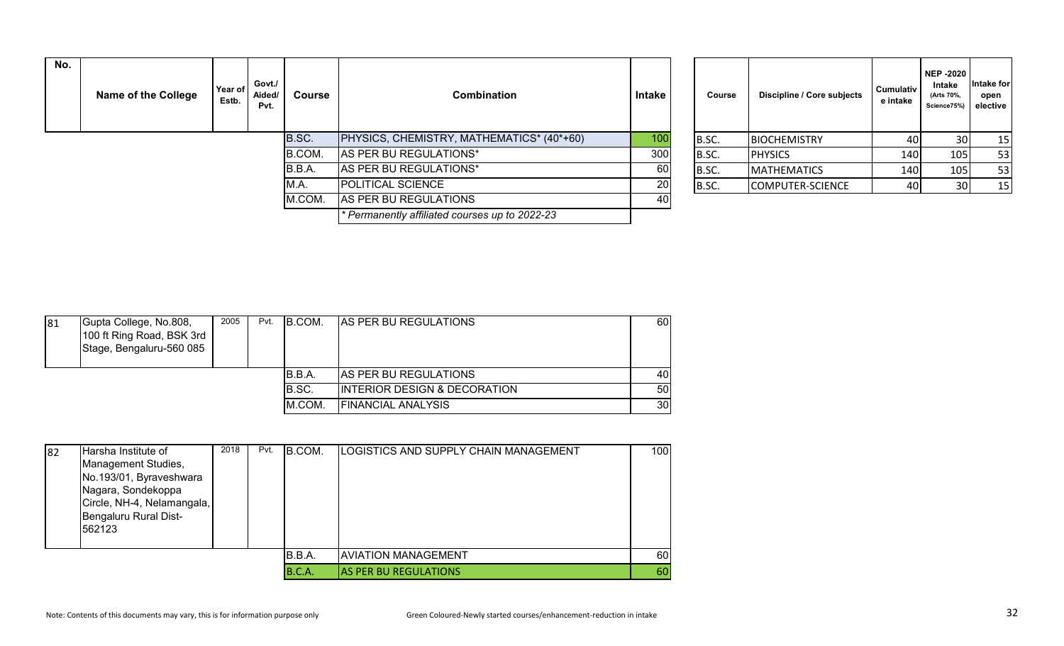| No. | Name of the College | Year of<br>Estb. | Govt./<br>Aided/<br>Pvt. | <b>Course</b>          | Combination                                  | Intake | Course         | Discipline / Core subjects | <b>Cumulativ</b><br>e intake | <b>NEP -2020</b><br>Intake<br>(Arts 70%,<br>Science75%) | ntake for<br>open<br>elective |
|-----|---------------------|------------------|--------------------------|------------------------|----------------------------------------------|--------|----------------|----------------------------|------------------------------|---------------------------------------------------------|-------------------------------|
|     |                     | B.SC.            |                          |                        | PHYSICS, CHEMISTRY, MATHEMATICS* (40*+60)    | 100    | B.SC.          | <b>BIOCHEMISTRY</b>        | 40 I                         | 30                                                      | 15                            |
|     |                     |                  | B.COM.                   | AS PER BU REGULATIONS* | 300                                          | B.SC.  | <b>PHYSICS</b> | 140                        | 105                          | 53                                                      |                               |
|     |                     |                  |                          | B.B.A.                 | AS PER BU REGULATIONS*                       | 60     | B.SC.          | <b>MATHEMATICS</b>         | 140                          | 105                                                     | 53                            |
|     |                     |                  |                          | M.A.                   | <b>POLITICAL SCIENCE</b>                     | 20     | B.SC.          | COMPUTER-SCIENCE           | 40                           | 30                                                      | 15                            |
|     |                     |                  |                          | M.COM.                 | AS PER BU REGULATIONS                        | 40     |                |                            |                              |                                                         |                               |
|     |                     |                  |                          |                        | Permanently affiliated courses up to 2022-23 |        |                |                            |                              |                                                         |                               |

| Course | Discipline / Core subjects | <b>Cumulativ</b><br>e intake | <b>NEP-2020</b><br>Intake<br>(Arts 70%,<br>Science75%) | Intake for<br>open<br>elective |
|--------|----------------------------|------------------------------|--------------------------------------------------------|--------------------------------|
| B.SC.  | <b>BIOCHEMISTRY</b>        | 40                           | 30                                                     | 15                             |
| B.SC.  | <b>PHYSICS</b>             | 140                          | 105                                                    | 53                             |
| B.SC.  | <b>MATHEMATICS</b>         | 140                          | 105                                                    | 53                             |
| B.SC.  | <b>COMPUTER-SCIENCE</b>    | 40                           | 30                                                     | 15                             |

| 81 | Gupta College, No.808,<br>100 ft Ring Road, BSK 3rd<br>Stage, Bengaluru-560 085 | 2005 | Pvt. | IB.COM. | <b>AS PER BU REGULATIONS</b>            | 60I             |
|----|---------------------------------------------------------------------------------|------|------|---------|-----------------------------------------|-----------------|
|    |                                                                                 |      |      | B.B.A.  | <b>AS PER BU REGULATIONS</b>            | 40              |
|    |                                                                                 |      |      | B.SC.   | <b>INTERIOR DESIGN &amp; DECORATION</b> | 50              |
|    |                                                                                 |      |      | M.COM.  | <b>FINANCIAL ANALYSIS</b>               | 30 <sub>l</sub> |

| 82 | Harsha Institute of                           | 2018 | Pvt. | B.COM. | LOGISTICS AND SUPPLY CHAIN MANAGEMENT | 100  |
|----|-----------------------------------------------|------|------|--------|---------------------------------------|------|
|    | Management Studies,                           |      |      |        |                                       |      |
|    | No.193/01, Byraveshwara<br>Nagara, Sondekoppa |      |      |        |                                       |      |
|    |                                               |      |      |        |                                       |      |
|    | Circle, NH-4, Nelamangala,                    |      |      |        |                                       |      |
|    | Bengaluru Rural Dist-                         |      |      |        |                                       |      |
|    | 562123                                        |      |      |        |                                       |      |
|    |                                               |      |      |        |                                       |      |
|    |                                               |      |      | B.B.A. | <b>AVIATION MANAGEMENT</b>            | 60 l |
|    |                                               |      |      | B.C.A. | <b>AS PER BU REGULATIONS</b>          | 60   |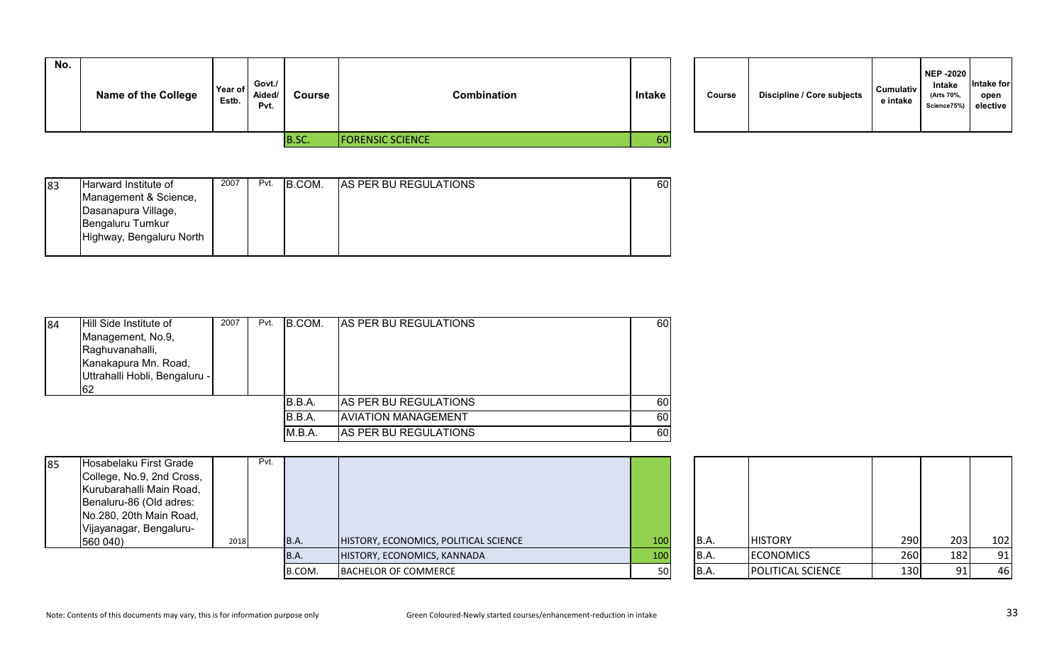| No. | <b>Name of the College</b> | Year of<br>Estb. | Govt./<br>Aided/<br>Pvt. | Course | Combination             | <b>Intake</b> | Course | <b>Discipline / Core subjects</b> | <b>Cumulativ</b><br>e intake |
|-----|----------------------------|------------------|--------------------------|--------|-------------------------|---------------|--------|-----------------------------------|------------------------------|
|     |                            |                  |                          | B.SC.  | <b>FORENSIC SCIENCE</b> | 60            |        |                                   |                              |

| Course | Discipline / Core subjects | <b>Cumulativ</b><br>e intake | <b>NEP -2020</b><br>Intake<br>(Arts 70%,<br>Science75%) | Intake for<br>open<br>elective |  |
|--------|----------------------------|------------------------------|---------------------------------------------------------|--------------------------------|--|
|--------|----------------------------|------------------------------|---------------------------------------------------------|--------------------------------|--|

| 83 | Harward Institute of     | 2007 | Pvt. | B.COM. | <b>AS PER BU REGULATIONS</b> | 60I |
|----|--------------------------|------|------|--------|------------------------------|-----|
|    | Management & Science,    |      |      |        |                              |     |
|    | Dasanapura Village,      |      |      |        |                              |     |
|    | Bengaluru Tumkur         |      |      |        |                              |     |
|    | Highway, Bengaluru North |      |      |        |                              |     |
|    |                          |      |      |        |                              |     |

| 84 | Hill Side Institute of<br>Management, No.9,<br>Raghuvanahalli,<br>Kanakapura Mn. Road,<br>Uttrahalli Hobli, Bengaluru -<br>62 | 2007 | Pvt. | <b>B.COM.</b> | <b>IAS PER BU REGULATIONS</b> | <b>60</b> |
|----|-------------------------------------------------------------------------------------------------------------------------------|------|------|---------------|-------------------------------|-----------|
|    |                                                                                                                               |      |      | B.B.A.        | AS PER BU REGULATIONS         | <b>60</b> |
|    |                                                                                                                               |      |      | B.B.A.        | <b>AVIATION MANAGEMENT</b>    | 60        |
|    |                                                                                                                               |      |      | M.B.A.        | AS PER BU REGULATIONS         | <b>60</b> |

| 85 | Hosabelaku First Grade    |      | Pvt. |        |                                       |     |       |                          |       |     |     |
|----|---------------------------|------|------|--------|---------------------------------------|-----|-------|--------------------------|-------|-----|-----|
|    | College, No.9, 2nd Cross, |      |      |        |                                       |     |       |                          |       |     |     |
|    | Kurubarahalli Main Road,  |      |      |        |                                       |     |       |                          |       |     |     |
|    | Benaluru-86 (Old adres:   |      |      |        |                                       |     |       |                          |       |     |     |
|    | No.280, 20th Main Road,   |      |      |        |                                       |     |       |                          |       |     |     |
|    | Vijayanagar, Bengaluru-   |      |      |        |                                       |     |       |                          |       |     |     |
|    | 560 040)                  | 2018 |      | B.A.   | HISTORY, ECONOMICS, POLITICAL SCIENCE | 100 | B.A.  | <b>HISTORY</b>           | 290 l | 203 | 102 |
|    |                           |      |      | B.A.   | HISTORY, ECONOMICS, KANNADA           | 100 | IB.A. | <b>ECONOMICS</b>         | 260   | 182 | 91  |
|    |                           |      |      | B.COM. | <b>BACHELOR OF COMMERCE</b>           | 50  | B.A.  | <b>POLITICAL SCIENCE</b> | 130   |     | 46  |
|    |                           |      |      |        |                                       |     |       |                          |       |     |     |

| B.A. | <b>HISTORY</b>    | 290 | 203 | 102 |
|------|-------------------|-----|-----|-----|
| B.A. | <b>ECONOMICS</b>  | 260 | 182 | 91  |
| B.A. | POLITICAL SCIENCE | 130 | 91  | 46  |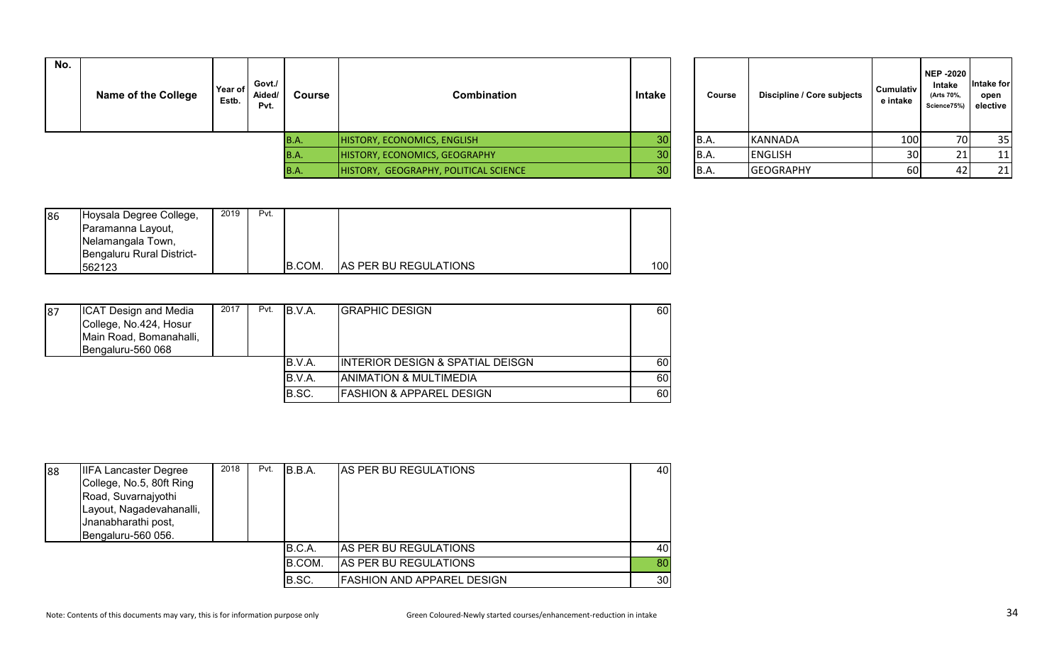| No. | <b>Name of the College</b> | Year of<br>Estb. | Govt./<br>Aided/<br>Pvt. | Course | <b>Combination</b>                    | Intake | Course | Discipline / Core subjects | <b>Cumulativ</b><br>e intake | NEP -2020<br>Intake<br>(Arts 70%,<br>Science75%) elective | <b>Intake for</b><br>open |
|-----|----------------------------|------------------|--------------------------|--------|---------------------------------------|--------|--------|----------------------------|------------------------------|-----------------------------------------------------------|---------------------------|
|     |                            |                  |                          | IB.A.  | HISTORY, ECONOMICS, ENGLISH           | 30     | B.A.   | KANNADA                    | 100                          | 70I                                                       | 35                        |
|     |                            |                  |                          | IB.A.  | HISTORY, ECONOMICS, GEOGRAPHY         | 30     | B.A.   | <b>ENGLISH</b>             | 30 <sup>1</sup>              |                                                           | <u>11</u>                 |
|     |                            |                  |                          | IB.A.  | HISTORY, GEOGRAPHY, POLITICAL SCIENCE | 30     | B.A.   | <b>GEOGRAPHY</b>           | 60                           |                                                           | 21                        |

| Course | Discipline / Core subjects | <b>Cumulativ</b><br>e intake | <b>NEP-2020</b><br>Intake<br>(Arts 70%,<br>Science75%) | Intake for<br>open<br>elective |
|--------|----------------------------|------------------------------|--------------------------------------------------------|--------------------------------|
| B.A.   | <b>KANNADA</b>             | 100                          | 70                                                     | 35                             |
| B.A.   | <b>ENGLISH</b>             | 30                           | 21                                                     | 11                             |
| B.A.   | <b>GEOGRAPHY</b>           | 60                           | 42                                                     | 21                             |

| 86 | Hoysala Degree College,   | 2019 | Pvt. |         |                              |     |
|----|---------------------------|------|------|---------|------------------------------|-----|
|    | Paramanna Layout,         |      |      |         |                              |     |
|    | Nelamangala Town,         |      |      |         |                              |     |
|    | Bengaluru Rural District- |      |      |         |                              |     |
|    | 562123                    |      |      | IB.COM. | <b>AS PER BU REGULATIONS</b> | 100 |

| 187 | <b>ICAT Design and Media</b><br>College, No.424, Hosur | 2017 | Pvt. | B.V.A. | <b>IGRAPHIC DESIGN</b>                      | 60   |
|-----|--------------------------------------------------------|------|------|--------|---------------------------------------------|------|
|     | Main Road, Bomanahalli,<br>Bengaluru-560 068           |      |      |        |                                             |      |
|     |                                                        |      |      | B.V.A. | <b>INTERIOR DESIGN &amp; SPATIAL DEISGN</b> | 60 I |
|     |                                                        |      |      | B.V.A. | <b>ANIMATION &amp; MULTIMEDIA</b>           | 60   |
|     |                                                        |      |      | B.SC.  | <b>FASHION &amp; APPAREL DESIGN</b>         | 60   |

| 88 | <b>IIFA Lancaster Degree</b> | 2018 | Pvt. | B.B.A. | AS PER BU REGULATIONS             | 40 |
|----|------------------------------|------|------|--------|-----------------------------------|----|
|    | College, No.5, 80ft Ring     |      |      |        |                                   |    |
|    | Road, Suvarnajyothi          |      |      |        |                                   |    |
|    | Layout, Nagadevahanalli,     |      |      |        |                                   |    |
|    | Jnanabharathi post,          |      |      |        |                                   |    |
|    | Bengaluru-560 056.           |      |      |        |                                   |    |
|    |                              |      |      | B.C.A. | <b>AS PER BU REGULATIONS</b>      | 40 |
|    |                              |      |      | B.COM. | AS PER BU REGULATIONS             | 80 |
|    |                              |      |      | B.SC.  | <b>FASHION AND APPAREL DESIGN</b> | 30 |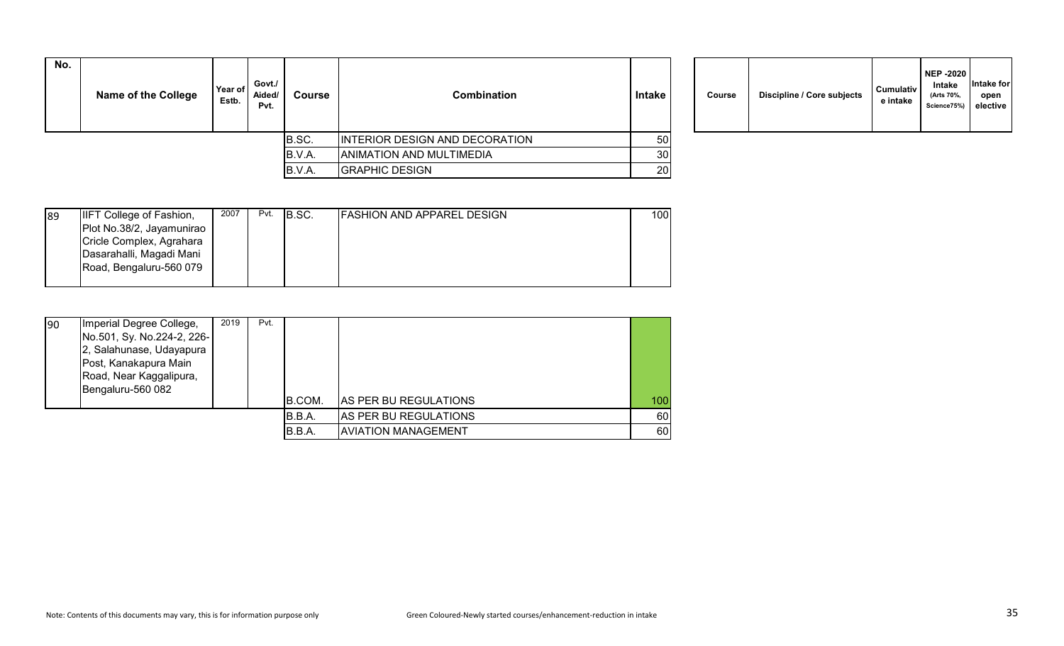| No. | <b>Name of the College</b> | Year of<br>Estb. | Govt./<br>Aided/<br>Pvt. | Course | <b>Combination</b>              | Intake          | Course | Discipline / Core subjects | <b>Cumulativ</b><br>e intake |
|-----|----------------------------|------------------|--------------------------|--------|---------------------------------|-----------------|--------|----------------------------|------------------------------|
|     |                            |                  |                          | B.SC.  | INTERIOR DESIGN AND DECORATION  | 50 <sup>1</sup> |        |                            |                              |
|     |                            |                  |                          | B.V.A. | <b>ANIMATION AND MULTIMEDIA</b> | 30 <sup>l</sup> |        |                            |                              |
|     |                            |                  |                          | B.V.A. | <b>GRAPHIC DESIGN</b>           | 20              |        |                            |                              |

| Course |  | Discipline / Core subjects | <b>Cumulativ</b><br>e intake | <b>NEP -2020</b><br>Intake<br>(Arts 70%,<br>Science75%) | Intake for<br>open<br>elective |
|--------|--|----------------------------|------------------------------|---------------------------------------------------------|--------------------------------|
|--------|--|----------------------------|------------------------------|---------------------------------------------------------|--------------------------------|

| 89 | IIFT College of Fashion,  | 2007 | Pvt. | IB.SC. | <b>FASHION AND APPAREL DESIGN</b> | 100I |
|----|---------------------------|------|------|--------|-----------------------------------|------|
|    | Plot No.38/2, Jayamunirao |      |      |        |                                   |      |
|    | Cricle Complex, Agrahara  |      |      |        |                                   |      |
|    | Dasarahalli, Magadi Mani  |      |      |        |                                   |      |
|    | Road, Bengaluru-560 079   |      |      |        |                                   |      |
|    |                           |      |      |        |                                   |      |

| 90 | Imperial Degree College,   | 2019 | Pvt. |         |                              |     |
|----|----------------------------|------|------|---------|------------------------------|-----|
|    | No.501, Sy. No.224-2, 226- |      |      |         |                              |     |
|    | 2, Salahunase, Udayapura   |      |      |         |                              |     |
|    | Post, Kanakapura Main      |      |      |         |                              |     |
|    | Road, Near Kaggalipura,    |      |      |         |                              |     |
|    | Bengaluru-560 082          |      |      |         |                              |     |
|    |                            |      |      | B.COM.  | <b>AS PER BU REGULATIONS</b> | 100 |
|    |                            |      |      | IB.B.A. | AS PER BU REGULATIONS        | 60  |
|    |                            |      |      | B.B.A.  | AVIATION MANAGEMENT          | 60  |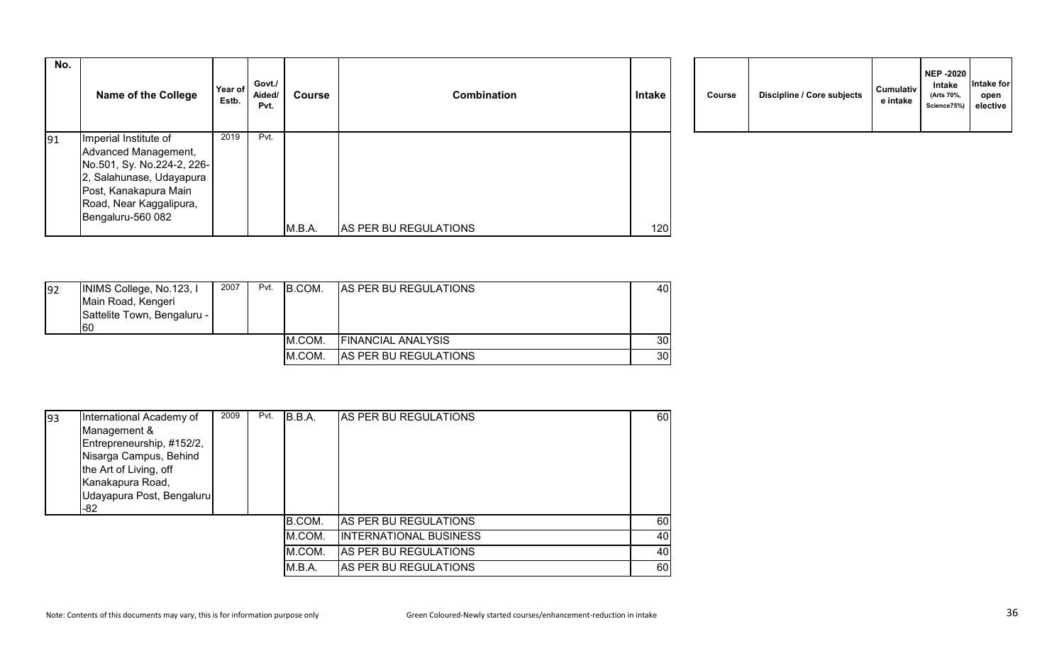| No. | <b>Name of the College</b>                                                                                                                                                       | Year of<br>Estb. | Govt./<br>Aided/<br>Pvt. | <b>Course</b> | <b>Combination</b>    | <b>Intake</b> | Course | Discipline / Core subjects | <b>Cumulativ</b><br>e intake |
|-----|----------------------------------------------------------------------------------------------------------------------------------------------------------------------------------|------------------|--------------------------|---------------|-----------------------|---------------|--------|----------------------------|------------------------------|
| 91  | Imperial Institute of<br>Advanced Management,<br>No.501, Sy. No.224-2, 226-<br>2, Salahunase, Udayapura<br>Post, Kanakapura Main<br>Road, Near Kaggalipura,<br>Bengaluru-560 082 | 2019             | Pvt.                     |               |                       |               |        |                            |                              |
|     |                                                                                                                                                                                  |                  |                          | M.B.A.        | AS PER BU REGULATIONS | 120           |        |                            |                              |

|  | Course | Discipline / Core subjects | <b>Cumulativ</b><br>e intake | <b>NEP -2020</b><br>Intake<br>(Arts 70%,<br>Science75%) | Intake for<br>open<br>elective |  |
|--|--------|----------------------------|------------------------------|---------------------------------------------------------|--------------------------------|--|
|--|--------|----------------------------|------------------------------|---------------------------------------------------------|--------------------------------|--|

| 92 | INIMS College, No.123, I<br>Main Road, Kengeri<br>Sattelite Town, Bengaluru -<br>160 | 2007 | Pvt. | IB.COM. | AS PER BU REGULATIONS     | 40 I            |
|----|--------------------------------------------------------------------------------------|------|------|---------|---------------------------|-----------------|
|    |                                                                                      |      |      | IM.COM. | <b>FINANCIAL ANALYSIS</b> | 30I             |
|    |                                                                                      |      |      | M.COM.  | AS PER BU REGULATIONS     | 30 <sub>l</sub> |

| 93 | International Academy of  | 2009 | Pvt. | B.B.A. | AS PER BU REGULATIONS         | 60 |
|----|---------------------------|------|------|--------|-------------------------------|----|
|    | Management &              |      |      |        |                               |    |
|    | Entrepreneurship, #152/2, |      |      |        |                               |    |
|    | Nisarga Campus, Behind    |      |      |        |                               |    |
|    | the Art of Living, off    |      |      |        |                               |    |
|    | Kanakapura Road,          |      |      |        |                               |    |
|    | Udayapura Post, Bengaluru |      |      |        |                               |    |
|    | $-82$                     |      |      |        |                               |    |
|    |                           |      |      | B.COM. | <b>AS PER BU REGULATIONS</b>  | 60 |
|    |                           |      |      | M.COM. | <b>INTERNATIONAL BUSINESS</b> | 40 |
|    |                           |      |      | M.COM. | AS PER BU REGULATIONS         | 40 |
|    |                           |      |      | M.B.A. | IAS PER BU REGULATIONS        | 60 |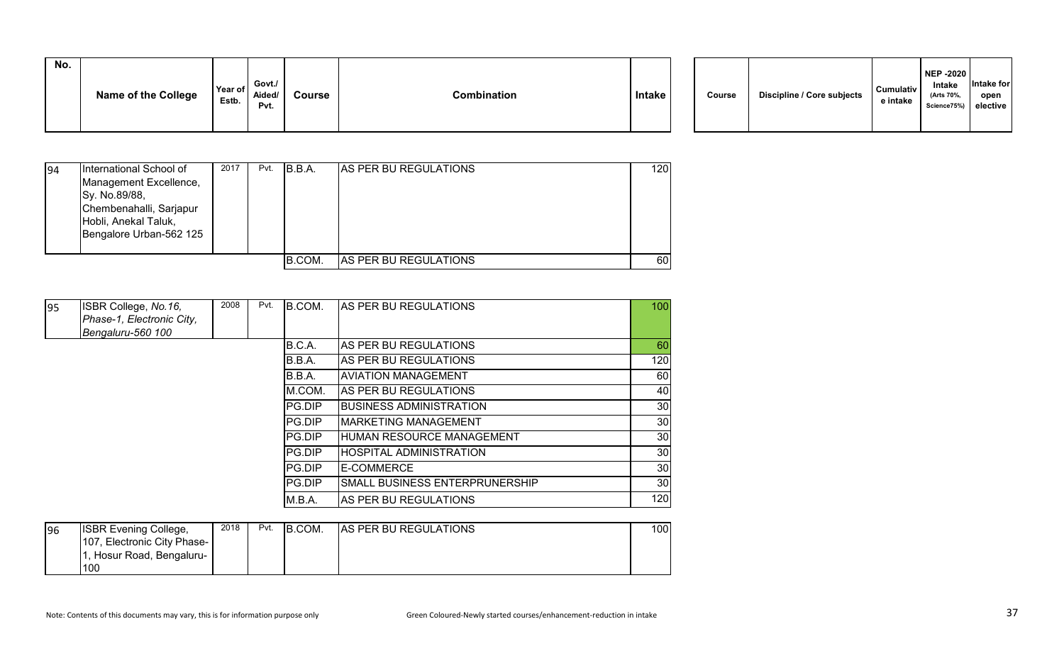| No. |                            |                  |                          |        |                    |        |        |                            |                       |
|-----|----------------------------|------------------|--------------------------|--------|--------------------|--------|--------|----------------------------|-----------------------|
|     | <b>Name of the College</b> | Year of<br>Estb. | Govt./<br>Aided/<br>Pvt. | Course | <b>Combination</b> | Intake | Course | Discipline / Core subjects | Cumulativ<br>e intake |

| 94 | International School of<br>Management Excellence,<br>Sy. No.89/88,<br>Chembenahalli, Sarjapur<br>Hobli, Anekal Taluk,<br>Bengalore Urban-562 125 | 2017 | Pvt. | IB.B.A. | <b>JAS PER BU REGULATIONS</b> | 120 |
|----|--------------------------------------------------------------------------------------------------------------------------------------------------|------|------|---------|-------------------------------|-----|
|    |                                                                                                                                                  |      |      | B.COM.  | <b>AS PER BU REGULATIONS</b>  | 60  |

| 95 | ISBR College, No.16,      | 2008 | Pvt. | B.COM.        | <b>AS PER BU REGULATIONS</b>   | 100             |
|----|---------------------------|------|------|---------------|--------------------------------|-----------------|
|    | Phase-1, Electronic City, |      |      |               |                                |                 |
|    | Bengaluru-560 100         |      |      |               |                                |                 |
|    |                           |      |      | B.C.A.        | <b>AS PER BU REGULATIONS</b>   | 60              |
|    |                           |      |      | B.B.A.        | <b>AS PER BU REGULATIONS</b>   | 120             |
|    |                           |      |      | B.B.A.        | <b>AVIATION MANAGEMENT</b>     | 60              |
|    |                           |      |      | M.COM.        | <b>AS PER BU REGULATIONS</b>   | 40              |
|    |                           |      |      | PG.DIP        | IBUSINESS ADMINISTRATION       | 30 <sub>l</sub> |
|    |                           |      |      | PG.DIP        | <b>IMARKETING MANAGEMENT</b>   | 30              |
|    |                           |      |      | <b>PG.DIP</b> | HUMAN RESOURCE MANAGEMENT      | 30 <sub>l</sub> |
|    |                           |      |      | <b>PG.DIP</b> | HOSPITAL ADMINISTRATION        | 30              |
|    |                           |      |      | PG.DIP        | E-COMMERCE                     | 30 <sub>l</sub> |
|    |                           |      |      | PG.DIP        | SMALL BUSINESS ENTERPRUNERSHIP | 30              |
|    |                           |      |      | M.B.A.        | <b>AS PER BU REGULATIONS</b>   | 120             |

| 96 | <b>ISBR Evening College,</b> | 2018 | Pvt. | B.COM. | <b>AS PER BU REGULATIONS</b> | 100 <sup>1</sup> |
|----|------------------------------|------|------|--------|------------------------------|------------------|
|    | 107, Electronic City Phase-  |      |      |        |                              |                  |
|    | , Hosur Road, Bengaluru-     |      |      |        |                              |                  |
|    | 100                          |      |      |        |                              |                  |

**NEP -2020 Intake (Arts 70%, Science75%)**

**Intake for open elective**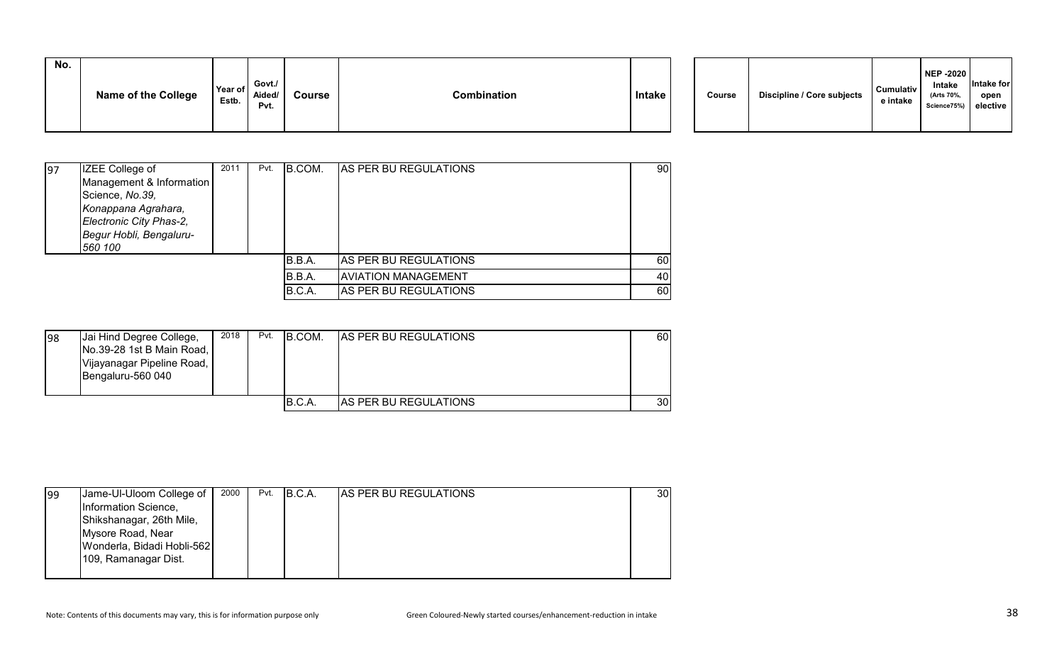| No. | <b>Name of the College</b> | Year of<br>Estb. | Govt./<br>Aided/<br>Pvt. | Course | Combination | Intake |  | Course | Discipline / Core subjects | <b>Cumulativ</b><br>e intake | NEP -2020<br>Intake<br>(Arts 70%,<br>Science75%) elective | <b>Intake for</b><br>open |
|-----|----------------------------|------------------|--------------------------|--------|-------------|--------|--|--------|----------------------------|------------------------------|-----------------------------------------------------------|---------------------------|
|-----|----------------------------|------------------|--------------------------|--------|-------------|--------|--|--------|----------------------------|------------------------------|-----------------------------------------------------------|---------------------------|

| 97 | IZEE College of          | 2011 | Pvt. | B.COM. | <b>AS PER BU REGULATIONS</b> | 90 |
|----|--------------------------|------|------|--------|------------------------------|----|
|    | Management & Information |      |      |        |                              |    |
|    | Science, No.39,          |      |      |        |                              |    |
|    | Konappana Agrahara,      |      |      |        |                              |    |
|    | Electronic City Phas-2,  |      |      |        |                              |    |
|    | Begur Hobli, Bengaluru-  |      |      |        |                              |    |
|    | 560 100                  |      |      |        |                              |    |
|    |                          |      |      | B.B.A. | AS PER BU REGULATIONS        | 60 |
|    |                          |      |      | B.B.A. | <b>AVIATION MANAGEMENT</b>   | 40 |
|    |                          |      |      | B.C.A. | AS PER BU REGULATIONS        | 60 |

| 198 | Jai Hind Degree College,<br>No.39-28 1st B Main Road,<br>Vijayanagar Pipeline Road,<br>Bengaluru-560 040 | 2018 | Pvt. | IB.COM. | <b>AS PER BU REGULATIONS</b> | 60 I            |
|-----|----------------------------------------------------------------------------------------------------------|------|------|---------|------------------------------|-----------------|
|     |                                                                                                          |      |      | IB.C.A. | <b>AS PER BU REGULATIONS</b> | 30 <sub>l</sub> |

| 99 | Jame-UI-Uloom College of   | 2000 | Pvt. | B.C.A. | <b>AS PER BU REGULATIONS</b> | 30 |
|----|----------------------------|------|------|--------|------------------------------|----|
|    | Information Science,       |      |      |        |                              |    |
|    | Shikshanagar, 26th Mile,   |      |      |        |                              |    |
|    | Mysore Road, Near          |      |      |        |                              |    |
|    | Wonderla, Bidadi Hobli-562 |      |      |        |                              |    |
|    | 109, Ramanagar Dist.       |      |      |        |                              |    |
|    |                            |      |      |        |                              |    |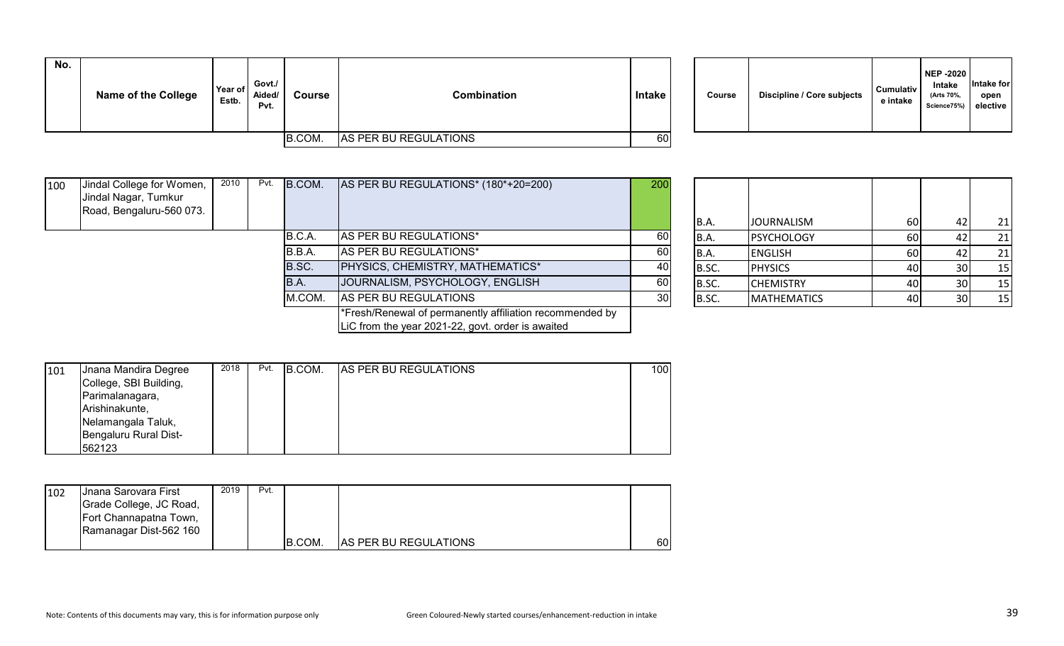| No. | <b>Name of the College</b> | Year of<br>Estb. | Govt./<br>Aided/<br>Pvt. | <b>Course</b> | Combination           | <b>Intake</b> | Course | <b>Discipline / Core subjects</b> | <b>Cumulativ</b><br>e intake |
|-----|----------------------------|------------------|--------------------------|---------------|-----------------------|---------------|--------|-----------------------------------|------------------------------|
|     |                            |                  |                          | B.COM.        | AS PER BU REGULATIONS | 60            |        |                                   |                              |

| Discipline / Core subjects<br>Course | <b>Cumulativ</b><br>e intake | <b>NEP -2020</b><br><b>Intake</b><br>(Arts 70%,<br>Science75%) | Intake for<br>open<br>elective |
|--------------------------------------|------------------------------|----------------------------------------------------------------|--------------------------------|
|--------------------------------------|------------------------------|----------------------------------------------------------------|--------------------------------|

| 100 | Jindal College for Women,<br>Jindal Nagar, Tumkur<br>Road, Bengaluru-560 073. | 2010 | Pvt. | B.COM. | AS PER BU REGULATIONS* (180*+20=200)                                                                          | 200 | IB.A. | <b>JOURNALISM</b>  | 60        | 21 |
|-----|-------------------------------------------------------------------------------|------|------|--------|---------------------------------------------------------------------------------------------------------------|-----|-------|--------------------|-----------|----|
|     |                                                                               |      |      | B.C.A. | AS PER BU REGULATIONS*                                                                                        | 60  | B.A.  | <b>PSYCHOLOGY</b>  | <b>60</b> | 21 |
|     |                                                                               |      |      | B.B.A. | AS PER BU REGULATIONS*                                                                                        | 60  | IB.A. | <b>ENGLISH</b>     | 60 l      | 21 |
|     |                                                                               |      |      | B.SC.  | PHYSICS, CHEMISTRY, MATHEMATICS*                                                                              | 40  | B.SC. | <b>PHYSICS</b>     | 40        | 15 |
|     |                                                                               |      |      | IB.A.  | JOURNALISM, PSYCHOLOGY, ENGLISH                                                                               | 60  | B.SC. | <b>CHEMISTRY</b>   | 40        | 15 |
|     |                                                                               |      |      | M.COM. | AS PER BU REGULATIONS                                                                                         | 30  | B.SC. | <b>MATHEMATICS</b> | 40        | 15 |
|     |                                                                               |      |      |        | *Fresh/Renewal of permanently affiliation recommended by<br>LiC from the year 2021-22, govt. order is awaited |     |       |                    |           |    |

| B.A.  | <b>JOURNALISM</b>  | 60 | 42 | 21 |
|-------|--------------------|----|----|----|
| B.A.  | <b>PSYCHOLOGY</b>  | 60 | 42 | 21 |
| B.A.  | <b>ENGLISH</b>     | 60 | 42 | 21 |
| B.SC. | <b>PHYSICS</b>     | 40 | 30 | 15 |
| B.SC. | <b>CHEMISTRY</b>   | 40 | 30 | 15 |
| B.SC. | <b>MATHEMATICS</b> | 40 | 30 | 15 |

| 101 | Jnana Mandira Degree   | 2018 | Pvt. | B.COM. | <b>AS PER BU REGULATIONS</b> | 100 |
|-----|------------------------|------|------|--------|------------------------------|-----|
|     | College, SBI Building, |      |      |        |                              |     |
|     | Parimalanagara,        |      |      |        |                              |     |
|     | Arishinakunte,         |      |      |        |                              |     |
|     | Nelamangala Taluk,     |      |      |        |                              |     |
|     | Bengaluru Rural Dist-  |      |      |        |                              |     |
|     | 562123                 |      |      |        |                              |     |

| 102 | <b>J</b> nana Sarovara First<br>Grade College, JC Road,<br>Fort Channapatna Town, | 2019 | Pvt. |        |                              |    |
|-----|-----------------------------------------------------------------------------------|------|------|--------|------------------------------|----|
|     | Ramanagar Dist-562 160                                                            |      |      | B.COM. | <b>AS PER BU REGULATIONS</b> | 60 |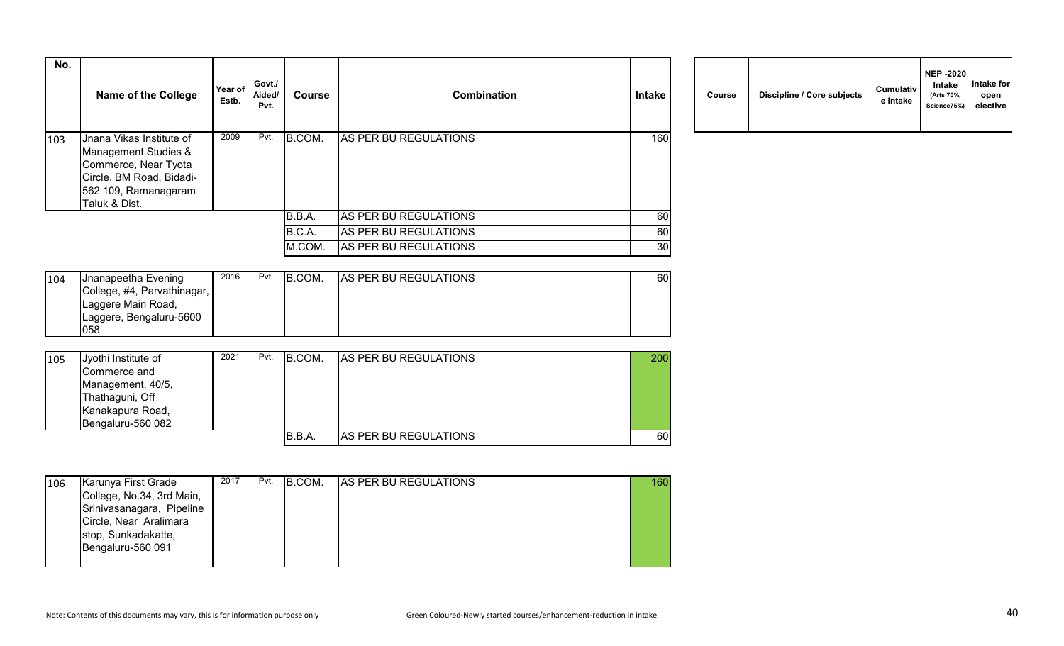| No. | Name of the College                                                                                                                           | Year of<br>Estb. | Govt./<br>Aided/<br>Pvt. | <b>Course</b> | <b>Combination</b>    | Intake | Course | Discipline / Core subjects | <b>Cumulativ</b><br>e intake |
|-----|-----------------------------------------------------------------------------------------------------------------------------------------------|------------------|--------------------------|---------------|-----------------------|--------|--------|----------------------------|------------------------------|
| 103 | Jnana Vikas Institute of<br>Management Studies &<br>Commerce, Near Tyota<br>Circle, BM Road, Bidadi-<br>562 109, Ramanagaram<br>Taluk & Dist. | 2009             | Pvt.                     | B.COM.        | AS PER BU REGULATIONS | 160    |        |                            |                              |
|     |                                                                                                                                               |                  |                          | B.B.A.        | AS PER BU REGULATIONS | 60I    |        |                            |                              |
|     |                                                                                                                                               |                  |                          | B.C.A.        | AS PER BU REGULATIONS | 60     |        |                            |                              |
|     |                                                                                                                                               |                  |                          | M.COM.        | AS PER BU REGULATIONS | 30     |        |                            |                              |

| Course | Discipline / Core subjects | <b>Cumulativ</b><br>e intake | NEP -2020<br><b>Intake</b><br>(Arts 70%,<br>Science75%) | Intake for<br>open<br>elective |
|--------|----------------------------|------------------------------|---------------------------------------------------------|--------------------------------|
|--------|----------------------------|------------------------------|---------------------------------------------------------|--------------------------------|

| 104 | Jnanapeetha Evening         | 2016 | Pvt. | B.COM. | <b>AS PER BU REGULATIONS</b> | 60I |
|-----|-----------------------------|------|------|--------|------------------------------|-----|
|     | College, #4, Parvathinagar, |      |      |        |                              |     |
|     | Laggere Main Road,          |      |      |        |                              |     |
|     | Laggere, Bengaluru-5600     |      |      |        |                              |     |
|     | 058                         |      |      |        |                              |     |

| 105 | Jyothi Institute of | 2021 | Pvt. | <b>B.COM.</b> | <b>AS PER BU REGULATIONS</b> | 200 |
|-----|---------------------|------|------|---------------|------------------------------|-----|
|     | Commerce and        |      |      |               |                              |     |
|     | Management, 40/5,   |      |      |               |                              |     |
|     | Thathaguni, Off     |      |      |               |                              |     |
|     | Kanakapura Road,    |      |      |               |                              |     |
|     | Bengaluru-560 082   |      |      |               |                              |     |
|     |                     |      |      | B.B.A.        | <b>AS PER BU REGULATIONS</b> | 60  |

| 106 | Karunya First Grade       | 2017 | Pvt. | B.COM. | <b>AS PER BU REGULATIONS</b> | 160 |
|-----|---------------------------|------|------|--------|------------------------------|-----|
|     | College, No.34, 3rd Main, |      |      |        |                              |     |
|     | Srinivasanagara, Pipeline |      |      |        |                              |     |
|     | Circle, Near Aralimara    |      |      |        |                              |     |
|     | stop, Sunkadakatte,       |      |      |        |                              |     |
|     | Bengaluru-560 091         |      |      |        |                              |     |
|     |                           |      |      |        |                              |     |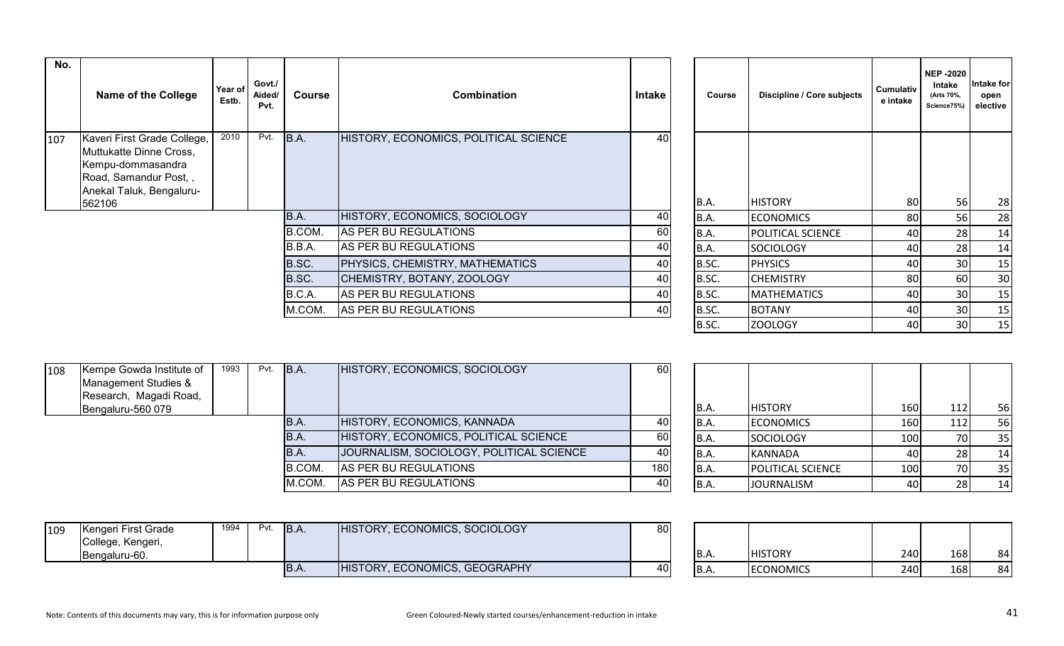| No. |                                                                                                                                  |                  |                          |        |                                       |        |               |                            |                       | <b>NEP-2020</b>                    |                                |
|-----|----------------------------------------------------------------------------------------------------------------------------------|------------------|--------------------------|--------|---------------------------------------|--------|---------------|----------------------------|-----------------------|------------------------------------|--------------------------------|
|     | <b>Name of the College</b>                                                                                                       | Year of<br>Estb. | Govt./<br>Aided/<br>Pvt. | Course | <b>Combination</b>                    | Intake | <b>Course</b> | Discipline / Core subjects | Cumulativ<br>e intake | Intake<br>(Arts 70%,<br>Science75% | Intake for<br>open<br>elective |
| 107 | Kaveri First Grade College,<br>Muttukatte Dinne Cross,<br>Kempu-dommasandra<br>Road, Samandur Post,,<br>Anekal Taluk, Bengaluru- | 2010             | Pvt.                     | B.A.   | HISTORY, ECONOMICS, POLITICAL SCIENCE | 40     |               |                            |                       |                                    |                                |
|     | 562106                                                                                                                           |                  |                          |        |                                       |        | <b>B.A.</b>   | <b>HISTORY</b>             | 80                    | 56                                 | 28                             |
|     |                                                                                                                                  |                  |                          | B.A.   | HISTORY, ECONOMICS, SOCIOLOGY         | 40     | B.A.          | <b>ECONOMICS</b>           | 80                    | 56                                 | 28                             |
|     |                                                                                                                                  |                  |                          | B.COM. | AS PER BU REGULATIONS                 | 60     | B.A.          | POLITICAL SCIENCE          | 40                    | 28                                 | 14                             |
|     |                                                                                                                                  |                  |                          | B.B.A. | AS PER BU REGULATIONS                 | 40     | B.A.          | <b>SOCIOLOGY</b>           | 40                    | 28                                 | 14                             |
|     |                                                                                                                                  |                  |                          | B.SC.  | PHYSICS, CHEMISTRY, MATHEMATICS       | 40     | B.SC.         | <b>PHYSICS</b>             | 40                    | 30                                 | 15                             |
|     |                                                                                                                                  |                  |                          | B.SC.  | CHEMISTRY, BOTANY, ZOOLOGY            | 40     | B.SC.         | <b>CHEMISTRY</b>           | 80                    | 60                                 | 30                             |
|     |                                                                                                                                  |                  |                          | B.C.A. | AS PER BU REGULATIONS                 | 40     | B.SC.         | <b>MATHEMATICS</b>         | 40                    | 30                                 | 15                             |
|     |                                                                                                                                  |                  |                          | M.COM. | AS PER BU REGULATIONS                 | 40     | B.SC.         | <b>BOTANY</b>              | 40                    | 30                                 | 15                             |
|     |                                                                                                                                  |                  |                          |        |                                       |        | B.SC.         | <b>ZOOLOGY</b>             | 40                    | 30                                 | 15                             |

| 108 | Kempe Gowda Institute of<br>Management Studies &<br>Research, Magadi Road, | 1993 | $Pvt.$ B.A. |        | HISTORY, ECONOMICS, SOCIOLOGY            | 60  |       |                          |       |    |
|-----|----------------------------------------------------------------------------|------|-------------|--------|------------------------------------------|-----|-------|--------------------------|-------|----|
|     | Bengaluru-560 079                                                          |      |             |        |                                          |     | IB.A. | <b>HISTORY</b>           | 160   | 56 |
|     |                                                                            |      |             | IB.A.  | HISTORY, ECONOMICS, KANNADA              | 40  | IB.A. | <b>ECONOMICS</b>         | 160 l | 56 |
|     |                                                                            |      |             | IB.A.  | HISTORY, ECONOMICS, POLITICAL SCIENCE    | -60 | IB.A. | SOCIOLOGY                | 100   | 35 |
|     |                                                                            |      |             | B.A.   | JOURNALISM, SOCIOLOGY, POLITICAL SCIENCE | 40  | IB.A. | KANNADA                  | 40 I  | 14 |
|     |                                                                            |      |             | B.COM. | AS PER BU REGULATIONS                    | 180 | IB.A. | <b>POLITICAL SCIENCE</b> | 100   | 35 |
|     |                                                                            |      |             | M.COM. | AS PER BU REGULATIONS                    | 40  | IB.A  | <b>JOURNALISM</b>        | 401   | 14 |

| B.A. | <b>HISTORY</b>    | 160 | 112 | 56 |
|------|-------------------|-----|-----|----|
| B.A. | <b>ECONOMICS</b>  | 160 | 112 | 56 |
| B.A. | <b>SOCIOLOGY</b>  | 100 | 70  | 35 |
| B.A. | <b>KANNADA</b>    | 40  | 28  | 14 |
| B.A. | POLITICAL SCIENCE | 100 | 70  | 35 |
| B.A. | <b>JOURNALISM</b> | 40  | 28  | 14 |

| 109 | Kengeri First Grade<br>, Kengeri,<br>College,<br>Bengaluru-60. | 1994 | Pvt. | IB.A | HISTORY, ECONOMICS, SOCIOLOGY | 80 | IB.A. | <b>HISTORY</b>   | 240 | 168 | 84 |
|-----|----------------------------------------------------------------|------|------|------|-------------------------------|----|-------|------------------|-----|-----|----|
|     |                                                                |      |      | D.A. | HISTORY, ECONOMICS, GEOGRAPHY | 40 | B.A.  | <b>ECONOMICS</b> | 240 | 168 | 84 |

| <b>B.A.</b> | <b>HISTORY</b>   | 240 | 168 | 84 |
|-------------|------------------|-----|-----|----|
| <b>B.A.</b> | <b>ECONOMICS</b> | 240 | 168 | 84 |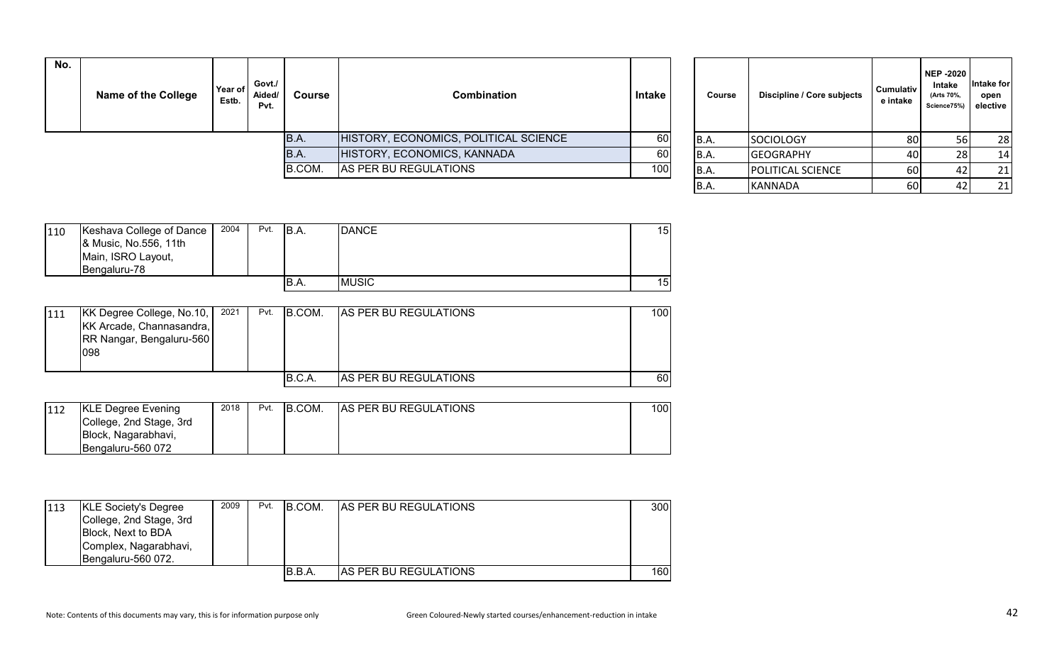| No. | Name of the College | Year of<br>Estb. | Govt./<br>Aided/<br>Pvt. | Course | Combination                           | Intake | Course | Discipline / Core subjects        | <b>Cumulativ</b><br>e intake | NEP -2020<br><b>Intake</b><br>(Arts 70%,<br>Science75%) | ntake for<br>open<br>elective |
|-----|---------------------|------------------|--------------------------|--------|---------------------------------------|--------|--------|-----------------------------------|------------------------------|---------------------------------------------------------|-------------------------------|
|     |                     |                  |                          | B.A.   | HISTORY, ECONOMICS, POLITICAL SCIENCE | 60     | B.A.   | SOCIOLOGY                         | 80                           |                                                         | 28                            |
|     |                     |                  |                          | B.A.   | HISTORY, ECONOMICS, KANNADA           | 60     | B.A.   | <b>GEOGRAPHY</b>                  | 40I                          |                                                         | 14                            |
|     |                     |                  |                          | B.COM. | AS PER BU REGULATIONS                 | 100    | IB.A.  | <b>POLITICAL SCIENCE</b>          | 60                           |                                                         | 21                            |
|     |                     |                  |                          |        |                                       |        |        | $I$ <i>ii</i> A Nini A $\Gamma$ A | $\sim$                       | $\sqrt{2}$                                              | $\mathbf{a}$                  |

| Course      | Discipline / Core subjects | <b>Cumulativ</b><br>e intake | <b>NEP-2020</b><br>Intake<br>(Arts 70%,<br>Science75%) | Intake for<br>open<br>elective |
|-------------|----------------------------|------------------------------|--------------------------------------------------------|--------------------------------|
| B.A.        | <b>SOCIOLOGY</b>           | 80                           | 56                                                     | 28                             |
| B.A.        | <b>GEOGRAPHY</b>           | 40                           | 28                                                     | 14                             |
| <b>B.A.</b> | POLITICAL SCIENCE          | 60                           | 42                                                     | 21                             |
| B.A.        | <b>KANNADA</b>             | 60                           | 42                                                     | 21                             |

| 110 | Keshava College of Dance<br>& Music, No.556, 11th<br>Main, ISRO Layout,<br>Bengaluru-78 | 2004 | Pvt. | IB.A. | <b>DANCE</b> | 15 |
|-----|-----------------------------------------------------------------------------------------|------|------|-------|--------------|----|
|     |                                                                                         |      |      | IB.A. | <b>MUSIC</b> | 15 |

| 111 | KK Degree College, No.10,<br>KK Arcade, Channasandra,<br>RR Nangar, Bengaluru-560<br>098 | 2021 | Pvt. | IB.COM. | <b>AS PER BU REGULATIONS</b> | 100I |
|-----|------------------------------------------------------------------------------------------|------|------|---------|------------------------------|------|
|     |                                                                                          |      |      | B.C.A.  | <b>AS PER BU REGULATIONS</b> | 60 I |

| 112 | <b>KLE Degree Evening</b> | 2018 | Pvt. | B.COM. | <b>AS PER BU REGULATIONS</b> | 100 |
|-----|---------------------------|------|------|--------|------------------------------|-----|
|     | College, 2nd Stage, 3rd   |      |      |        |                              |     |
|     | Block, Nagarabhavi,       |      |      |        |                              |     |
|     | IBengaluru-560 072        |      |      |        |                              |     |

| 113 | <b>KLE Society's Degree</b><br>College, 2nd Stage, 3rd<br>Block, Next to BDA<br>Complex, Nagarabhavi,<br>Bengaluru-560 072. | 2009 | Pvt. | IB.COM. | <b>AS PER BU REGULATIONS</b> | 300  |
|-----|-----------------------------------------------------------------------------------------------------------------------------|------|------|---------|------------------------------|------|
|     |                                                                                                                             |      |      | B.B.A.  | <b>AS PER BU REGULATIONS</b> | 160I |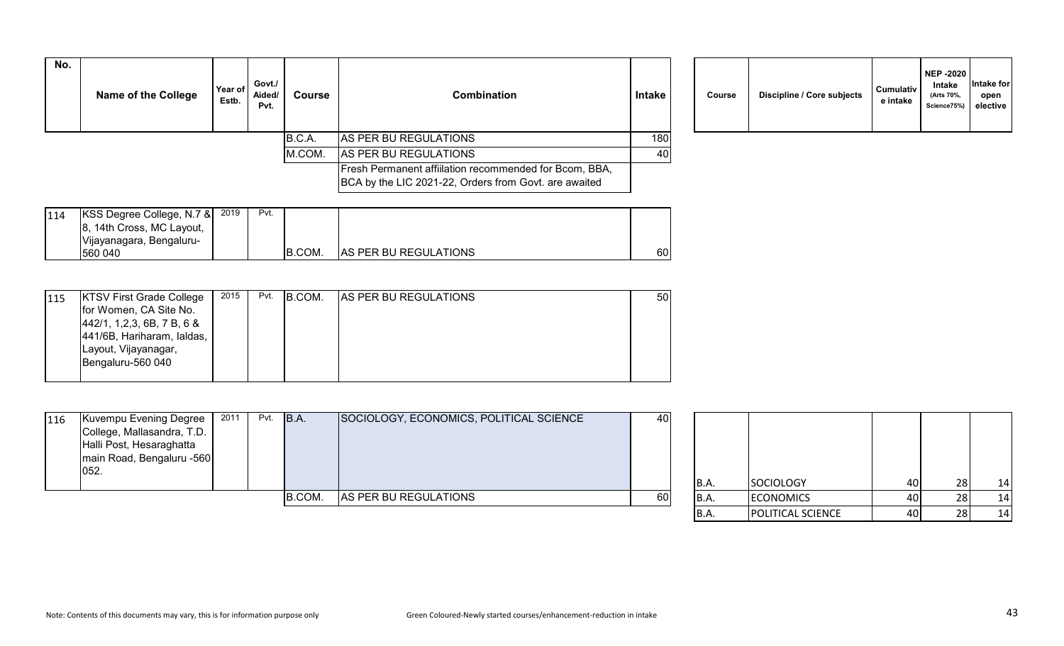| No. | <b>Name of the College</b> | Year of<br>Estb. | Govt./<br>Aided/<br>Pvt. | Course | <b>Combination</b>                                                                                              | <b>Intake</b> | <b>Course</b> | Discipline / Core subjects | <b>Cumulativ</b><br>e intake |
|-----|----------------------------|------------------|--------------------------|--------|-----------------------------------------------------------------------------------------------------------------|---------------|---------------|----------------------------|------------------------------|
|     |                            |                  |                          | B.C.A. | AS PER BU REGULATIONS                                                                                           | 180           |               |                            |                              |
|     |                            |                  |                          | M.COM. | AS PER BU REGULATIONS                                                                                           | 40            |               |                            |                              |
|     |                            |                  |                          |        | Fresh Permanent affiliation recommended for Bcom, BBA,<br>BCA by the LIC 2021-22, Orders from Govt. are awaited |               |               |                            |                              |

| Course | Discipline / Core subjects | <b>Cumulativ</b><br>e intake | <b>NEP -2020</b><br>Intake<br>(Arts 70%,<br>Science75%) | Intake for<br>open<br>elective |
|--------|----------------------------|------------------------------|---------------------------------------------------------|--------------------------------|
|--------|----------------------------|------------------------------|---------------------------------------------------------|--------------------------------|

| 114 | KSS Degree College, N.7 & | 2019 | Pvt. |                |                              |      |
|-----|---------------------------|------|------|----------------|------------------------------|------|
|     | 8, 14th Cross, MC Layout, |      |      |                |                              |      |
|     | Vijayanagara, Bengaluru-  |      |      |                |                              |      |
|     | 560 040                   |      |      | <b>IB.COM.</b> | <b>AS PER BU REGULATIONS</b> | 60 I |

| 115 | <b>KTSV First Grade College</b>                                                                                                   | 2015 | Pvt. | B.COM. | <b>AS PER BU REGULATIONS</b> | 50 |
|-----|-----------------------------------------------------------------------------------------------------------------------------------|------|------|--------|------------------------------|----|
|     | for Women, CA Site No.<br>[442/1, 1, 2, 3, 6B, 7B, 68]<br>441/6B, Hariharam, laldas,<br>Layout, Vijayanagar,<br>Bengaluru-560 040 |      |      |        |                              |    |
|     |                                                                                                                                   |      |      |        |                              |    |

| 116<br>052. | Kuvempu Evening Degree<br>College, Mallasandra, T.D.<br>Halli Post, Hesaraghatta<br>main Road, Bengaluru -560 | 2011 | Pvt. | B.A.          | SOCIOLOGY, ECONOMICS, POLITICAL SCIENCE | 40 | IB.A. | SOCIOLOGY        | 40   | 14 |
|-------------|---------------------------------------------------------------------------------------------------------------|------|------|---------------|-----------------------------------------|----|-------|------------------|------|----|
|             |                                                                                                               |      |      | <b>B.COM.</b> | AS PER BU REGULATIONS                   | 60 | B.A.  | <b>ECONOMICS</b> | 40 I | 14 |

| B.A. | <b>SOCIOLOGY</b>  | 40 | 28 | 14 |
|------|-------------------|----|----|----|
| B.A. | <b>ECONOMICS</b>  | 40 | 28 | 14 |
| B.A. | POLITICAL SCIENCE |    | 28 | 14 |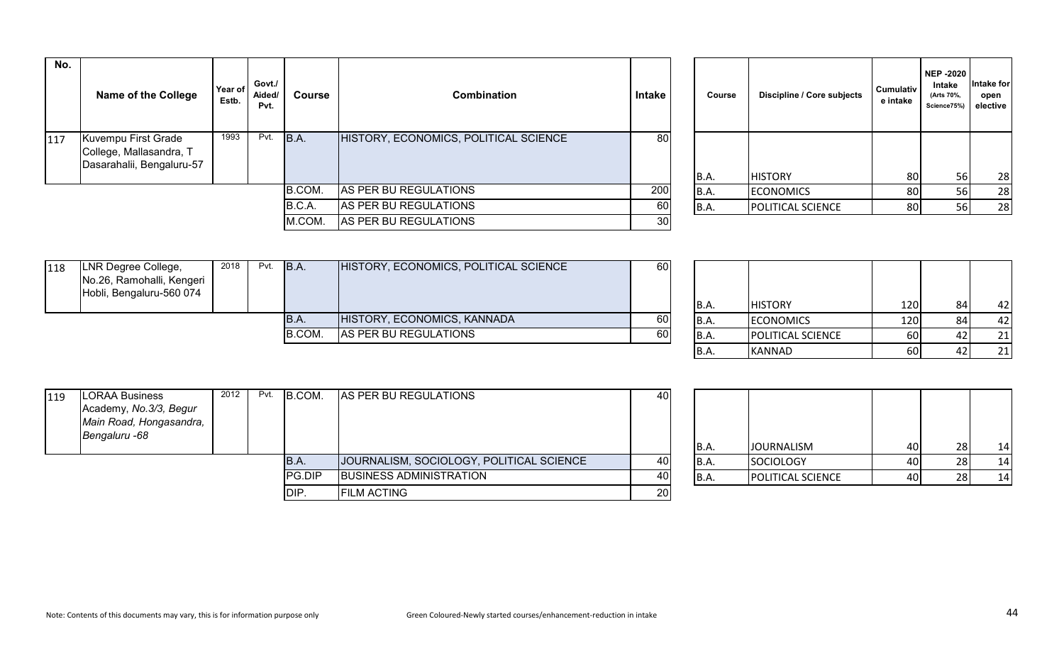| No. | Name of the College                                            | Year of I<br>Estb. | Govt./<br>Aided/<br>Pvt. | Course                                | <b>Combination</b>    | Intake          | Course | Discipline / Core subjects | <b>Cumulativ</b><br>e intake | NEP -2020<br>Intake<br>(Arts 70%,<br>Science75%) | Intake for<br>open<br>elective |
|-----|----------------------------------------------------------------|--------------------|--------------------------|---------------------------------------|-----------------------|-----------------|--------|----------------------------|------------------------------|--------------------------------------------------|--------------------------------|
| 117 | 1993<br>Kuvempu First Grade<br>Pvt.<br>College, Mallasandra, T |                    | B.A.                     | HISTORY, ECONOMICS, POLITICAL SCIENCE | 80                    |                 |        |                            |                              |                                                  |                                |
|     | Dasarahalii, Bengaluru-57                                      |                    |                          |                                       |                       |                 |        |                            |                              |                                                  |                                |
|     |                                                                |                    |                          |                                       |                       |                 | B.A.   | <b>HISTORY</b>             | 80                           | 56                                               | 28                             |
|     |                                                                |                    |                          | B.COM.                                | AS PER BU REGULATIONS | 200             | B.A.   | <b>ECONOMICS</b>           | 80                           | 56                                               | 28                             |
|     |                                                                |                    |                          | B.C.A.                                | AS PER BU REGULATIONS | 60              | B.A.   | <b>POLITICAL SCIENCE</b>   | 80                           | 56I                                              | 28                             |
|     |                                                                |                    |                          | M.COM.                                | AS PER BU REGULATIONS | 30 <sub>l</sub> |        |                            |                              |                                                  |                                |

| Course | Discipline / Core subjects | <b>Cumulativ</b><br>e intake | <b>NEP -2020</b><br>Intake<br>(Arts 70%,<br>Science75%) | Intake for<br>open<br>elective |
|--------|----------------------------|------------------------------|---------------------------------------------------------|--------------------------------|
|        |                            |                              |                                                         |                                |
| B.A.   | <b>HISTORY</b>             | 80                           | 56                                                      | 28                             |
| B.A.   | <b>ECONOMICS</b>           | 80                           | 56                                                      | 28                             |
| B.A.   | POLITICAL SCIENCE          | 80                           | 56                                                      | 28                             |

| 118 | LNR Degree College,<br>No.26, Ramohalli, Kengeri<br>Hobli, Bengaluru-560 074 | 2018 | Pvt.   | B.A.                        | HISTORY, ECONOMICS, POLITICAL SCIENCE | 60   |                          |                |       |     |
|-----|------------------------------------------------------------------------------|------|--------|-----------------------------|---------------------------------------|------|--------------------------|----------------|-------|-----|
|     |                                                                              |      |        |                             |                                       |      | IB.A.                    | <b>HISTORY</b> | 120 l | 42  |
|     | IB.A.                                                                        |      |        | HISTORY, ECONOMICS, KANNADA | 60                                    | B.A. | <b>ECONOMICS</b>         | 120            | 42    |     |
|     |                                                                              |      | B.COM. | AS PER BU REGULATIONS       | 60                                    | B.A. | <b>POLITICAL SCIENCE</b> | 60 l           | 21    |     |
|     |                                                                              |      |        |                             |                                       |      |                          | .              | $-1$  | - - |

| <b>B.A.</b> | <b>HISTORY</b>    | 120 | 84 | 42 |
|-------------|-------------------|-----|----|----|
| <b>B.A.</b> | <b>ECONOMICS</b>  | 120 | 84 | 42 |
| <b>B.A.</b> | POLITICAL SCIENCE | 60  | 42 | 21 |
| B.A.        | <b>KANNAD</b>     | 60  | 42 |    |

| 119 | <b>LORAA Business</b><br>Academy, No.3/3, Begur<br>Main Road, Hongasandra,<br>Bengaluru -68 | 2012   | Pvt.                           | B.COM.                                   | AS PER BU REGULATIONS | 40                       |                  |                   |      |    |
|-----|---------------------------------------------------------------------------------------------|--------|--------------------------------|------------------------------------------|-----------------------|--------------------------|------------------|-------------------|------|----|
|     |                                                                                             |        |                                |                                          |                       |                          | IB.A.            | <b>JOURNALISM</b> | 40 l | 14 |
|     | IB.A.                                                                                       |        |                                | JOURNALISM, SOCIOLOGY, POLITICAL SCIENCE | 40                    | B.A.                     | <b>SOCIOLOGY</b> | 40 I              | 14   |    |
|     |                                                                                             | PG.DIP | <b>BUSINESS ADMINISTRATION</b> | 40                                       | B.A.                  | <b>POLITICAL SCIENCE</b> | 40 I             | 14                |      |    |
|     |                                                                                             |        |                                | DIP.                                     | <b>FILM ACTING</b>    | 20                       |                  |                   |      |    |

| B.A. | <b>JOURNALISM</b> | 40 | 28 | 14 |
|------|-------------------|----|----|----|
| B.A. | <b>SOCIOLOGY</b>  |    | 28 | 14 |
| B.A. | POLITICAL SCIENCE |    | 28 | 14 |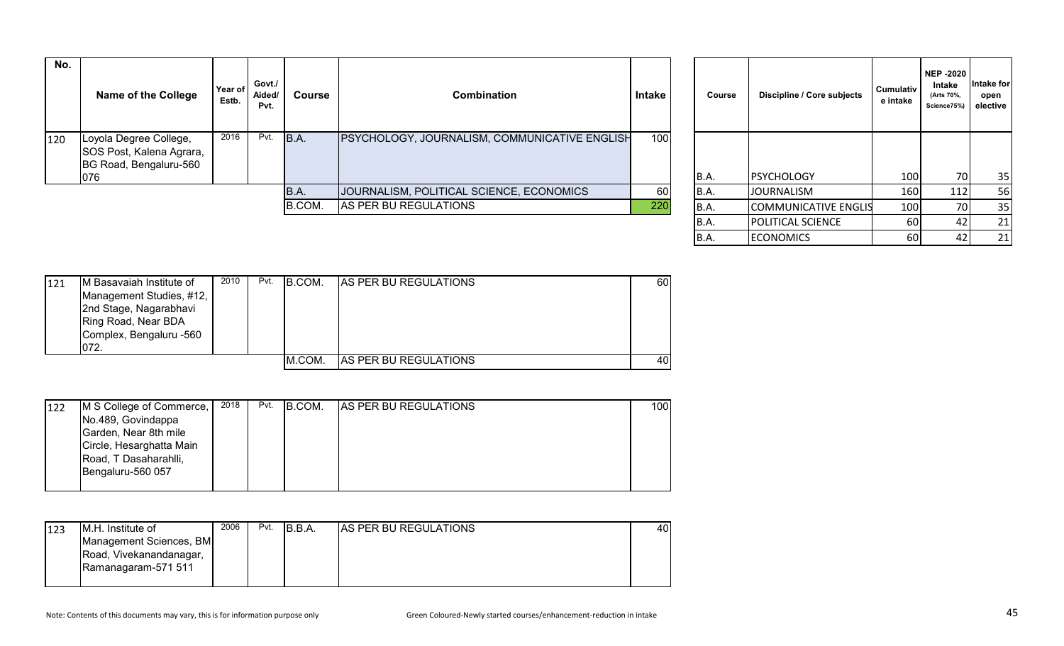| No. | <b>Name of the College</b>                                                          | Year of<br>Estb. | Govt./<br>Aided/<br>Pvt. | Course | <b>Combination</b>                                   | Intake | Course | Discipline / Core subjects | Cumulativ<br>e intake | NEP -2020<br>Intake<br>(Arts 70%,<br>Science75%) | Intake for<br>open<br>elective |
|-----|-------------------------------------------------------------------------------------|------------------|--------------------------|--------|------------------------------------------------------|--------|--------|----------------------------|-----------------------|--------------------------------------------------|--------------------------------|
| 120 | Loyola Degree College,<br>SOS Post, Kalena Agrara,<br>BG Road, Bengaluru-560<br>076 | 2016             | Pvt.                     | B.A.   | <b>PSYCHOLOGY, JOURNALISM, COMMUNICATIVE ENGLISH</b> | 100    | B.A.   | <b>PSYCHOLOGY</b>          | 100                   | 70 <sup>1</sup>                                  | 35                             |
|     |                                                                                     |                  |                          | B.A.   | JOURNALISM, POLITICAL SCIENCE, ECONOMICS             | 60     | B.A.   | <b>JOURNALISM</b>          | 160                   | 112                                              | 56                             |
|     |                                                                                     |                  |                          | B.COM. | AS PER BU REGULATIONS                                | 220    | B.A.   | COMMUNICATIVE ENGLIS       | 100                   |                                                  | 35                             |
|     |                                                                                     |                  |                          |        |                                                      |        |        | <b>IPOLITICAL SCIENCE</b>  | 60 I                  | 421                                              | 21                             |

| Course | Discipline / Core subjects  | Cumulativ<br>e intake | <b>NEP -2020</b><br>Intake<br>(Arts 70%,<br>Science75%) | Intake for<br>open<br>elective |
|--------|-----------------------------|-----------------------|---------------------------------------------------------|--------------------------------|
| B.A.   | <b>PSYCHOLOGY</b>           | 100                   | 70                                                      | 35                             |
| B.A.   | <b>JOURNALISM</b>           | 160                   | 112                                                     | 56                             |
| B.A.   | <b>COMMUNICATIVE ENGLIS</b> | 100                   | 70                                                      | 35                             |
| B.A.   | POLITICAL SCIENCE           | 60                    | 42                                                      | 21                             |
| B.A.   | <b>ECONOMICS</b>            | 60                    | 42                                                      | 21                             |

| 121 | IM Basavaiah Institute of | 2010 | Pvt. | B.COM. | <b>AS PER BU REGULATIONS</b> | 60 |
|-----|---------------------------|------|------|--------|------------------------------|----|
|     | Management Studies, #12,  |      |      |        |                              |    |
|     | 2nd Stage, Nagarabhavi    |      |      |        |                              |    |
|     | Ring Road, Near BDA       |      |      |        |                              |    |
|     | Complex, Bengaluru -560   |      |      |        |                              |    |
|     | 072.                      |      |      |        |                              |    |
|     |                           |      |      | M.COM. | <b>AS PER BU REGULATIONS</b> | 40 |

| 122 | M S College of Commerce, | 2018 | Pvt. | B.COM. | <b>AS PER BU REGULATIONS</b> | 100 |
|-----|--------------------------|------|------|--------|------------------------------|-----|
|     | No.489, Govindappa       |      |      |        |                              |     |
|     | Garden, Near 8th mile    |      |      |        |                              |     |
|     | Circle, Hesarghatta Main |      |      |        |                              |     |
|     | Road, T Dasaharahlli,    |      |      |        |                              |     |
|     | Bengaluru-560 057        |      |      |        |                              |     |
|     |                          |      |      |        |                              |     |

| 123 | IM.H. Institute of      | 2006 | Pvt. | IB.B.A. | AS PER BU REGULATIONS | 40 |
|-----|-------------------------|------|------|---------|-----------------------|----|
|     | Management Sciences, BM |      |      |         |                       |    |
|     | Road, Vivekanandanagar, |      |      |         |                       |    |
|     | Ramanagaram-571 511     |      |      |         |                       |    |
|     |                         |      |      |         |                       |    |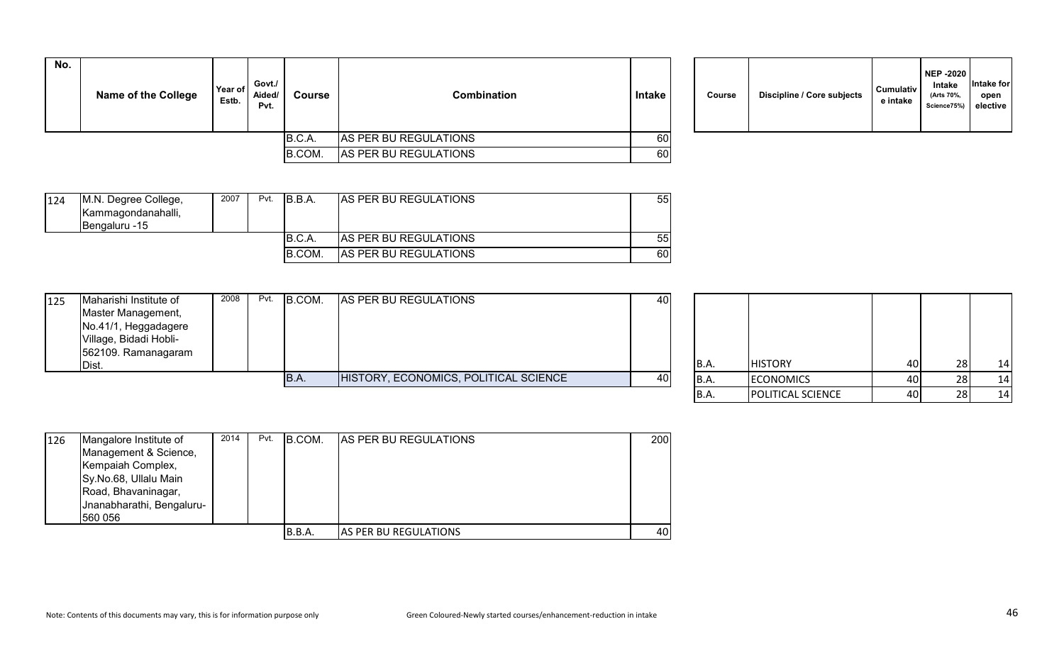| No. | <b>Name of the College</b> | Year of<br>Estb. | Govt./<br>Aided/<br>Pvt. | Course | Combination           | Intake |  | Course | <b>Discipline / Core subjects</b> | <b>Cumulativ</b><br>e intake |
|-----|----------------------------|------------------|--------------------------|--------|-----------------------|--------|--|--------|-----------------------------------|------------------------------|
|     |                            |                  |                          | B.C.A. | AS PER BU REGULATIONS | 60     |  |        |                                   |                              |
|     |                            |                  |                          | B.COM. | AS PER BU REGULATIONS | 60     |  |        |                                   |                              |

| Course | Discipline / Core subjects | <b>Cumulativ</b><br>e intake | <b>NEP -2020</b><br><b>Intake</b><br>(Arts 70%,<br>Science75%) | <b>Intake for</b><br>open<br>elective |  |
|--------|----------------------------|------------------------------|----------------------------------------------------------------|---------------------------------------|--|
|--------|----------------------------|------------------------------|----------------------------------------------------------------|---------------------------------------|--|

| 124 | M.N. Degree College, | 2007 | Pvt. | B.B.A.  | <b>AS PER BU REGULATIONS</b> | 55 |
|-----|----------------------|------|------|---------|------------------------------|----|
|     | Kammagondanahalli,   |      |      |         |                              |    |
|     | IBengaluru -15       |      |      |         |                              |    |
|     |                      |      |      | B.C.A.  | AS PER BU REGULATIONS        | 55 |
|     |                      |      |      | IB.COM. | <b>AS PER BU REGULATIONS</b> | 60 |

| 125 | Maharishi Institute of<br>Master Management,<br>No.41/1, Heggadagere<br>Village, Bidadi Hobli-<br>562109. Ramanagaram | 2008 | Pvt. B.COM. | AS PER BU REGULATIONS                 | 40 |      |                  |      |    |
|-----|-----------------------------------------------------------------------------------------------------------------------|------|-------------|---------------------------------------|----|------|------------------|------|----|
|     | Dist.                                                                                                                 |      |             |                                       |    | B.A. | <b>HISTORY</b>   | 40I  | 14 |
|     |                                                                                                                       |      | B.A.        | HISTORY, ECONOMICS, POLITICAL SCIENCE | 40 | B.A. | <b>ECONOMICS</b> | 40 I | 14 |
|     |                                                                                                                       |      |             |                                       |    |      |                  |      |    |

| <b>B.A.</b> | <b>HISTORY</b>    | 40 | 28 | 14 |
|-------------|-------------------|----|----|----|
| B.A.        | <b>ECONOMICS</b>  | 40 | 28 | 14 |
| B.A.        | POLITICAL SCIENCE | 40 | 28 | 14 |

| 126 | Mangalore Institute of    | 2014 | Pvt. | <b>B.COM.</b> | <b>AS PER BU REGULATIONS</b>  | 200 |
|-----|---------------------------|------|------|---------------|-------------------------------|-----|
|     | Management & Science,     |      |      |               |                               |     |
|     | Kempaiah Complex,         |      |      |               |                               |     |
|     | Sy.No.68, Ullalu Main     |      |      |               |                               |     |
|     | Road, Bhavaninagar,       |      |      |               |                               |     |
|     | Jnanabharathi, Bengaluru- |      |      |               |                               |     |
|     | 560 056                   |      |      |               |                               |     |
|     |                           |      |      | B.B.A.        | <b>IAS PER BU REGULATIONS</b> | 40  |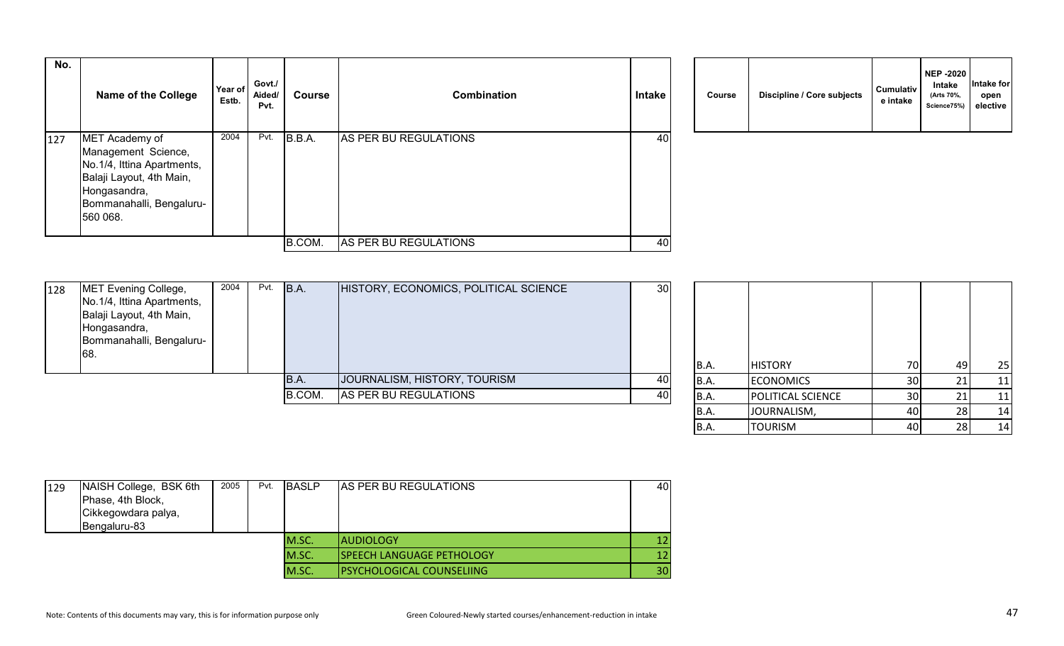| No. | <b>Name of the College</b>                                                                                                                              | Year of<br>Estb. | Govt./<br>Aided/<br>Pvt. | Course | <b>Combination</b>    | Intake | Course | Discipline / Core subjects | <b>Cumulativ</b><br>e intake |
|-----|---------------------------------------------------------------------------------------------------------------------------------------------------------|------------------|--------------------------|--------|-----------------------|--------|--------|----------------------------|------------------------------|
| 127 | MET Academy of<br>Management Science,<br>No.1/4, Ittina Apartments,<br>Balaji Layout, 4th Main,<br>Hongasandra,<br>Bommanahalli, Bengaluru-<br>560 068. | 2004             | Pvt.                     | B.B.A. | AS PER BU REGULATIONS | 40     |        |                            |                              |
|     |                                                                                                                                                         |                  |                          | B.COM. | AS PER BU REGULATIONS | 40     |        |                            |                              |

|  | Course | Discipline / Core subjects | <b>Cumulativ</b><br>e intake | <b>NEP -2020</b><br><b>Intake</b><br>(Arts 70%,<br>Science75%) | Intake for<br>open<br>elective |
|--|--------|----------------------------|------------------------------|----------------------------------------------------------------|--------------------------------|
|--|--------|----------------------------|------------------------------|----------------------------------------------------------------|--------------------------------|

| MET Evening College,<br>128 | 2004 | Pvt. | B.A.   | HISTORY, ECONOMICS, POLITICAL SCIENCE | 30 |       |                          |                 |     |    |
|-----------------------------|------|------|--------|---------------------------------------|----|-------|--------------------------|-----------------|-----|----|
| No.1/4, Ittina Apartments,  |      |      |        |                                       |    |       |                          |                 |     |    |
| Balaji Layout, 4th Main,    |      |      |        |                                       |    |       |                          |                 |     |    |
| Hongasandra,                |      |      |        |                                       |    |       |                          |                 |     |    |
| Bommanahalli, Bengaluru-    |      |      |        |                                       |    |       |                          |                 |     |    |
| 68.                         |      |      |        |                                       |    |       |                          |                 |     |    |
|                             |      |      |        |                                       |    | B.A.  | <b>HISTORY</b>           | 70              |     | 25 |
|                             |      |      | 'B.A.  | JOURNALISM, HISTORY, TOURISM          |    | IB.A. | <b>ECONOMICS</b>         | 30 <sup>1</sup> |     | 11 |
|                             |      |      | B.COM. | AS PER BU REGULATIONS                 | 40 | B.A.  | <b>POLITICAL SCIENCE</b> | 30 <sup>1</sup> |     | 11 |
|                             |      |      |        |                                       |    | IB.A  | LJOURNALISM.             | 40 l            | 281 | 14 |

| <b>B.A.</b> | <b>HISTORY</b>    | 70 | 49 | 25 |
|-------------|-------------------|----|----|----|
| B.A.        | <b>ECONOMICS</b>  | 30 | 21 | 11 |
| B.A.        | POLITICAL SCIENCE | 30 | 21 | 11 |
| B.A.        | JOURNALISM,       | 40 | 28 | 14 |
| B.A.        | <b>TOURISM</b>    | 40 | 28 | 14 |

| 129 | NAISH College, BSK 6th<br>Phase, 4th Block,<br>Cikkegowdara palya,<br>Bengaluru-83 | 2005 | Pvt. | <b>BASLP</b> | <b>AS PER BU REGULATIONS</b>     | 40 |
|-----|------------------------------------------------------------------------------------|------|------|--------------|----------------------------------|----|
|     |                                                                                    |      |      | M.SC.        | IAUDIOLOGY                       | 12 |
|     |                                                                                    |      |      | M.SC.        | <b>SPEECH LANGUAGE PETHOLOGY</b> | 12 |
|     |                                                                                    |      |      | M.SC.        | <b>PSYCHOLOGICAL COUNSELIING</b> | 30 |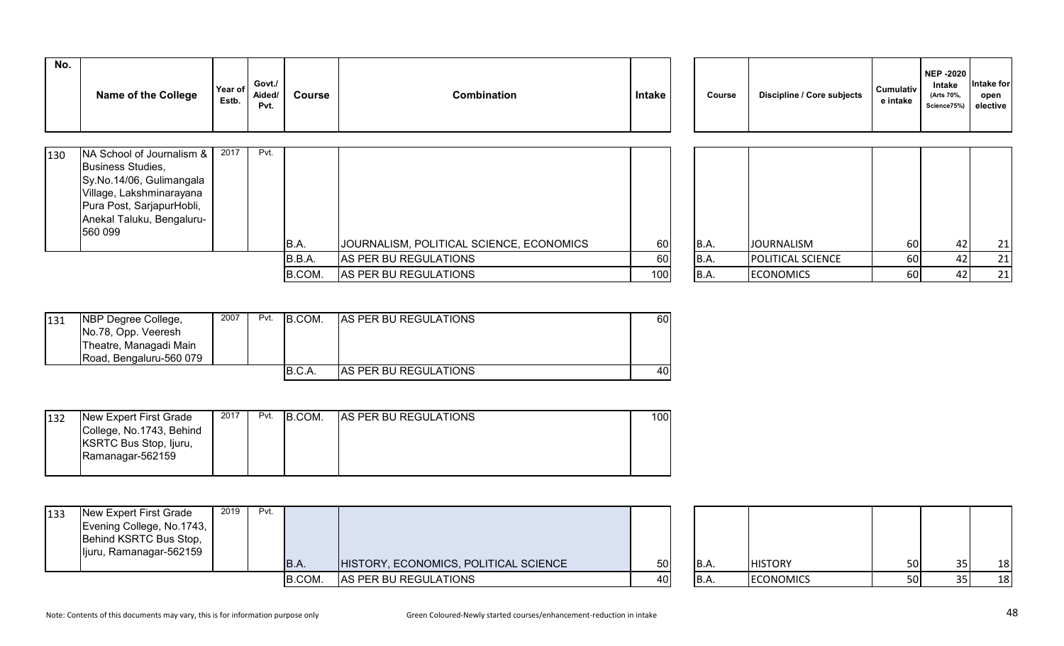| No. | <b>Name of the College</b>                                                                                                                                                  | Year of<br>Estb. | Govt./<br>Aided/<br>Pvt. | <b>Course</b> | <b>Combination</b>                       | <b>Intake</b> | Course | Discipline / Core subjects | Cumulativ<br>e intake | <b>NEP -2020</b><br>Intake<br>(Arts 70%,<br>Science75%) | Intake for<br>open<br>elective |
|-----|-----------------------------------------------------------------------------------------------------------------------------------------------------------------------------|------------------|--------------------------|---------------|------------------------------------------|---------------|--------|----------------------------|-----------------------|---------------------------------------------------------|--------------------------------|
| 130 | NA School of Journalism &<br>Business Studies,<br>Sy.No.14/06, Gulimangala<br>Village, Lakshminarayana<br>Pura Post, SarjapurHobli,<br>Anekal Taluku, Bengaluru-<br>560 099 | 2017             | Pvt.                     | B.A.          | JOURNALISM, POLITICAL SCIENCE, ECONOMICS | 60            | B.A.   | <b>JOURNALISM</b>          | 60                    | 42                                                      | 21                             |
|     |                                                                                                                                                                             |                  |                          | B.B.A.        | AS PER BU REGULATIONS                    | 60            | B.A.   | <b>POLITICAL SCIENCE</b>   | 60                    | 42                                                      | 21                             |
|     |                                                                                                                                                                             |                  |                          | B.COM.        | AS PER BU REGULATIONS                    | 100           | B.A.   | <b>ECONOMICS</b>           | 60                    | 42                                                      | 21                             |

| 131 | <b>INBP Degree College,</b><br>No.78, Opp. Veeresh<br>Theatre, Managadi Main<br>IRoad. Bengaluru-560 079 | 2007 | Pvt. | B.COM.  | <b>AS PER BU REGULATIONS</b>  | 60 |
|-----|----------------------------------------------------------------------------------------------------------|------|------|---------|-------------------------------|----|
|     |                                                                                                          |      |      | IB.C.A. | <b>IAS PER BU REGULATIONS</b> | 40 |

| 132 | New Expert First Grade   | 2017 | Pvt. | B.COM. | <b>AS PER BU REGULATIONS</b> | 1001 |
|-----|--------------------------|------|------|--------|------------------------------|------|
|     | College, No.1743, Behind |      |      |        |                              |      |
|     | KSRTC Bus Stop, Ijuru,   |      |      |        |                              |      |
|     | Ramanagar-562159         |      |      |        |                              |      |
|     |                          |      |      |        |                              |      |

| 133 | New Expert First Grade<br>Evening College, No.1743,<br>Behind KSRTC Bus Stop,<br>Ijuru, Ramanagar-562159 | 2019 | Pvt. | B.A    | HISTORY, ECONOMICS, POLITICAL SCIENCE | 50 | B.A | <b>HISTORY</b>   | 50 | 18 |
|-----|----------------------------------------------------------------------------------------------------------|------|------|--------|---------------------------------------|----|-----|------------------|----|----|
|     |                                                                                                          |      |      | B.COM. | AS PER BU REGULATIONS                 | 40 | B.A | <b>ECONOMICS</b> | 50 | 18 |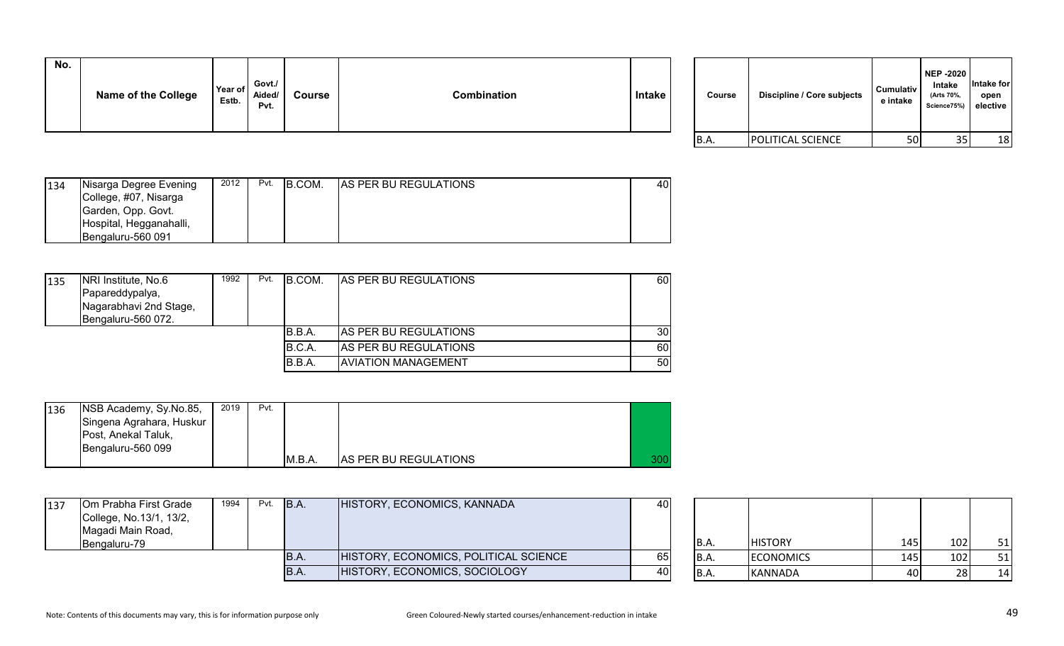| No. | <b>Name of the College</b> | Year of<br>Estb. | Govt./<br>Aided/<br>Pvt. | <b>Course</b> | Combination | <b>Intake</b> | Course | <b>Discipline / Core subjects</b> | <b>Cumulativ</b><br>e intake |
|-----|----------------------------|------------------|--------------------------|---------------|-------------|---------------|--------|-----------------------------------|------------------------------|

| Course | Discipline / Core subjects | <b>Cumulativ</b><br>e intake | <b>NEP -2020</b><br><b>Intake</b><br>(Arts 70%,<br>Science75%) | Intake for<br>open<br>elective |
|--------|----------------------------|------------------------------|----------------------------------------------------------------|--------------------------------|
| B.A.   | <b>POLITICAL SCIENCE</b>   | 50                           | 35                                                             | 18                             |

| 134 | Nisarga Degree Evening  | 2012 | Pvt. | B.COM. | <b>AS PER BU REGULATIONS</b> | 401 |
|-----|-------------------------|------|------|--------|------------------------------|-----|
|     | College, #07, Nisarga   |      |      |        |                              |     |
|     | Garden, Opp. Govt.      |      |      |        |                              |     |
|     | Hospital, Hegganahalli, |      |      |        |                              |     |
|     | Bengaluru-560 091       |      |      |        |                              |     |

| 135 | NRI Institute, No.6    | 1992 | Pvt. | B.COM. | <b>AS PER BU REGULATIONS</b> | 60              |
|-----|------------------------|------|------|--------|------------------------------|-----------------|
|     | Papareddypalya,        |      |      |        |                              |                 |
|     | Nagarabhavi 2nd Stage, |      |      |        |                              |                 |
|     | Bengaluru-560 072.     |      |      |        |                              |                 |
|     |                        |      |      | B.B.A. | <b>AS PER BU REGULATIONS</b> | 30 <sup>1</sup> |
|     |                        |      |      | B.C.A. | <b>AS PER BU REGULATIONS</b> | 60              |
|     |                        |      |      | B.B.A. | <b>AVIATION MANAGEMENT</b>   | 50              |

| 136 | NSB Academy, Sy.No.85,<br>Singena Agrahara, Huskur<br>Post, Anekal Taluk,<br>Bengaluru-560 099 | 2019 | Pvt. |     |                              |     |
|-----|------------------------------------------------------------------------------------------------|------|------|-----|------------------------------|-----|
|     |                                                                                                |      |      | MA. | <b>AS PER BU REGULATIONS</b> | 300 |

| 137 | Om Prabha First Grade<br>College, No.13/1, 13/2,<br>Magadi Main Road,<br>Bengaluru-79 | 1994 | $Pvt.$ $B.A.$ | HISTORY, ECONOMICS, KANNADA           | 40 | IB.A. | <b>HISTORY</b>   | 145 | 102 | 51 |
|-----|---------------------------------------------------------------------------------------|------|---------------|---------------------------------------|----|-------|------------------|-----|-----|----|
|     |                                                                                       |      | B.A.          | HISTORY, ECONOMICS, POLITICAL SCIENCE | 65 |       | <b>ECONOMICS</b> | 145 | 102 | 51 |
|     |                                                                                       |      | IB.A.         | HISTORY, ECONOMICS, SOCIOLOGY         | 40 |       | KANNADA          | 40  |     | 14 |

| B.A. | <b>HISTORY</b>   | 145 | 102 | 51 |
|------|------------------|-----|-----|----|
| B.A. | <b>ECONOMICS</b> | 145 | 102 | 51 |
| B.A. | <b>KANNADA</b>   |     | 28  | 14 |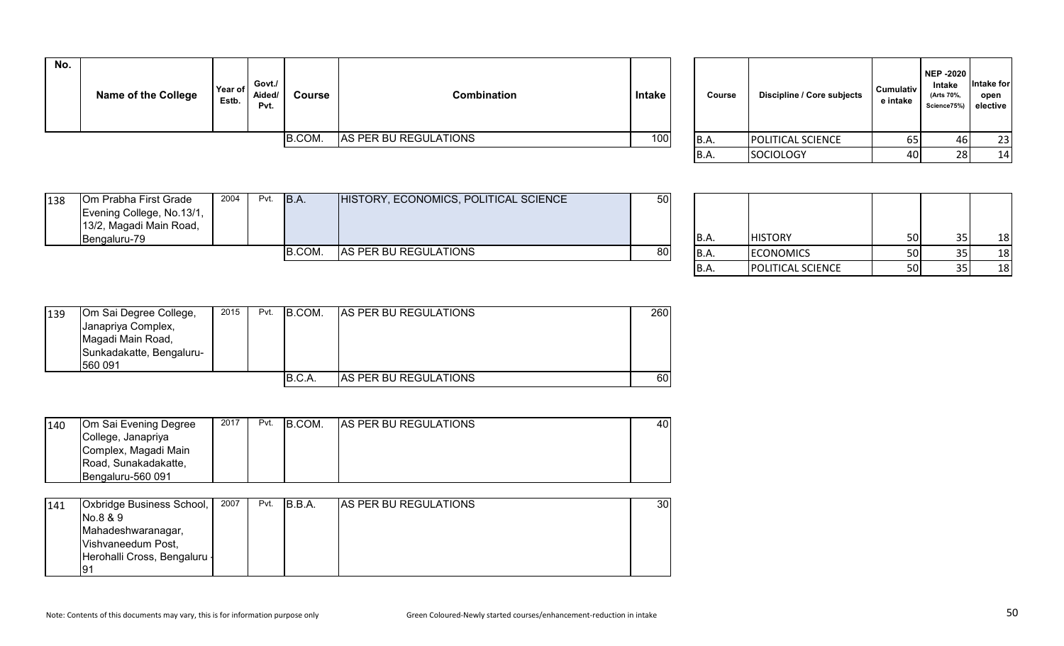| No. | <b>Name of the College</b> | Year of<br>Estb. | Govt./<br>Aided/<br>Pvt. | Course | <b>Combination</b>    | <b>Intake</b> | <b>Course</b> | Discipline / Core subjects | Cumulativ<br>e intake | NEP -2020<br>Intake<br>(Arts 70%,<br>Science75%) elective | Intake for<br>open |
|-----|----------------------------|------------------|--------------------------|--------|-----------------------|---------------|---------------|----------------------------|-----------------------|-----------------------------------------------------------|--------------------|
|     |                            |                  |                          | B.COM. | AS PER BU REGULATIONS | 100           | B.A.          | <b>POLITICAL SCIENCE</b>   | 65                    |                                                           | 23                 |
|     |                            |                  |                          |        |                       |               | <b>ID</b> A   | l                          | $\sim$                | $\sim$                                                    | $\overline{A}$     |

| Course      | Discipline / Core subjects | <b>Cumulativ</b><br>e intake | <b>NEP-2020</b><br>Intake<br>(Arts 70%,<br>Science75%) | Intake for<br>open<br>elective |
|-------------|----------------------------|------------------------------|--------------------------------------------------------|--------------------------------|
| <b>B.A.</b> | POLITICAL SCIENCE          | 65                           | 46                                                     | 23                             |
| B.A.        | <b>SOCIOLOGY</b>           | 40                           | 28                                                     | 14                             |

|     |                           |      | <b>B.COM.</b> | <b>AS PER BU REGULATIONS</b>          | <b>801</b> |  | <b>ECONOMICS</b> | <b>50</b> | 18 |
|-----|---------------------------|------|---------------|---------------------------------------|------------|--|------------------|-----------|----|
|     | <b>Bengaluru-79</b>       |      |               |                                       |            |  | <b>HISTORY</b>   | 50        | 18 |
|     | 13/2, Magadi Main Road,   |      |               |                                       |            |  |                  |           |    |
|     | Evening College, No.13/1, |      |               |                                       |            |  |                  |           |    |
| 138 | Om Prabha First Grade     | 2004 | Pvt. B.A.     | HISTORY, ECONOMICS, POLITICAL SCIENCE | 50         |  |                  |           |    |

| B.A.        | <b>HISTORY</b>           | 50 | 35 | 18 |
|-------------|--------------------------|----|----|----|
| <b>B.A.</b> | <b>ECONOMICS</b>         | 50 | 35 |    |
| B.A.        | <b>POLITICAL SCIENCE</b> | 50 | 35 |    |

| 139 | Om Sai Degree College,<br>Janapriya Complex,<br>Magadi Main Road,<br>Sunkadakatte, Bengaluru-<br>560 091 | 2015 | Pvt. | B.COM. | <b>AS PER BU REGULATIONS</b> | 260 |
|-----|----------------------------------------------------------------------------------------------------------|------|------|--------|------------------------------|-----|
|     |                                                                                                          |      |      | B.C.A  | <b>AS PER BU REGULATIONS</b> | 60  |

| 140 | Om Sai Evening Degree | 2017 | Pvt. | B.COM. | <b>AS PER BU REGULATIONS</b> | 40 I |
|-----|-----------------------|------|------|--------|------------------------------|------|
|     | College, Janapriya    |      |      |        |                              |      |
|     | Complex, Magadi Main  |      |      |        |                              |      |
|     | Road, Sunakadakatte,  |      |      |        |                              |      |
|     | Bengaluru-560 091     |      |      |        |                              |      |

| 141 | <b>Oxbridge Business School,  </b> | 2007 | Pvt. | IB.B.A. | <b>AS PER BU REGULATIONS</b> | 30 |
|-----|------------------------------------|------|------|---------|------------------------------|----|
|     | No.8 & 9                           |      |      |         |                              |    |
|     | Mahadeshwaranagar,                 |      |      |         |                              |    |
|     | Vishvaneedum Post,                 |      |      |         |                              |    |
|     | Herohalli Cross, Bengaluru -       |      |      |         |                              |    |
|     | ۱9٬                                |      |      |         |                              |    |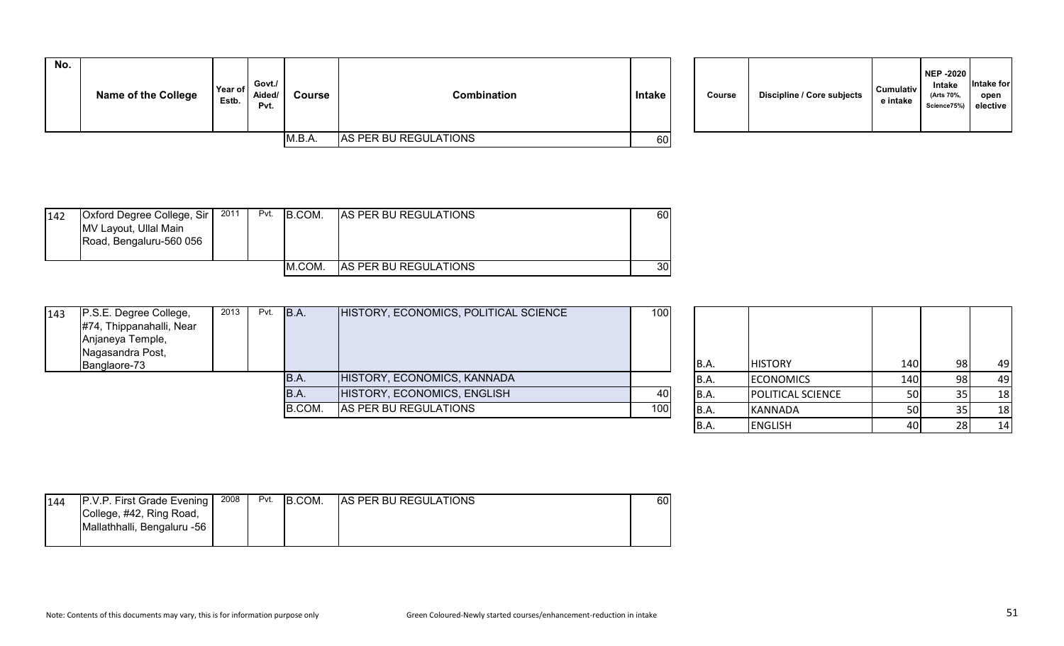| No. | <b>Name of the College</b> | Year of<br>Estb. | Govt./<br>Aided/<br>Pvt. | Course | Combination           | Intake | Course | Discipline / Core subjects | <b>Cumulativ</b><br>e intake |
|-----|----------------------------|------------------|--------------------------|--------|-----------------------|--------|--------|----------------------------|------------------------------|
|     |                            |                  |                          | M.B.A. | AS PER BU REGULATIONS | 60I    |        |                            |                              |

| Course | Discipline / Core subjects | <b>Cumulativ</b><br>e intake | <b>NEP -2020</b><br>Intake<br>(Arts 70%,<br>Science75%) | Intake for<br>open<br>elective |  |
|--------|----------------------------|------------------------------|---------------------------------------------------------|--------------------------------|--|
|--------|----------------------------|------------------------------|---------------------------------------------------------|--------------------------------|--|

| 142 | <b>Oxford Degree College, Sir</b><br>MV Layout, Ullal Main<br>Road, Bengaluru-560 056 | 2011 | Pvt. | B.COM. | <b>AS PER BU REGULATIONS</b> | 601             |
|-----|---------------------------------------------------------------------------------------|------|------|--------|------------------------------|-----------------|
|     |                                                                                       |      |      | M.COM. | <b>AS PER BU REGULATIONS</b> | 30 <sub>l</sub> |

| 143 | P.S.E. Degree College,   | 2013 | Pvt. | B.A.   | HISTORY, ECONOMICS, POLITICAL SCIENCE | 100 |       |                          |           |     |    |
|-----|--------------------------|------|------|--------|---------------------------------------|-----|-------|--------------------------|-----------|-----|----|
|     | #74, Thippanahalli, Near |      |      |        |                                       |     |       |                          |           |     |    |
|     | Anjaneya Temple,         |      |      |        |                                       |     |       |                          |           |     |    |
|     | Nagasandra Post,         |      |      |        |                                       |     |       |                          |           |     |    |
|     | Banglaore-73             |      |      |        |                                       |     | IB.A. | <b>HISTORY</b>           | 140       | 98  | 49 |
|     |                          |      |      | B.A.   | HISTORY, ECONOMICS, KANNADA           |     | IB.A. | <b>ECONOMICS</b>         | 140       | 981 | 49 |
|     |                          |      |      | IB.A.  | HISTORY, ECONOMICS, ENGLISH           | 40I | IB.A. | <b>POLITICAL SCIENCE</b> | <b>50</b> |     | 18 |
|     |                          |      |      | B.COM. | AS PER BU REGULATIONS                 | 100 | IB.A. | <b>KANNADA</b>           | 50        |     | 18 |
|     |                          |      |      |        |                                       |     | B.A.  | <b>ENGLISH</b>           | 40        | 281 | 14 |

| 144 | P.V.P. First Grade Evening  | 2008 | Pvt. | B.COM. | <b>AS PER BU REGULATIONS</b> | 60 |
|-----|-----------------------------|------|------|--------|------------------------------|----|
|     | College, #42, Ring Road,    |      |      |        |                              |    |
|     | Mallathhalli, Bengaluru -56 |      |      |        |                              |    |
|     |                             |      |      |        |                              |    |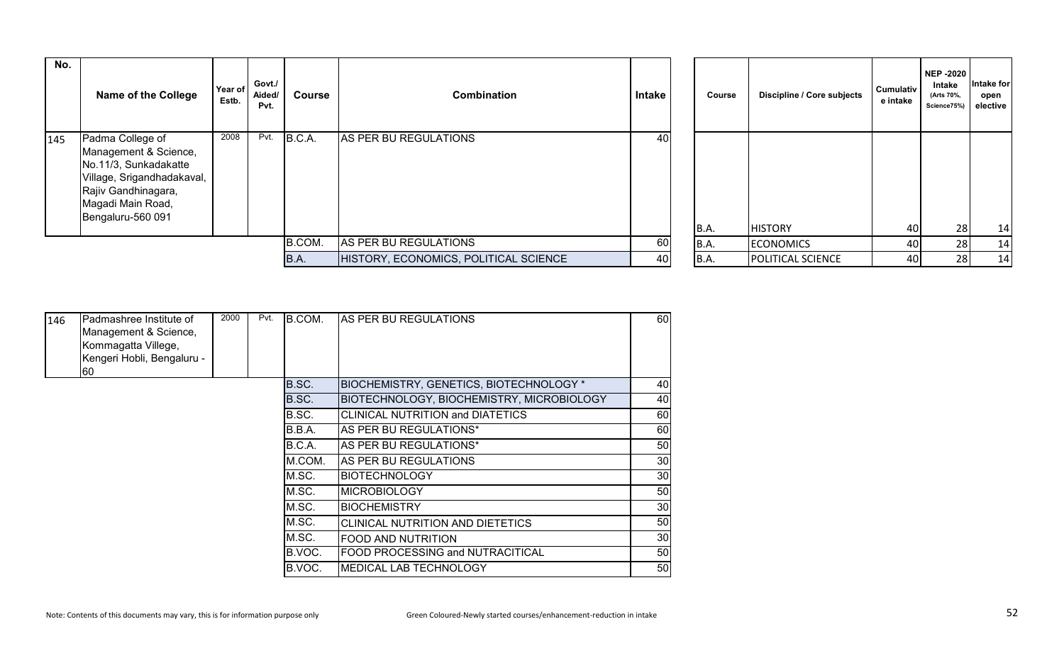| No. | <b>Name of the College</b>                                                                                                                                        | Year of<br>Estb. | Govt./<br>Aided/<br>Pvt. | Course | <b>Combination</b>                    | Intake | Course | Discipline / Core subjects | Cumulativ<br>e intake | <b>NEP -2020</b><br>Intake<br>(Arts 70%,<br>Science75% | Intake for<br>open<br>elective |
|-----|-------------------------------------------------------------------------------------------------------------------------------------------------------------------|------------------|--------------------------|--------|---------------------------------------|--------|--------|----------------------------|-----------------------|--------------------------------------------------------|--------------------------------|
| 145 | Padma College of<br>Management & Science,<br>No.11/3, Sunkadakatte<br>Village, Srigandhadakaval,<br>Rajiv Gandhinagara,<br>Magadi Main Road,<br>Bengaluru-560 091 | 2008             | Pvt.                     | B.C.A. | AS PER BU REGULATIONS                 | 40     | B.A.   | <b>HISTORY</b>             | 40                    | 28                                                     | 14                             |
|     |                                                                                                                                                                   |                  |                          | B.COM. | AS PER BU REGULATIONS                 | 60I    | B.A.   | <b>ECONOMICS</b>           | 40                    | 28                                                     | 14                             |
|     |                                                                                                                                                                   |                  |                          | B.A.   | HISTORY, ECONOMICS, POLITICAL SCIENCE | 40     | B.A.   | <b>POLITICAL SCIENCE</b>   | 40                    | 28                                                     | 14                             |

| 146 | Padmashree Institute of<br>Management & Science,<br>Kommagatta Villege,<br>Kengeri Hobli, Bengaluru -<br>I60 | 2000 | Pvt. | B.COM. | AS PER BU REGULATIONS                            | 60              |
|-----|--------------------------------------------------------------------------------------------------------------|------|------|--------|--------------------------------------------------|-----------------|
|     |                                                                                                              |      |      | B.SC.  | <b>BIOCHEMISTRY, GENETICS, BIOTECHNOLOGY *</b>   | 40              |
|     |                                                                                                              |      |      | B.SC.  | <b>BIOTECHNOLOGY, BIOCHEMISTRY, MICROBIOLOGY</b> | 40              |
|     |                                                                                                              |      |      | B.SC.  | <b>CLINICAL NUTRITION and DIATETICS</b>          | 60              |
|     |                                                                                                              |      |      | B.B.A. | AS PER BU REGULATIONS*                           | 60              |
|     |                                                                                                              |      |      | B.C.A. | AS PER BU REGULATIONS*                           | 50              |
|     |                                                                                                              |      |      | M.COM. | AS PER BU REGULATIONS                            | 30 <sub>0</sub> |
|     |                                                                                                              |      |      | M.SC.  | <b>IBIOTECHNOLOGY</b>                            | 30              |
|     |                                                                                                              |      |      | M.SC.  | <b>MICROBIOLOGY</b>                              | 50              |
|     |                                                                                                              |      |      | M.SC.  | <b>BIOCHEMISTRY</b>                              | 30              |
|     |                                                                                                              |      |      | M.SC.  | CLINICAL NUTRITION AND DIETETICS                 | 50              |
|     |                                                                                                              |      |      | M.SC.  | <b>FOOD AND NUTRITION</b>                        | 30 <sub>1</sub> |
|     |                                                                                                              |      |      | B.VOC. | <b>FOOD PROCESSING and NUTRACITICAL</b>          | 50              |
|     |                                                                                                              |      |      | B.VOC. | MEDICAL LAB TECHNOLOGY                           | 50              |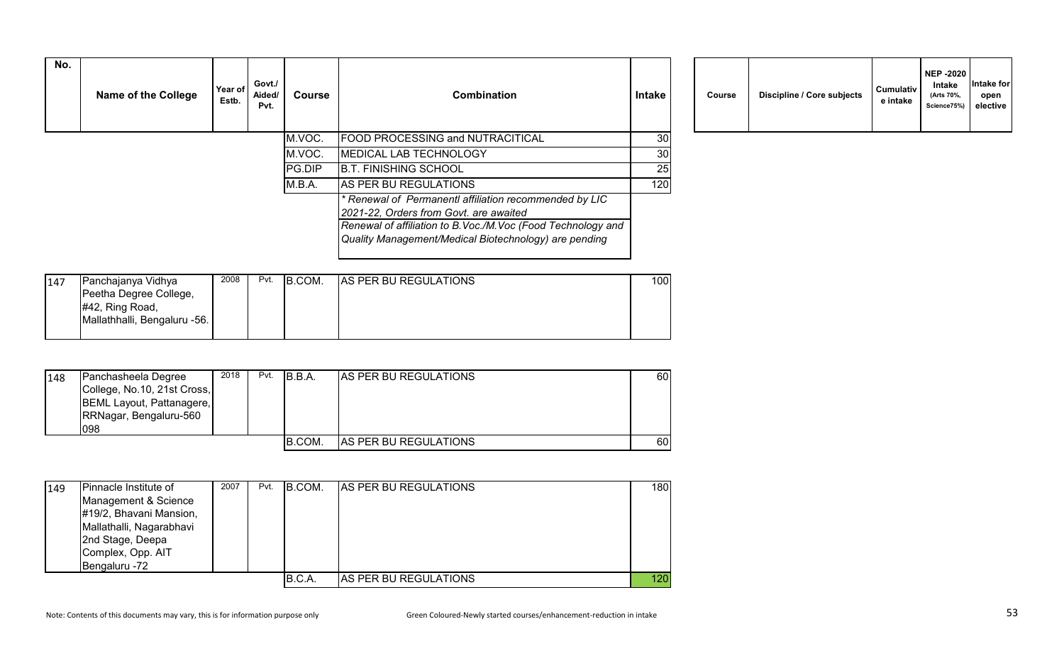| No. | <b>Name of the College</b> | Year of<br>Estb. | Govt./<br>Aided/<br>Pvt. | Course | <b>Combination</b>                                                                                                                                                                                                         | <b>Intake</b> | Course | Discipline / Core subjects | Cumulativ<br>e intake |
|-----|----------------------------|------------------|--------------------------|--------|----------------------------------------------------------------------------------------------------------------------------------------------------------------------------------------------------------------------------|---------------|--------|----------------------------|-----------------------|
|     |                            |                  |                          | M.VOC. | <b>FOOD PROCESSING and NUTRACITICAL</b>                                                                                                                                                                                    | 30            |        |                            |                       |
|     |                            |                  |                          | M.VOC. | <b>MEDICAL LAB TECHNOLOGY</b>                                                                                                                                                                                              | 30            |        |                            |                       |
|     |                            |                  |                          | PG.DIP | <b>B.T. FINISHING SCHOOL</b>                                                                                                                                                                                               | 25            |        |                            |                       |
|     |                            |                  |                          | M.B.A. | AS PER BU REGULATIONS                                                                                                                                                                                                      | 120           |        |                            |                       |
|     |                            |                  |                          |        | * Renewal of Permanentl affiliation recommended by LIC<br>2021-22, Orders from Govt. are awaited<br>Renewal of affiliation to B. Voc./M. Voc (Food Technology and<br>Quality Management/Medical Biotechnology) are pending |               |        |                            |                       |

|  | Course | Discipline / Core subjects | <b>Cumulativ</b><br>e intake | <b>NEP -2020</b><br>Intake<br>(Arts 70%,<br>Science75%) | Intake for<br>open<br>elective |  |
|--|--------|----------------------------|------------------------------|---------------------------------------------------------|--------------------------------|--|
|--|--------|----------------------------|------------------------------|---------------------------------------------------------|--------------------------------|--|

| 147 | Panchajanya Vidhya           | 2008 | Pvt. | B.COM. | <b>AS PER BU REGULATIONS</b> | 1001 |
|-----|------------------------------|------|------|--------|------------------------------|------|
|     | Peetha Degree College,       |      |      |        |                              |      |
|     | $#42$ , Ring Road,           |      |      |        |                              |      |
|     | Mallathhalli, Bengaluru -56. |      |      |        |                              |      |
|     |                              |      |      |        |                              |      |

| 148 | Panchasheela Degree<br>College, No.10, 21st Cross,<br>BEML Layout, Pattanagere,<br>RRNagar, Bengaluru-560<br>098 | 2018 | Pvt. | IB.B.A. | <b>AS PER BU REGULATIONS</b> | 60 I |
|-----|------------------------------------------------------------------------------------------------------------------|------|------|---------|------------------------------|------|
|     |                                                                                                                  |      |      | B.COM.  | AS PER BU REGULATIONS        | 60   |

| 149 | Pinnacle Institute of    | 2007 | Pvt. | <b>B.COM.</b> | <b>IAS PER BU REGULATIONS</b> | 180 |
|-----|--------------------------|------|------|---------------|-------------------------------|-----|
|     | Management & Science     |      |      |               |                               |     |
|     | #19/2, Bhavani Mansion,  |      |      |               |                               |     |
|     | Mallathalli, Nagarabhavi |      |      |               |                               |     |
|     | 2nd Stage, Deepa         |      |      |               |                               |     |
|     | Complex, Opp. AIT        |      |      |               |                               |     |
|     | Bengaluru -72            |      |      |               |                               |     |
|     |                          |      |      | B.C.A.        | <b>AS PER BU REGULATIONS</b>  | 120 |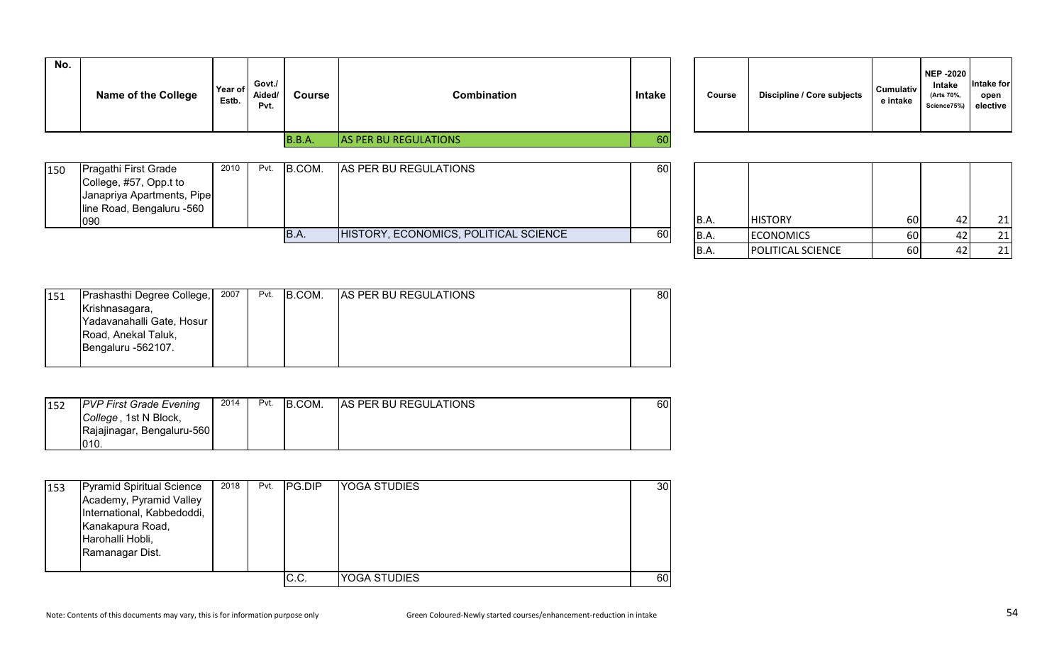| No. | <b>Name of the College</b> | Year of<br>Estb. | Govt./<br>Aided/<br>Pvt. | <b>Course</b> | Combination                  | Intake | Course | Discipline / Core subjects | <b>Cumulativ</b><br>e intake |
|-----|----------------------------|------------------|--------------------------|---------------|------------------------------|--------|--------|----------------------------|------------------------------|
|     |                            |                  |                          | B.B.A.        | <b>AS PER BU REGULATIONS</b> | 60     |        |                            |                              |

| Course | Discipline / Core subjects | <b>Cumulativ</b><br>e intake | <b>NEP -2020</b><br>Intake<br>(Arts 70%,<br>Science75%) | Intake for<br>open<br>elective |
|--------|----------------------------|------------------------------|---------------------------------------------------------|--------------------------------|
|--------|----------------------------|------------------------------|---------------------------------------------------------|--------------------------------|

| 150 | <b>Pragathi First Grade</b><br>College, #57, Opp.t to<br>Janapriya Apartments, Pipe<br>line Road, Bengaluru -560 | 2010 | Pvt. | B.COM. | AS PER BU REGULATIONS                 | 60 |       |                      |        |              |
|-----|------------------------------------------------------------------------------------------------------------------|------|------|--------|---------------------------------------|----|-------|----------------------|--------|--------------|
|     | 090                                                                                                              |      |      |        |                                       |    | IB.A. | <b>IHISTORY</b>      | 60     | 21           |
|     |                                                                                                                  |      |      | B.A.   | HISTORY, ECONOMICS, POLITICAL SCIENCE | 60 | IB.A. | <b>ECONOMICS</b>     | 60 l   | 21           |
|     |                                                                                                                  |      |      |        |                                       |    | , הו  | $I$ DOUTICAL COITMOT | $\sim$ | $\mathbf{a}$ |

| B.A. | <b>HISTORY</b>    | 60 | 42 | 21 |
|------|-------------------|----|----|----|
| B.A. | <b>ECONOMICS</b>  | 60 | 42 |    |
| B.A. | POLITICAL SCIENCE | 60 |    |    |

| 151 | Prashasthi Degree College, | 2007 | Pvt. | B.COM. | <b>AS PER BU REGULATIONS</b> | 80 I |
|-----|----------------------------|------|------|--------|------------------------------|------|
|     | Krishnasagara,             |      |      |        |                              |      |
|     | Yadavanahalli Gate, Hosur  |      |      |        |                              |      |
|     | Road, Anekal Taluk,        |      |      |        |                              |      |
|     | Bengaluru -562107.         |      |      |        |                              |      |
|     |                            |      |      |        |                              |      |

| 152 | <b>PVP First Grade Evening</b> | 2014 | Pvt. | B.COM. | <b>AS PER BU REGULATIONS</b> | 60I |
|-----|--------------------------------|------|------|--------|------------------------------|-----|
|     | College, 1st N Block,          |      |      |        |                              |     |
|     | Rajajinagar, Bengaluru-560     |      |      |        |                              |     |
|     | 1010.                          |      |      |        |                              |     |

| 153 | Pyramid Spiritual Science<br>Academy, Pyramid Valley<br>International, Kabbedoddi,<br>Kanakapura Road,<br>Harohalli Hobli,<br>Ramanagar Dist. | 2018 | Pvt. | <b>IPG.DIP</b> | <b>YOGA STUDIES</b> | 30 |
|-----|-----------------------------------------------------------------------------------------------------------------------------------------------|------|------|----------------|---------------------|----|
|     |                                                                                                                                               |      |      | C.C.           | YOGA STUDIES        | 60 |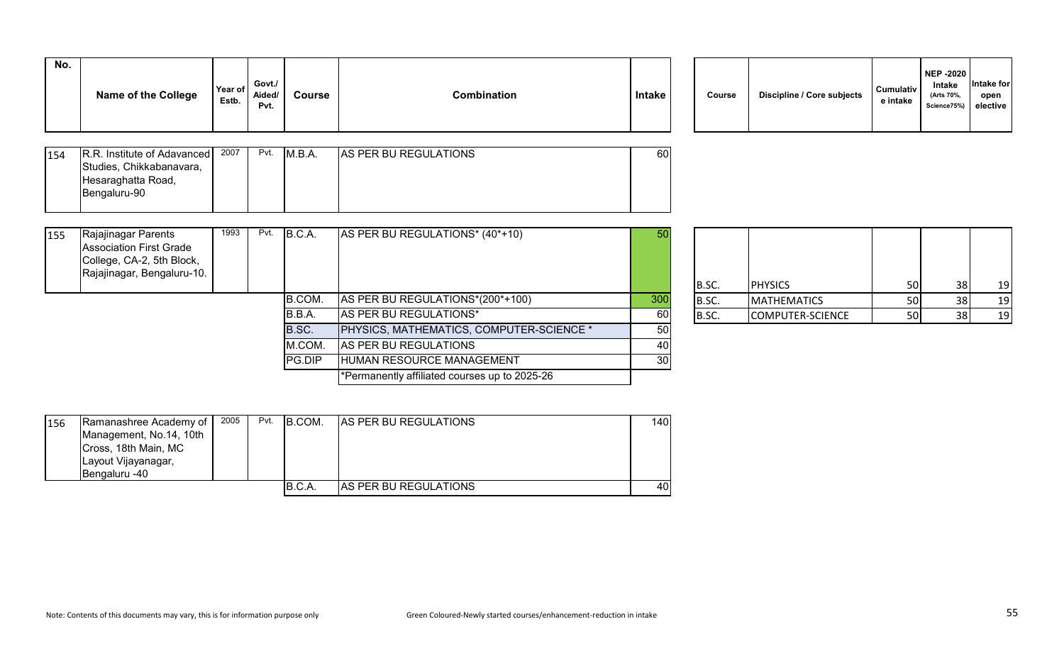| 154 | R.R. Institute of Adavanced | 2007 | Pvt. | IM.B.A. | <b>AS PER BU REGULATIONS</b> | 60I |
|-----|-----------------------------|------|------|---------|------------------------------|-----|
|     | Studies, Chikkabanavara,    |      |      |         |                              |     |
|     | Hesaraghatta Road,          |      |      |         |                              |     |
|     | Bengaluru-90                |      |      |         |                              |     |
|     |                             |      |      |         |                              |     |

| Course | Discipline / Core subjects | <b>Cumulativ</b><br>e intake | <b>NEP -2020</b><br>Intake<br>(Arts 70%,<br>Science75%) | Intake for<br>open<br>elective |  |
|--------|----------------------------|------------------------------|---------------------------------------------------------|--------------------------------|--|
|--------|----------------------------|------------------------------|---------------------------------------------------------|--------------------------------|--|

| 155 | Rajajinagar Parents<br><b>Association First Grade</b><br>College, CA-2, 5th Block,<br>Rajajinagar, Bengaluru-10. | 1993 | Pvt. | B.C.A. | AS PER BU REGULATIONS* (40*+10)                 | 50  | B.SC. | <b>PHYSICS</b>     | 50 | 38 | 19  |
|-----|------------------------------------------------------------------------------------------------------------------|------|------|--------|-------------------------------------------------|-----|-------|--------------------|----|----|-----|
|     |                                                                                                                  |      |      | B.COM. | AS PER BU REGULATIONS*(200*+100)                | 300 | B.SC. | <b>MATHEMATICS</b> | 50 | 38 | 19  |
|     |                                                                                                                  |      |      | B.B.A. | AS PER BU REGULATIONS*                          | 60  | B.SC. | COMPUTER-SCIENCE   | 50 |    | -19 |
|     |                                                                                                                  |      |      | B.SC.  | <b>PHYSICS, MATHEMATICS, COMPUTER-SCIENCE *</b> | 50  |       |                    |    |    |     |
|     |                                                                                                                  |      |      | M.COM. | AS PER BU REGULATIONS                           |     |       |                    |    |    |     |
|     |                                                                                                                  |      |      | PG.DIP | HUMAN RESOURCE MANAGEMENT                       | 30  |       |                    |    |    |     |
|     |                                                                                                                  |      |      |        | *Permanently affiliated courses up to 2025-26   |     |       |                    |    |    |     |
|     |                                                                                                                  |      |      |        |                                                 |     |       |                    |    |    |     |

| B.SC. | <b>PHYSICS</b>     | 50 | 38 | 19 |
|-------|--------------------|----|----|----|
| B.SC. | <b>MATHEMATICS</b> | 50 | 38 | 19 |
| B.SC. | COMPUTER-SCIENCE   | 50 | 38 | 19 |

| 156 | Ramanashree Academy of  | 2005 | Pvt. | B.COM. | <b>AS PER BU REGULATIONS</b> | 140I |
|-----|-------------------------|------|------|--------|------------------------------|------|
|     | Management, No.14, 10th |      |      |        |                              |      |
|     | Cross, 18th Main, MC    |      |      |        |                              |      |
|     | Layout Vijayanagar,     |      |      |        |                              |      |
|     | <b>Bengaluru -40</b>    |      |      |        |                              |      |
|     |                         |      |      | B.C.A. | <b>AS PER BU REGULATIONS</b> | 401  |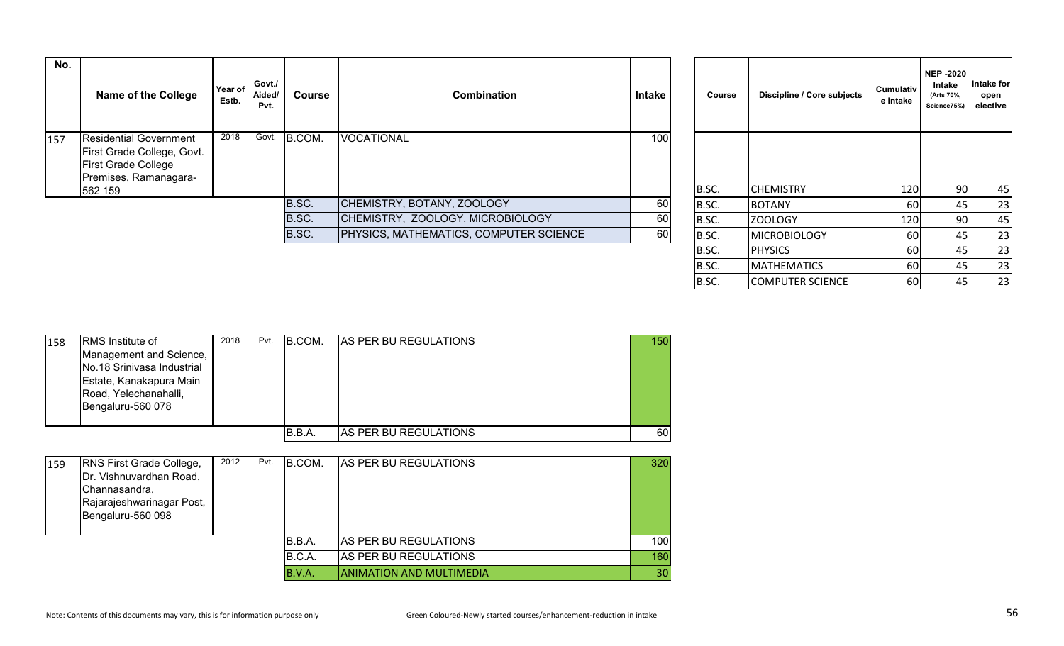| No. | <b>Name of the College</b>                                                                                                    | Year of<br>Estb. | Govt./<br>Aided/<br>Pvt. | <b>Course</b> | <b>Combination</b>                            | Intake | Course  | Discipline / Core subjects | <b>Cumulativ</b><br>e intake | <b>NEP-2020</b><br>Intake<br>(Arts 70%,<br>Science75%) | ntake for<br>open<br>elective |
|-----|-------------------------------------------------------------------------------------------------------------------------------|------------------|--------------------------|---------------|-----------------------------------------------|--------|---------|----------------------------|------------------------------|--------------------------------------------------------|-------------------------------|
| 157 | <b>Residential Government</b><br>First Grade College, Govt.<br><b>First Grade College</b><br>Premises, Ramanagara-<br>562 159 | 2018             | Govt.                    | B.COM.        | <b>VOCATIONAL</b>                             | 100    | B.SC.   | <b>CHEMISTRY</b>           | 120                          | 90 <sub>l</sub>                                        | 45                            |
|     |                                                                                                                               |                  |                          | B.SC.         | CHEMISTRY, BOTANY, ZOOLOGY                    | 60     | B.SC.   | <b>BOTANY</b>              | 60                           |                                                        | 23                            |
|     |                                                                                                                               |                  |                          | B.SC.         | CHEMISTRY, ZOOLOGY, MICROBIOLOGY              | 60     | B.SC.   | <b>ZOOLOGY</b>             | 120                          | 90                                                     | 45                            |
|     |                                                                                                                               |                  |                          | B.SC.         | <b>PHYSICS, MATHEMATICS, COMPUTER SCIENCE</b> | 60     | B.SC.   | MICROBIOLOGY               | 60                           |                                                        | 23                            |
|     |                                                                                                                               |                  |                          |               |                                               |        | - - - - | <i>.</i>                   | $-1$                         |                                                        | $ -$                          |

| Course | Discipline / Core subjects | <b>Cumulativ</b><br>e intake | <b>NEP-2020</b><br>Intake<br>(Arts 70%,<br>Science75%) | Intake for<br>open<br>elective |
|--------|----------------------------|------------------------------|--------------------------------------------------------|--------------------------------|
|        |                            |                              |                                                        |                                |
| B.SC.  | <b>CHEMISTRY</b>           | 120                          | 90                                                     | 45                             |
| B.SC.  | <b>BOTANY</b>              | 60                           | 45                                                     | 23                             |
| B.SC.  | ZOOLOGY                    | 120                          | 90                                                     | 45                             |
| B.SC.  | <b>MICROBIOLOGY</b>        | 60                           | 45                                                     | 23                             |
| B.SC.  | <b>PHYSICS</b>             | 60                           | 45                                                     | 23                             |
| B.SC.  | <b>MATHEMATICS</b>         | 60                           | 45                                                     | 23                             |
| B.SC.  | <b>COMPUTER SCIENCE</b>    | 60                           | 45                                                     | 23                             |

| 158 | <b>RMS</b> Institute of<br>Management and Science,<br>No.18 Srinivasa Industrial<br>Estate, Kanakapura Main<br>Road, Yelechanahalli,<br>Bengaluru-560 078 | 2018 | Pvt. | <b>B.COM.</b> | <b>IAS PER BU REGULATIONS</b> | 150 |
|-----|-----------------------------------------------------------------------------------------------------------------------------------------------------------|------|------|---------------|-------------------------------|-----|
|     |                                                                                                                                                           |      |      | B.B.A.        | IAS PER BU REGULATIONS        | 60  |

| 159 | <b>RNS First Grade College,</b><br>Dr. Vishnuvardhan Road,<br>Channasandra,<br>Rajarajeshwarinagar Post,<br>Bengaluru-560 098 | 2012 | Pvt. | <b>B.COM.</b> | <b>AS PER BU REGULATIONS</b>    | 320 |
|-----|-------------------------------------------------------------------------------------------------------------------------------|------|------|---------------|---------------------------------|-----|
|     |                                                                                                                               |      |      | B.B.A.        | <b>AS PER BU REGULATIONS</b>    | 100 |
|     |                                                                                                                               |      |      | B.C.A.        | AS PER BU REGULATIONS           | 160 |
|     |                                                                                                                               |      |      | B.V.A.        | <b>ANIMATION AND MULTIMEDIA</b> | 30  |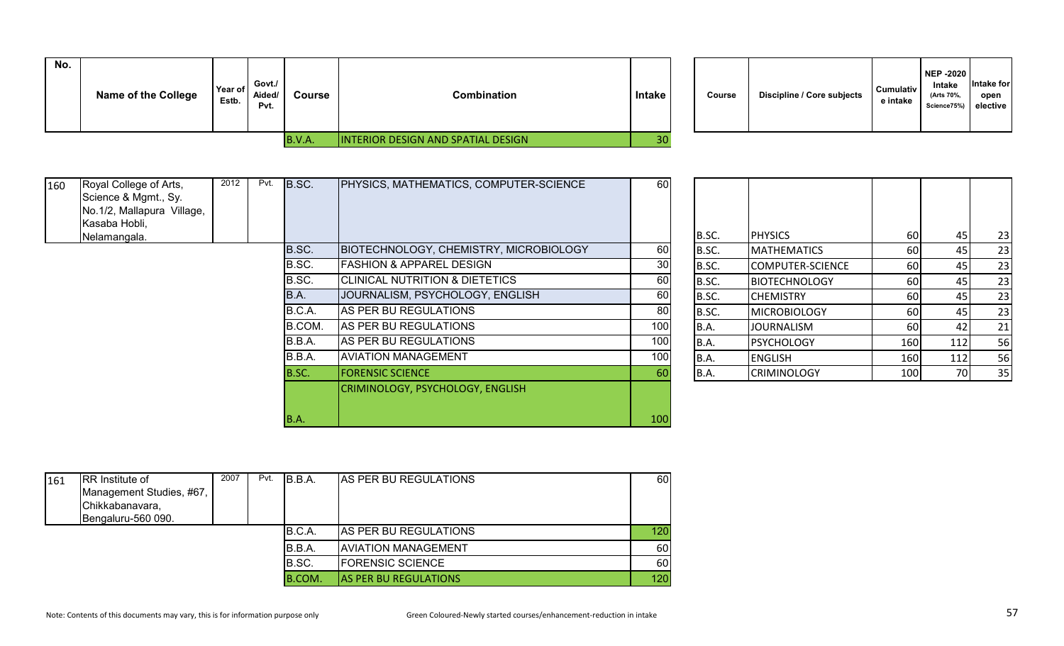| No. | Name of the College | Year of<br>Estb. | Govt./<br>Aided/<br>Pvt. | Course        | Combination                               | Intake | <b>Course</b> | <b>Discipline / Core subjects</b> | <b>Cumulativ</b><br>e intake | <b>NEP -2020</b><br>Intake<br>(Arts 70%,<br>Science75%) | <b>Intake for</b><br>open<br>elective |
|-----|---------------------|------------------|--------------------------|---------------|-------------------------------------------|--------|---------------|-----------------------------------|------------------------------|---------------------------------------------------------|---------------------------------------|
|     |                     |                  |                          | <b>B.V.A.</b> | <b>INTERIOR DESIGN AND SPATIAL DESIGN</b> | 30     |               |                                   |                              |                                                         |                                       |

| 160 | Royal College of Arts,     | 2012 | Pvt. | B.SC.  | PHYSICS, MATHEMATICS, COMPUTER-SCIENCE        | 60  |       |                      |     |           |    |
|-----|----------------------------|------|------|--------|-----------------------------------------------|-----|-------|----------------------|-----|-----------|----|
|     | Science & Mgmt., Sy.       |      |      |        |                                               |     |       |                      |     |           |    |
|     | No.1/2, Mallapura Village, |      |      |        |                                               |     |       |                      |     |           |    |
|     | Kasaba Hobli,              |      |      |        |                                               |     |       |                      |     |           |    |
|     | Nelamangala.               |      |      |        |                                               |     | B.SC. | <b>IPHYSICS</b>      | 60  | 45        | 23 |
|     |                            |      |      | B.SC.  | <b>BIOTECHNOLOGY, CHEMISTRY, MICROBIOLOGY</b> | 60  | B.SC. | <b>MATHEMATICS</b>   | 60  | 45        | 23 |
|     |                            |      |      | B.SC.  | <b>FASHION &amp; APPAREL DESIGN</b>           | 30  | B.SC. | COMPUTER-SCIENCE     | 60  | 451       | 23 |
|     |                            |      |      | B.SC.  | <b>CLINICAL NUTRITION &amp; DIETETICS</b>     | 60  | B.SC. | <b>BIOTECHNOLOGY</b> | 60  | 45        | 23 |
|     |                            |      |      | B.A.   | JOURNALISM, PSYCHOLOGY, ENGLISH               | 60  | B.SC. | <b>CHEMISTRY</b>     | 60  | 45        | 23 |
|     |                            |      |      | B.C.A. | AS PER BU REGULATIONS                         | 80  | B.SC. | <b>MICROBIOLOGY</b>  | 60  | 45        | 23 |
|     |                            |      |      | B.COM. | AS PER BU REGULATIONS                         | 100 | B.A.  | <b>JOURNALISM</b>    | 60  | 42        | 21 |
|     |                            |      |      | B.B.A. | AS PER BU REGULATIONS                         | 100 | B.A.  | <b>PSYCHOLOGY</b>    | 160 | 112       | 56 |
|     |                            |      |      | B.B.A. | <b>AVIATION MANAGEMENT</b>                    | 100 | B.A.  | <b>ENGLISH</b>       | 160 | 112       | 56 |
|     |                            |      |      | B.SC.  | <b>FORENSIC SCIENCE</b>                       | 60  | B.A.  | <b>CRIMINOLOGY</b>   | 100 | <b>70</b> | 35 |
|     |                            |      |      |        | CRIMINOLOGY, PSYCHOLOGY, ENGLISH              |     |       |                      |     |           |    |
|     |                            |      |      |        |                                               |     |       |                      |     |           |    |
|     |                            |      |      | IB.A.  |                                               | 100 |       |                      |     |           |    |

| B.SC. | <b>PHYSICS</b>          | 60  | 45  | 23 |
|-------|-------------------------|-----|-----|----|
| B.SC. | <b>MATHEMATICS</b>      | 60  | 45  | 23 |
| B.SC. | <b>COMPUTER-SCIENCE</b> | 60  | 45  | 23 |
| B.SC. | <b>BIOTECHNOLOGY</b>    | 60  | 45  | 23 |
| B.SC. | <b>CHEMISTRY</b>        | 60  | 45  | 23 |
| B.SC. | <b>MICROBIOLOGY</b>     | 60  | 45  | 23 |
| B.A.  | <b>JOURNALISM</b>       | 60  | 42  | 21 |
| B.A.  | <b>PSYCHOLOGY</b>       | 160 | 112 | 56 |
| B.A.  | <b>ENGLISH</b>          | 160 | 112 | 56 |
| B.A.  | <b>CRIMINOLOGY</b>      | 100 | 70  | 35 |

| 161 | <b>RR</b> Institute of<br>Management Studies, #67,<br>Chikkabanavara,<br>Bengaluru-560 090. | 2007 | Pvt. | B.B.A. | <b>IAS PER BU REGULATIONS</b> | <b>60</b> |
|-----|---------------------------------------------------------------------------------------------|------|------|--------|-------------------------------|-----------|
|     |                                                                                             |      |      | B.C.A. | <b>AS PER BU REGULATIONS</b>  | 120       |
|     |                                                                                             |      |      | B.B.A. | <b>AVIATION MANAGEMENT</b>    | 60        |
|     |                                                                                             |      |      | B.SC.  | <b>FORENSIC SCIENCE</b>       | 60        |
|     |                                                                                             |      |      | B.COM. | <b>AS PER BU REGULATIONS</b>  | 120       |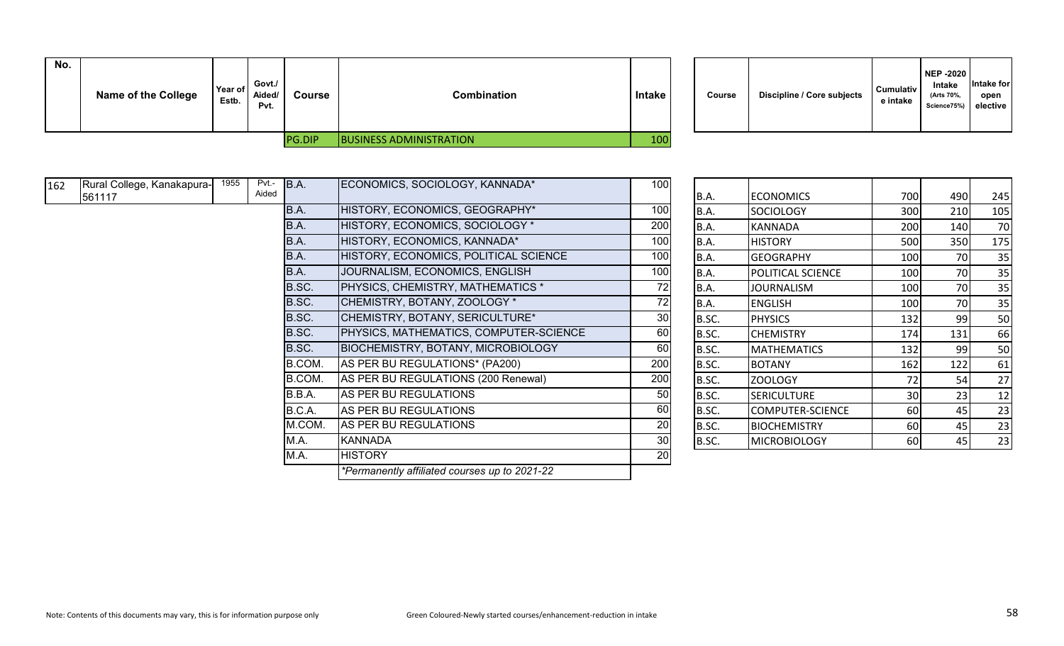| No. | <b>Name of the College</b> | Year of<br>Estb. | Govt./<br>Aided/<br>Pvt. | <b>Course</b> | <b>Combination</b>             | <b>Intake</b> | Course | <b>Discipline / Core subjects</b> | <b>Cumulativ</b><br>e intake |
|-----|----------------------------|------------------|--------------------------|---------------|--------------------------------|---------------|--------|-----------------------------------|------------------------------|
|     |                            |                  |                          | <b>PG.DIP</b> | <b>BUSINESS ADMINISTRATION</b> | 100           |        |                                   |                              |

| Discipline / Core subjects<br>Course | <b>Cumulativ</b><br>e intake | <b>NEP -2020</b><br>Intake<br>(Arts 70%,<br>Science75%) | Intake for<br>open<br>elective |
|--------------------------------------|------------------------------|---------------------------------------------------------|--------------------------------|
|--------------------------------------|------------------------------|---------------------------------------------------------|--------------------------------|

| 162 | Rural College, Kanakapura- | 1955 | Pvt.-<br>Aided | B.A.   | ECONOMICS, SOCIOLOGY, KANNADA*                | 100 |             |                     |     |     |     |
|-----|----------------------------|------|----------------|--------|-----------------------------------------------|-----|-------------|---------------------|-----|-----|-----|
|     | 561117                     |      |                |        |                                               |     | B.A.        | <b>ECONOMICS</b>    | 700 | 490 | 245 |
|     |                            |      |                | B.A.   | HISTORY, ECONOMICS, GEOGRAPHY*                | 100 | B.A.        | SOCIOLOGY           | 300 | 210 | 105 |
|     |                            |      |                | B.A.   | HISTORY, ECONOMICS, SOCIOLOGY *               | 200 | <b>B.A.</b> | <b>KANNADA</b>      | 200 | 140 | 70  |
|     |                            |      |                | B.A.   | HISTORY, ECONOMICS, KANNADA*                  | 100 | B.A.        | <b>HISTORY</b>      | 500 | 350 | 175 |
|     |                            |      |                | B.A.   | HISTORY, ECONOMICS, POLITICAL SCIENCE         | 100 | B.A.        | <b>GEOGRAPHY</b>    | 100 | 70  | 35  |
|     |                            |      |                | B.A.   | JOURNALISM, ECONOMICS, ENGLISH                | 100 | <b>B.A.</b> | POLITICAL SCIENCE   | 100 | 70  | 35  |
|     |                            |      |                | B.SC.  | <b>PHYSICS, CHEMISTRY, MATHEMATICS *</b>      | 72  | <b>B.A.</b> | <b>JOURNALISM</b>   | 100 | 70  | 35  |
|     |                            |      |                | B.SC.  | CHEMISTRY, BOTANY, ZOOLOGY *                  | 72  | <b>B.A.</b> | <b>ENGLISH</b>      | 100 | 70  | 35  |
|     |                            |      |                | B.SC.  | CHEMISTRY, BOTANY, SERICULTURE*               | 30  | B.SC.       | <b>PHYSICS</b>      | 132 | 99  | 50  |
|     |                            |      |                | B.SC.  | PHYSICS, MATHEMATICS, COMPUTER-SCIENCE        | 60  | B.SC.       | <b>CHEMISTRY</b>    | 174 | 131 | 66  |
|     |                            |      |                | B.SC.  | <b>BIOCHEMISTRY, BOTANY, MICROBIOLOGY</b>     | 60  | B.SC.       | <b>MATHEMATICS</b>  | 132 | 99  | 50  |
|     |                            |      |                | B.COM. | AS PER BU REGULATIONS* (PA200)                | 200 | B.SC.       | <b>BOTANY</b>       | 162 | 122 | 61  |
|     |                            |      |                | B.COM. | AS PER BU REGULATIONS (200 Renewal)           | 200 | B.SC.       | ZOOLOGY             | 72  | 54  | 27  |
|     |                            |      |                | B.B.A. | AS PER BU REGULATIONS                         | 50  | B.SC.       | <b>SERICULTURE</b>  | 30  | 23  | 12  |
|     |                            |      |                | B.C.A. | AS PER BU REGULATIONS                         | 60  | B.SC.       | COMPUTER-SCIENCE    | 60  | 45  | 23  |
|     |                            |      |                | M.COM. | AS PER BU REGULATIONS                         | 20  | B.SC.       | <b>BIOCHEMISTRY</b> | 60  | 45  | 23  |
|     |                            |      |                | M.A.   | <b>KANNADA</b>                                | 30  | B.SC.       | <b>MICROBIOLOGY</b> | 60  | 45  | 23  |
|     |                            |      |                | M.A.   | <b>HISTORY</b>                                | 20  |             |                     |     |     |     |
|     |                            |      |                |        | *Permanently affiliated courses up to 2021-22 |     |             |                     |     |     |     |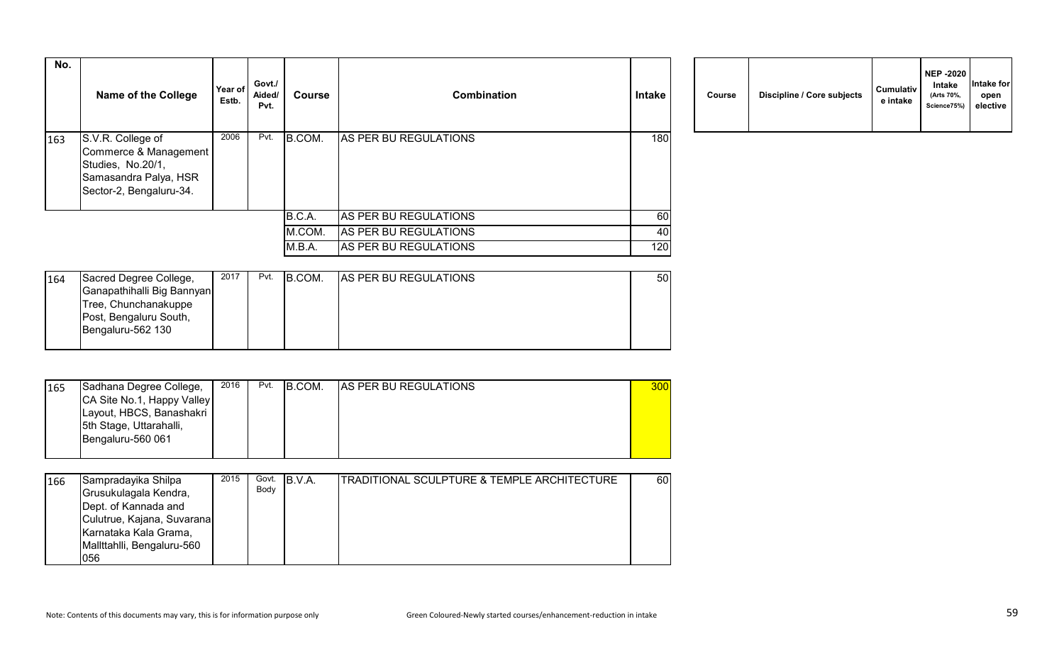| No. | <b>Name of the College</b>                                                                                          | Year of<br>Estb. | Govt./<br>Aided/<br>Pvt. | <b>Course</b> | <b>Combination</b>    | <b>Intake</b> | Course | Discipline / Core subjects | <b>Cumulativ</b><br>e intake |
|-----|---------------------------------------------------------------------------------------------------------------------|------------------|--------------------------|---------------|-----------------------|---------------|--------|----------------------------|------------------------------|
| 163 | S.V.R. College of<br>Commerce & Management<br>Studies, No.20/1,<br>Samasandra Palya, HSR<br>Sector-2, Bengaluru-34. | 2006             | Pvt.                     | B.COM.        | AS PER BU REGULATIONS | 180           |        |                            |                              |
|     |                                                                                                                     |                  |                          | B.C.A.        | AS PER BU REGULATIONS | 60            |        |                            |                              |
|     |                                                                                                                     |                  |                          | M.COM.        | AS PER BU REGULATIONS | 40            |        |                            |                              |
|     |                                                                                                                     |                  |                          | M.B.A.        | AS PER BU REGULATIONS | 120           |        |                            |                              |

| 164 | Sacred Degree College,     | 2017 | Pvt. | B.COM. | <b>AS PER BU REGULATIONS</b> | 50 |
|-----|----------------------------|------|------|--------|------------------------------|----|
|     | Ganapathihalli Big Bannyan |      |      |        |                              |    |
|     | Tree, Chunchanakuppe       |      |      |        |                              |    |
|     | Post, Bengaluru South,     |      |      |        |                              |    |
|     | Bengaluru-562 130          |      |      |        |                              |    |
|     |                            |      |      |        |                              |    |

| 165 | Sadhana Degree College,    | 2016 | Pvt. | B.COM. | <b>AS PER BU REGULATIONS</b> | 300 |
|-----|----------------------------|------|------|--------|------------------------------|-----|
|     | CA Site No.1, Happy Valley |      |      |        |                              |     |
|     | Layout, HBCS, Banashakri   |      |      |        |                              |     |
|     | 5th Stage, Uttarahalli,    |      |      |        |                              |     |
|     | Bengaluru-560 061          |      |      |        |                              |     |
|     |                            |      |      |        |                              |     |

| 166 | Sampradayika Shilpa<br>Grusukulagala Kendra,<br>Dept. of Kannada and<br>Culutrue, Kajana, Suvarana<br>Karnataka Kala Grama, | 2015 | Govt.<br>Body | IB.V.A. | <b>ITRADITIONAL SCULPTURE &amp; TEMPLE ARCHITECTURE</b> | 60 |
|-----|-----------------------------------------------------------------------------------------------------------------------------|------|---------------|---------|---------------------------------------------------------|----|
|     | Mallttahlli, Bengaluru-560<br>056                                                                                           |      |               |         |                                                         |    |

| Course | Discipline / Core subjects | <b>Cumulativ</b><br>e intake | <b>NEP -2020</b><br>Intake<br>(Arts 70%,<br>Science75%) | Intake for<br>open<br>elective |
|--------|----------------------------|------------------------------|---------------------------------------------------------|--------------------------------|
|--------|----------------------------|------------------------------|---------------------------------------------------------|--------------------------------|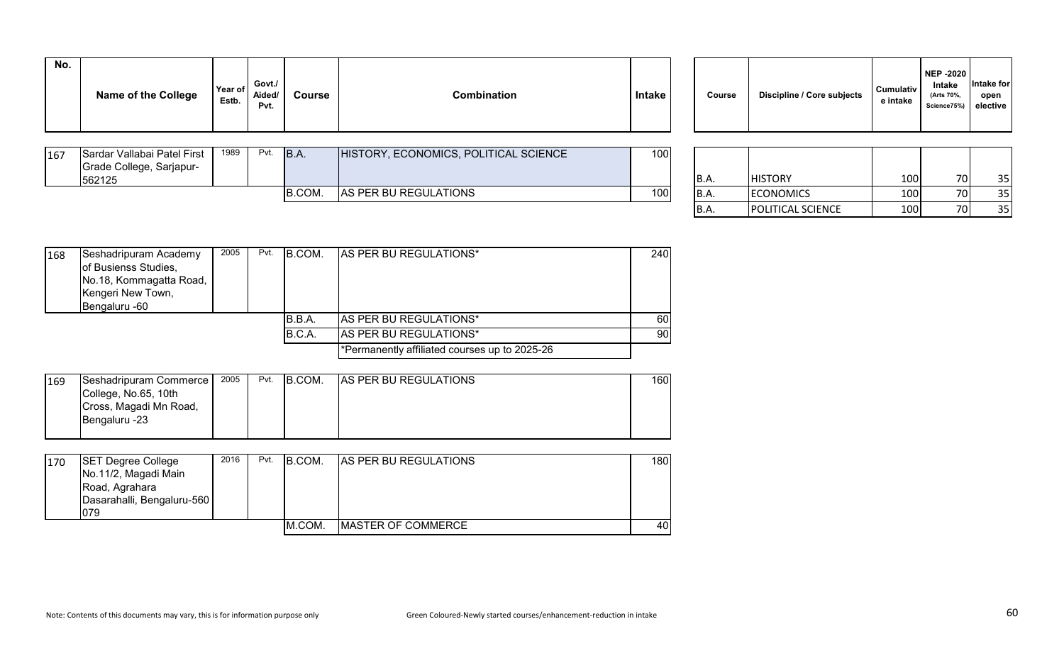| No. | <b>Name of the College</b> | Year of<br>Estb. | Govt./<br>Aided/<br>Pvt. | Course | <b>Combination</b> | <b>Intake</b> | Course | Discipline / Core subjects | <b>Cumulativ</b><br>e intake |
|-----|----------------------------|------------------|--------------------------|--------|--------------------|---------------|--------|----------------------------|------------------------------|
|     |                            |                  |                          |        |                    |               |        |                            |                              |

| B.COM.<br><b>AS PER BU REGULATIONS</b>         | 562125 |
|------------------------------------------------|--------|
| 100<br>100<br>70I<br><b>ECONOMICS</b><br> B.A. |        |

| Course | Discipline / Core subjects | <b>Cumulativ</b><br>e intake | <b>NEP -2020</b><br>Intake<br>(Arts 70%,<br>Science75%) | Intake for<br>open<br>elective |
|--------|----------------------------|------------------------------|---------------------------------------------------------|--------------------------------|
|--------|----------------------------|------------------------------|---------------------------------------------------------|--------------------------------|

| <b>B.A.</b> | <b>HISTORY</b>           | 100 |  |
|-------------|--------------------------|-----|--|
| <b>B.A.</b> | <b>ECONOMICS</b>         | 100 |  |
| B.A.        | <b>POLITICAL SCIENCE</b> | 100 |  |

| 168 | Seshadripuram Academy   | 2005 | Pvt. | B.COM. | <b>AS PER BU REGULATIONS*</b>                 | 240 |
|-----|-------------------------|------|------|--------|-----------------------------------------------|-----|
|     | of Busienss Studies,    |      |      |        |                                               |     |
|     | No.18, Kommagatta Road, |      |      |        |                                               |     |
|     | Kengeri New Town,       |      |      |        |                                               |     |
|     | Bengaluru -60           |      |      |        |                                               |     |
|     |                         |      |      | B.B.A. | <b>AS PER BU REGULATIONS*</b>                 | 60  |
|     |                         |      |      | B.C.A. | <b>AS PER BU REGULATIONS*</b>                 | 90  |
|     |                         |      |      |        | *Permanently affiliated courses up to 2025-26 |     |
|     |                         |      |      |        |                                               |     |

| 169 | Seshadripuram Commerce | 2005 | Pvt. | B.COM. | <b>AS PER BU REGULATIONS</b> | 160l |
|-----|------------------------|------|------|--------|------------------------------|------|
|     | College, No.65, 10th   |      |      |        |                              |      |
|     | Cross, Magadi Mn Road, |      |      |        |                              |      |
|     | Bengaluru -23          |      |      |        |                              |      |
|     |                        |      |      |        |                              |      |

| 170 | <b>SET Degree College</b><br>No.11/2, Magadi Main   | 2016 | Pvt. | B.COM. | <b>AS PER BU REGULATIONS</b> | 1801 |
|-----|-----------------------------------------------------|------|------|--------|------------------------------|------|
|     | Road, Agrahara<br>Dasarahalli, Bengaluru-560<br>079 |      |      |        |                              |      |
|     |                                                     |      |      | M.COM. | <b>IMASTER OF COMMERCE</b>   | 40I  |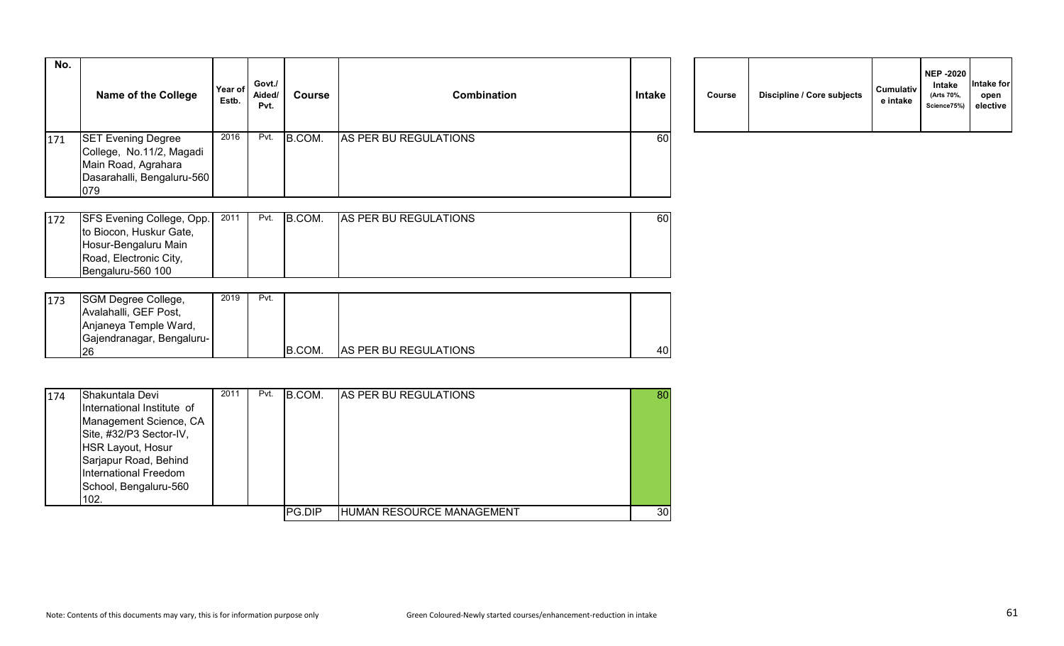| No. | <b>Name of the College</b>                                                                                        | Year of<br>Estb. | Govt./<br>Aided/<br>Pvt. | Course | <b>Combination</b>    | Intake    | Course | Discipline / Core subjects | <b>Cumulativ</b><br>e intake |
|-----|-------------------------------------------------------------------------------------------------------------------|------------------|--------------------------|--------|-----------------------|-----------|--------|----------------------------|------------------------------|
| 171 | <b>SET Evening Degree</b><br>College, No.11/2, Magadi<br>Main Road, Agrahara<br>Dasarahalli, Bengaluru-560<br>079 | 2016             | Pvt.                     | B.COM. | AS PER BU REGULATIONS | <b>60</b> |        |                            |                              |

|  | Course | Discipline / Core subjects | Cumulativ<br>e intake | <b>NEP -2020</b><br>Intake<br>(Arts 70%,<br>Science75%) | Intake for<br>open<br>elective |  |
|--|--------|----------------------------|-----------------------|---------------------------------------------------------|--------------------------------|--|
|--|--------|----------------------------|-----------------------|---------------------------------------------------------|--------------------------------|--|

| 172 | <b>SFS Evening College, Opp.</b> | 2011 | Pvt. | B.COM. | <b>AS PER BU REGULATIONS</b> | 601 |
|-----|----------------------------------|------|------|--------|------------------------------|-----|
|     | to Biocon, Huskur Gate,          |      |      |        |                              |     |
|     | Hosur-Bengaluru Main             |      |      |        |                              |     |
|     | Road, Electronic City,           |      |      |        |                              |     |
|     | IBengaluru-560 100               |      |      |        |                              |     |

| 173 | SGM Degree College,       | 2019 | Pvt. |               |                              |    |
|-----|---------------------------|------|------|---------------|------------------------------|----|
|     | Avalahalli, GEF Post,     |      |      |               |                              |    |
|     | Anjaneya Temple Ward,     |      |      |               |                              |    |
|     | Gajendranagar, Bengaluru- |      |      |               |                              |    |
|     | '26                       |      |      | <b>B.COM.</b> | <b>AS PER BU REGULATIONS</b> | 40 |

| 174 | <b>Shakuntala Devi</b><br>International Institute of | 2011 | Pvt. | B.COM. | <b>AS PER BU REGULATIONS</b> | 80 |
|-----|------------------------------------------------------|------|------|--------|------------------------------|----|
|     | Management Science, CA                               |      |      |        |                              |    |
|     | Site, #32/P3 Sector-IV,                              |      |      |        |                              |    |
|     | HSR Layout, Hosur                                    |      |      |        |                              |    |
|     | Sarjapur Road, Behind                                |      |      |        |                              |    |
|     | International Freedom                                |      |      |        |                              |    |
|     | School, Bengaluru-560                                |      |      |        |                              |    |
|     | 102.                                                 |      |      |        |                              |    |
|     |                                                      |      |      | PG.DIP | HUMAN RESOURCE MANAGEMENT    | 30 |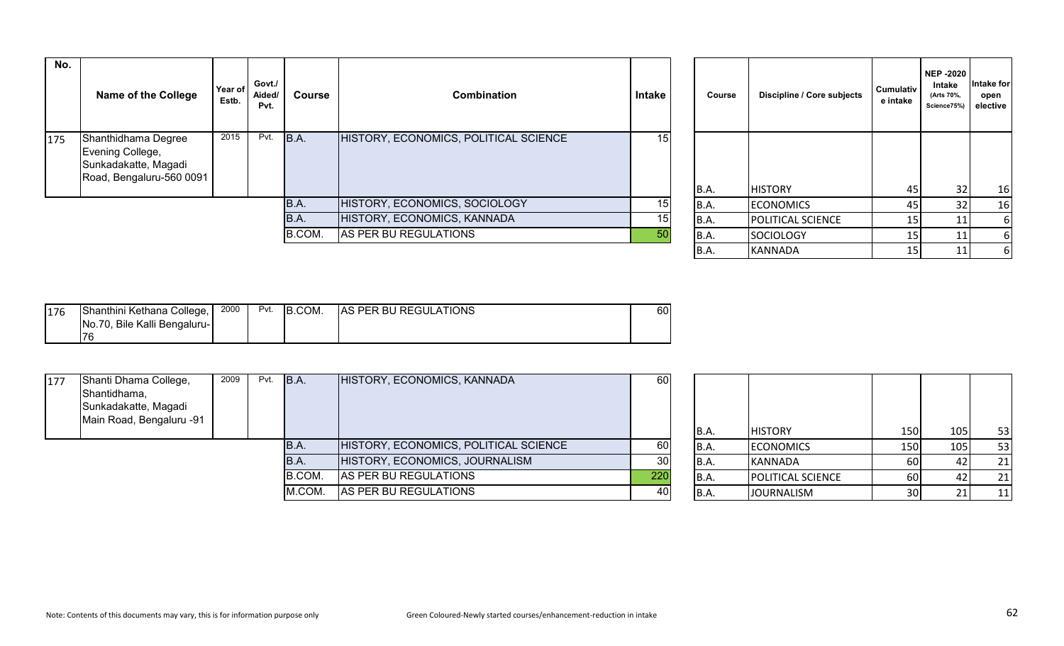| No. | <b>Name of the College</b>                                                                  | Year of<br>Estb. | Govt./<br>Aided/<br>Pvt. | Course | <b>Combination</b>                    | Intake          | Course | Discipline / Core subjects | <b>Cumulativ</b><br>e intake | <b>NEP-2020</b><br>Intake<br>(Arts 70%,<br>Science75%) | Intake for<br>open<br>elective |
|-----|---------------------------------------------------------------------------------------------|------------------|--------------------------|--------|---------------------------------------|-----------------|--------|----------------------------|------------------------------|--------------------------------------------------------|--------------------------------|
| 175 | Shanthidhama Degree<br>Evening College,<br>Sunkadakatte, Magadi<br>Road, Bengaluru-560 0091 | 2015             | Pvt.                     | B.A.   | HISTORY, ECONOMICS, POLITICAL SCIENCE | 15 <sub>1</sub> | B.A.   | <b>HISTORY</b>             | 45                           | 32 <sub>1</sub>                                        | 16                             |
|     |                                                                                             |                  |                          | B.A.   | HISTORY, ECONOMICS, SOCIOLOGY         | 15              | B.A.   | <b>ECONOMICS</b>           | 45                           |                                                        | 16                             |
|     |                                                                                             |                  |                          | B.A.   | HISTORY, ECONOMICS, KANNADA           | 15              | B.A.   | <b>POLITICAL SCIENCE</b>   | <b>151</b>                   |                                                        |                                |
|     |                                                                                             |                  |                          | B.COM. | AS PER BU REGULATIONS                 | 50              | B.A.   | <b>SOCIOLOGY</b>           | <b>151</b>                   |                                                        |                                |
|     |                                                                                             |                  |                          |        |                                       |                 | In A   | $\mathbf{1}$               | $\sim$ $-1$                  | $\overline{A}$                                         |                                |

| Course      | Discipline / Core subjects | <b>Cumulativ</b><br>e intake | <b>NEP-2020</b><br>Intake<br>(Arts 70%,<br>Science75%) | Intake for<br>open<br>elective |
|-------------|----------------------------|------------------------------|--------------------------------------------------------|--------------------------------|
| <b>B.A.</b> | <b>HISTORY</b>             | 45                           | 32                                                     | 16                             |
| B.A.        | <b>ECONOMICS</b>           | 45                           | 32                                                     | 16                             |
| <b>B.A.</b> | POLITICAL SCIENCE          | 15                           | 11                                                     | 6                              |
| <b>B.A.</b> | <b>SOCIOLOGY</b>           | 15                           | 11                                                     | 6                              |
| B.A.        | <b>KANNADA</b>             | 15                           | 11                                                     | 6                              |

| 176 | Shanthini Kethana College,   | 2000 | Pvt. | B.COM. | <b>AS PER BU REGULATIONS</b> | 60 |
|-----|------------------------------|------|------|--------|------------------------------|----|
|     | No.70, Bile Kalli Bengaluru- |      |      |        |                              |    |
|     | 17 A                         |      |      |        |                              |    |

| 177 | Shanti Dhama College,<br>Shantidhama,<br>Sunkadakatte, Magadi<br>Main Road, Bengaluru -91 | 2009 | Pvt. | B.A.   | HISTORY, ECONOMICS, KANNADA           | 60              | IB.A. | <b>HISTORY</b>           | <b>150</b>      | 105 <sub>1</sub> | 53        |
|-----|-------------------------------------------------------------------------------------------|------|------|--------|---------------------------------------|-----------------|-------|--------------------------|-----------------|------------------|-----------|
|     |                                                                                           |      |      | B.A.   | HISTORY, ECONOMICS, POLITICAL SCIENCE | 60              | B.A.  | <b>ECONOMICS</b>         | <b>150</b>      | 105              | 53        |
|     |                                                                                           |      |      | IB.A.  | HISTORY, ECONOMICS, JOURNALISM        | 30 <sup>1</sup> | IB.A. | KANNADA                  | 60              |                  | 21        |
|     |                                                                                           |      |      | B.COM. | AS PER BU REGULATIONS                 | 220             | IB.A. | <b>POLITICAL SCIENCE</b> | 60              |                  | 21        |
|     |                                                                                           |      |      | M.COM. | AS PER BU REGULATIONS                 | 40              | B.A.  | <b>JOURNALISM</b>        | 30 <sup>1</sup> |                  | <u>11</u> |

| B.A.        | <b>HISTORY</b>    | 150 | 105 | 53 |
|-------------|-------------------|-----|-----|----|
| B.A.        | <b>ECONOMICS</b>  | 150 | 105 | 53 |
| B.A.        | <b>KANNADA</b>    | 60  | 42  | 21 |
| <b>B.A.</b> | POLITICAL SCIENCE | 60  | 42  | 21 |
| B.A.        | <b>JOURNALISM</b> | 30  | 21  | 11 |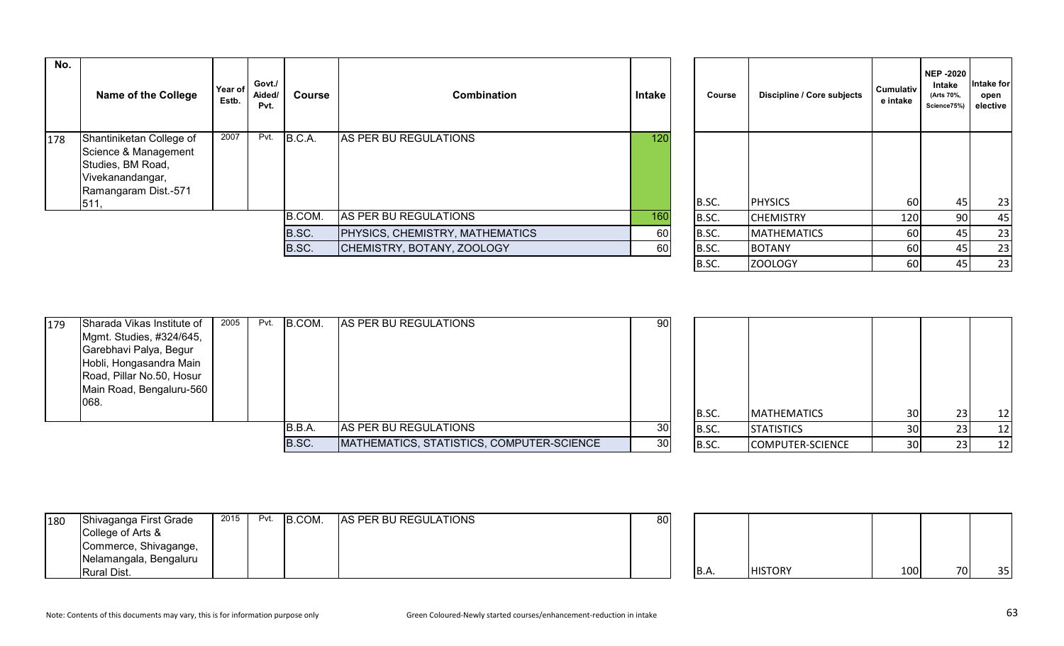| No. | <b>Name of the College</b>                                                                                               | Year of<br>Estb. | Govt./<br>Aided/<br>Pvt. | Course | <b>Combination</b>                     | Intake           | Course | Discipline / Core subjects | <b>Cumulativ</b><br>e intake | NEP -2020<br>Intake<br>(Arts 70%,<br>Science75%) | Intake for<br>open<br>elective |
|-----|--------------------------------------------------------------------------------------------------------------------------|------------------|--------------------------|--------|----------------------------------------|------------------|--------|----------------------------|------------------------------|--------------------------------------------------|--------------------------------|
| 178 | Shantiniketan College of<br>Science & Management<br>Studies, BM Road,<br>Vivekanandangar,<br>Ramangaram Dist.-571<br>511 | 2007             | Pvt.                     | B.C.A. | AS PER BU REGULATIONS                  | 120 <sub>1</sub> | B.SC.  | <b>PHYSICS</b>             | 60                           | 45                                               | 23                             |
|     |                                                                                                                          |                  |                          | B.COM. | AS PER BU REGULATIONS                  | 160              | B.SC.  | <b>CHEMISTRY</b>           | 120                          | 90 <sub>1</sub>                                  | 45                             |
|     |                                                                                                                          |                  |                          | B.SC.  | <b>PHYSICS, CHEMISTRY, MATHEMATICS</b> | 60               | B.SC.  | <b>MATHEMATICS</b>         | 60                           | 45                                               | 23                             |
|     |                                                                                                                          |                  |                          | B.SC.  | CHEMISTRY, BOTANY, ZOOLOGY             | 60               | B.SC.  | <b>BOTANY</b>              | 60                           |                                                  | 23                             |
|     |                                                                                                                          |                  |                          |        |                                        |                  |        |                            |                              |                                                  |                                |

| Course | Discipline / Core subjects | <b>Cumulativ</b><br>e intake | <b>NEP -2020</b><br>Intake<br>(Arts 70%,<br>Science75%) | Intake for<br>open<br>elective |
|--------|----------------------------|------------------------------|---------------------------------------------------------|--------------------------------|
| B.SC.  | <b>PHYSICS</b>             | 60                           | 45                                                      | 23                             |
| B.SC.  | <b>CHEMISTRY</b>           | 120                          | 90                                                      | 45                             |
| B.SC.  | <b>MATHEMATICS</b>         | 60                           | 45                                                      | 23                             |
| B.SC.  | <b>BOTANY</b>              | 60                           | 45                                                      | 23                             |
| B.SC.  | ZOOLOGY                    | 60                           | 45                                                      | 23                             |

| 179 | Sharada Vikas Institute of | 2005 | Pvt. | B.COM. | AS PER BU REGULATIONS                     | 90 <sup>1</sup> |       |                    |                 |                 |    |
|-----|----------------------------|------|------|--------|-------------------------------------------|-----------------|-------|--------------------|-----------------|-----------------|----|
|     | Mgmt. Studies, #324/645,   |      |      |        |                                           |                 |       |                    |                 |                 |    |
|     | Garebhavi Palya, Begur     |      |      |        |                                           |                 |       |                    |                 |                 |    |
|     | Hobli, Hongasandra Main    |      |      |        |                                           |                 |       |                    |                 |                 |    |
|     | Road, Pillar No.50, Hosur  |      |      |        |                                           |                 |       |                    |                 |                 |    |
|     | Main Road, Bengaluru-560   |      |      |        |                                           |                 |       |                    |                 |                 |    |
|     | 068.                       |      |      |        |                                           |                 |       |                    |                 |                 |    |
|     |                            |      |      |        |                                           |                 | B.SC. | <b>MATHEMATICS</b> | 30 <sup>1</sup> | 23 <sub>1</sub> | 12 |
|     |                            |      |      | B.B.A. | AS PER BU REGULATIONS                     | 30 <sup>l</sup> | B.SC. | <b>STATISTICS</b>  | 30              |                 | 12 |
|     |                            |      |      | B.SC.  | MATHEMATICS, STATISTICS, COMPUTER-SCIENCE | 30              | B.SC. | COMPUTER-SCIENCE   | <b>30</b>       |                 | 12 |

| 180 | Shivaganga First Grade<br>College of Arts & | 2015 | Pvt. | B.COM. | AS PER BU REGULATIONS | 80 <sup>1</sup> |      |                |     |    |     |
|-----|---------------------------------------------|------|------|--------|-----------------------|-----------------|------|----------------|-----|----|-----|
|     | Commerce, Shivagange,                       |      |      |        |                       |                 |      |                |     |    |     |
|     | Nelamangala, Bengaluru                      |      |      |        |                       |                 |      |                |     |    |     |
|     | Rural Dist.                                 |      |      |        |                       |                 | B.A. | <b>HISTORY</b> | 100 | 70 | 351 |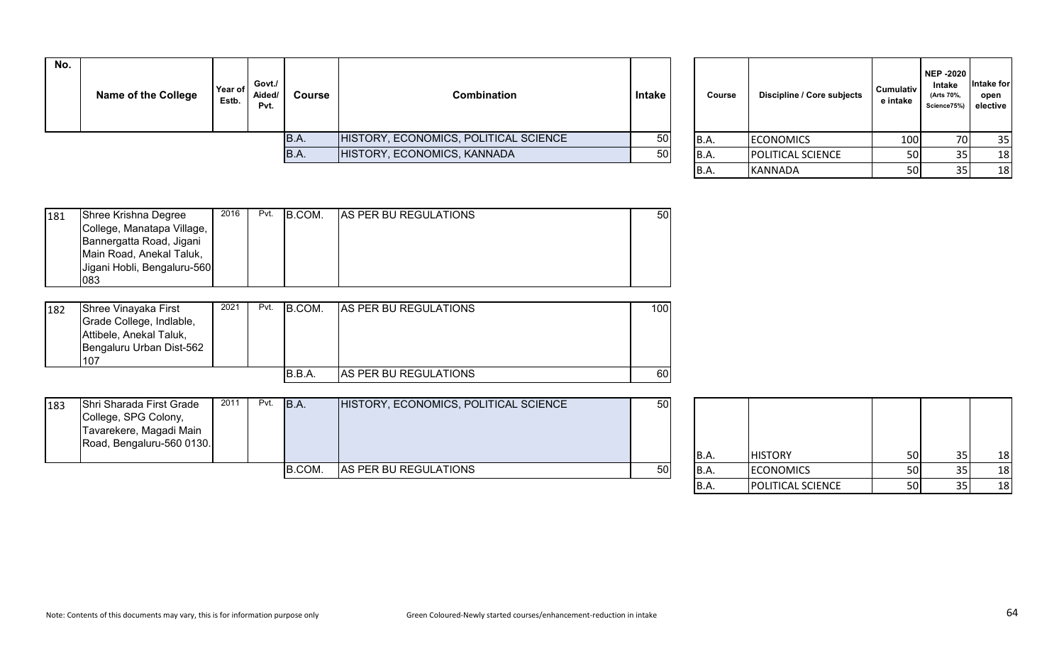| No. | <b>Name of the College</b> | Year of<br>Estb. | Govt./<br>Aided/<br>Pvt. | <b>Course</b> | Combination                           | Intake | Course | Discipline / Core subjects | Cumulativ<br>e intake | NEP -2020<br><b>Intake</b><br>(Arts 70%,<br>Science75%) elective | ∣ntake foı<br>open |
|-----|----------------------------|------------------|--------------------------|---------------|---------------------------------------|--------|--------|----------------------------|-----------------------|------------------------------------------------------------------|--------------------|
|     |                            |                  |                          | B.A.          | HISTORY, ECONOMICS, POLITICAL SCIENCE | 50     | B.A.   | <b>ECONOMICS</b>           | 100                   | 70I                                                              | 35                 |
|     |                            |                  |                          | IB.A.         | HISTORY, ECONOMICS, KANNADA           | 50     | IB.A.  | <b>POLITICAL SCIENCE</b>   | <b>50</b>             |                                                                  | 18                 |
|     |                            |                  |                          |               |                                       |        | . .    | .                          | $-1$                  |                                                                  | $\sim$             |

| Course | Discipline / Core subjects | <b>Cumulativ</b><br>e intake | <b>NEP-2020</b><br>Intake<br>(Arts 70%,<br>Science75%) | Intake for<br>open<br>elective |
|--------|----------------------------|------------------------------|--------------------------------------------------------|--------------------------------|
| B.A.   | <b>ECONOMICS</b>           | 100                          | 70                                                     | 35                             |
| B.A.   | POLITICAL SCIENCE          | 50                           | 35                                                     | 18                             |
| B.A.   | <b>KANNADA</b>             | 50                           | 35                                                     | 18                             |

| 181 | Shree Krishna Degree        | 2016 | Pvt. | B.COM. | <b>AS PER BU REGULATIONS</b> | 50 |
|-----|-----------------------------|------|------|--------|------------------------------|----|
|     | College, Manatapa Village,  |      |      |        |                              |    |
|     | Bannergatta Road, Jigani    |      |      |        |                              |    |
|     | Main Road, Anekal Taluk,    |      |      |        |                              |    |
|     | Jigani Hobli, Bengaluru-560 |      |      |        |                              |    |
|     | 083                         |      |      |        |                              |    |

| 182 | Shree Vinayaka First<br>Grade College, Indlable,<br>Attibele, Anekal Taluk,<br>Bengaluru Urban Dist-562<br>107 | 2021 | Pvt. | IB.COM. | <b>AS PER BU REGULATIONS</b> | 100 |
|-----|----------------------------------------------------------------------------------------------------------------|------|------|---------|------------------------------|-----|
|     |                                                                                                                |      |      | B.B.A   | <b>AS PER BU REGULATIONS</b> | 60I |

| 183 | Shri Sharada First Grade<br>College, SPG Colony,<br>Tavarekere, Magadi Main<br>Road, Bengaluru-560 0130. | 2011 | Pvt. | B.A.   | HISTORY, ECONOMICS, POLITICAL SCIENCE | 50  | IB.A. | <b>HISTORY</b>   | <b>50</b>              | 18     |
|-----|----------------------------------------------------------------------------------------------------------|------|------|--------|---------------------------------------|-----|-------|------------------|------------------------|--------|
|     |                                                                                                          |      |      | B.COM. | AS PER BU REGULATIONS                 | 50l | IB.A. | <b>ECONOMICS</b> | 50I                    | 18     |
|     |                                                                                                          |      |      |        |                                       |     |       | $P_{\text{A}}$   | $ \sim$ $\blacksquare$ | $\sim$ |

| <b>B.A.</b> | <b>HISTORY</b>    | 50 | 35 | 18 |
|-------------|-------------------|----|----|----|
| B.A.        | <b>ECONOMICS</b>  | 50 | 35 | 18 |
| B.A.        | POLITICAL SCIENCE | 50 | 35 | 18 |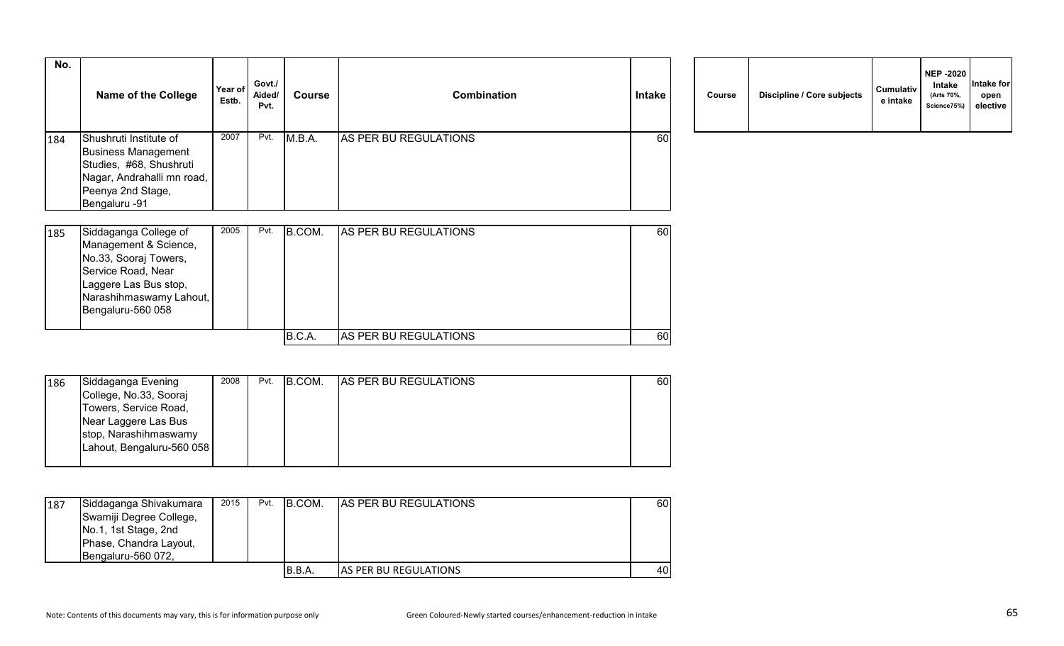| No. | <b>Name of the College</b> | Year of<br>Estb. | Govt./<br>Aided/<br>Pvt. | Course | <b>Combination</b>    | <b>Intake</b> | Course | Discipline / Core subjects | <b>Cumulativ</b><br>e intake |
|-----|----------------------------|------------------|--------------------------|--------|-----------------------|---------------|--------|----------------------------|------------------------------|
| 184 | Shushruti Institute of     | 2007             | Pvt.                     | M.B.A. | AS PER BU REGULATIONS | 60            |        |                            |                              |
|     | <b>Business Management</b> |                  |                          |        |                       |               |        |                            |                              |
|     | Studies, #68, Shushruti    |                  |                          |        |                       |               |        |                            |                              |
|     | Nagar, Andrahalli mn road, |                  |                          |        |                       |               |        |                            |                              |
|     | Peenya 2nd Stage,          |                  |                          |        |                       |               |        |                            |                              |
|     | Bengaluru -91              |                  |                          |        |                       |               |        |                            |                              |

| Course | Discipline / Core subjects | <b>Cumulativ</b><br>e intake | <b>NEP -2020</b><br>Intake<br>(Arts 70%,<br>Science75%) | Intake for<br>open<br>elective |
|--------|----------------------------|------------------------------|---------------------------------------------------------|--------------------------------|
|--------|----------------------------|------------------------------|---------------------------------------------------------|--------------------------------|

| 185 | Siddaganga College of   | 2005 | Pvt. | B.COM. | <b>IAS PER BU REGULATIONS</b> | 60 |
|-----|-------------------------|------|------|--------|-------------------------------|----|
|     | Management & Science,   |      |      |        |                               |    |
|     | No.33, Sooraj Towers,   |      |      |        |                               |    |
|     | Service Road, Near      |      |      |        |                               |    |
|     | Laggere Las Bus stop,   |      |      |        |                               |    |
|     | Narashihmaswamy Lahout, |      |      |        |                               |    |
|     | Bengaluru-560 058       |      |      |        |                               |    |
|     |                         |      |      |        |                               |    |
|     |                         |      |      | B.C.A. | <b>AS PER BU REGULATIONS</b>  | 60 |

| 186 | Siddaganga Evening        | 2008 | Pvt. | B.COM. | <b>AS PER BU REGULATIONS</b> | 60I |
|-----|---------------------------|------|------|--------|------------------------------|-----|
|     | College, No.33, Sooraj    |      |      |        |                              |     |
|     | Towers, Service Road,     |      |      |        |                              |     |
|     | Near Laggere Las Bus      |      |      |        |                              |     |
|     | stop, Narashihmaswamy     |      |      |        |                              |     |
|     | Lahout, Bengaluru-560 058 |      |      |        |                              |     |
|     |                           |      |      |        |                              |     |

| 187 | Siddaganga Shivakumara<br>Swamiji Degree College,<br>No.1, 1st Stage, 2nd<br>Phase, Chandra Layout,<br>Bengaluru-560 072, | 2015 | Pvt. | B.COM. | <b>AS PER BU REGULATIONS</b>  | 60 I |
|-----|---------------------------------------------------------------------------------------------------------------------------|------|------|--------|-------------------------------|------|
|     |                                                                                                                           |      |      | B.B.A. | <b>JAS PER BU REGULATIONS</b> | 40   |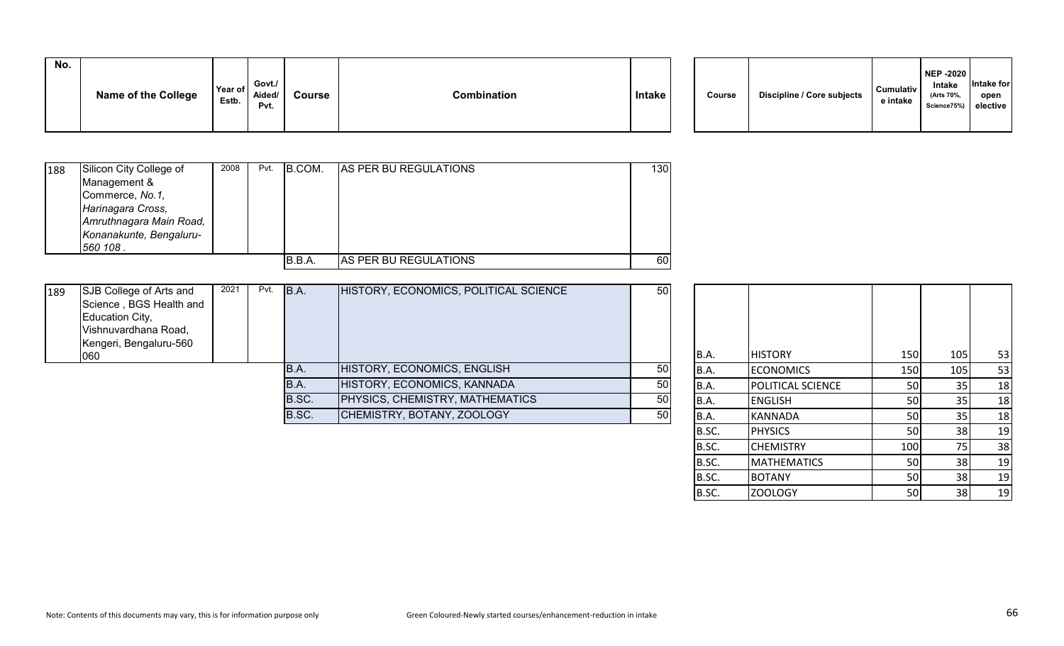| No. | <b>Name of the College</b> | Year of<br>Estb. | Govt./<br>Aided/<br>Pvt. | <b>Course</b> | Combination | Intake |  | Course | Discipline / Core subjects | <b>Cumulativ</b><br>e intake | <b>NEP -2020</b><br>Intake<br>(Arts 70%.<br>Science75%) elective | Intake for<br>open |
|-----|----------------------------|------------------|--------------------------|---------------|-------------|--------|--|--------|----------------------------|------------------------------|------------------------------------------------------------------|--------------------|
|-----|----------------------------|------------------|--------------------------|---------------|-------------|--------|--|--------|----------------------------|------------------------------|------------------------------------------------------------------|--------------------|

| 188 | Silicon City College of<br>Management &<br>Commerce, No.1,<br>Harinagara Cross,<br>Amruthnagara Main Road, | 2008 | Pvt. | B.COM. | <b>AS PER BU REGULATIONS</b>  | 130 |
|-----|------------------------------------------------------------------------------------------------------------|------|------|--------|-------------------------------|-----|
|     | Konanakunte, Bengaluru-<br>560 108.                                                                        |      |      |        |                               |     |
|     |                                                                                                            |      |      | B.B.A. | <b>JAS PER BU REGULATIONS</b> | 60  |

| 189 | SJB College of Arts and<br>Science, BGS Health and<br>Education City,<br>Vishnuvardhana Road,<br>Kengeri, Bengaluru-560 | 2021 | Pvt. | B.A.  | HISTORY, ECONOMICS, POLITICAL SCIENCE | 50              |         |                          |     |            |    |
|-----|-------------------------------------------------------------------------------------------------------------------------|------|------|-------|---------------------------------------|-----------------|---------|--------------------------|-----|------------|----|
|     | 060                                                                                                                     |      |      |       |                                       |                 | B.A.    | <b>HISTORY</b>           | 150 | <b>105</b> | 53 |
|     |                                                                                                                         |      |      | B.A.  | HISTORY, ECONOMICS, ENGLISH           | 50              | IB.A.   | <b>ECONOMICS</b>         | 150 | 1051       | 53 |
|     |                                                                                                                         |      |      | B.A.  | HISTORY, ECONOMICS, KANNADA           | 50              | B.A.    | <b>POLITICAL SCIENCE</b> | 50  |            | 18 |
|     |                                                                                                                         |      |      | B.SC. | PHYSICS, CHEMISTRY, MATHEMATICS       | 50              | IB.A.   | <b>ENGLISH</b>           | 50  |            | 18 |
|     |                                                                                                                         |      |      | B.SC. | CHEMISTRY, BOTANY, ZOOLOGY            | 50 <sub>l</sub> | IB.A.   | KANNADA                  |     |            | 18 |
|     |                                                                                                                         |      |      |       |                                       |                 | - - - - | --------                 |     |            |    |

| B.A.  | <b>HISTORY</b>     | 150 | 105 | 53 |
|-------|--------------------|-----|-----|----|
| B.A.  | <b>ECONOMICS</b>   | 150 | 105 | 53 |
| B.A.  | POLITICAL SCIENCE  | 50  | 35  | 18 |
| B.A.  | <b>ENGLISH</b>     | 50  | 35  | 18 |
| B.A.  | <b>KANNADA</b>     | 50  | 35  | 18 |
| B.SC. | <b>PHYSICS</b>     | 50  | 38  | 19 |
| B.SC. | <b>CHEMISTRY</b>   | 100 | 75  | 38 |
| B.SC. | <b>MATHEMATICS</b> | 50  | 38  | 19 |
| B.SC. | <b>BOTANY</b>      | 50  | 38  | 19 |
| B.SC. | <b>ZOOLOGY</b>     | 50  | 38  | 19 |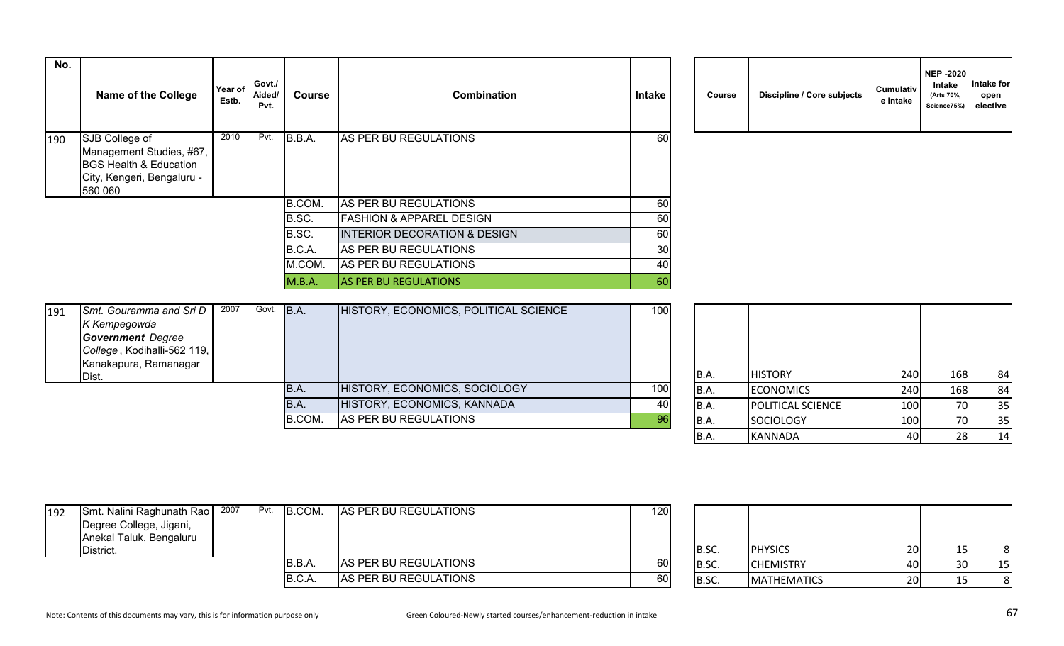| No. | <b>Name of the College</b>                                                                                    | Year of<br>Estb. | Govt./<br>Aided/<br>Pvt. | Course | <b>Combination</b>                      | <b>Intake</b> | <b>Course</b> | Discipline / Core subjects | Cumulativ<br>e intake |
|-----|---------------------------------------------------------------------------------------------------------------|------------------|--------------------------|--------|-----------------------------------------|---------------|---------------|----------------------------|-----------------------|
| 190 | SJB College of<br>Management Studies, #67,<br>BGS Health & Education<br>City, Kengeri, Bengaluru -<br>560 060 | 2010             | Pvt.                     | B.B.A. | AS PER BU REGULATIONS                   | 60            |               |                            |                       |
|     |                                                                                                               |                  |                          | B.COM. | AS PER BU REGULATIONS                   | 60            |               |                            |                       |
|     |                                                                                                               |                  |                          | B.SC.  | <b>FASHION &amp; APPAREL DESIGN</b>     | 60            |               |                            |                       |
|     |                                                                                                               |                  |                          | B.SC.  | <b>INTERIOR DECORATION &amp; DESIGN</b> | 60            |               |                            |                       |
|     |                                                                                                               |                  |                          | B.C.A. | AS PER BU REGULATIONS                   | 30            |               |                            |                       |
|     |                                                                                                               |                  |                          | M.COM. | AS PER BU REGULATIONS                   | 40            |               |                            |                       |
|     |                                                                                                               |                  |                          | M.B.A. | <b>AS PER BU REGULATIONS</b>            | 60            |               |                            |                       |

| Course | Discipline / Core subjects | <b>Cumulativ</b><br>e intake | <b>NEP -2020</b><br><b>Intake</b><br>(Arts 70%,<br>Science75%) | Intake for<br>open<br>elective |
|--------|----------------------------|------------------------------|----------------------------------------------------------------|--------------------------------|
|--------|----------------------------|------------------------------|----------------------------------------------------------------|--------------------------------|

| 191 | Smt. Gouramma and Sri D     | 2007 | Govt. B.A. | HISTORY, ECONOMICS, POLITICAL SCIENCE | 100 |       |                          |       |     |    |
|-----|-----------------------------|------|------------|---------------------------------------|-----|-------|--------------------------|-------|-----|----|
|     | K Kempegowda                |      |            |                                       |     |       |                          |       |     |    |
|     | <b>Government</b> Degree    |      |            |                                       |     |       |                          |       |     |    |
|     | College, Kodihalli-562 119, |      |            |                                       |     |       |                          |       |     |    |
|     | Kanakapura, Ramanagar       |      |            |                                       |     |       |                          |       |     |    |
|     | Dist.                       |      |            |                                       |     | B.A.  | <b>HISTORY</b>           | 240 l | 168 | 84 |
|     |                             |      | B.A.       | HISTORY, ECONOMICS, SOCIOLOGY         | 100 | IB.A. | <b>ECONOMICS</b>         | 240 l | 168 | 84 |
|     |                             |      | IB.A.      | HISTORY, ECONOMICS, KANNADA           | 40  | B.A.  | <b>POLITICAL SCIENCE</b> | 100   |     | 35 |
|     |                             |      | B.COM.     | AS PER BU REGULATIONS                 | 96  | IB.A. | <b>SOCIOLOGY</b>         | 100   |     | 35 |
|     |                             |      |            |                                       |     |       |                          |       |     |    |

| B.A. | <b>HISTORY</b>    | 240 | 168 | 84 |
|------|-------------------|-----|-----|----|
| B.A. | <b>ECONOMICS</b>  | 240 | 168 | 84 |
| B.A. | POLITICAL SCIENCE | 100 | 70  | 35 |
| B.A. | SOCIOLOGY         | 100 | 70  | 35 |
| B.A. | <b>KANNADA</b>    | 40  | 28  | 14 |

| 192 | Smt. Nalini Raghunath Rao<br>Degree College, Jigani,<br>Anekal Taluk, Bengaluru<br>District. | 2007 | Pvt. | B.COM. | AS PER BU REGULATIONS | 120 | B.SC. | <b>PHYSICS</b>     | 20 <sup>1</sup> |     |    |
|-----|----------------------------------------------------------------------------------------------|------|------|--------|-----------------------|-----|-------|--------------------|-----------------|-----|----|
|     |                                                                                              |      |      | B.B.A. | AS PER BU REGULATIONS | 60  | B.SC. | <b>CHEMISTRY</b>   | 40              | 30I | 15 |
|     |                                                                                              |      |      | B.C.A. | AS PER BU REGULATIONS | 60  | B.SC. | <b>MATHEMATICS</b> | 20 <sup>1</sup> |     |    |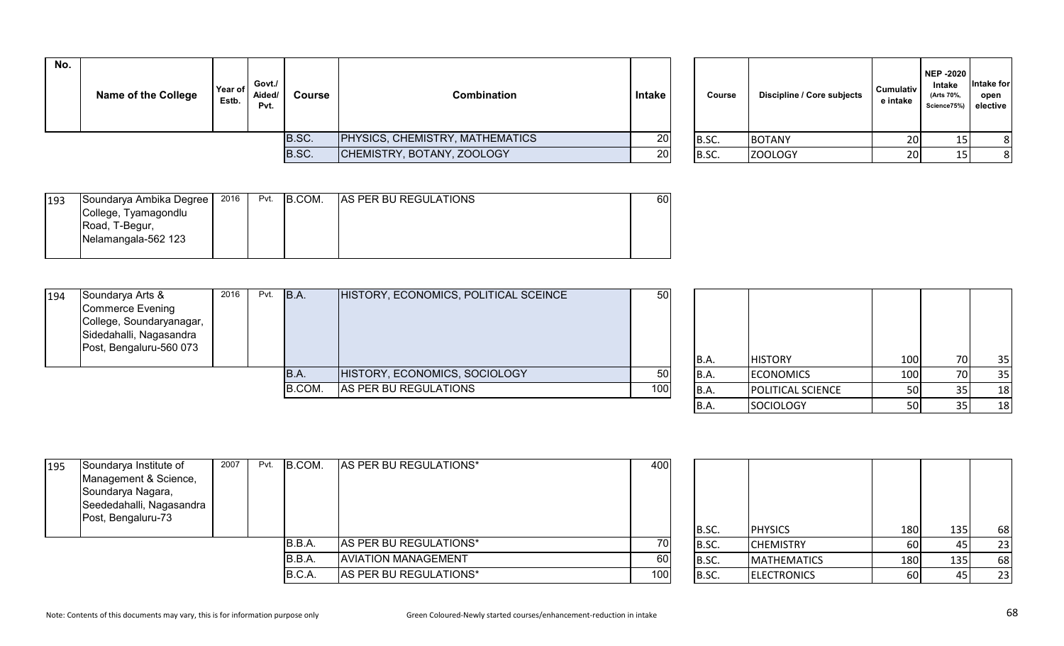| No. | <b>Name of the College</b> | Year of<br>Estb. | Govt./<br>Aided/<br>Pvt. | Course                                 | <b>Combination</b>         | <b>Intake</b> | <b>Course</b> | Discipline / Core subjects | <b>Cumulativ</b><br>e intake | NEP -2020<br>Intake<br>(Arts 70%,<br>Science75%) elective | Intake for<br>open |
|-----|----------------------------|------------------|--------------------------|----------------------------------------|----------------------------|---------------|---------------|----------------------------|------------------------------|-----------------------------------------------------------|--------------------|
|     |                            |                  | B.SC.                    | <b>PHYSICS, CHEMISTRY, MATHEMATICS</b> | <b>20</b>                  | B.SC.         | <b>BOTANY</b> | 20 <sup>1</sup>            |                              |                                                           |                    |
|     |                            |                  |                          | B.SC.                                  | CHEMISTRY, BOTANY, ZOOLOGY | <b>20</b>     | B.SC.         | <b>ZOOLOGY</b>             | 20 <sup>1</sup>              |                                                           |                    |

|       | Course | Discipline / Core subjects | <b>Cumulativ</b><br>e intake | <b>NEP -2020</b><br><b>Intake</b><br>(Arts 70%,<br>Science75%) | Intake for<br>open<br>elective |
|-------|--------|----------------------------|------------------------------|----------------------------------------------------------------|--------------------------------|
| B.SC. |        | <b>BOTANY</b>              | 20                           | 15                                                             | 8                              |
| B.SC. |        | <b>ZOOLOGY</b>             | 20                           | 15                                                             | 8                              |

| 193 | Soundarya Ambika Degree | 2016 | Pvt. | B.COM. | <b>AS PER BU REGULATIONS</b> | 601 |
|-----|-------------------------|------|------|--------|------------------------------|-----|
|     | College, Tyamagondlu    |      |      |        |                              |     |
|     | Road, T-Begur,          |      |      |        |                              |     |
|     | Nelamangala-562 123     |      |      |        |                              |     |
|     |                         |      |      |        |                              |     |

| 194 | Soundarya Arts &<br>Commerce Evening<br>College, Soundaryanagar,<br>Sidedahalli, Nagasandra | 2016 | Pvt. | B.A.   | HISTORY, ECONOMICS, POLITICAL SCEINCE | 50  |       |                          |     |     |    |
|-----|---------------------------------------------------------------------------------------------|------|------|--------|---------------------------------------|-----|-------|--------------------------|-----|-----|----|
|     | Post, Bengaluru-560 073                                                                     |      |      |        |                                       |     | B.A.  | <b>HISTORY</b>           | 100 | 70I | 35 |
|     |                                                                                             |      |      | IB.A.  | HISTORY, ECONOMICS, SOCIOLOGY         | 50  | B.A.  | <b>ECONOMICS</b>         | 100 | 70I | 35 |
|     |                                                                                             |      |      | B.COM. | AS PER BU REGULATIONS                 | 100 | IB.A. | <b>POLITICAL SCIENCE</b> |     |     | 18 |
|     |                                                                                             |      |      |        |                                       |     | IB.A  | SOCIOLOGY                |     |     | 18 |

| 195 | Soundarya Institute of   | 2007 | Pvt. | B.COM. | AS PER BU REGULATIONS*     | 400  |       |                    |            |     |    |
|-----|--------------------------|------|------|--------|----------------------------|------|-------|--------------------|------------|-----|----|
|     | Management & Science,    |      |      |        |                            |      |       |                    |            |     |    |
|     | Soundarya Nagara,        |      |      |        |                            |      |       |                    |            |     |    |
|     | Seededahalli, Nagasandra |      |      |        |                            |      |       |                    |            |     |    |
|     | Post, Bengaluru-73       |      |      |        |                            |      |       |                    |            |     |    |
|     |                          |      |      |        |                            |      | B.SC. | <b>PHYSICS</b>     | <b>180</b> | 135 | 68 |
|     |                          |      |      | B.B.A. | AS PER BU REGULATIONS*     | 70   | B.SC. | <b>CHEMISTRY</b>   | <b>60</b>  |     | 23 |
|     |                          |      |      | B.B.A. | <b>AVIATION MANAGEMENT</b> | 60 l | B.SC. | <b>MATHEMATICS</b> | 180        | 135 | 68 |
|     |                          |      |      | B.C.A. | AS PER BU REGULATIONS*     | 100  | B.SC. | <b>ELECTRONICS</b> | 60         |     | 23 |

| B.SC. | <b>PHYSICS</b>     | 180 | 135 | 68 |
|-------|--------------------|-----|-----|----|
| B.SC. | <b>CHEMISTRY</b>   | 60  | 45  | 23 |
| B.SC. | <b>MATHEMATICS</b> | 180 | 135 | 68 |
| B.SC. | <b>ELECTRONICS</b> | 60  | 45  | 23 |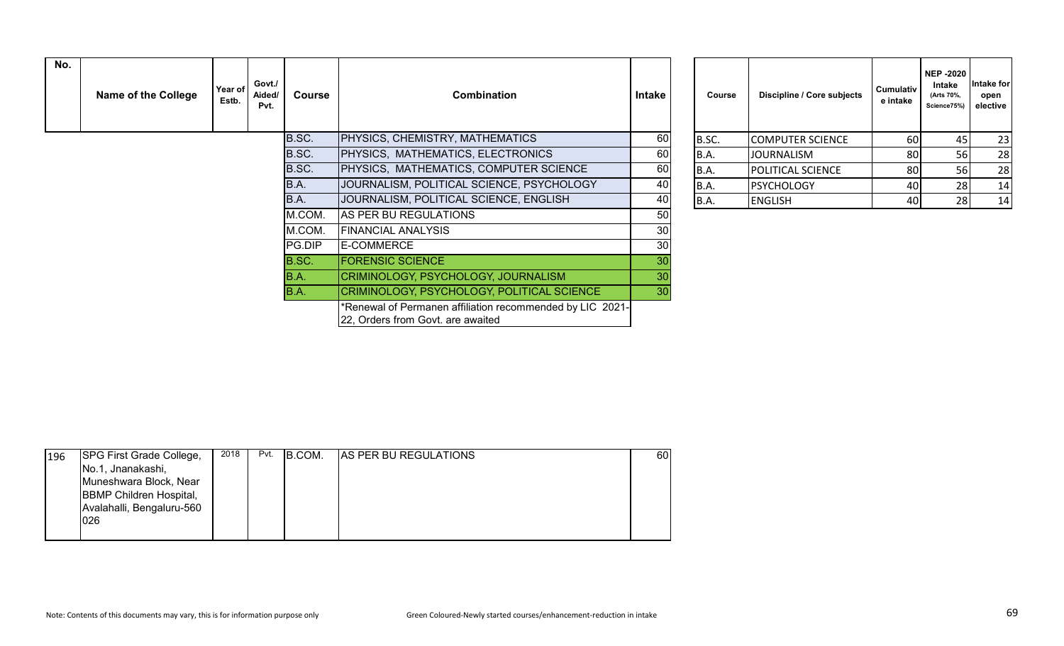| No. | <b>Name of the College</b> | Year of<br>Estb. | Govt./<br>Aided/<br>Pvt. | <b>Course</b> | <b>Combination</b>                                                                             | Intake | Course      | Discipline / Core subjects | <b>Cumulativ</b><br>e intake | <b>NEP-2020</b><br>Intake<br>(Arts 70%,<br>Science75%) | ntake for<br>open<br>elective |
|-----|----------------------------|------------------|--------------------------|---------------|------------------------------------------------------------------------------------------------|--------|-------------|----------------------------|------------------------------|--------------------------------------------------------|-------------------------------|
|     |                            |                  |                          | B.SC.         | PHYSICS, CHEMISTRY, MATHEMATICS                                                                | 60     | B.SC.       | <b>COMPUTER SCIENCE</b>    | 60                           | 45                                                     | 23                            |
|     |                            |                  |                          | B.SC.         | PHYSICS, MATHEMATICS, ELECTRONICS                                                              | 60     | B.A.        | <b>JOURNALISM</b>          | 80                           | 56                                                     | 28                            |
|     |                            |                  |                          | B.SC.         | PHYSICS, MATHEMATICS, COMPUTER SCIENCE                                                         | 60     | B.A.        | <b>POLITICAL SCIENCE</b>   | 80 <sup>1</sup>              | <b>56</b>                                              | 28                            |
|     |                            |                  |                          | B.A.          | JOURNALISM, POLITICAL SCIENCE, PSYCHOLOGY                                                      | 40     | B.A.        | PSYCHOLOGY                 | 40                           | 28                                                     | 14                            |
|     |                            |                  |                          | B.A.          | JOURNALISM, POLITICAL SCIENCE, ENGLISH                                                         | 40     | <b>B.A.</b> | <b>ENGLISH</b>             | 40                           | 28                                                     | 14                            |
|     |                            |                  |                          | M.COM.        | AS PER BU REGULATIONS                                                                          | 50     |             |                            |                              |                                                        |                               |
|     |                            |                  |                          | M.COM.        | <b>FINANCIAL ANALYSIS</b>                                                                      | 30     |             |                            |                              |                                                        |                               |
|     |                            |                  |                          | PG.DIP        | E-COMMERCE                                                                                     | 30     |             |                            |                              |                                                        |                               |
|     |                            |                  |                          | B.SC.         | <b>FORENSIC SCIENCE</b>                                                                        | 30     |             |                            |                              |                                                        |                               |
|     |                            |                  |                          | B.A.          | CRIMINOLOGY, PSYCHOLOGY, JOURNALISM                                                            | 30     |             |                            |                              |                                                        |                               |
|     |                            |                  |                          | B.A.          | CRIMINOLOGY, PSYCHOLOGY, POLITICAL SCIENCE                                                     | 30     |             |                            |                              |                                                        |                               |
|     |                            |                  |                          |               | *Renewal of Permanen affiliation recommended by LIC 2021-<br>22, Orders from Govt. are awaited |        |             |                            |                              |                                                        |                               |

| Course      | Discipline / Core subjects | Cumulativ<br>e intake | <b>NEP-2020</b><br>Intake<br>(Arts 70%,<br>Science75%) | Intake for<br>open<br>elective |
|-------------|----------------------------|-----------------------|--------------------------------------------------------|--------------------------------|
| B.SC.       | <b>COMPUTER SCIENCE</b>    | 60                    | 45                                                     | 23                             |
| <b>B.A.</b> | <b>JOURNALISM</b>          | 80                    | 56                                                     | 28                             |
| <b>B.A.</b> | POLITICAL SCIENCE          | 80                    | 56                                                     | 28                             |
| B.A.        | <b>PSYCHOLOGY</b>          | 40                    | 28                                                     | 14                             |
| B.A.        | <b>ENGLISH</b>             | 40                    | 28                                                     | 14                             |

| 196 | <b>SPG First Grade College,</b> | 2018 | Pvt. | B.COM. | <b>AS PER BU REGULATIONS</b> | 60 I |
|-----|---------------------------------|------|------|--------|------------------------------|------|
|     | No.1, Jnanakashi,               |      |      |        |                              |      |
|     | Muneshwara Block, Near          |      |      |        |                              |      |
|     | <b>BBMP Children Hospital,</b>  |      |      |        |                              |      |
|     | Avalahalli, Bengaluru-560       |      |      |        |                              |      |
|     | 026                             |      |      |        |                              |      |
|     |                                 |      |      |        |                              |      |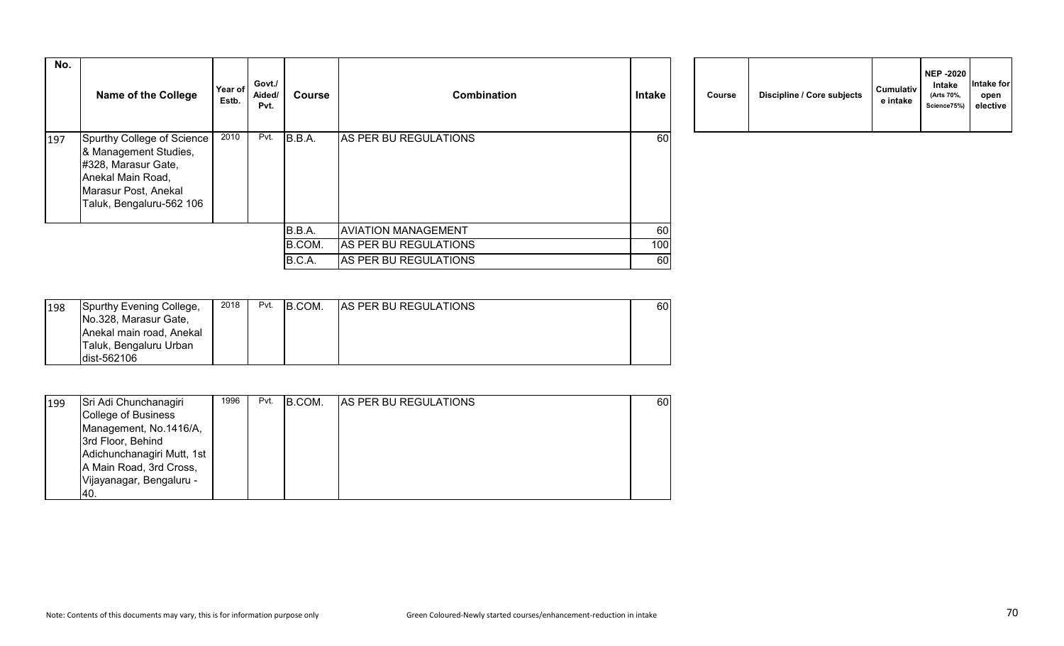| No. | <b>Name of the College</b>                                                                                                                          | Year of<br>Estb. | Govt./<br>Aided/<br>Pvt. | <b>Course</b> | Combination                | Intake    | Course | Discipline / Core subjects | <b>Cumulativ</b><br>e intake |
|-----|-----------------------------------------------------------------------------------------------------------------------------------------------------|------------------|--------------------------|---------------|----------------------------|-----------|--------|----------------------------|------------------------------|
| 197 | Spurthy College of Science<br>& Management Studies,<br>#328, Marasur Gate,<br>Anekal Main Road,<br>Marasur Post, Anekal<br>Taluk, Bengaluru-562 106 | 2010             | Pvt.                     | B.B.A.        | AS PER BU REGULATIONS      | 60        |        |                            |                              |
|     |                                                                                                                                                     |                  |                          | B.B.A.        | <b>AVIATION MANAGEMENT</b> | 60        |        |                            |                              |
|     |                                                                                                                                                     |                  |                          | B.COM.        | AS PER BU REGULATIONS      | 100       |        |                            |                              |
|     |                                                                                                                                                     |                  |                          | B.C.A.        | AS PER BU REGULATIONS      | <b>60</b> |        |                            |                              |

|  | Course | Discipline / Core subjects | <b>Cumulativ</b><br>e intake | <b>NEP -2020</b><br>Intake<br>(Arts 70%,<br>Science75%) | Intake for<br>open<br>elective |
|--|--------|----------------------------|------------------------------|---------------------------------------------------------|--------------------------------|
|--|--------|----------------------------|------------------------------|---------------------------------------------------------|--------------------------------|

| 198 | Spurthy Evening College, | 2018 | Pvt. | B.COM. | <b>AS PER BU REGULATIONS</b> | 60 |
|-----|--------------------------|------|------|--------|------------------------------|----|
|     | No.328, Marasur Gate,    |      |      |        |                              |    |
|     | Anekal main road, Anekal |      |      |        |                              |    |
|     | Taluk, Bengaluru Urban   |      |      |        |                              |    |
|     | ldist-562106             |      |      |        |                              |    |

| 199 | Sri Adi Chunchanagiri      | 1996 | Pvt. | <b>B.COM.</b> | <b>AS PER BU REGULATIONS</b> | 60 |
|-----|----------------------------|------|------|---------------|------------------------------|----|
|     | College of Business        |      |      |               |                              |    |
|     | Management, No.1416/A,     |      |      |               |                              |    |
|     | 3rd Floor, Behind          |      |      |               |                              |    |
|     | Adichunchanagiri Mutt, 1st |      |      |               |                              |    |
|     | A Main Road, 3rd Cross,    |      |      |               |                              |    |
|     | Vijayanagar, Bengaluru -   |      |      |               |                              |    |
|     | I40.                       |      |      |               |                              |    |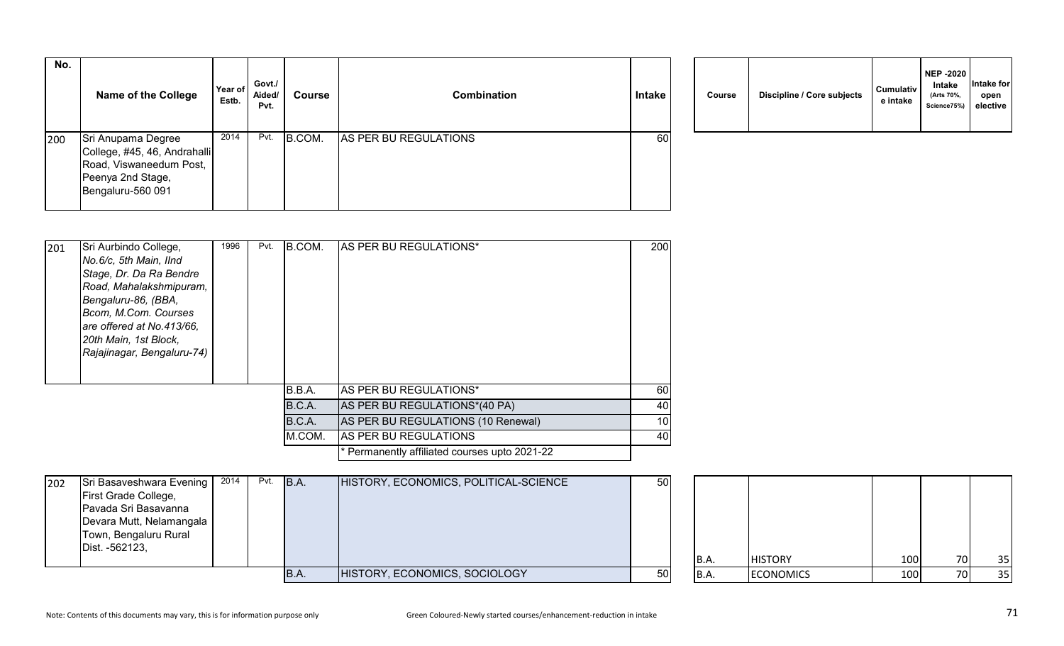| No. | <b>Name of the College</b>                                                                                              | Year of<br>Estb. | Govt./<br>Aided/<br>Pvt. | Course | Combination           | Intake | <b>Course</b> | Discipline / Core subjects | Cumulativ<br>e intake |
|-----|-------------------------------------------------------------------------------------------------------------------------|------------------|--------------------------|--------|-----------------------|--------|---------------|----------------------------|-----------------------|
| 200 | Sri Anupama Degree<br>College, #45, 46, Andrahalli<br>Road, Viswaneedum Post,<br>Peenya 2nd Stage,<br>Bengaluru-560 091 | 2014             | Pvt.                     | B.COM. | AS PER BU REGULATIONS | 60     |               |                            |                       |

|  | Course | Discipline / Core subjects | <b>Cumulativ</b><br>e intake | <b>NEP -2020</b><br>Intake<br>(Arts 70%,<br>Science75%) | Intake for<br>open<br>elective |
|--|--------|----------------------------|------------------------------|---------------------------------------------------------|--------------------------------|
|--|--------|----------------------------|------------------------------|---------------------------------------------------------|--------------------------------|

| 201 | Sri Aurbindo College,      | 1996 | Pvt. | B.COM. | AS PER BU REGULATIONS*                        | 200             |
|-----|----------------------------|------|------|--------|-----------------------------------------------|-----------------|
|     | No.6/c, 5th Main, IInd     |      |      |        |                                               |                 |
|     | Stage, Dr. Da Ra Bendre    |      |      |        |                                               |                 |
|     | Road, Mahalakshmipuram,    |      |      |        |                                               |                 |
|     | Bengaluru-86, (BBA,        |      |      |        |                                               |                 |
|     | Bcom, M.Com. Courses       |      |      |        |                                               |                 |
|     | are offered at No.413/66,  |      |      |        |                                               |                 |
|     | 20th Main, 1st Block,      |      |      |        |                                               |                 |
|     | Rajajinagar, Bengaluru-74) |      |      |        |                                               |                 |
|     |                            |      |      |        |                                               |                 |
|     |                            |      |      | B.B.A. | <b>AS PER BU REGULATIONS*</b>                 | 60              |
|     |                            |      |      | B.C.A. | AS PER BU REGULATIONS*(40 PA)                 | 40              |
|     |                            |      |      | B.C.A. | AS PER BU REGULATIONS (10 Renewal)            | 10 <sup>1</sup> |
|     |                            |      |      | M.COM. | AS PER BU REGULATIONS                         | 40              |
|     |                            |      |      |        | * Permanently affiliated courses upto 2021-22 |                 |

| 202 | Sri Basaveshwara Evening   2014<br><b>First Grade College,</b><br>Pavada Sri Basavanna<br>Devara Mutt, Nelamangala  <br>Town, Bengaluru Rural<br>Dist. -562123, |  | Pvt. B.A. | HISTORY, ECONOMICS, POLITICAL-SCIENCE | 50        |      |                  |            |     |    |
|-----|-----------------------------------------------------------------------------------------------------------------------------------------------------------------|--|-----------|---------------------------------------|-----------|------|------------------|------------|-----|----|
|     |                                                                                                                                                                 |  |           |                                       |           | B.A. | <b>HISTORY</b>   | <b>100</b> | 70I | 35 |
|     |                                                                                                                                                                 |  | IB.A.     | HISTORY, ECONOMICS, SOCIOLOGY         | <b>50</b> | B.A. | <b>ECONOMICS</b> | 100        | 70I | 35 |

| B.A. | <b>HISTORY</b>   | 100 | 70 | 35 |
|------|------------------|-----|----|----|
| B.A. | <b>ECONOMICS</b> | 100 | 70 | 35 |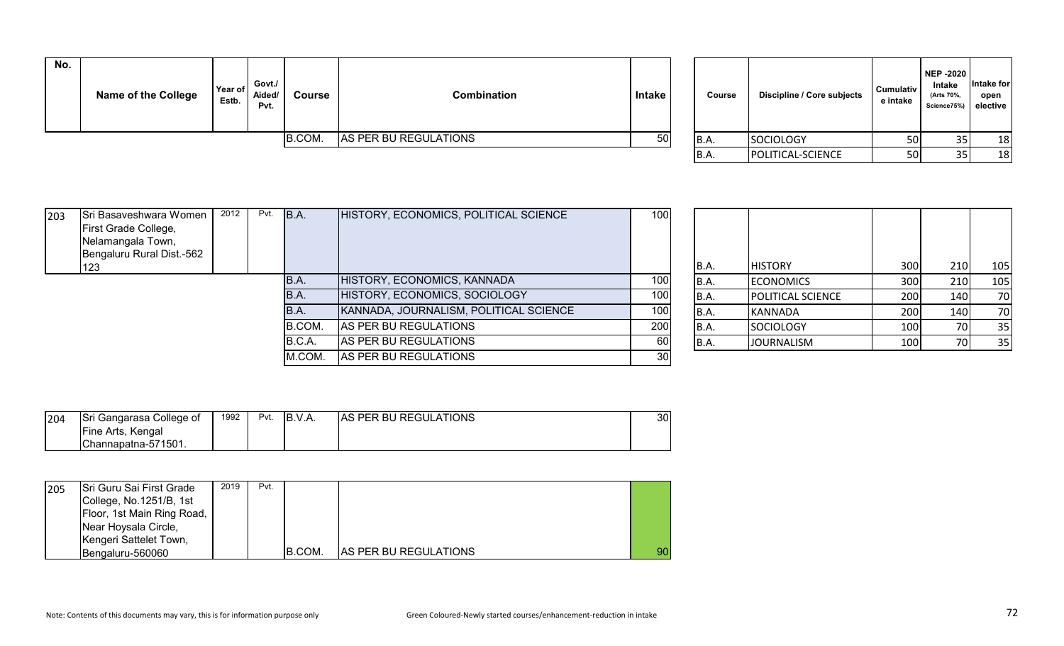| No. | <b>Name of the College</b> | Year of<br>Estb. | Govt./<br>Aided/<br>Pvt. | Course | Combination           | Intake | Course | Discipline / Core subjects | Cumulativ<br>e intake | NEP -2020<br>Intake<br>(Arts 70%<br>Science75%) elective | Intake for<br>open |
|-----|----------------------------|------------------|--------------------------|--------|-----------------------|--------|--------|----------------------------|-----------------------|----------------------------------------------------------|--------------------|
|     |                            |                  |                          | B.COM. | AS PER BU REGULATIONS | 50     | B.A.   | SOCIOLOGY                  | 50                    |                                                          | 18                 |
|     |                            |                  |                          |        |                       |        | IB.A.  | <b>IPOLITICAL-SCIENCE</b>  | .50 l                 |                                                          | 18                 |

| Course | Discipline / Core subjects | <b>Cumulativ</b><br>e intake | <b>NEP -2020</b><br>Intake<br>(Arts 70%,<br>Science75%) | Intake for<br>open<br>elective |
|--------|----------------------------|------------------------------|---------------------------------------------------------|--------------------------------|
| B.A.   | <b>SOCIOLOGY</b>           | 50                           | 35                                                      | 18                             |
| B.A.   | POLITICAL-SCIENCE          | 50                           | 35                                                      | 18                             |

| 203 | Sri Basaveshwara Women<br>First Grade College,<br>Nelamangala Town,<br>Bengaluru Rural Dist.-562 | 2012 | Pvt. | B.A.   | HISTORY, ECONOMICS, POLITICAL SCIENCE  | 100              |       |                          |     |     |     |
|-----|--------------------------------------------------------------------------------------------------|------|------|--------|----------------------------------------|------------------|-------|--------------------------|-----|-----|-----|
|     | 123                                                                                              |      |      |        |                                        |                  | IB.A. | <b>HISTORY</b>           | 300 | 210 | 105 |
|     |                                                                                                  |      |      | B.A.   | HISTORY, ECONOMICS, KANNADA            | 100              | IB.A. | <b>ECONOMICS</b>         | 300 | 210 | 105 |
|     |                                                                                                  |      |      | B.A.   | HISTORY, ECONOMICS, SOCIOLOGY          | 100 <sup>1</sup> | IB.A. | <b>POLITICAL SCIENCE</b> | 200 | 140 | 70  |
|     |                                                                                                  |      |      | IB.A.  | KANNADA, JOURNALISM, POLITICAL SCIENCE | 100              | IB.A. | KANNADA                  | 200 | 140 | 70  |
|     |                                                                                                  |      |      | B.COM. | AS PER BU REGULATIONS                  | 200              | IB.A. | SOCIOLOGY                | 100 | 70I | 35  |
|     |                                                                                                  |      |      | B.C.A. | AS PER BU REGULATIONS                  | 60               | IB.A. | <b>JOURNALISM</b>        | 100 | 70  | 35  |
|     |                                                                                                  |      |      | M.COM. | AS PER BU REGULATIONS                  | 30               |       |                          |     |     |     |

| 204 | Sri Gangarasa College of  | 1992 | Pvt. | IB.V.A. | <b>AS PER BU REGULATIONS</b> | 30 <sub>l</sub> |
|-----|---------------------------|------|------|---------|------------------------------|-----------------|
|     | <b>IFine Arts, Kengal</b> |      |      |         |                              |                 |
|     | IChannapatna-571501.      |      |      |         |                              |                 |

| 205 | Sri Guru Sai First Grade   | 2019 | Pvt. |        |                              |    |
|-----|----------------------------|------|------|--------|------------------------------|----|
|     | College, No.1251/B, 1st    |      |      |        |                              |    |
|     | Floor, 1st Main Ring Road, |      |      |        |                              |    |
|     | Near Hoysala Circle,       |      |      |        |                              |    |
|     | Kengeri Sattelet Town,     |      |      |        |                              |    |
|     | Bengaluru-560060           |      |      | B.COM. | <b>AS PER BU REGULATIONS</b> | 90 |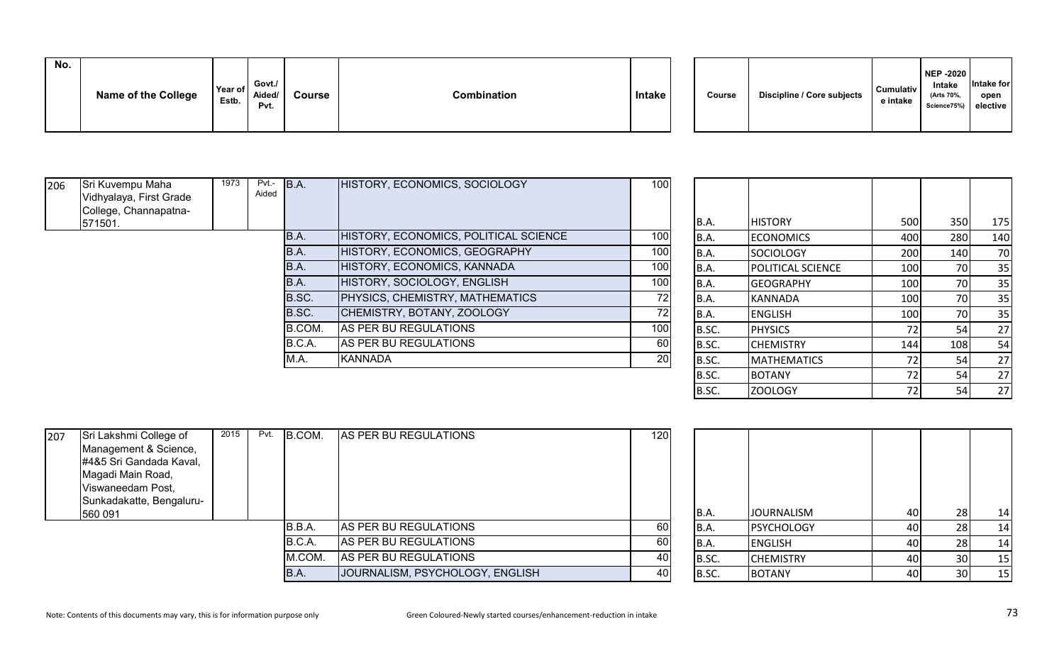| No. | <b>Name of the College</b> | Year of<br>Estb. | Govt./<br>Aided/<br>Pvt. | <b>Course</b> | Combination | Intake |  | Course | Discipline / Core subjects | <b>Cumulativ</b><br>e intake | <b>NEP -2020</b><br>Intake<br>(Arts 70%,<br>Science75%) elective | Intake for<br>open |
|-----|----------------------------|------------------|--------------------------|---------------|-------------|--------|--|--------|----------------------------|------------------------------|------------------------------------------------------------------|--------------------|
|-----|----------------------------|------------------|--------------------------|---------------|-------------|--------|--|--------|----------------------------|------------------------------|------------------------------------------------------------------|--------------------|

| 206 | Sri Kuvempu Maha        | 1973 | Pvt.- | B.A.   | HISTORY, ECONOMICS, SOCIOLOGY          | 100 |       |                          |                  |     |     |
|-----|-------------------------|------|-------|--------|----------------------------------------|-----|-------|--------------------------|------------------|-----|-----|
|     | Vidhyalaya, First Grade |      | Aided |        |                                        |     |       |                          |                  |     |     |
|     | College, Channapatna-   |      |       |        |                                        |     |       |                          |                  |     |     |
|     | 571501.                 |      |       |        |                                        |     | B.A.  | <b>HISTORY</b>           | 500              | 350 | 175 |
|     |                         |      |       | B.A.   | HISTORY, ECONOMICS, POLITICAL SCIENCE  | 100 | B.A.  | <b>ECONOMICS</b>         | 400              | 280 | 140 |
|     |                         |      |       | IB.A.  | HISTORY, ECONOMICS, GEOGRAPHY          | 100 | B.A.  | <b>SOCIOLOGY</b>         | 200              | 140 | 70  |
|     |                         |      |       | IB.A.  | HISTORY, ECONOMICS, KANNADA            | 100 | B.A.  | <b>POLITICAL SCIENCE</b> | 100              | 70I | 35  |
|     |                         |      |       | IB.A.  | HISTORY, SOCIOLOGY, ENGLISH            | 100 | B.A.  | <b>IGEOGRAPHY</b>        | 100              | 70I | 35  |
|     |                         |      |       | B.SC.  | <b>PHYSICS, CHEMISTRY, MATHEMATICS</b> | 72  | IB.A. | KANNADA                  | 100              | 70I | 35  |
|     |                         |      |       | B.SC.  | CHEMISTRY, BOTANY, ZOOLOGY             |     | B.A.  | <b>ENGLISH</b>           | 100              |     | 35  |
|     |                         |      |       | B.COM. | AS PER BU REGULATIONS                  | 100 | B.SC. | <b>PHYSICS</b>           | 72 <sub>1</sub>  |     | 27  |
|     |                         |      |       | B.C.A. | AS PER BU REGULATIONS                  | 60  | B.SC. | <b>ICHEMISTRY</b>        | 144 <sup> </sup> | 108 | 54  |
|     |                         |      |       | M.A.   | <b>IKANNADA</b>                        | 20  | B.SC. | <b>MATHEMATICS</b>       | 72 I             |     | 27  |
|     |                         |      |       |        |                                        |     |       |                          |                  |     |     |

| B.A.  | <b>HISTORY</b>     | 500 | 350 | 175 |
|-------|--------------------|-----|-----|-----|
| B.A.  | <b>ECONOMICS</b>   | 400 | 280 | 140 |
| B.A.  | <b>SOCIOLOGY</b>   | 200 | 140 | 70  |
| B.A.  | POLITICAL SCIENCE  | 100 | 70  | 35  |
| B.A.  | <b>GEOGRAPHY</b>   | 100 | 70  | 35  |
| B.A.  | <b>KANNADA</b>     | 100 | 70  | 35  |
| B.A.  | <b>ENGLISH</b>     | 100 | 70  | 35  |
| B.SC. | <b>PHYSICS</b>     | 72  | 54  | 27  |
| B.SC. | <b>CHEMISTRY</b>   | 144 | 108 | 54  |
| B.SC. | <b>MATHEMATICS</b> | 72  | 54  | 27  |
| B.SC. | <b>BOTANY</b>      | 72  | 54  | 27  |
| B.SC. | ZOOLOGY            | 72  | 54  | 27  |

| 207 | Sri Lakshmi College of   | 2015 | Pvt. | B.COM. | AS PER BU REGULATIONS           | 120  |       |                   |    |     |    |
|-----|--------------------------|------|------|--------|---------------------------------|------|-------|-------------------|----|-----|----|
|     | Management & Science,    |      |      |        |                                 |      |       |                   |    |     |    |
|     | #4&5 Sri Gandada Kaval,  |      |      |        |                                 |      |       |                   |    |     |    |
|     | Magadi Main Road,        |      |      |        |                                 |      |       |                   |    |     |    |
|     | Viswaneedam Post,        |      |      |        |                                 |      |       |                   |    |     |    |
|     | Sunkadakatte, Bengaluru- |      |      |        |                                 |      |       |                   |    |     |    |
|     | 560 091                  |      |      |        |                                 |      | B.A.  | <b>JOURNALISM</b> | 40 |     | 14 |
|     |                          |      |      | B.B.A. | AS PER BU REGULATIONS           | 60   | B.A.  | <b>PSYCHOLOGY</b> | 40 |     | 14 |
|     |                          |      |      | B.C.A. | AS PER BU REGULATIONS           | 60 l | B.A.  | <b>ENGLISH</b>    | 40 |     | 14 |
|     |                          |      |      | M.COM. | AS PER BU REGULATIONS           | 40   | B.SC. | <b>CHEMISTRY</b>  | 40 | 30l | 15 |
|     |                          |      |      | B.A.   | JOURNALISM, PSYCHOLOGY, ENGLISH | 40   | B.SC. | <b>BOTANY</b>     | 40 |     | 15 |

| B.A.  | <b>JOURNALISM</b> | 40 | 28 | 14 |
|-------|-------------------|----|----|----|
| B.A.  | <b>PSYCHOLOGY</b> | 40 | 28 | 14 |
| B.A.  | <b>ENGLISH</b>    | 40 | 28 | 14 |
| B.SC. | <b>CHEMISTRY</b>  | 40 | 30 | 15 |
| B.SC. | <b>BOTANY</b>     | 40 | 30 | 15 |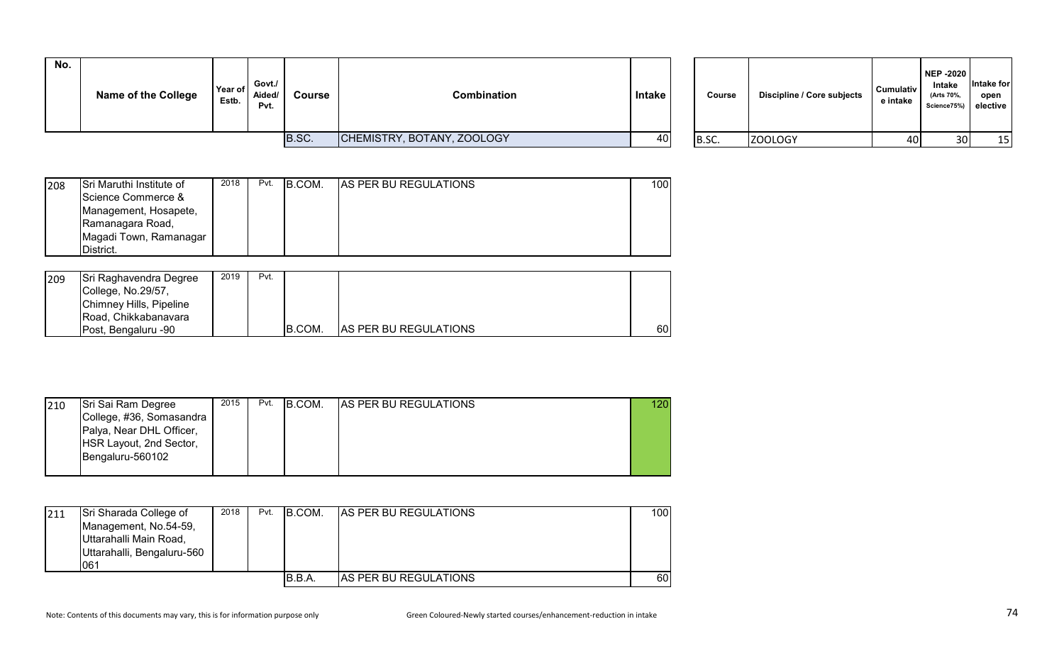| No. | <b>Name of the College</b> | Year of<br>Estb. | Govt./<br>Aided/<br>Pvt. | Course | Combination                | Intake | Course | Discipline / Core subjects | Cumulativ<br>e intake | <b>NEP -2020</b><br>Intake<br>(Arts 70%,<br>Science75%) elective | Intake for<br>open |
|-----|----------------------------|------------------|--------------------------|--------|----------------------------|--------|--------|----------------------------|-----------------------|------------------------------------------------------------------|--------------------|
|     |                            |                  |                          | B.SC.  | CHEMISTRY, BOTANY, ZOOLOGY | 40     | B.SC.  | ZOOLOGY                    | 40                    | 30                                                               | 15                 |

| <b>Course</b> | Discipline / Core subjects | <b>Cumulativ</b><br>e intake | <b>NEP -2020</b><br>Intake<br>(Arts 70%,<br>Science75%) | Intake for<br>open<br>elective |
|---------------|----------------------------|------------------------------|---------------------------------------------------------|--------------------------------|
| B.SC.         | ZOOLOGY                    | 40                           | 30                                                      | 15                             |

| 208 | Sri Maruthi Institute of | 2018 | Pvt. | B.COM. | <b>AS PER BU REGULATIONS</b> | 100 |
|-----|--------------------------|------|------|--------|------------------------------|-----|
|     | Science Commerce &       |      |      |        |                              |     |
|     | Management, Hosapete,    |      |      |        |                              |     |
|     | Ramanagara Road,         |      |      |        |                              |     |
|     | Magadi Town, Ramanagar   |      |      |        |                              |     |
|     | District.                |      |      |        |                              |     |

| 209 | Sri Raghavendra Degree<br>College, No.29/57,<br>Chimney Hills, Pipeline<br>Road, Chikkabanavara | 2019 | Pvt. |        |                              |    |
|-----|-------------------------------------------------------------------------------------------------|------|------|--------|------------------------------|----|
|     | Post, Bengaluru -90                                                                             |      |      | B.COM. | <b>AS PER BU REGULATIONS</b> | 60 |

| 210 | Sri Sai Ram Degree       | 2015 | Pvt. | B.COM. | <b>AS PER BU REGULATIONS</b> | 120 |
|-----|--------------------------|------|------|--------|------------------------------|-----|
|     | College, #36, Somasandra |      |      |        |                              |     |
|     | Palya, Near DHL Officer, |      |      |        |                              |     |
|     | HSR Layout, 2nd Sector,  |      |      |        |                              |     |
|     | Bengaluru-560102         |      |      |        |                              |     |
|     |                          |      |      |        |                              |     |

| 211 | Sri Sharada College of<br>Management, No.54-59,<br>Uttarahalli Main Road,<br>Uttarahalli, Bengaluru-560<br>1061 | 2018 | Pvt. | <b>B.COM.</b> | AS PER BU REGULATIONS        | 1001 |
|-----|-----------------------------------------------------------------------------------------------------------------|------|------|---------------|------------------------------|------|
|     |                                                                                                                 |      |      | IB.B.A.       | <b>AS PER BU REGULATIONS</b> | 60   |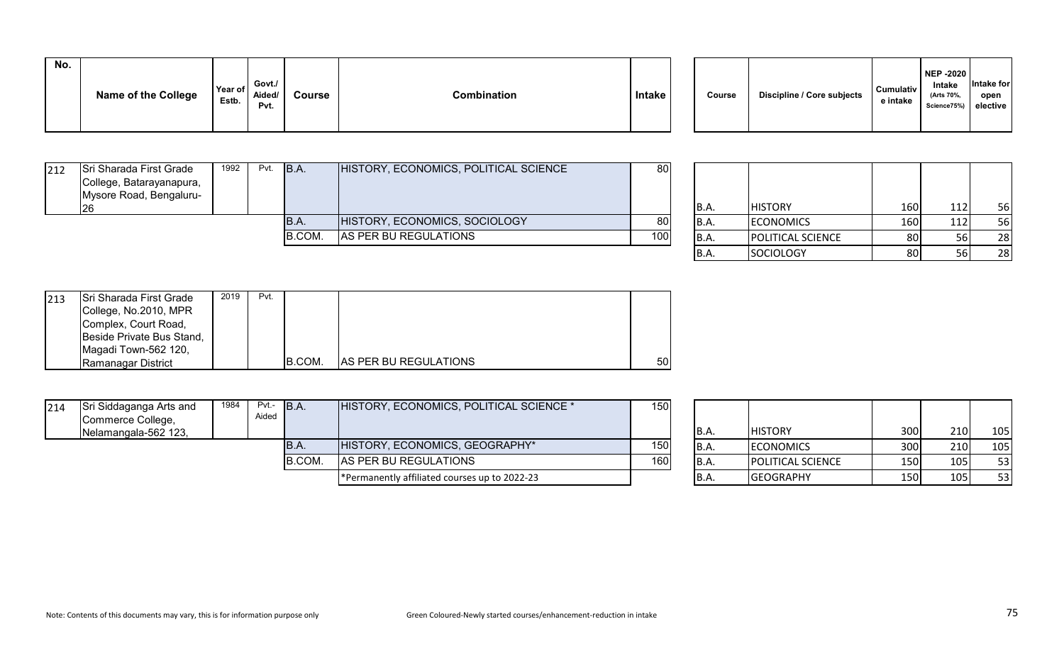| No. | <b>Name of the College</b> | Year of<br>Estb. | Govt./<br>Aided/<br>Pvt. | <b>Course</b> | <b>Combination</b> | <b>Intake</b> | Course | Discipline / Core subjects | Cumulativ<br>e intake |
|-----|----------------------------|------------------|--------------------------|---------------|--------------------|---------------|--------|----------------------------|-----------------------|
|     |                            |                  |                          |               |                    |               |        |                            |                       |

| 212 | Sri Sharada First Grade<br>College, Batarayanapura,<br>Mysore Road, Bengaluru- | 1992 | Pvt. | B.A.   | HISTORY, ECONOMICS, POLITICAL SCIENCE | 80  | IB.A. | <b>HISTORY</b>           | 1601 | 56  |
|-----|--------------------------------------------------------------------------------|------|------|--------|---------------------------------------|-----|-------|--------------------------|------|-----|
|     |                                                                                |      |      | B.A.   | HISTORY, ECONOMICS, SOCIOLOGY         | 80  | IB.A. | <b>ECONOMICS</b>         | 160  | 56  |
|     |                                                                                |      |      | B.COM. | AS PER BU REGULATIONS                 | 100 | B.A.  | <b>POLITICAL SCIENCE</b> | 80   | 28  |
|     |                                                                                |      |      |        |                                       |     |       | Isociology               | R∩I  | ົາຂ |

| B.A. | <b>HISTORY</b>    | 160 | 112 | 56 |
|------|-------------------|-----|-----|----|
| B.A. | <b>ECONOMICS</b>  | 160 | 112 | 56 |
| B.A. | POLITICAL SCIENCE | 80  | 56  | 28 |
| B.A  | <b>SOCIOLOGY</b>  | 80  | 56  | 28 |

**NEP -2020 Intake (Arts 70%, Science75%)**

**Intake for open elective**

| 213 | Sri Sharada First Grade   | 2019 | Pvt. |        |                               |                 |
|-----|---------------------------|------|------|--------|-------------------------------|-----------------|
|     | College, No.2010, MPR     |      |      |        |                               |                 |
|     | Complex, Court Road,      |      |      |        |                               |                 |
|     | Beside Private Bus Stand, |      |      |        |                               |                 |
|     | Magadi Town-562 120,      |      |      |        |                               |                 |
|     | Ramanagar District        |      |      | B.COM. | <b>IAS PER BU REGULATIONS</b> | 50 <sub>l</sub> |

| 214 | Sri Siddaganga Arts and<br>Commerce College,<br>Nelamangala-562 123, | 1984 | $Pvt - B.A.$<br>Aided |               | HISTORY, ECONOMICS, POLITICAL SCIENCE *       | 150 | IB.A. | <b>HISTORY</b>           | 300   | 210 | 105 |
|-----|----------------------------------------------------------------------|------|-----------------------|---------------|-----------------------------------------------|-----|-------|--------------------------|-------|-----|-----|
|     |                                                                      |      |                       | IB.A.         | HISTORY, ECONOMICS, GEOGRAPHY*                | 150 | B.A.  | <b>ECONOMICS</b>         | 300   | 210 | 105 |
|     |                                                                      |      |                       | <b>B.COM.</b> | AS PER BU REGULATIONS                         | 160 | IB.A. | <b>POLITICAL SCIENCE</b> | 150 l | 105 | 53  |
|     |                                                                      |      |                       |               | *Permanently affiliated courses up to 2022-23 |     | IB.A. | <b>GEOGRAPHY</b>         | 150 l | 105 | 53  |

| B.A.        | <b>HISTORY</b>   |                   | 300 | 210 | 105 |
|-------------|------------------|-------------------|-----|-----|-----|
| B.A.        | <b>ECONOMICS</b> |                   | 300 | 210 | 105 |
| <b>B.A.</b> |                  | POLITICAL SCIENCE | 150 | 105 | 53  |
| B.A.        | <b>GEOGRAPHY</b> |                   | 150 | 105 | 53  |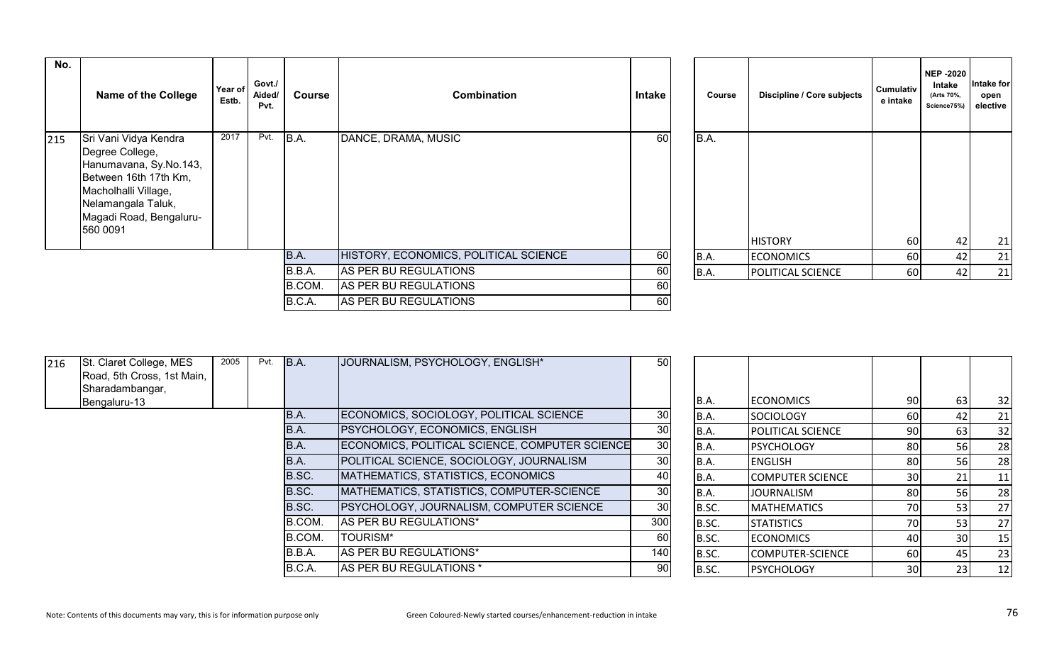| No. | <b>Name of the College</b>                                                                                                                                                               | Govt./<br>Year of<br><b>Combination</b><br>Aided/<br><b>Course</b><br>Estb.<br>Pvt. |      |        | <b>Intake</b>                         | Course | Discipline / Core subjects | <b>Cumulativ</b><br>e intake | <b>NEP -2020</b><br>Intake<br>(Arts 70%,<br>Science75%) | Intake for<br>open<br>elective |    |
|-----|------------------------------------------------------------------------------------------------------------------------------------------------------------------------------------------|-------------------------------------------------------------------------------------|------|--------|---------------------------------------|--------|----------------------------|------------------------------|---------------------------------------------------------|--------------------------------|----|
| 215 | 2017<br>Sri Vani Vidya Kendra<br>Degree College,<br>Hanumavana, Sy.No.143,<br>Between 16th 17th Km,<br>Macholhalli Village,<br>Nelamangala Taluk,<br>Magadi Road, Bengaluru-<br>560 0091 |                                                                                     | Pvt. | B.A.   | DANCE, DRAMA, MUSIC                   | 60     | B.A.                       | <b>HISTORY</b>               | 60                                                      | 42                             | 21 |
|     |                                                                                                                                                                                          |                                                                                     |      | B.A.   | HISTORY, ECONOMICS, POLITICAL SCIENCE | 60     | <b>B.A.</b>                | <b>ECONOMICS</b>             | 60                                                      | 42                             | 21 |
|     |                                                                                                                                                                                          |                                                                                     |      | B.B.A. | AS PER BU REGULATIONS                 | 60     | B.A.                       | <b>POLITICAL SCIENCE</b>     | 60                                                      | 42                             | 21 |
|     |                                                                                                                                                                                          |                                                                                     |      | B.COM. | AS PER BU REGULATIONS                 | 60     |                            |                              |                                                         |                                |    |
|     |                                                                                                                                                                                          |                                                                                     |      | B.C.A. | AS PER BU REGULATIONS                 | 60     |                            |                              |                                                         |                                |    |

| Course | Discipline / Core subjects | <b>Cumulativ</b><br>e intake | <b>NEP-2020</b><br>Intake<br>(Arts 70%,<br>Science75%) | Intake for<br>open<br>elective |
|--------|----------------------------|------------------------------|--------------------------------------------------------|--------------------------------|
| B.A.   |                            |                              |                                                        |                                |
|        | <b>HISTORY</b>             | 60                           | 42                                                     | 21                             |
| B.A.   | <b>ECONOMICS</b>           | 60                           | 42                                                     | 21                             |
| B.A.   | POLITICAL SCIENCE          | 60                           | 42                                                     | 21                             |

| St. Claret College, MES<br>216<br>Road, 5th Cross, 1st Main, | 2005 | Pvt. | B.A.   | JOURNALISM, PSYCHOLOGY, ENGLISH*                | 50              |       |                          |                 |     |     |
|--------------------------------------------------------------|------|------|--------|-------------------------------------------------|-----------------|-------|--------------------------|-----------------|-----|-----|
| Sharadambangar,                                              |      |      |        |                                                 |                 |       |                          |                 |     |     |
| Bengaluru-13                                                 |      |      |        |                                                 |                 | B.A.  | <b>ECONOMICS</b>         | 90              | 63  | 32  |
|                                                              |      |      | B.A.   | ECONOMICS, SOCIOLOGY, POLITICAL SCIENCE         | 30              | IB.A. | SOCIOLOGY                | 60              | 42  | 21  |
|                                                              |      |      | IB.A.  | <b>PSYCHOLOGY, ECONOMICS, ENGLISH</b>           | 30              | B.A.  | <b>POLITICAL SCIENCE</b> | 90              |     | 32  |
|                                                              |      |      | B.A.   | ECONOMICS, POLITICAL SCIENCE, COMPUTER SCIENCE  | 30 <sup>°</sup> | B.A.  | <b>PSYCHOLOGY</b>        | 80              | 56  | 28  |
|                                                              |      |      | IB.A.  | POLITICAL SCIENCE, SOCIOLOGY, JOURNALISM        | 30              | B.A.  | <b>ENGLISH</b>           | 80              | 56I | 28  |
|                                                              |      |      | B.SC.  | MATHEMATICS, STATISTICS, ECONOMICS              | 40              | B.A.  | <b>COMPUTER SCIENCE</b>  | 30 <sup>1</sup> |     | 11  |
|                                                              |      |      | B.SC.  | MATHEMATICS, STATISTICS, COMPUTER-SCIENCE       | 30              | B.A.  | <b>JOURNALISM</b>        | 80              | 56I | 28  |
|                                                              |      |      | B.SC.  | <b>PSYCHOLOGY, JOURNALISM, COMPUTER SCIENCE</b> | 30              | B.SC. | <b>MATHEMATICS</b>       | 70              | 53  | 27  |
|                                                              |      |      | B.COM. | AS PER BU REGULATIONS*                          | 300             | B.SC. | <b>STATISTICS</b>        | 70              | 53  | 27  |
|                                                              |      |      | B.COM. | <b>TOURISM*</b>                                 | 60              | B.SC. | <b>ECONOMICS</b>         | 40              | 30I | 15  |
|                                                              |      |      | B.B.A. | AS PER BU REGULATIONS*                          | 140             | B.SC. | COMPUTER-SCIENCE         | 60              |     | 23  |
|                                                              |      |      | B.C.A. | AS PER BU REGULATIONS *                         | 90              | B.SC. | <b>PSYCHOLOGY</b>        | 30 <sup>1</sup> |     | -12 |

| B.A.  | <b>ECONOMICS</b>        | 90 | 63 | 32 |
|-------|-------------------------|----|----|----|
| B.A.  | <b>SOCIOLOGY</b>        | 60 | 42 | 21 |
| B.A.  | POLITICAL SCIENCE       | 90 | 63 | 32 |
| B.A.  | <b>PSYCHOLOGY</b>       | 80 | 56 | 28 |
| B.A.  | <b>ENGLISH</b>          | 80 | 56 | 28 |
| B.A.  | <b>COMPUTER SCIENCE</b> | 30 | 21 | 11 |
| B.A.  | <b>JOURNALISM</b>       | 80 | 56 | 28 |
| B.SC. | <b>MATHEMATICS</b>      | 70 | 53 | 27 |
| B.SC. | <b>STATISTICS</b>       | 70 | 53 | 27 |
| B.SC. | <b>ECONOMICS</b>        | 40 | 30 | 15 |
| B.SC. | COMPUTER-SCIENCE        | 60 | 45 | 23 |
| B.SC. | <b>PSYCHOLOGY</b>       | 30 | 23 | 12 |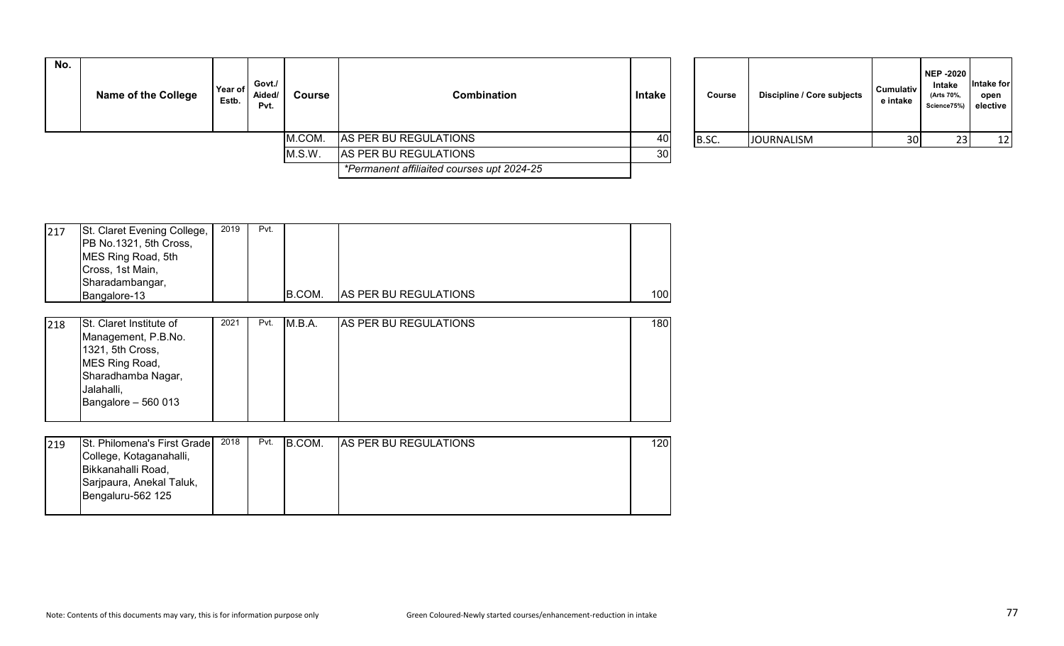| No. | <b>Name of the College</b> | Year of<br>Estb. | Govt./<br>Aided/<br>Pvt. | <b>Course</b> | <b>Combination</b>                         | Intake | Course | Discipline / Core subjects | <b>Cumulativ</b><br>e intake | NEP -2020<br>Intake<br>(Arts 70%,<br>Science75%) elective | ntake for<br>open |
|-----|----------------------------|------------------|--------------------------|---------------|--------------------------------------------|--------|--------|----------------------------|------------------------------|-----------------------------------------------------------|-------------------|
|     |                            |                  |                          | M.COM.        | AS PER BU REGULATIONS                      | 40     | B.SC.  | <b>JOURNALISM</b>          | 30 <sup>1</sup>              |                                                           | 12                |
|     |                            |                  |                          | M.S.W.        | AS PER BU REGULATIONS                      | 30     |        |                            |                              |                                                           |                   |
|     |                            |                  |                          |               | *Permanent affiliaited courses upt 2024-25 |        |        |                            |                              |                                                           |                   |

| Course | Discipline / Core subjects | <b>Cumulativ</b><br>e intake | <b>NEP -2020</b><br><b>Intake</b><br>(Arts 70%,<br>Science75%) | Intake for<br>open<br>elective |
|--------|----------------------------|------------------------------|----------------------------------------------------------------|--------------------------------|
| B.SC.  | <b>JOURNALISM</b>          | 30                           | 23                                                             | 12                             |

| 217 | St. Claret Evening College,<br>PB No.1321, 5th Cross,<br>MES Ring Road, 5th<br>Cross, 1st Main, | 2019 | Pvt. |        |                               |     |
|-----|-------------------------------------------------------------------------------------------------|------|------|--------|-------------------------------|-----|
|     | Sharadambangar,<br>Bangalore-13                                                                 |      |      | B.COM. | <b>IAS PER BU REGULATIONS</b> | 100 |
| 218 | St. Claret Institute of<br>Management, P.B.No.                                                  | 2021 | Pvt. | M.B.A. | <b>AS PER BU REGULATIONS</b>  | 180 |

| 1321, 5th Cross,<br>MES Ring Road,<br>Sharadhamba Nagar,<br>Jalahalli,<br>Bangalore $-560013$ |  |  |  |  |
|-----------------------------------------------------------------------------------------------|--|--|--|--|

| 219 | St. Philomena's First Grade | 2018 | Pvt. | B.COM. | <b>AS PER BU REGULATIONS</b> | 1201 |
|-----|-----------------------------|------|------|--------|------------------------------|------|
|     | College, Kotaganahalli,     |      |      |        |                              |      |
|     | Bikkanahalli Road,          |      |      |        |                              |      |
|     | Sarjpaura, Anekal Taluk,    |      |      |        |                              |      |
|     | Bengaluru-562 125           |      |      |        |                              |      |
|     |                             |      |      |        |                              |      |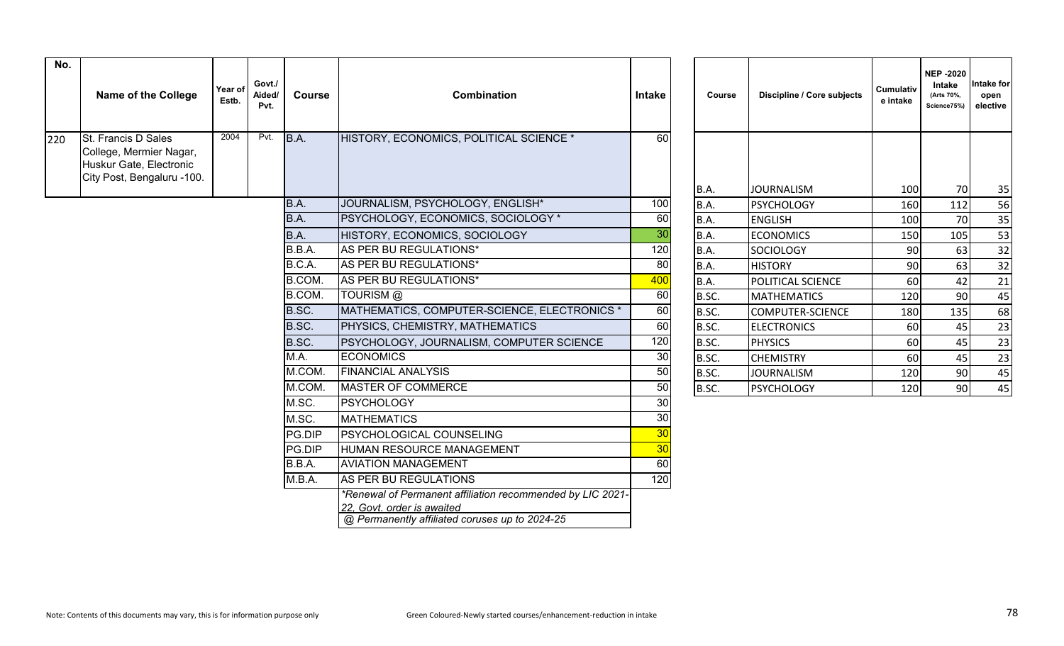| No. | <b>Name of the College</b>                                                                                     | Year of<br>Estb. | Govt./<br>Aided/<br>Pvt. | <b>Course</b> | Combination                                                                                                                                | <b>Intake</b>   | Course      | Discipline / Core subjects | <b>Cumulativ</b><br>e intake | <b>NEP-2020</b><br>Intake<br>(Arts 70%,<br>Science75%) | <b>Intake for</b><br>open<br>elective |
|-----|----------------------------------------------------------------------------------------------------------------|------------------|--------------------------|---------------|--------------------------------------------------------------------------------------------------------------------------------------------|-----------------|-------------|----------------------------|------------------------------|--------------------------------------------------------|---------------------------------------|
| 220 | <b>St. Francis D Sales</b><br>College, Mermier Nagar,<br>Huskur Gate, Electronic<br>City Post, Bengaluru -100. | 2004             | Pvt.                     | B.A.          | HISTORY, ECONOMICS, POLITICAL SCIENCE *                                                                                                    | $\overline{60}$ |             |                            |                              |                                                        |                                       |
|     |                                                                                                                |                  |                          |               |                                                                                                                                            |                 | B.A.        | <b>JOURNALISM</b>          | 100                          | 70                                                     | 35                                    |
|     |                                                                                                                |                  |                          | B.A.          | JOURNALISM, PSYCHOLOGY, ENGLISH*                                                                                                           | 100             | B.A.        | <b>PSYCHOLOGY</b>          | 160                          | 112                                                    | 56                                    |
|     |                                                                                                                |                  |                          | B.A.          | PSYCHOLOGY, ECONOMICS, SOCIOLOGY *                                                                                                         | 60              | B.A.        | <b>ENGLISH</b>             | 100                          | 70                                                     | 35                                    |
|     |                                                                                                                |                  |                          | B.A.          | HISTORY, ECONOMICS, SOCIOLOGY                                                                                                              | 30              | <b>B.A.</b> | <b>ECONOMICS</b>           | 150                          | 105                                                    | 53                                    |
|     |                                                                                                                |                  |                          | B.B.A.        | AS PER BU REGULATIONS*                                                                                                                     | 120             | B.A.        | <b>SOCIOLOGY</b>           | 90                           | 63                                                     | 32                                    |
|     |                                                                                                                |                  |                          | B.C.A.        | AS PER BU REGULATIONS*                                                                                                                     | 80              | B.A.        | <b>HISTORY</b>             | 90                           | 63                                                     | 32                                    |
|     |                                                                                                                |                  |                          | B.COM.        | AS PER BU REGULATIONS*                                                                                                                     | 400             | B.A.        | POLITICAL SCIENCE          | 60                           | 42                                                     | 21                                    |
|     |                                                                                                                |                  |                          | B.COM.        | TOURISM @                                                                                                                                  | 60              | B.SC.       | <b>MATHEMATICS</b>         | 120                          | 90                                                     | 45                                    |
|     |                                                                                                                |                  |                          | B.SC.         | MATHEMATICS, COMPUTER-SCIENCE, ELECTRONICS *                                                                                               | 60              | B.SC.       | <b>COMPUTER-SCIENCE</b>    | 180                          | 135                                                    | 68                                    |
|     |                                                                                                                |                  |                          | B.SC.         | PHYSICS, CHEMISTRY, MATHEMATICS                                                                                                            | 60              | B.SC.       | <b>ELECTRONICS</b>         | 60                           | 45                                                     | 23                                    |
|     |                                                                                                                |                  |                          | B.SC.         | PSYCHOLOGY, JOURNALISM, COMPUTER SCIENCE                                                                                                   | 120             | B.SC.       | <b>PHYSICS</b>             | 60                           | 45                                                     | 23                                    |
|     |                                                                                                                |                  |                          | M.A.          | <b>ECONOMICS</b>                                                                                                                           | 30              | B.SC.       | <b>CHEMISTRY</b>           | 60                           | 45                                                     | 23                                    |
|     |                                                                                                                |                  |                          | M.COM.        | <b>FINANCIAL ANALYSIS</b>                                                                                                                  | 50              | B.SC.       | <b>JOURNALISM</b>          | 120                          | 90                                                     | 45                                    |
|     |                                                                                                                |                  |                          | M.COM.        | <b>MASTER OF COMMERCE</b>                                                                                                                  | 50              | B.SC.       | <b>PSYCHOLOGY</b>          | 120                          | 90                                                     | 45                                    |
|     |                                                                                                                |                  |                          | M.SC.         | <b>PSYCHOLOGY</b>                                                                                                                          | 30              |             |                            |                              |                                                        |                                       |
|     |                                                                                                                |                  |                          | M.SC.         | <b>MATHEMATICS</b>                                                                                                                         | 30              |             |                            |                              |                                                        |                                       |
|     |                                                                                                                |                  |                          | PG.DIP        | PSYCHOLOGICAL COUNSELING                                                                                                                   | 30              |             |                            |                              |                                                        |                                       |
|     |                                                                                                                |                  |                          | PG.DIP        | HUMAN RESOURCE MANAGEMENT                                                                                                                  | 30              |             |                            |                              |                                                        |                                       |
|     |                                                                                                                |                  |                          | B.B.A.        | <b>AVIATION MANAGEMENT</b>                                                                                                                 | 60              |             |                            |                              |                                                        |                                       |
|     |                                                                                                                |                  |                          | M.B.A.        | AS PER BU REGULATIONS                                                                                                                      | 120             |             |                            |                              |                                                        |                                       |
|     |                                                                                                                |                  |                          |               | *Renewal of Permanent affiliation recommended by LIC 2021-<br>22. Govt. order is awaited<br>@ Permanently affiliated coruses up to 2024-25 |                 |             |                            |                              |                                                        |                                       |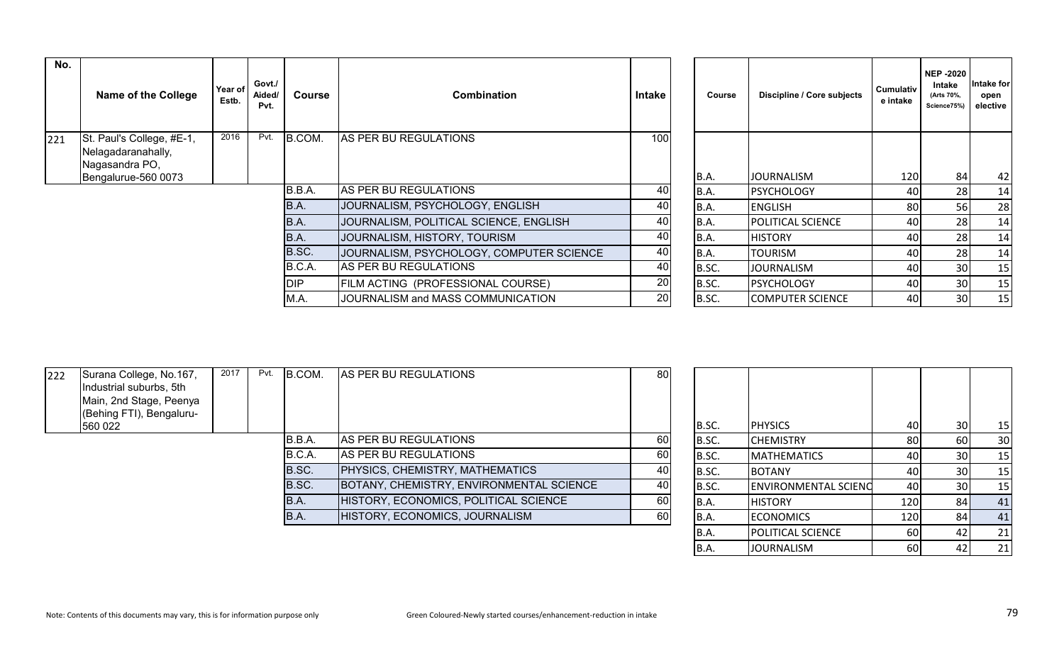| No. | <b>Name of the College</b>                                        | Year of<br>Estb. | Govt./<br>Aided/<br>Pvt. | Course     | <b>Combination</b>                       | Intake | Course | Discipline / Core subjects | Cumulativ<br>e intake | <b>NEP -2020</b><br>Intake<br>(Arts 70%,<br>Science75%) | ∣ntake foı<br>open<br>elective |
|-----|-------------------------------------------------------------------|------------------|--------------------------|------------|------------------------------------------|--------|--------|----------------------------|-----------------------|---------------------------------------------------------|--------------------------------|
| 221 | St. Paul's College, #E-1,<br>Nelagadaranahally,<br>Nagasandra PO, | 2016             | Pvt.                     | B.COM.     | AS PER BU REGULATIONS                    | 100    |        |                            |                       |                                                         |                                |
|     | Bengalurue-560 0073                                               |                  |                          |            |                                          |        | B.A.   | <b>JOURNALISM</b>          | 120                   | 84                                                      | -42                            |
|     |                                                                   |                  |                          | B.B.A.     | AS PER BU REGULATIONS                    | 40     | B.A.   | <b>PSYCHOLOGY</b>          | 40                    | 28                                                      | 14                             |
|     |                                                                   |                  |                          | B.A.       | JOURNALISM, PSYCHOLOGY, ENGLISH          | 40     | B.A.   | <b>ENGLISH</b>             | 80                    | 56                                                      | 28                             |
|     |                                                                   |                  |                          | B.A.       | JOURNALISM, POLITICAL SCIENCE, ENGLISH   | 40     | B.A.   | <b>POLITICAL SCIENCE</b>   | 40                    | 28                                                      | 14                             |
|     |                                                                   |                  |                          | B.A.       | JOURNALISM, HISTORY, TOURISM             | 40     | B.A.   | <b>HISTORY</b>             | 40                    | 28                                                      | 14                             |
|     |                                                                   |                  |                          | B.SC.      | JOURNALISM, PSYCHOLOGY, COMPUTER SCIENCE | 40     | B.A.   | <b>TOURISM</b>             | 40                    | 28                                                      | 14                             |
|     |                                                                   |                  |                          | B.C.A.     | AS PER BU REGULATIONS                    | 40     | B.SC.  | <b>JOURNALISM</b>          | 40                    | 30                                                      | 15                             |
|     |                                                                   |                  |                          | <b>DIP</b> | FILM ACTING (PROFESSIONAL COURSE)        | 20     | B.SC.  | PSYCHOLOGY                 | 40                    | 30                                                      | 15                             |
|     |                                                                   |                  |                          | M.A.       | JOURNALISM and MASS COMMUNICATION        | 20     | B.SC.  | <b>COMPUTER SCIENCE</b>    | 40                    | 30                                                      | 15                             |

| Course | Discipline / Core subjects | <b>NEP-2020</b><br>Intake<br>Cumulativ<br>(Arts 70%,<br>e intake<br>Science75%) |    |    |  |  |
|--------|----------------------------|---------------------------------------------------------------------------------|----|----|--|--|
|        |                            |                                                                                 |    |    |  |  |
| B.A.   | <b>JOURNALISM</b>          | 120                                                                             | 84 | 42 |  |  |
| B.A.   | <b>PSYCHOLOGY</b>          | 40                                                                              | 28 | 14 |  |  |
| B.A.   | <b>ENGLISH</b>             | 80                                                                              | 56 | 28 |  |  |
| B.A.   | POLITICAL SCIENCE          | 40                                                                              | 28 | 14 |  |  |
| B.A.   | <b>HISTORY</b>             | 40                                                                              | 28 | 14 |  |  |
| B.A.   | <b>TOURISM</b>             | 40                                                                              | 28 | 14 |  |  |
| B.SC.  | <b>JOURNALISM</b>          | 40                                                                              | 30 | 15 |  |  |
| B.SC.  | <b>PSYCHOLOGY</b>          | 40                                                                              | 30 | 15 |  |  |
| B.SC.  | <b>COMPUTER SCIENCE</b>    | 40                                                                              | 30 | 15 |  |  |

| 222 | Surana College, No.167,<br>Industrial suburbs, 5th<br>Main, 2nd Stage, Peenya | 2017 | Pvt. | B.COM. | AS PER BU REGULATIONS                    | 80  |       |                             |      |     |     |
|-----|-------------------------------------------------------------------------------|------|------|--------|------------------------------------------|-----|-------|-----------------------------|------|-----|-----|
|     | (Behing FTI), Bengaluru-                                                      |      |      |        |                                          |     |       |                             |      |     |     |
|     | 560 022                                                                       |      |      |        |                                          |     | B.SC. | <b>PHYSICS</b>              | 40   | 30I | -15 |
|     |                                                                               |      |      | B.B.A. | AS PER BU REGULATIONS                    | 60  | B.SC. | <b>CHEMISTRY</b>            | 80I  |     | 30  |
|     |                                                                               |      |      | B.C.A. | AS PER BU REGULATIONS                    | 60  | B.SC. | <b>MATHEMATICS</b>          | 40 I | 30  | 15  |
|     |                                                                               |      |      | B.SC.  | PHYSICS, CHEMISTRY, MATHEMATICS          | 40  | B.SC. | <b>BOTANY</b>               |      |     | 15  |
|     |                                                                               |      |      | B.SC.  | BOTANY, CHEMISTRY, ENVIRONMENTAL SCIENCE | 40  | B.SC. | <b>ENVIRONMENTAL SCIENC</b> | 40 l | 30  | 15  |
|     |                                                                               |      |      | IB.A.  | HISTORY, ECONOMICS, POLITICAL SCIENCE    | 60I | B.A.  | <b>HISTORY</b>              | 120  |     | 41  |
|     |                                                                               |      |      | IB.A.  | HISTORY, ECONOMICS, JOURNALISM           | 60  | IB.A. | <b>ECONOMICS</b>            | 120  |     | 41  |
|     |                                                                               |      |      |        |                                          |     |       |                             |      |     |     |

| B.SC. | <b>PHYSICS</b>              | 40  | 30 | 15 |
|-------|-----------------------------|-----|----|----|
| B.SC. | <b>CHEMISTRY</b>            | 80  | 60 | 30 |
| B.SC. | <b>MATHEMATICS</b>          | 40  | 30 | 15 |
| B.SC. | <b>BOTANY</b>               | 40  | 30 | 15 |
| B.SC. | <b>ENVIRONMENTAL SCIENC</b> | 40  | 30 | 15 |
| B.A.  | <b>HISTORY</b>              | 120 | 84 | 41 |
| B.A.  | <b>ECONOMICS</b>            | 120 | 84 | 41 |
| B.A.  | POLITICAL SCIENCE           | 60  | 42 | 21 |
| B.A.  | <b>JOURNALISM</b>           | 60  | 42 | 21 |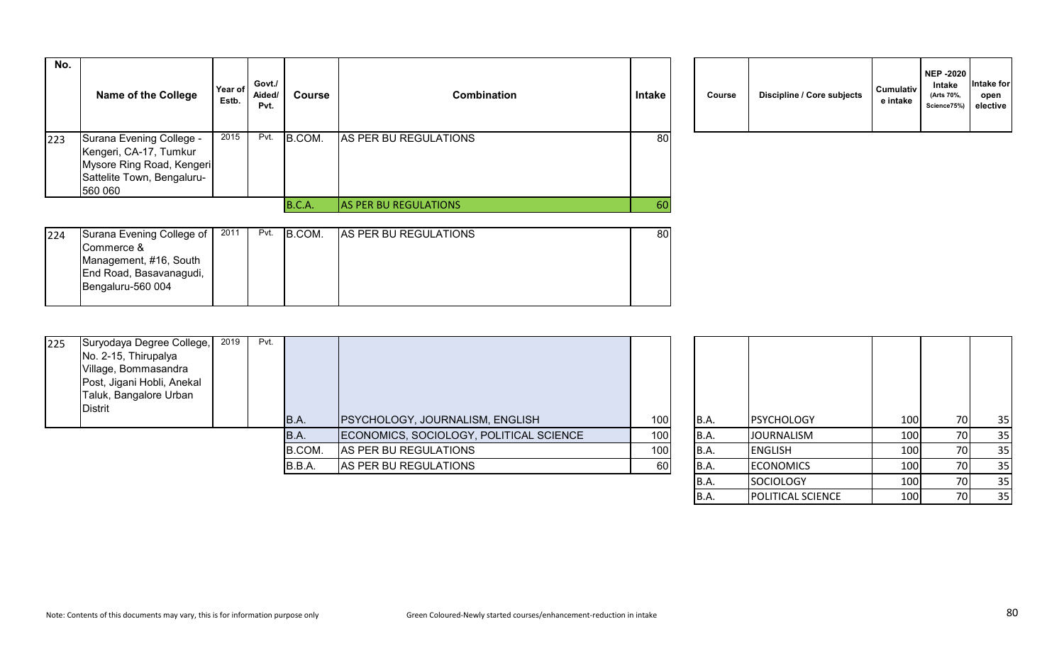| No. | <b>Name of the College</b>                                                                                               | Year of<br>Estb. | Govt./<br>Aided/<br>Pvt. | Course | <b>Combination</b>           | <b>Intake</b> | Course | Discipline / Core subjects | <b>Cumulativ</b><br>e intake |
|-----|--------------------------------------------------------------------------------------------------------------------------|------------------|--------------------------|--------|------------------------------|---------------|--------|----------------------------|------------------------------|
| 223 | Surana Evening College -<br>Kengeri, CA-17, Tumkur<br>Mysore Ring Road, Kengeri<br>Sattelite Town, Bengaluru-<br>560 060 | 2015             | Pvt.                     | B.COM. | AS PER BU REGULATIONS        | 80            |        |                            |                              |
|     |                                                                                                                          |                  |                          | B.C.A. | <b>AS PER BU REGULATIONS</b> | 60            |        |                            |                              |

|  | Course | Discipline / Core subjects | <b>Cumulativ</b><br>e intake | <b>NEP -2020</b><br>Intake<br>(Arts 70%,<br>Science75%) | Intake for<br>open<br>elective |
|--|--------|----------------------------|------------------------------|---------------------------------------------------------|--------------------------------|
|--|--------|----------------------------|------------------------------|---------------------------------------------------------|--------------------------------|

B.A. POLITICAL SCIENCE | 100 70 35

| 224 | Surana Evening College of | 2011 | Pvt. | <b>B.COM.</b> | IAS PER BU REGULATIONS | 80 |
|-----|---------------------------|------|------|---------------|------------------------|----|
|     | Commerce &                |      |      |               |                        |    |
|     | Management, #16, South    |      |      |               |                        |    |
|     | End Road, Basavanagudi,   |      |      |               |                        |    |
|     | Bengaluru-560 004         |      |      |               |                        |    |
|     |                           |      |      |               |                        |    |

| 225 | Suryodaya Degree College,<br>No. 2-15, Thirupalya | 2019 | Pvt. |             |                                         |                  |       |                   |     |     |    |
|-----|---------------------------------------------------|------|------|-------------|-----------------------------------------|------------------|-------|-------------------|-----|-----|----|
|     | Village, Bommasandra                              |      |      |             |                                         |                  |       |                   |     |     |    |
|     | Post, Jigani Hobli, Anekal                        |      |      |             |                                         |                  |       |                   |     |     |    |
|     | Taluk, Bangalore Urban                            |      |      |             |                                         |                  |       |                   |     |     |    |
|     | <b>Distrit</b>                                    |      |      |             |                                         |                  |       |                   |     |     |    |
|     |                                                   |      |      | <b>B.A.</b> | <b>PSYCHOLOGY, JOURNALISM, ENGLISH</b>  | 100 <sub>1</sub> | B.A.  | <b>PSYCHOLOGY</b> | 100 | 70  | 35 |
|     |                                                   |      |      | B.A.        | ECONOMICS, SOCIOLOGY, POLITICAL SCIENCE | 100              | B.A.  | <b>JOURNALISM</b> | 100 | 70I | 35 |
|     |                                                   |      |      | B.COM.      | AS PER BU REGULATIONS                   | 100              | B.A.  | <b>ENGLISH</b>    | 100 | 70I | 35 |
|     |                                                   |      |      | B.B.A.      | AS PER BU REGULATIONS                   | 60               | B.A.  | <b>ECONOMICS</b>  | 100 | 70I | 35 |
|     |                                                   |      |      |             |                                         |                  | IB.A. | SOCIOLOGY         | 100 | 70I | 35 |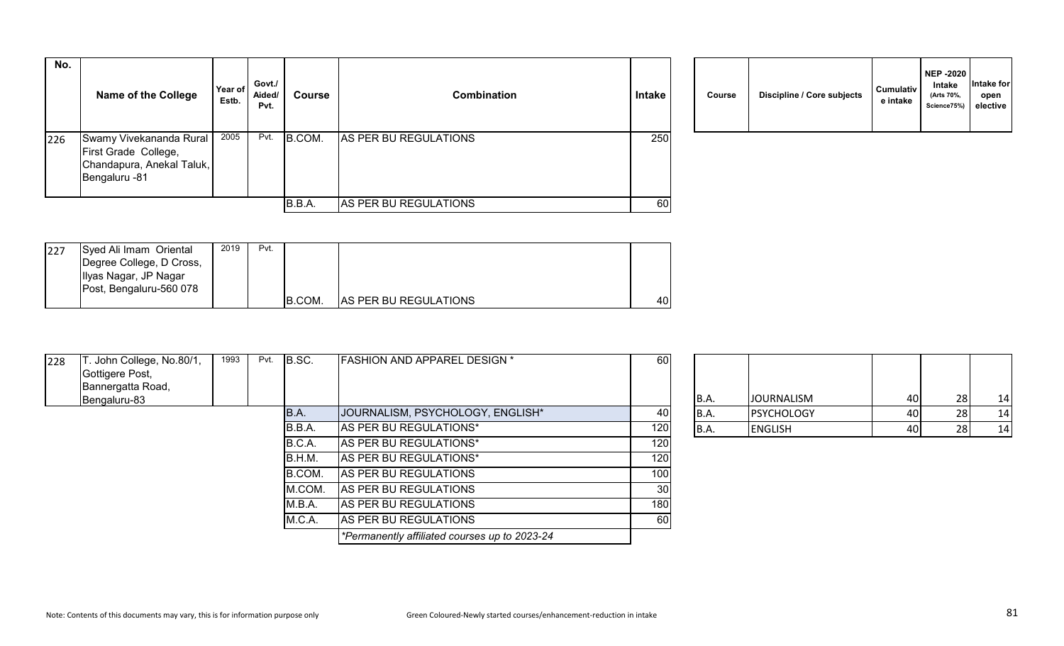| No. | <b>Name of the College</b>                                                                    | Year of<br>Estb. | Govt./<br>Aided/<br>Pvt. | <b>Course</b> | <b>Combination</b>    | <b>Intake</b> | <b>Course</b> | Discipline / Core subjects | <b>Cumulativ</b><br>e intake |
|-----|-----------------------------------------------------------------------------------------------|------------------|--------------------------|---------------|-----------------------|---------------|---------------|----------------------------|------------------------------|
| 226 | Swamy Vivekananda Rural<br>First Grade College,<br>Chandapura, Anekal Taluk,<br>Bengaluru -81 | 2005             | Pvt.                     | B.COM.        | AS PER BU REGULATIONS | 250           |               |                            |                              |
|     |                                                                                               |                  |                          | B.B.A.        | AS PER BU REGULATIONS | 60            |               |                            |                              |

|  | Course | Discipline / Core subjects | <b>Cumulativ</b><br>e intake | <b>NEP -2020</b><br>Intake<br>(Arts 70%,<br>Science75%) | Intake for<br>open<br>elective |
|--|--------|----------------------------|------------------------------|---------------------------------------------------------|--------------------------------|
|--|--------|----------------------------|------------------------------|---------------------------------------------------------|--------------------------------|

| 227 | Syed Ali Imam Oriental   | 2019 | Pvt. |        |                              |      |
|-----|--------------------------|------|------|--------|------------------------------|------|
|     | Degree College, D Cross, |      |      |        |                              |      |
|     | Ilyas Nagar, JP Nagar    |      |      |        |                              |      |
|     | Post, Bengaluru-560 078  |      |      |        |                              |      |
|     |                          |      |      | B.COM. | <b>AS PER BU REGULATIONS</b> | 40 I |

| 228 | . John College, No.80/1,<br>Gottigere Post, | 1993 | Pvt. | B.SC.  | <b>FASHION AND APPAREL DESIGN *</b>           | 60              |             |                   |    |           |    |
|-----|---------------------------------------------|------|------|--------|-----------------------------------------------|-----------------|-------------|-------------------|----|-----------|----|
|     | Bannergatta Road,                           |      |      |        |                                               |                 |             |                   |    |           |    |
|     | Bengaluru-83                                |      |      |        |                                               |                 | B.A.        | <b>JOURNALISM</b> | 40 | 28        | 14 |
|     |                                             |      |      | B.A.   | JOURNALISM, PSYCHOLOGY, ENGLISH*              | 40              | B.A.        | <b>PSYCHOLOGY</b> | 40 | 281       | 14 |
|     |                                             |      |      | B.B.A. | AS PER BU REGULATIONS*                        | 120             | <b>B.A.</b> | <b>ENGLISH</b>    | 40 | <b>28</b> | 14 |
|     |                                             |      |      | B.C.A. | AS PER BU REGULATIONS*                        | 120             |             |                   |    |           |    |
|     |                                             |      |      | B.H.M. | AS PER BU REGULATIONS*                        | 120             |             |                   |    |           |    |
|     |                                             |      |      | B.COM. | AS PER BU REGULATIONS                         | 100             |             |                   |    |           |    |
|     |                                             |      |      | M.COM. | AS PER BU REGULATIONS                         | 30 <sub>1</sub> |             |                   |    |           |    |
|     |                                             |      |      | M.B.A. | AS PER BU REGULATIONS                         | 180             |             |                   |    |           |    |
|     |                                             |      |      | M.C.A. | AS PER BU REGULATIONS                         | 60              |             |                   |    |           |    |
|     |                                             |      |      |        | *Permanently affiliated courses up to 2023-24 |                 |             |                   |    |           |    |

| <b>B.A.</b> | <b>JOURNALISM</b> | 40 | -28 |    |
|-------------|-------------------|----|-----|----|
| <b>B.A.</b> | <b>PSYCHOLOGY</b> | 40 | 28  | 14 |
| B.A.        | <b>ENGLISH</b>    | 40 | 28  |    |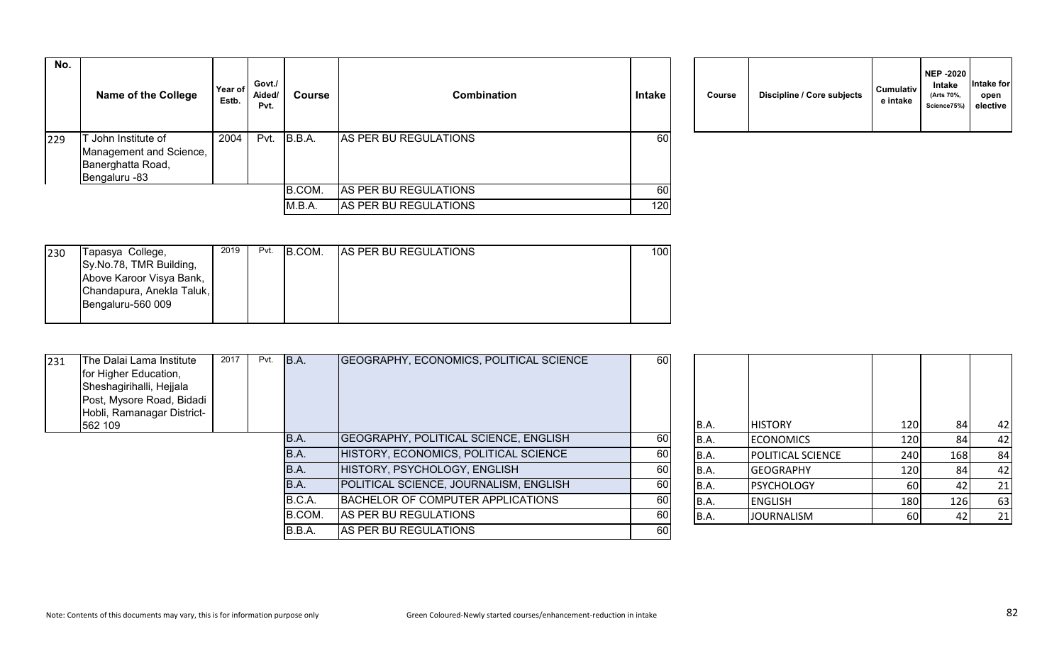| No. | <b>Name of the College</b>                                                         | Year of<br>Estb. | Govt./<br>Aided/<br>Pvt. | Course           | <b>Combination</b>                             | Intake                 | Course | Discipline / Core subjects | <b>Cumulativ</b><br>e intake |
|-----|------------------------------------------------------------------------------------|------------------|--------------------------|------------------|------------------------------------------------|------------------------|--------|----------------------------|------------------------------|
| 229 | John Institute of<br>Management and Science,<br>Banerghatta Road,<br>Bengaluru -83 | 2004             | Pvt.                     | B.B.A.           | AS PER BU REGULATIONS                          | 60                     |        |                            |                              |
|     |                                                                                    |                  |                          | B.COM.<br>M.B.A. | AS PER BU REGULATIONS<br>AS PER BU REGULATIONS | 60<br>120 <sub>1</sub> |        |                            |                              |

| Course | Discipline / Core subjects | <b>Cumulativ</b><br>e intake | <b>NEP -2020</b><br>Intake<br>(Arts 70%,<br>Science75%) | Intake for<br>open<br>elective |
|--------|----------------------------|------------------------------|---------------------------------------------------------|--------------------------------|
|--------|----------------------------|------------------------------|---------------------------------------------------------|--------------------------------|

| 230 | Tapasya College,          | 2019 | Pvt. | B.COM. | <b>AS PER BU REGULATIONS</b> | 100I |
|-----|---------------------------|------|------|--------|------------------------------|------|
|     | Sy.No.78, TMR Building,   |      |      |        |                              |      |
|     | Above Karoor Visya Bank,  |      |      |        |                              |      |
|     | Chandapura, Anekla Taluk, |      |      |        |                              |      |
|     | Bengaluru-560 009         |      |      |        |                              |      |
|     |                           |      |      |        |                              |      |

| 231 | The Dalai Lama Institute<br>for Higher Education,<br>Sheshagirihalli, Hejjala<br>Post, Mysore Road, Bidadi<br>Hobli, Ramanagar District- | 2017 | Pvt. | B.A.   | GEOGRAPHY, ECONOMICS, POLITICAL SCIENCE | 60 |      |                   |     |     |    |
|-----|------------------------------------------------------------------------------------------------------------------------------------------|------|------|--------|-----------------------------------------|----|------|-------------------|-----|-----|----|
|     | 562 109                                                                                                                                  |      |      |        |                                         |    | B.A. | <b>HISTORY</b>    | 120 | 84  | 42 |
|     |                                                                                                                                          |      |      | B.A.   | GEOGRAPHY, POLITICAL SCIENCE, ENGLISH   | 60 | B.A. | <b>ECONOMICS</b>  | 120 | 84  | 42 |
|     |                                                                                                                                          |      |      | B.A.   | HISTORY, ECONOMICS, POLITICAL SCIENCE   | 60 | B.A. | POLITICAL SCIENCE | 240 | 168 | 84 |
|     |                                                                                                                                          |      |      | B.A.   | HISTORY, PSYCHOLOGY, ENGLISH            | 60 | B.A. | <b>GEOGRAPHY</b>  | 120 | 84  | 42 |
|     |                                                                                                                                          |      |      | B.A.   | POLITICAL SCIENCE, JOURNALISM, ENGLISH  | 60 | B.A. | <b>PSYCHOLOGY</b> | 60  |     | 21 |
|     |                                                                                                                                          |      |      | B.C.A. | BACHELOR OF COMPUTER APPLICATIONS       | 60 | B.A. | <b>ENGLISH</b>    | 180 | 126 | 63 |
|     |                                                                                                                                          |      |      | B.COM. | AS PER BU REGULATIONS                   | 60 | B.A. | <b>JOURNALISM</b> | 60  |     | 21 |
|     |                                                                                                                                          |      |      | B.B.A. | AS PER BU REGULATIONS                   | 60 |      |                   |     |     |    |

| B.A. | <b>HISTORY</b>    | 120 | 84  | 42 |
|------|-------------------|-----|-----|----|
| B.A. | <b>ECONOMICS</b>  | 120 | 84  | 42 |
| B.A. | POLITICAL SCIENCE | 240 | 168 | 84 |
| B.A. | <b>GEOGRAPHY</b>  | 120 | 84  | 42 |
| B.A. | <b>PSYCHOLOGY</b> | 60  | 42  | 21 |
| B.A. | <b>ENGLISH</b>    | 180 | 126 | 63 |
| B.A. | <b>JOURNALISM</b> | 60  | 42  | 21 |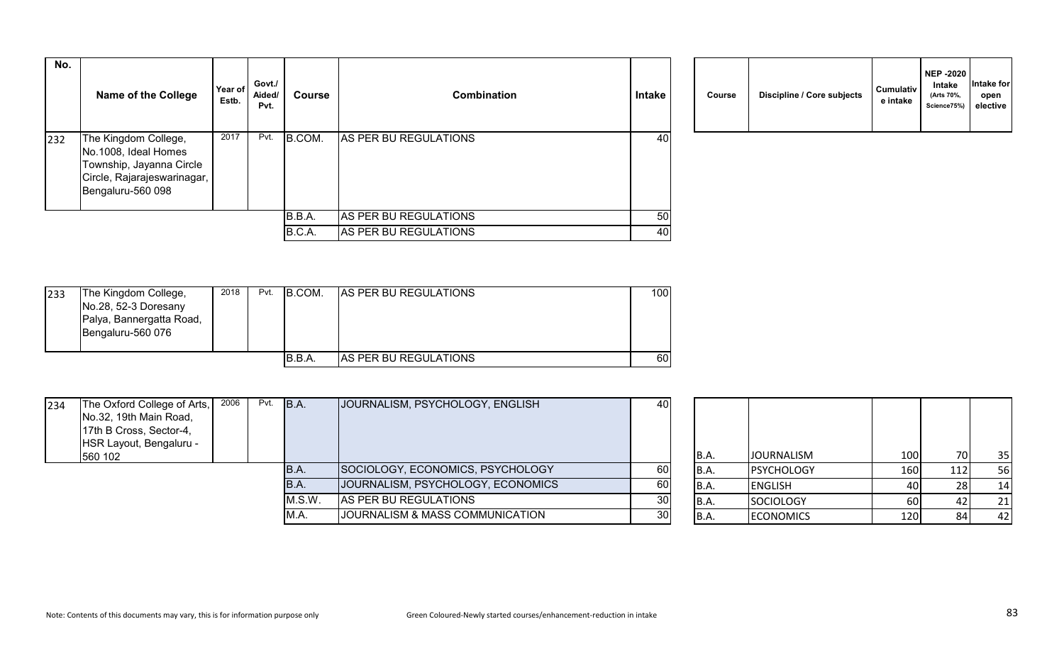| No. | <b>Name of the College</b>                                                                                                   | Year of<br>Estb. | Govt./<br>Aided/<br>Pvt. | <b>Course</b> | Combination           | <b>Intake</b> | Course | Discipline / Core subjects | <b>Cumulativ</b><br>e intake |
|-----|------------------------------------------------------------------------------------------------------------------------------|------------------|--------------------------|---------------|-----------------------|---------------|--------|----------------------------|------------------------------|
| 232 | The Kingdom College,<br>No.1008, Ideal Homes<br>Township, Jayanna Circle<br>Circle, Rajarajeswarinagar,<br>Bengaluru-560 098 | 2017             | Pvt.                     | B.COM.        | AS PER BU REGULATIONS | 40            |        |                            |                              |
|     |                                                                                                                              |                  |                          | B.B.A.        | AS PER BU REGULATIONS | 50            |        |                            |                              |
|     |                                                                                                                              |                  |                          | B.C.A.        | AS PER BU REGULATIONS | 40            |        |                            |                              |

| Course | Discipline / Core subjects | <b>Cumulativ</b><br>e intake | <b>NEP -2020</b><br><b>Intake</b><br>(Arts 70%,<br>Science75%) | Intake for<br>open<br>elective |  |
|--------|----------------------------|------------------------------|----------------------------------------------------------------|--------------------------------|--|
|--------|----------------------------|------------------------------|----------------------------------------------------------------|--------------------------------|--|

| 233 | The Kingdom College,<br>No.28, 52-3 Doresany<br>Palya, Bannergatta Road, | 2018 | Pvt. | B.COM. | <b>AS PER BU REGULATIONS</b> | 100 |
|-----|--------------------------------------------------------------------------|------|------|--------|------------------------------|-----|
|     | Bengaluru-560 076                                                        |      |      |        |                              |     |
|     |                                                                          |      |      | B.B.A. | <b>AS PER BU REGULATIONS</b> | 60  |

| 234 | The Oxford College of Arts,<br>No.32, 19th Main Road,<br>17th B Cross, Sector-4,<br>HSR Layout, Bengaluru -<br>560 102 | 2006 | Pvt. | B.A.   | JOURNALISM, PSYCHOLOGY, ENGLISH            | 40              | IB.A.       | <b>JOURNALISM</b> | 100 <sup> </sup> | 70I | 35  |
|-----|------------------------------------------------------------------------------------------------------------------------|------|------|--------|--------------------------------------------|-----------------|-------------|-------------------|------------------|-----|-----|
|     |                                                                                                                        |      |      | B.A.   | SOCIOLOGY, ECONOMICS, PSYCHOLOGY           | <b>60</b>       | <b>B.A.</b> | <b>PSYCHOLOGY</b> | 160              |     | 56  |
|     |                                                                                                                        |      |      | IB.A.  | JOURNALISM, PSYCHOLOGY, ECONOMICS          | 60              | B.A.        | <b>ENGLISH</b>    | 40 I             |     | -14 |
|     |                                                                                                                        |      |      | M.S.W. | AS PER BU REGULATIONS                      | 30 <sup>1</sup> | B.A.        | SOCIOLOGY         | 60 l             |     | 21  |
|     |                                                                                                                        |      |      | M.A    | <b>JOURNALISM &amp; MASS COMMUNICATION</b> | 30              | B.A.        | <b>ECONOMICS</b>  | 120 l            |     | 42  |

| <b>B.A.</b> | <b>JOURNALISM</b> | 100 | 70  | 35 |
|-------------|-------------------|-----|-----|----|
| B.A.        | <b>PSYCHOLOGY</b> | 160 | 112 | 56 |
| B.A.        | <b>ENGLISH</b>    | 40  | 28  | 14 |
| B.A.        | <b>SOCIOLOGY</b>  | 60  | 42  | 21 |
| B.A.        | <b>ECONOMICS</b>  | 120 | 84  | 42 |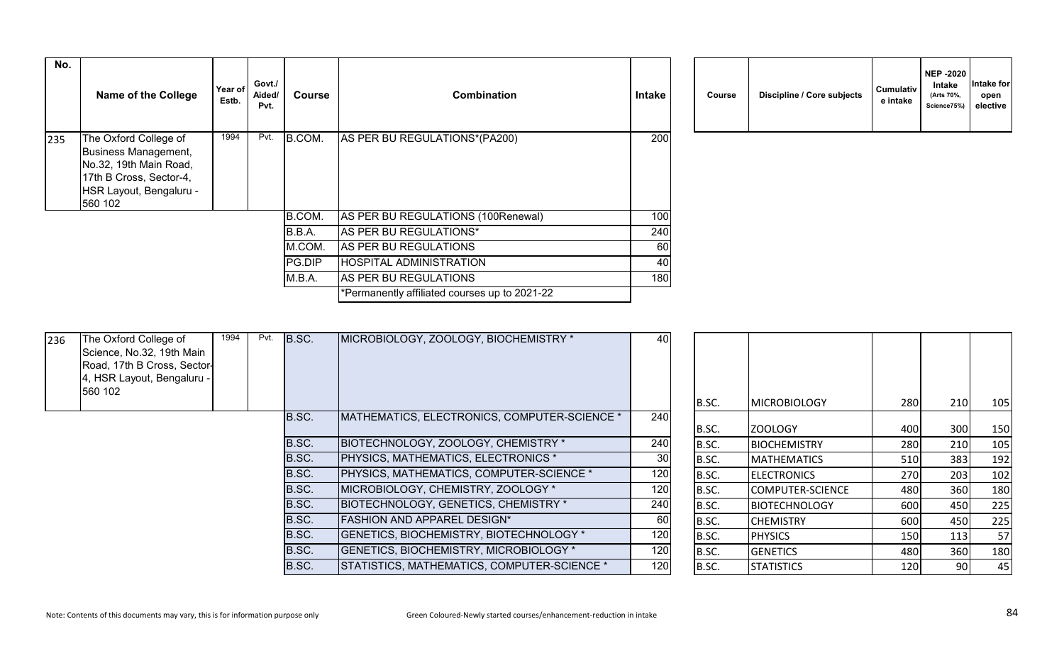| No. | <b>Name of the College</b>                                                                                                               | Year of<br>Estb. | Govt./<br>Aided/<br>Pvt. | Course | <b>Combination</b>                            | <b>Intake</b> | Course | Discipline / Core subjects | Cumulativ<br>e intake |
|-----|------------------------------------------------------------------------------------------------------------------------------------------|------------------|--------------------------|--------|-----------------------------------------------|---------------|--------|----------------------------|-----------------------|
| 235 | The Oxford College of<br>Business Management,<br>No.32, 19th Main Road,<br>17th B Cross, Sector-4,<br>HSR Layout, Bengaluru -<br>560 102 | 1994             | Pvt.                     | B.COM. | AS PER BU REGULATIONS*(PA200)                 | 200           |        |                            |                       |
|     |                                                                                                                                          |                  |                          | B.COM. | AS PER BU REGULATIONS (100Renewal)            | 100           |        |                            |                       |
|     |                                                                                                                                          |                  |                          | B.B.A. | AS PER BU REGULATIONS*                        | 240           |        |                            |                       |
|     |                                                                                                                                          |                  |                          | M.COM. | AS PER BU REGULATIONS                         | 60            |        |                            |                       |
|     |                                                                                                                                          |                  |                          | PG.DIP | HOSPITAL ADMINISTRATION                       | 40            |        |                            |                       |
|     |                                                                                                                                          |                  |                          | M.B.A. | AS PER BU REGULATIONS                         | 180           |        |                            |                       |
|     |                                                                                                                                          |                  |                          |        | *Permanently affiliated courses up to 2021-22 |               |        |                            |                       |
|     |                                                                                                                                          |                  |                          |        |                                               |               |        |                            |                       |

| Course | Discipline / Core subjects | <b>Cumulativ</b><br>e intake | <b>NEP -2020</b><br><b>Intake</b><br>(Arts 70%,<br>Science75%) | Intake for<br>open<br>elective |
|--------|----------------------------|------------------------------|----------------------------------------------------------------|--------------------------------|
|--------|----------------------------|------------------------------|----------------------------------------------------------------|--------------------------------|

| 236 | The Oxford College of<br>Science, No.32, 19th Main<br>Road, 17th B Cross, Sector-<br>4, HSR Layout, Bengaluru -<br>560 102 | 1994 | Pvt. | B.SC. | MICROBIOLOGY, ZOOLOGY, BIOCHEMISTRY *           | 40              |       |                      |            |       |     |
|-----|----------------------------------------------------------------------------------------------------------------------------|------|------|-------|-------------------------------------------------|-----------------|-------|----------------------|------------|-------|-----|
|     |                                                                                                                            |      |      |       |                                                 |                 | B.SC. | <b>MICROBIOLOGY</b>  | 280        | 210   | 105 |
|     |                                                                                                                            |      |      | B.SC. | MATHEMATICS, ELECTRONICS, COMPUTER-SCIENCE *    | 240             | B.SC. | ZOOLOGY              | 400        | 300   | 150 |
|     |                                                                                                                            |      |      | B.SC. | BIOTECHNOLOGY, ZOOLOGY, CHEMISTRY *             | 240             | B.SC. | <b>BIOCHEMISTRY</b>  | 280        | 210   | 105 |
|     |                                                                                                                            |      |      | B.SC. | <b>PHYSICS, MATHEMATICS, ELECTRONICS *</b>      | 30 <sup>1</sup> | B.SC. | <b>IMATHEMATICS</b>  | 510        | 383   | 192 |
|     |                                                                                                                            |      |      | B.SC. | <b>PHYSICS, MATHEMATICS, COMPUTER-SCIENCE *</b> | 120             | B.SC. | <b>IELECTRONICS</b>  | <b>270</b> | 203   | 102 |
|     |                                                                                                                            |      |      | B.SC. | MICROBIOLOGY, CHEMISTRY, ZOOLOGY *              | 120             | B.SC. | COMPUTER-SCIENCE     | 480        | 360   | 180 |
|     |                                                                                                                            |      |      | B.SC. | BIOTECHNOLOGY, GENETICS, CHEMISTRY *            | 240             | B.SC. | <b>BIOTECHNOLOGY</b> | 600        | 450   | 225 |
|     |                                                                                                                            |      |      | B.SC. | <b>FASHION AND APPAREL DESIGN*</b>              | 60              | B.SC. | <b>CHEMISTRY</b>     | 600        | 450   | 225 |
|     |                                                                                                                            |      |      | B.SC. | GENETICS, BIOCHEMISTRY, BIOTECHNOLOGY *         | 120             | B.SC. | <b>PHYSICS</b>       | 150        | 113   | 57  |
|     |                                                                                                                            |      |      | B.SC. | <b>GENETICS, BIOCHEMISTRY, MICROBIOLOGY *</b>   | 120             | B.SC. | <b>GENETICS</b>      | 480        | 360   | 180 |
|     |                                                                                                                            |      |      | B.SC. | STATISTICS, MATHEMATICS, COMPUTER-SCIENCE *     | 120             | B.SC. | <b>STATISTICS</b>    | 120        | -90 l | 45  |
|     |                                                                                                                            |      |      |       |                                                 |                 |       |                      |            |       |     |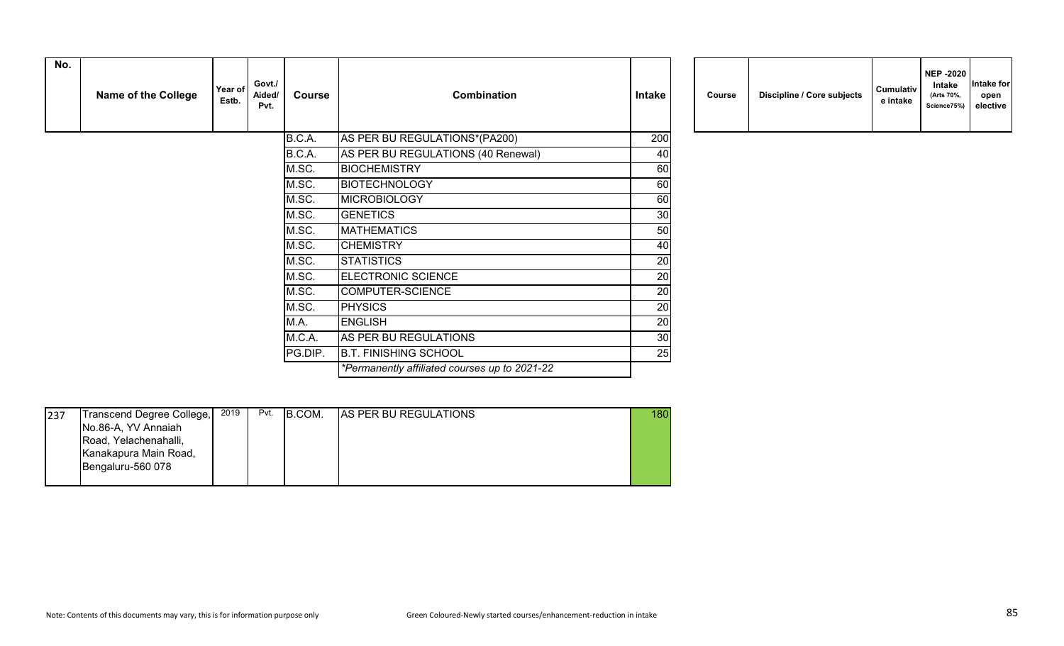| No. | <b>Name of the College</b> | Year of<br>Estb. | Govt./<br>Aided/<br>Pvt. | <b>Course</b> | <b>Combination</b>                            | Intake | Course | Discipline / Core subjects | Cumulativ<br>e intake |
|-----|----------------------------|------------------|--------------------------|---------------|-----------------------------------------------|--------|--------|----------------------------|-----------------------|
|     |                            |                  |                          | B.C.A.        | AS PER BU REGULATIONS*(PA200)                 | 200    |        |                            |                       |
|     |                            |                  |                          | B.C.A.        | AS PER BU REGULATIONS (40 Renewal)            | 40     |        |                            |                       |
|     |                            |                  |                          | M.SC.         | <b>BIOCHEMISTRY</b>                           | 60     |        |                            |                       |
|     |                            |                  |                          | M.SC.         | <b>BIOTECHNOLOGY</b>                          | 60     |        |                            |                       |
|     |                            |                  |                          | M.SC.         | <b>MICROBIOLOGY</b>                           | 60     |        |                            |                       |
|     |                            |                  |                          | M.SC.         | <b>GENETICS</b>                               | 30     |        |                            |                       |
|     |                            |                  |                          | M.SC.         | <b>MATHEMATICS</b>                            | 50     |        |                            |                       |
|     |                            |                  |                          | M.SC.         | <b>CHEMISTRY</b>                              | 40     |        |                            |                       |
|     |                            |                  |                          | M.SC.         | <b>STATISTICS</b>                             | 20     |        |                            |                       |
|     |                            |                  |                          | M.SC.         | <b>ELECTRONIC SCIENCE</b>                     | 20     |        |                            |                       |
|     |                            |                  |                          | M.SC.         | COMPUTER-SCIENCE                              | 20     |        |                            |                       |
|     |                            |                  |                          | M.SC.         | <b>PHYSICS</b>                                | 20     |        |                            |                       |
|     |                            |                  |                          | M.A.          | <b>ENGLISH</b>                                | 20     |        |                            |                       |
|     |                            |                  |                          | M.C.A.        | AS PER BU REGULATIONS                         | 30     |        |                            |                       |
|     |                            |                  |                          | PG.DIP.       | <b>B.T. FINISHING SCHOOL</b>                  | 25     |        |                            |                       |
|     |                            |                  |                          |               | *Permanently affiliated courses up to 2021-22 |        |        |                            |                       |

| Course |  | Discipline / Core subjects | <b>Cumulativ</b><br>e intake | <b>NEP -2020</b><br><b>Intake</b><br>(Arts 70%,<br>Science75%) | Intake for<br>open<br>elective |
|--------|--|----------------------------|------------------------------|----------------------------------------------------------------|--------------------------------|
|--------|--|----------------------------|------------------------------|----------------------------------------------------------------|--------------------------------|

| 237 | Transcend Degree College, | 2019 | Pvt. | B.COM. | <b>AS PER BU REGULATIONS</b> | 180 |
|-----|---------------------------|------|------|--------|------------------------------|-----|
|     | No.86-A, YV Annaiah       |      |      |        |                              |     |
|     | Road, Yelachenahalli,     |      |      |        |                              |     |
|     | Kanakapura Main Road,     |      |      |        |                              |     |
|     | Bengaluru-560 078         |      |      |        |                              |     |
|     |                           |      |      |        |                              |     |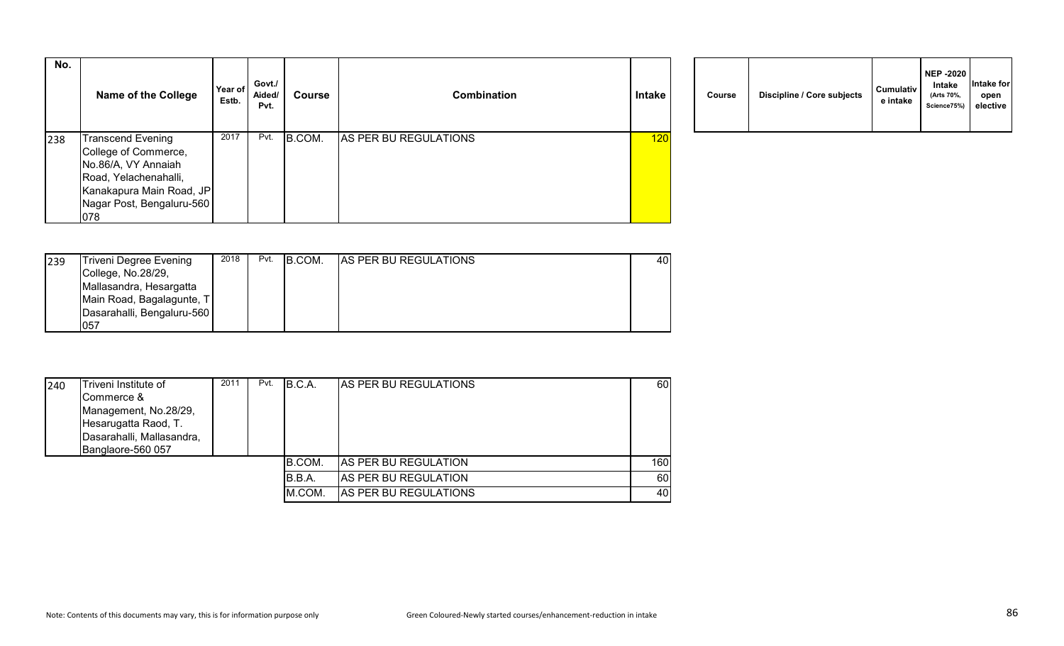| No. | <b>Name of the College</b> | Year of<br>Estb. | Govt./<br>Aided/<br>Pvt. | <b>Course</b> | <b>Combination</b>    | Intake | <b>Course</b> | Discipline / Core subjects | <b>Cumulativ</b><br>e intake |
|-----|----------------------------|------------------|--------------------------|---------------|-----------------------|--------|---------------|----------------------------|------------------------------|
| 238 | <b>Transcend Evening</b>   | 2017             | Pvt.                     | B.COM.        | AS PER BU REGULATIONS | 120    |               |                            |                              |
|     | College of Commerce,       |                  |                          |               |                       |        |               |                            |                              |
|     | No.86/A, VY Annaiah        |                  |                          |               |                       |        |               |                            |                              |
|     | Road, Yelachenahalli,      |                  |                          |               |                       |        |               |                            |                              |
|     | Kanakapura Main Road, JP   |                  |                          |               |                       |        |               |                            |                              |
|     | Nagar Post, Bengaluru-560  |                  |                          |               |                       |        |               |                            |                              |
|     | 078                        |                  |                          |               |                       |        |               |                            |                              |

|  | Course | Discipline / Core subjects | Cumulativ<br>e intake | <b>NEP -2020</b><br>Intake<br>(Arts 70%,<br>Science75%) | Intake for<br>open<br>elective |
|--|--------|----------------------------|-----------------------|---------------------------------------------------------|--------------------------------|
|--|--------|----------------------------|-----------------------|---------------------------------------------------------|--------------------------------|

| 239 | Triveni Degree Evening     | 2018 | Pvt. | B.COM. | <b>AS PER BU REGULATIONS</b> | 40 l |
|-----|----------------------------|------|------|--------|------------------------------|------|
|     | College, No.28/29,         |      |      |        |                              |      |
|     | Mallasandra, Hesargatta    |      |      |        |                              |      |
|     | Main Road, Bagalagunte, T  |      |      |        |                              |      |
|     | Dasarahalli, Bengaluru-560 |      |      |        |                              |      |
|     | 057                        |      |      |        |                              |      |

| 240 | Triveni Institute of      | 2011 | Pvt. | B.C.A. | <b>IAS PER BU REGULATIONS</b> | 60  |
|-----|---------------------------|------|------|--------|-------------------------------|-----|
|     | Commerce &                |      |      |        |                               |     |
|     | Management, No.28/29,     |      |      |        |                               |     |
|     | Hesarugatta Raod, T.      |      |      |        |                               |     |
|     | Dasarahalli, Mallasandra, |      |      |        |                               |     |
|     | Banglaore-560 057         |      |      |        |                               |     |
|     |                           |      |      | B.COM. | AS PER BU REGULATION          | 160 |
|     |                           |      |      | B.B.A. | AS PER BU REGULATION          | 60  |
|     |                           |      |      | M.COM. | AS PER BU REGULATIONS         | 40  |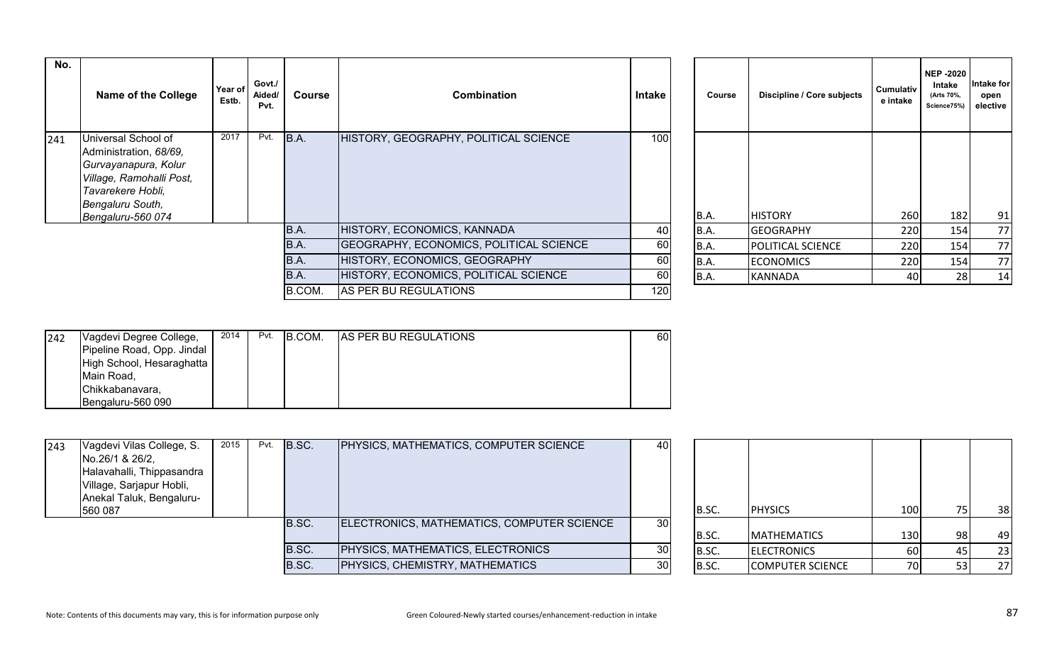| No. | <b>Name of the College</b>                                                                                                                                      | Year of<br>Estb. | Govt./<br>Aided/<br>Pvt. | <b>Course</b> | <b>Combination</b>                      | Intake           | Course      | Discipline / Core subjects | Cumulativ<br>e intake | <b>NEP -2020</b><br>Intake<br>(Arts 70%,<br>Science75%) | Intake for<br>open<br>elective |
|-----|-----------------------------------------------------------------------------------------------------------------------------------------------------------------|------------------|--------------------------|---------------|-----------------------------------------|------------------|-------------|----------------------------|-----------------------|---------------------------------------------------------|--------------------------------|
| 241 | Universal School of<br>Administration, 68/69,<br>Gurvayanapura, Kolur<br>Village, Ramohalli Post,<br>Tavarekere Hobli,<br>Bengaluru South,<br>Bengaluru-560 074 | 2017             | Pvt.                     | B.A.          | HISTORY, GEOGRAPHY, POLITICAL SCIENCE   | 100              | B.A.        | <b>HISTORY</b>             | 260                   | 182                                                     | 91                             |
|     |                                                                                                                                                                 |                  |                          | B.A.          | HISTORY, ECONOMICS, KANNADA             | 40               | B.A.        | <b>GEOGRAPHY</b>           | 220                   | 154                                                     | 77                             |
|     |                                                                                                                                                                 |                  |                          | B.A.          | GEOGRAPHY, ECONOMICS, POLITICAL SCIENCE | 60               | B.A.        | <b>POLITICAL SCIENCE</b>   | 220                   | 154                                                     | 77                             |
|     |                                                                                                                                                                 |                  |                          | B.A.          | HISTORY, ECONOMICS, GEOGRAPHY           | 60               | B.A.        | <b>ECONOMICS</b>           | 220                   | 154                                                     | 77                             |
|     |                                                                                                                                                                 |                  |                          | B.A.          | HISTORY, ECONOMICS, POLITICAL SCIENCE   | 60               | <b>B.A.</b> | <b>KANNADA</b>             | 40                    | 28                                                      | 14                             |
|     |                                                                                                                                                                 |                  |                          | B.COM.        | AS PER BU REGULATIONS                   | 120 <sub>1</sub> |             |                            |                       |                                                         |                                |

| Course | Discipline / Core subjects | <b>Cumulativ</b><br>e intake | <b>NEP-2020</b><br>Intake<br>(Arts 70%,<br>Science75%) | Intake for<br>open<br>elective |
|--------|----------------------------|------------------------------|--------------------------------------------------------|--------------------------------|
| B.A.   | <b>HISTORY</b>             | 260                          | 182                                                    | 91                             |
| B.A.   | <b>GEOGRAPHY</b>           | 220                          | 154                                                    | 77                             |
| B.A.   | POLITICAL SCIENCE          | 220                          | 154                                                    | 77                             |
|        |                            |                              |                                                        |                                |
| B.A.   | <b>ECONOMICS</b>           | 220                          | 154                                                    | 77                             |
| B.A.   | <b>KANNADA</b>             | 40                           | 28                                                     | 14                             |

| 242 | Vagdevi Degree College,    | 2014 | Pvt. | B.COM. | <b>AS PER BU REGULATIONS</b> | 60 l |
|-----|----------------------------|------|------|--------|------------------------------|------|
|     | Pipeline Road, Opp. Jindal |      |      |        |                              |      |
|     | High School, Hesaraghatta  |      |      |        |                              |      |
|     | Main Road,                 |      |      |        |                              |      |
|     | Chikkabanavara,            |      |      |        |                              |      |
|     | IBengaluru-560 090         |      |      |        |                              |      |

| 243 | Vagdevi Vilas College, S.<br>No.26/1 & 26/2, | 2015 | Pvt. | B.SC. | <b>PHYSICS, MATHEMATICS, COMPUTER SCIENCE</b> | 40              |       |                         |            |     |    |
|-----|----------------------------------------------|------|------|-------|-----------------------------------------------|-----------------|-------|-------------------------|------------|-----|----|
|     | Halavahalli, Thippasandra                    |      |      |       |                                               |                 |       |                         |            |     |    |
|     | Village, Sarjapur Hobli,                     |      |      |       |                                               |                 |       |                         |            |     |    |
|     | Anekal Taluk, Bengaluru-<br>560 087          |      |      |       |                                               |                 | B.SC. | <b>PHYSICS</b>          | 100        |     | 38 |
|     |                                              |      |      | B.SC. | ELECTRONICS, MATHEMATICS, COMPUTER SCIENCE    | 30 <sup>1</sup> | B.SC. | <b>MATHEMATICS</b>      | <b>130</b> | 98. | 49 |
|     |                                              |      |      | B.SC. | <b>PHYSICS, MATHEMATICS, ELECTRONICS</b>      | 30              |       |                         |            |     |    |
|     |                                              |      |      | B.SC. | <b>PHYSICS, CHEMISTRY, MATHEMATICS</b>        | 30              | B.SC. | <b>ELECTRONICS</b>      | <b>60</b>  |     | 23 |
|     |                                              |      |      |       |                                               |                 | B.SC. | <b>COMPUTER SCIENCE</b> | 70         |     | 27 |

| B.SC. | <b>PHYSICS</b>          | 100 | 75 | 38 |
|-------|-------------------------|-----|----|----|
| B.SC. | <b>MATHEMATICS</b>      | 130 | 98 | 49 |
| B.SC. | <b>ELECTRONICS</b>      | 60  | 45 | 23 |
| B.SC. | <b>COMPUTER SCIENCE</b> | 70  | 53 | 27 |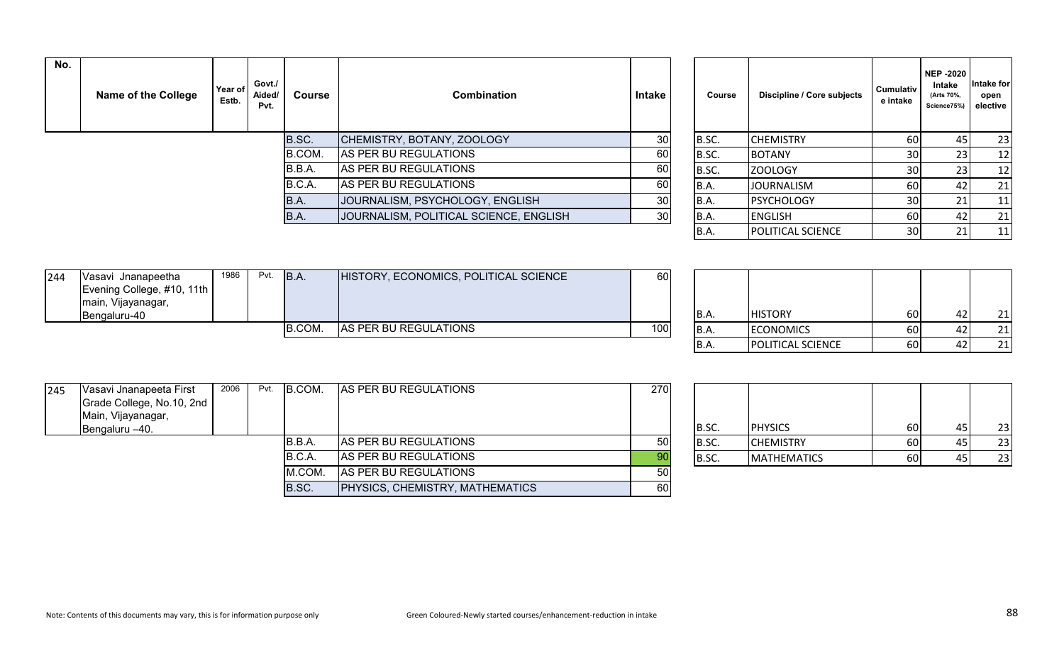| No. | Name of the College | Year of<br>Estb. | Govt./<br>Aided/<br>Pvt. | <b>Course</b> | <b>Combination</b>                     | Intake          | Course      | Discipline / Core subjects | <b>Cumulativ</b><br>e intake | <b>NEP-2020</b><br>Intake<br>(Arts 70%,<br>Science75%) | ntake for<br>open<br>elective |
|-----|---------------------|------------------|--------------------------|---------------|----------------------------------------|-----------------|-------------|----------------------------|------------------------------|--------------------------------------------------------|-------------------------------|
|     |                     |                  |                          | B.SC.         | CHEMISTRY, BOTANY, ZOOLOGY             | 30              | B.SC.       | <b>CHEMISTRY</b>           | 60                           |                                                        | 23                            |
|     |                     |                  |                          | B.COM.        | AS PER BU REGULATIONS                  | 60              | B.SC.       | <b>BOTANY</b>              | 30 <sup>1</sup>              |                                                        | -12                           |
|     |                     |                  |                          | B.B.A.        | AS PER BU REGULATIONS                  | 60              | B.SC.       | ZOOLOGY                    | 30I                          |                                                        | 12                            |
|     |                     |                  |                          | B.C.A.        | AS PER BU REGULATIONS                  | 60              | IB.A.       | <b>JOURNALISM</b>          | <b>60</b>                    |                                                        | 21                            |
|     |                     |                  |                          | B.A.          | JOURNALISM, PSYCHOLOGY, ENGLISH        | 30 <sup>°</sup> | IB.A.       | <b>PSYCHOLOGY</b>          | 30I                          |                                                        | 11                            |
|     |                     |                  |                          | B.A.          | JOURNALISM, POLITICAL SCIENCE, ENGLISH | 30              | <b>B.A.</b> | <b>ENGLISH</b>             | 60                           |                                                        | 21                            |
|     |                     |                  |                          |               |                                        |                 | ID /        | <b>IDOUTICAL SCIENCE</b>   | 2∩I                          |                                                        | 11                            |

| Course | Discipline / Core subjects | <b>Cumulativ</b><br>e intake | <b>NEP -2020</b><br>Intake<br>(Arts 70%,<br>Science75%) | Intake for<br>open<br>elective |
|--------|----------------------------|------------------------------|---------------------------------------------------------|--------------------------------|
| B.SC.  | <b>CHEMISTRY</b>           | 60                           | 45                                                      | 23                             |
| B.SC.  | <b>BOTANY</b>              | 30                           | 23                                                      | 12                             |
| B.SC.  | <b>ZOOLOGY</b>             | 30                           | 23                                                      | 12                             |
| B.A.   | <b>JOURNALISM</b>          | 60                           | 42                                                      | 21                             |
| B.A.   | <b>PSYCHOLOGY</b>          | 30                           | 21                                                      | 11                             |
| B.A.   | <b>ENGLISH</b>             | 60                           | 42                                                      | 21                             |
| B.A.   | POLITICAL SCIENCE          | 30                           | 21                                                      | 11                             |

| 244 | Vasavi Jnanapeetha         | 1986 | Pvt. | B.A           | HISTORY, ECONOMICS, POLITICAL SCIENCE | 60  |       |                  |      |       |     |
|-----|----------------------------|------|------|---------------|---------------------------------------|-----|-------|------------------|------|-------|-----|
|     | Evening College, #10, 11th |      |      |               |                                       |     |       |                  |      |       |     |
|     | main, Vijayanagar,         |      |      |               |                                       |     |       |                  |      |       |     |
|     | <b>IBengaluru-40</b>       |      |      |               |                                       |     | IB.A. | <b>HISTORY</b>   | 60   |       | 21  |
|     |                            |      |      | <b>B.COM.</b> | AS PER BU REGULATIONS                 | 100 | B.A.  | <b>ECONOMICS</b> | 60   |       | 21  |
|     |                            |      |      |               |                                       |     | .     | .                | $-1$ | - - - | - - |

| B.A.        | <b>HISTORY</b>    | 60 | 42 |  |
|-------------|-------------------|----|----|--|
| <b>B.A.</b> | <b>ECONOMICS</b>  | 60 |    |  |
| <b>B.A.</b> | POLITICAL SCIENCE | 60 |    |  |

| 245 | Vasavi Jnanapeeta First   | 2006 | Pvt. | B.COM. | AS PER BU REGULATIONS           | 270  |       |                    |      |    |
|-----|---------------------------|------|------|--------|---------------------------------|------|-------|--------------------|------|----|
|     | Grade College, No.10, 2nd |      |      |        |                                 |      |       |                    |      |    |
|     | Main, Vijayanagar,        |      |      |        |                                 |      |       |                    |      |    |
|     | Bengaluru -40.            |      |      |        |                                 |      | B.SC. | <b>PHYSICS</b>     | 60   | 23 |
|     |                           |      |      | B.B.A. | AS PER BU REGULATIONS           | -50' | B.SC. | <b>CHEMISTRY</b>   | 60 I | 23 |
|     |                           |      |      | B.C.A. | AS PER BU REGULATIONS           | 90   | B.SC. | <b>MATHEMATICS</b> | 60 I | 23 |
|     |                           |      |      | M.COM. | AS PER BU REGULATIONS           | 50   |       |                    |      |    |
|     |                           |      |      | B.SC.  | PHYSICS, CHEMISTRY, MATHEMATICS | 60   |       |                    |      |    |

| B.SC. | <b>PHYSICS</b>     | 60 | 45 | 23 |
|-------|--------------------|----|----|----|
| B.SC. | <b>CHEMISTRY</b>   | 60 | 45 | 23 |
| B.SC. | <b>MATHEMATICS</b> | 60 | 45 | 23 |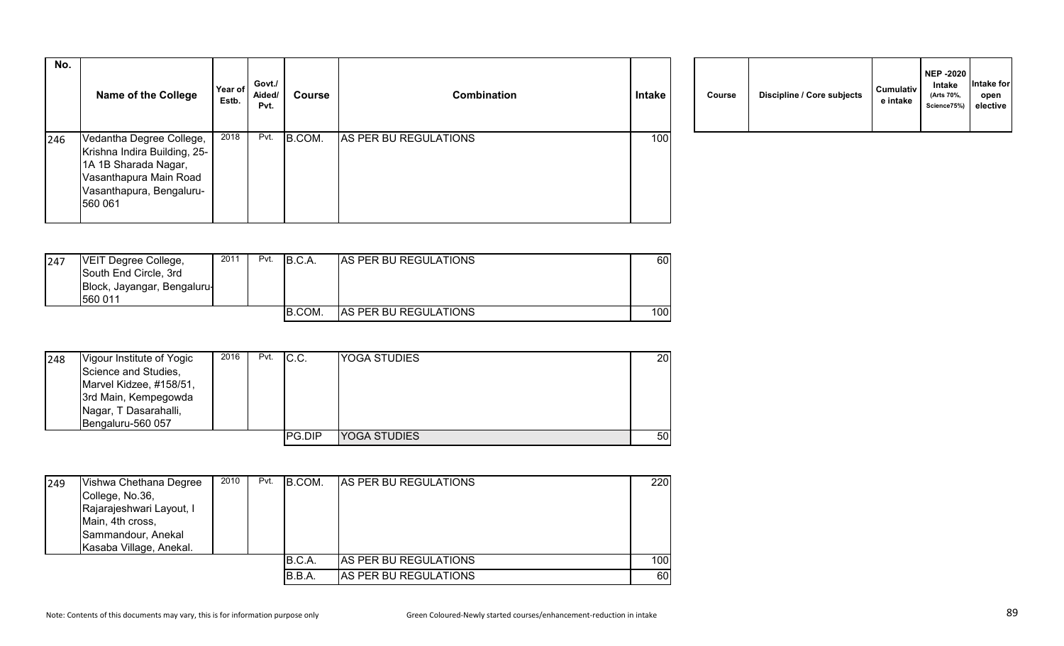| No. | <b>Name of the College</b>                                                                                                                        | Year of<br>Estb. | Govt./<br>Aided/<br>Pvt. | <b>Course</b> | <b>Combination</b>    | <b>Intake</b> | Course | Discipline / Core subjects | <b>Cumulativ</b><br>e intake |
|-----|---------------------------------------------------------------------------------------------------------------------------------------------------|------------------|--------------------------|---------------|-----------------------|---------------|--------|----------------------------|------------------------------|
| 246 | Vedantha Degree College,<br>Krishna Indira Building, 25-<br>1A 1B Sharada Nagar,<br>Vasanthapura Main Road<br>Vasanthapura, Bengaluru-<br>560 061 | 2018             | Pvt.                     | B.COM.        | AS PER BU REGULATIONS | 100           |        |                            |                              |

|  | Course | Discipline / Core subjects | Cumulativ<br>e intake | <b>NEP -2020</b><br><b>Intake</b><br>(Arts 70%,<br>Science75%) | Intake for<br>open<br>elective |
|--|--------|----------------------------|-----------------------|----------------------------------------------------------------|--------------------------------|
|--|--------|----------------------------|-----------------------|----------------------------------------------------------------|--------------------------------|

| 247 | <b>IVEIT Degree College,</b><br>South End Circle, 3rd<br>Block, Jayangar, Bengaluru- | 2011 | Pvt. | B.C.A  | <b>AS PER BU REGULATIONS</b> | 60  |
|-----|--------------------------------------------------------------------------------------|------|------|--------|------------------------------|-----|
|     | 560 011                                                                              |      |      |        |                              |     |
|     |                                                                                      |      |      | B.COM. | <b>AS PER BU REGULATIONS</b> | 100 |

| 248 | Vigour Institute of Yogic<br>Science and Studies,<br>Marvel Kidzee, #158/51,<br>3rd Main, Kempegowda<br>Nagar, T Dasarahalli,<br>Bengaluru-560 057 | 2016 | Pvt. | IC.C.  | <b>YOGA STUDIES</b> | 20 l |
|-----|----------------------------------------------------------------------------------------------------------------------------------------------------|------|------|--------|---------------------|------|
|     |                                                                                                                                                    |      |      | PG.DIP | <b>YOGA STUDIES</b> | 50   |

| 249 | Vishwa Chethana Degree<br>College, No.36,<br>Rajarajeshwari Layout, I<br>Main, 4th cross,<br>Sammandour, Anekal<br>Kasaba Village, Anekal. | 2010 | Pvt. | B.COM. | <b>AS PER BU REGULATIONS</b> | 220  |
|-----|--------------------------------------------------------------------------------------------------------------------------------------------|------|------|--------|------------------------------|------|
|     |                                                                                                                                            |      |      | B.C.A. | <b>AS PER BU REGULATIONS</b> | 100l |
|     |                                                                                                                                            |      |      | B.B.A. | AS PER BU REGULATIONS        | 60   |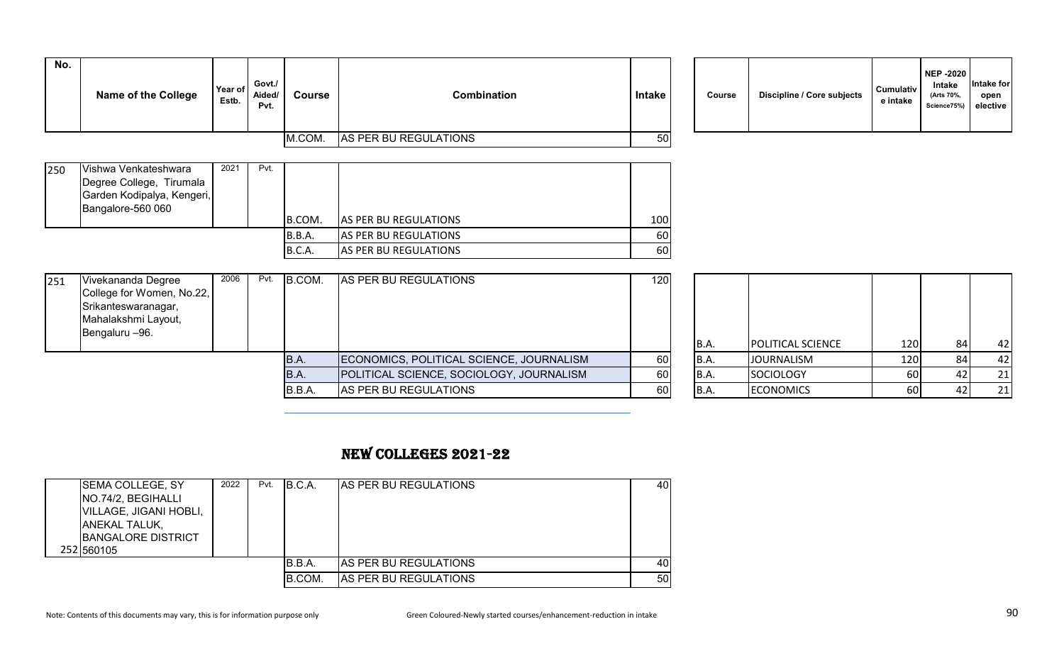| No. | <b>Name of the College</b>                                                                                      | Year of<br>Estb. | Govt./<br>Aided/<br>Pvt. | <b>Course</b> | <b>Combination</b>                       | <b>Intake</b> | <b>Course</b> | Discipline / Core subjects | Cumulativ<br>e intake | <b>NEP -2020</b><br>Intake<br>(Arts 70%,<br>Science75%) | Intake for<br>open<br>elective |
|-----|-----------------------------------------------------------------------------------------------------------------|------------------|--------------------------|---------------|------------------------------------------|---------------|---------------|----------------------------|-----------------------|---------------------------------------------------------|--------------------------------|
|     |                                                                                                                 |                  |                          | M.COM.        | AS PER BU REGULATIONS                    | 50            |               |                            |                       |                                                         |                                |
| 250 | Vishwa Venkateshwara<br>Degree College, Tirumala<br>Garden Kodipalya, Kengeri,<br>Bangalore-560 060             | 2021             | Pvt.                     | B.COM.        | AS PER BU REGULATIONS                    | 100           |               |                            |                       |                                                         |                                |
|     |                                                                                                                 |                  |                          | B.B.A.        | AS PER BU REGULATIONS                    | 60            |               |                            |                       |                                                         |                                |
|     |                                                                                                                 |                  |                          | B.C.A.        | AS PER BU REGULATIONS                    | 60            |               |                            |                       |                                                         |                                |
| 251 | Vivekananda Degree<br>College for Women, No.22,<br>Srikanteswaranagar,<br>Mahalakshmi Layout,<br>Bengaluru -96. | 2006             | Pvt.                     | B.COM.        | AS PER BU REGULATIONS                    | 120           | B.A.          | <b>POLITICAL SCIENCE</b>   | 120                   | 84                                                      | 42                             |
|     |                                                                                                                 |                  |                          | <b>B.A.</b>   | ECONOMICS, POLITICAL SCIENCE, JOURNALISM | 60            | B.A.          | <b>JOURNALISM</b>          | 120                   | 84                                                      | 42                             |
|     |                                                                                                                 |                  |                          | B.A.          | POLITICAL SCIENCE, SOCIOLOGY, JOURNALISM | 60            | B.A.          | SOCIOLOGY                  | 60                    | 42                                                      | 21                             |
|     |                                                                                                                 |                  |                          | B.B.A.        | AS PER BU REGULATIONS                    | 60            | B.A.          | <b>ECONOMICS</b>           | 60                    | 42                                                      | 21                             |
|     |                                                                                                                 |                  |                          |               |                                          |               |               |                            |                       |                                                         |                                |

## NEW COLLEGES 2021-22

| <b>SEMA COLLEGE, SY</b><br>NO.74/2, BEGIHALLI<br>VILLAGE, JIGANI HOBLI,<br><b>ANEKAL TALUK,</b><br><b>BANGALORE DISTRICT</b><br>252 560105 | 2022 | Pvt. | IB.C.A. | <b>IAS PER BU REGULATIONS</b> | 40 |
|--------------------------------------------------------------------------------------------------------------------------------------------|------|------|---------|-------------------------------|----|
|                                                                                                                                            |      |      | B.B.A.  | AS PER BU REGULATIONS         | 40 |
|                                                                                                                                            |      |      | B.COM.  | <b>AS PER BU REGULATIONS</b>  | 50 |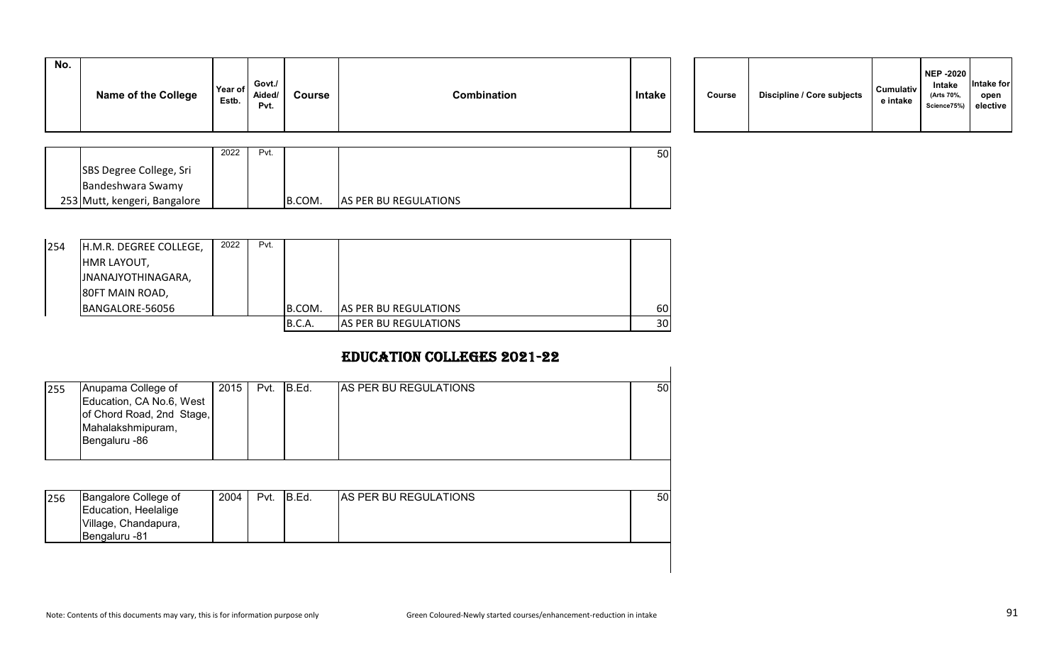| No. | <b>Name of the College</b> | Year of<br>Estb. | Govt./<br>Aided/<br>Pvt. | Course | Combination | <b>Intake</b> | Course | Discipline / Core subjects | <b>Cumulativ</b><br>e intake |
|-----|----------------------------|------------------|--------------------------|--------|-------------|---------------|--------|----------------------------|------------------------------|
|     |                            |                  |                          |        |             |               |        |                            |                              |

| Course | Discipline / Core subjects | <b>Cumulativ</b><br>e intake | <b>NEP -2020</b><br>Intake<br>(Arts 70%,<br>Science75%) | Intake for<br>open<br>elective |  |
|--------|----------------------------|------------------------------|---------------------------------------------------------|--------------------------------|--|
|--------|----------------------------|------------------------------|---------------------------------------------------------|--------------------------------|--|

|                              | 2022 | Pvt. |        |                               | 50 |
|------------------------------|------|------|--------|-------------------------------|----|
| SBS Degree College, Sri      |      |      |        |                               |    |
| Bandeshwara Swamy            |      |      |        |                               |    |
| 253 Mutt, kengeri, Bangalore |      |      | B.COM. | <b>JAS PER BU REGULATIONS</b> |    |

| 254 | H.M.R. DEGREE COLLEGE, | 2022 | Pvt. |        |                              |                 |
|-----|------------------------|------|------|--------|------------------------------|-----------------|
|     | <b>HMR LAYOUT,</b>     |      |      |        |                              |                 |
|     | INANAJYOTHINAGARA,     |      |      |        |                              |                 |
|     | 80FT MAIN ROAD,        |      |      |        |                              |                 |
|     | BANGALORE-56056        |      |      | B.COM. | <b>AS PER BU REGULATIONS</b> | 60              |
|     |                        |      |      | B.C.A. | AS PER BU REGULATIONS        | 30 <sup>1</sup> |

## EDUCATION COLLEGES 2021-22

| 255 | Anupama College of<br>Education, CA No.6, West<br>of Chord Road, 2nd Stage,<br>Mahalakshmipuram,<br>Bengaluru -86 | 2015 | Pvt. | B.Ed. | AS PER BU REGULATIONS | 50 |
|-----|-------------------------------------------------------------------------------------------------------------------|------|------|-------|-----------------------|----|
| 256 | Bangalore College of<br>Education, Heelalige<br>Village, Chandapura,<br>Bengaluru -81                             | 2004 | Pvt. | B.Ed. | AS PER BU REGULATIONS | 50 |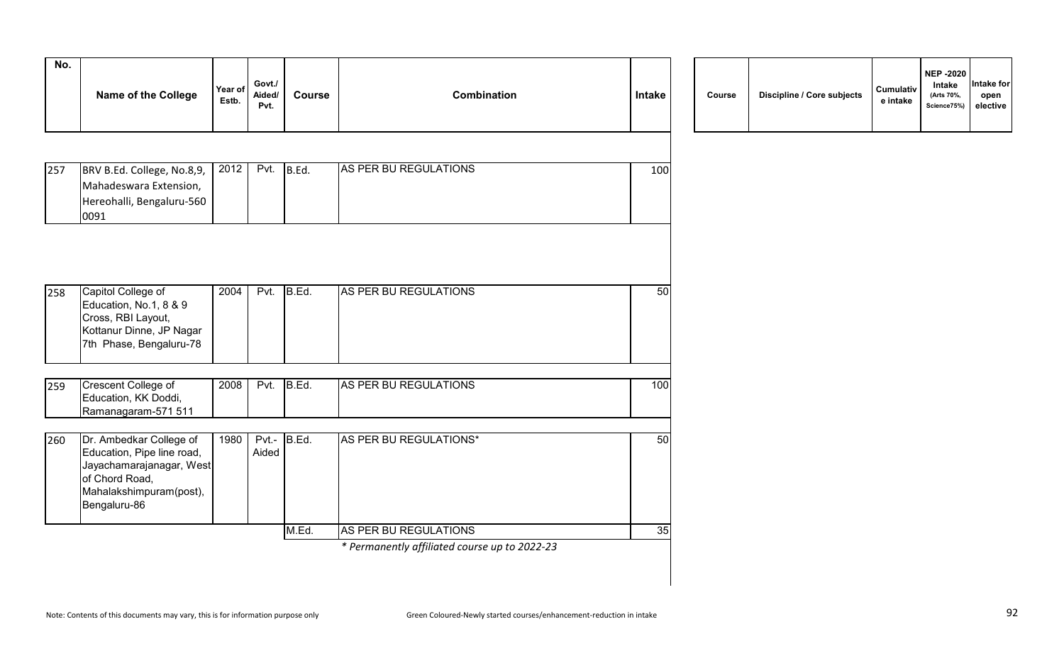| No. | <b>Name of the College</b>                                                                                                                     | Year of<br>Estb. | Govt./<br>Aided/<br>Pvt. | <b>Course</b> | <b>Combination</b>                            | Intake | Course | Discipline / Core subjects | Cumulativ<br>e intake |
|-----|------------------------------------------------------------------------------------------------------------------------------------------------|------------------|--------------------------|---------------|-----------------------------------------------|--------|--------|----------------------------|-----------------------|
|     |                                                                                                                                                |                  |                          |               |                                               |        |        |                            |                       |
| 257 | BRV B.Ed. College, No.8,9,<br>Mahadeswara Extension,<br>Hereohalli, Bengaluru-560<br>0091                                                      | 2012             | Pvt.                     | B.Ed.         | AS PER BU REGULATIONS                         | 100    |        |                            |                       |
|     |                                                                                                                                                |                  |                          |               |                                               |        |        |                            |                       |
| 258 | Capitol College of<br>Education, No.1, 8 & 9<br>Cross, RBI Layout,<br>Kottanur Dinne, JP Nagar<br>7th Phase, Bengaluru-78                      | 2004             | Pvt.                     | B.Ed.         | AS PER BU REGULATIONS                         | 50     |        |                            |                       |
| 259 | Crescent College of<br>Education, KK Doddi,<br>Ramanagaram-571 511                                                                             | 2008             | Pvt.                     | B.Ed.         | AS PER BU REGULATIONS                         | 100    |        |                            |                       |
| 260 | Dr. Ambedkar College of<br>Education, Pipe line road,<br>Jayachamarajanagar, West<br>of Chord Road,<br>Mahalakshimpuram(post),<br>Bengaluru-86 | 1980             | Aided                    | Pvt.- B.Ed.   | AS PER BU REGULATIONS*                        | 50     |        |                            |                       |
|     |                                                                                                                                                |                  |                          | M.Ed.         | AS PER BU REGULATIONS                         | 35     |        |                            |                       |
|     |                                                                                                                                                |                  |                          |               | * Permanently affiliated course up to 2022-23 |        |        |                            |                       |

| Course | Discipline / Core subjects | Cumulativ<br>e intake | <b>NEP -2020</b><br>Intake<br>(Arts 70%,<br>Science75%) | Intake for<br>open<br>elective |
|--------|----------------------------|-----------------------|---------------------------------------------------------|--------------------------------|
|--------|----------------------------|-----------------------|---------------------------------------------------------|--------------------------------|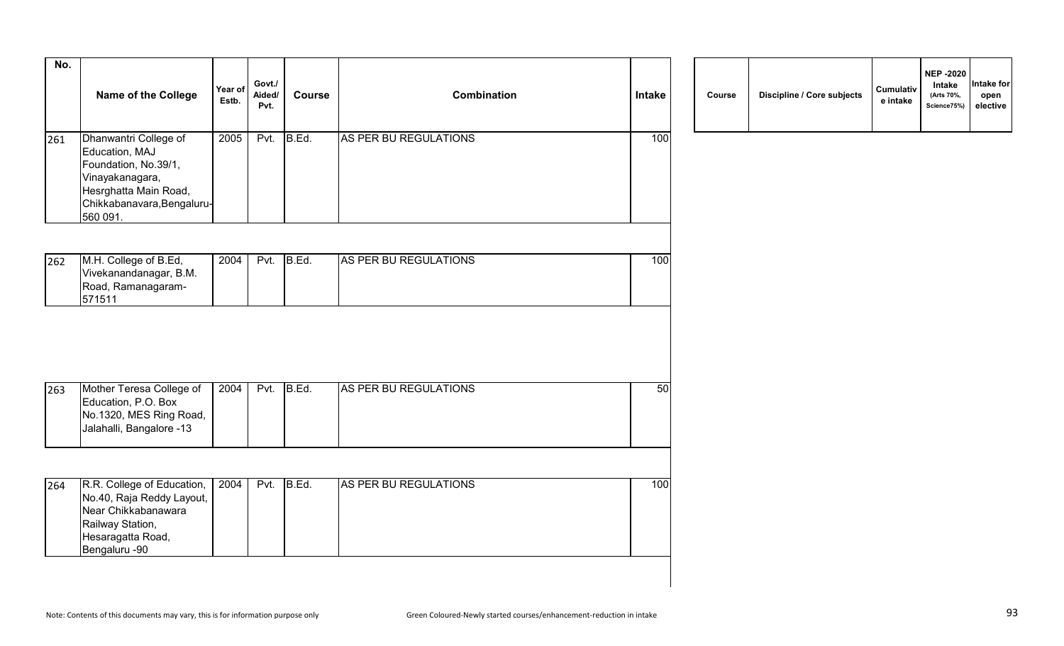| No. | Name of the College                                                                                                                                   | Year of<br>Estb. | Govt./<br>Aided/<br>Pvt. | <b>Course</b> | <b>Combination</b>    | Intake | Course | <b>Discipline / Core subjects</b> | Cumulativ<br>e intake |
|-----|-------------------------------------------------------------------------------------------------------------------------------------------------------|------------------|--------------------------|---------------|-----------------------|--------|--------|-----------------------------------|-----------------------|
| 261 | Dhanwantri College of<br>Education, MAJ<br>Foundation, No.39/1,<br>Vinayakanagara,<br>Hesrghatta Main Road,<br>Chikkabanavara, Bengaluru-<br>560 091. | 2005             | Pvt.                     | B.Ed.         | AS PER BU REGULATIONS | 100    |        |                                   |                       |
| 262 | M.H. College of B.Ed,<br>Vivekanandanagar, B.M.<br>Road, Ramanagaram-<br>571511                                                                       | 2004             | Pvt.                     | B.Ed.         | AS PER BU REGULATIONS | 100    |        |                                   |                       |
| 263 | Mother Teresa College of                                                                                                                              | 2004             | Pvt.                     | B.Ed.         | AS PER BU REGULATIONS | 50     |        |                                   |                       |
|     | Education, P.O. Box<br>No.1320, MES Ring Road,<br>Jalahalli, Bangalore -13                                                                            |                  |                          |               |                       |        |        |                                   |                       |
| 264 | R.R. College of Education,<br>No.40, Raja Reddy Layout,<br>Near Chikkabanawara<br>Railway Station,<br>Hesaragatta Road,<br>Bengaluru -90              | 2004             | Pvt.                     | B.Ed.         | AS PER BU REGULATIONS | 100    |        |                                   |                       |

| Course | Discipline / Core subjects | Cumulativ<br>e intake | <b>NEP -2020</b><br>Intake<br>(Arts 70%,<br>Science75%) | Intake for<br>open<br>elective |
|--------|----------------------------|-----------------------|---------------------------------------------------------|--------------------------------|
|--------|----------------------------|-----------------------|---------------------------------------------------------|--------------------------------|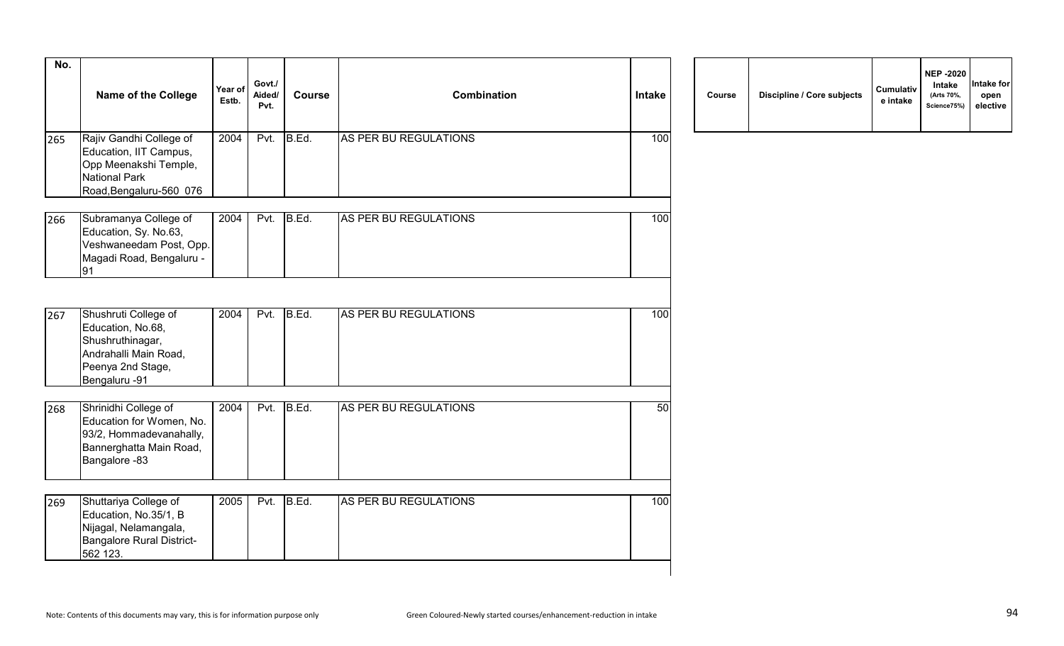| No. | Name of the College                                                                                                           | Year of<br>Estb. | Govt./<br>Aided/<br>Pvt. | <b>Course</b> | <b>Combination</b>    | <b>Intake</b> | Course | Discipline / Core subjects | Cumulativ<br>e intake |
|-----|-------------------------------------------------------------------------------------------------------------------------------|------------------|--------------------------|---------------|-----------------------|---------------|--------|----------------------------|-----------------------|
| 265 | Rajiv Gandhi College of<br>Education, IIT Campus,<br>Opp Meenakshi Temple,<br><b>National Park</b><br>Road, Bengaluru-560 076 | 2004             | Pvt.                     | B.Ed.         | AS PER BU REGULATIONS | 100           |        |                            |                       |
| 266 | Subramanya College of<br>Education, Sy. No.63,<br>Veshwaneedam Post, Opp.<br>Magadi Road, Bengaluru -<br>91                   | 2004             | Pvt.                     | B.Ed.         | AS PER BU REGULATIONS | 100           |        |                            |                       |
| 267 | Shushruti College of<br>Education, No.68,<br>Shushruthinagar,<br>Andrahalli Main Road,<br>Peenya 2nd Stage,<br>Bengaluru -91  | 2004             | Pvt.                     | B.Ed.         | AS PER BU REGULATIONS | 100           |        |                            |                       |
| 268 | Shrinidhi College of<br>Education for Women, No.<br>93/2, Hommadevanahally,<br>Bannerghatta Main Road,<br>Bangalore -83       | 2004             | Pvt.                     | B.Ed.         | AS PER BU REGULATIONS | 50            |        |                            |                       |
| 269 | Shuttariya College of<br>Education, No.35/1, B<br>Nijagal, Nelamangala,<br><b>Bangalore Rural District-</b><br>562 123.       | 2005             | Pvt.                     | B.Ed.         | AS PER BU REGULATIONS | 100           |        |                            |                       |

|  | Course | Discipline / Core subjects | <b>Cumulativ</b><br>e intake | <b>NEP -2020</b><br>Intake<br>(Arts 70%,<br>Science75%) | Intake for<br>open<br>elective |
|--|--------|----------------------------|------------------------------|---------------------------------------------------------|--------------------------------|
|--|--------|----------------------------|------------------------------|---------------------------------------------------------|--------------------------------|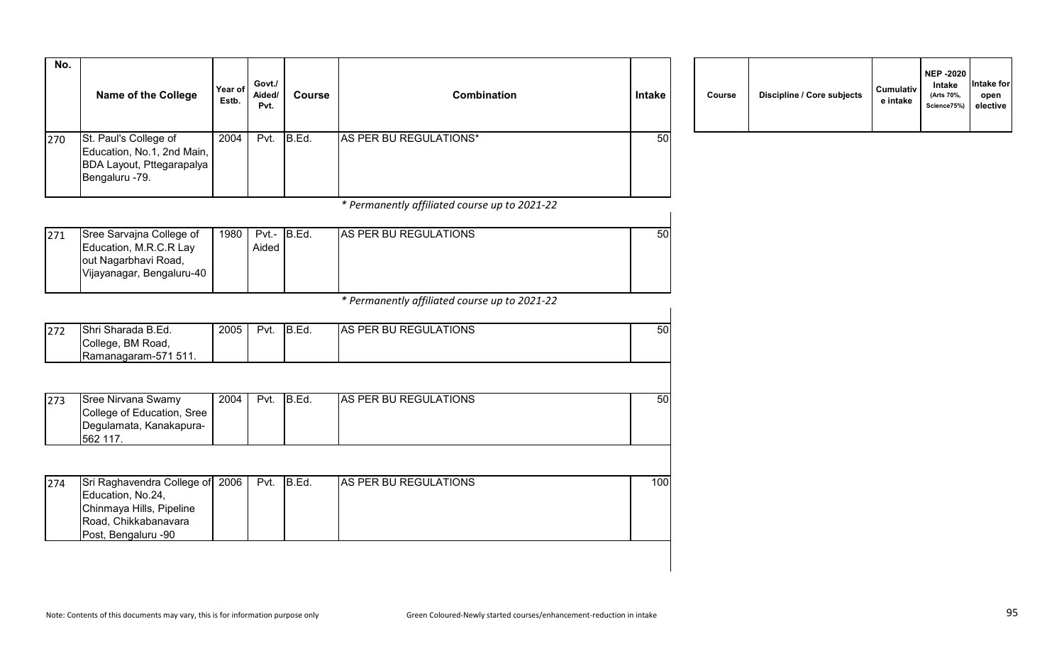| No. |                                                                                                                                 |                  |                          |               |                                               |               |        |                            |                       |
|-----|---------------------------------------------------------------------------------------------------------------------------------|------------------|--------------------------|---------------|-----------------------------------------------|---------------|--------|----------------------------|-----------------------|
|     | <b>Name of the College</b>                                                                                                      | Year of<br>Estb. | Govt./<br>Aided/<br>Pvt. | <b>Course</b> | <b>Combination</b>                            | <b>Intake</b> | Course | Discipline / Core subjects | Cumulativ<br>e intake |
| 270 | St. Paul's College of<br>Education, No.1, 2nd Main,<br>BDA Layout, Pttegarapalya<br>Bengaluru -79.                              | 2004             | Pvt.                     | B.Ed.         | AS PER BU REGULATIONS*                        | 50            |        |                            |                       |
|     |                                                                                                                                 |                  |                          |               | * Permanently affiliated course up to 2021-22 |               |        |                            |                       |
| 271 | Sree Sarvajna College of<br>Education, M.R.C.R Lay<br>out Nagarbhavi Road,<br>Vijayanagar, Bengaluru-40                         | 1980             | Aided                    | Pvt.- B.Ed.   | AS PER BU REGULATIONS                         | 50            |        |                            |                       |
|     |                                                                                                                                 |                  |                          |               | * Permanently affiliated course up to 2021-22 |               |        |                            |                       |
| 272 | Shri Sharada B.Ed.<br>College, BM Road,<br>Ramanagaram-571 511.                                                                 | 2005             | Pvt.                     | B.Ed.         | AS PER BU REGULATIONS                         | 50            |        |                            |                       |
|     |                                                                                                                                 |                  |                          |               |                                               |               |        |                            |                       |
| 273 | <b>Sree Nirvana Swamy</b><br>College of Education, Sree<br>Degulamata, Kanakapura-<br>562 117.                                  | 2004             | Pvt.                     | B.Ed.         | AS PER BU REGULATIONS                         | 50            |        |                            |                       |
|     |                                                                                                                                 |                  |                          |               |                                               |               |        |                            |                       |
| 274 | Sri Raghavendra College of 2006<br>Education, No.24,<br>Chinmaya Hills, Pipeline<br>Road, Chikkabanavara<br>Post, Bengaluru -90 |                  | Pvt.                     | B.Ed.         | AS PER BU REGULATIONS                         | 100           |        |                            |                       |
|     |                                                                                                                                 |                  |                          |               |                                               |               |        |                            |                       |

| Course | Discipline / Core subjects | <b>Cumulativ</b><br>e intake | <b>NEP -2020</b><br>Intake<br>(Arts 70%,<br>Science75%) | Intake for<br>open<br>elective |
|--------|----------------------------|------------------------------|---------------------------------------------------------|--------------------------------|
|--------|----------------------------|------------------------------|---------------------------------------------------------|--------------------------------|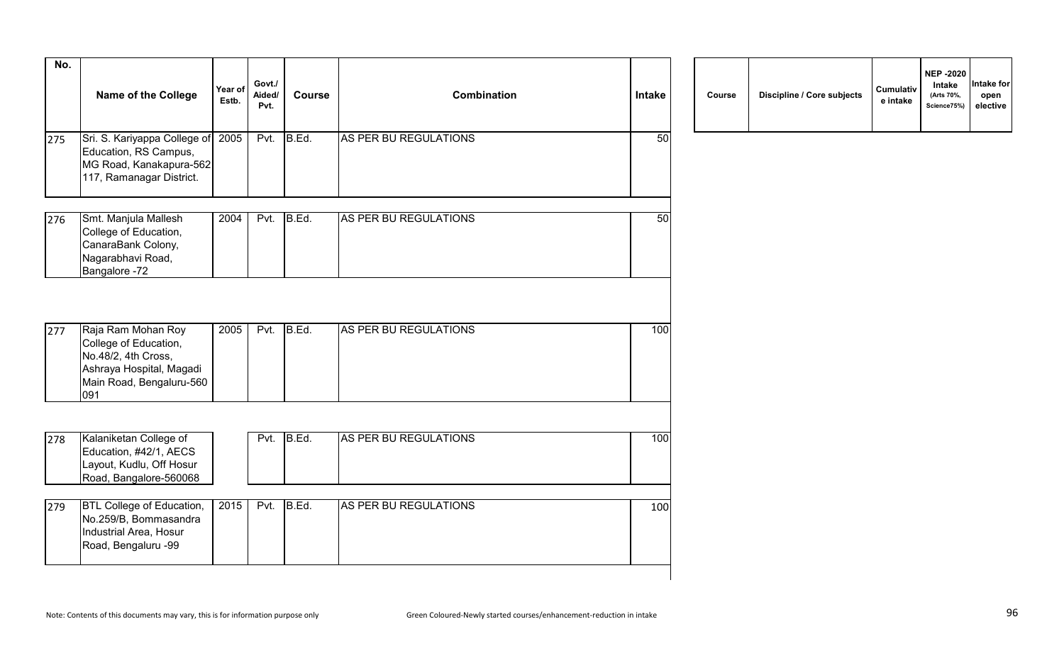| No. | <b>Name of the College</b>                                                                                                        | Year of<br>Estb. | Govt./<br>Aided/<br>Pvt. | <b>Course</b> | <b>Combination</b>    | <b>Intake</b> | Course | Discipline / Core subjects | Cumulativ<br>e intake |
|-----|-----------------------------------------------------------------------------------------------------------------------------------|------------------|--------------------------|---------------|-----------------------|---------------|--------|----------------------------|-----------------------|
| 275 | Sri. S. Kariyappa College of 2005<br>Education, RS Campus,<br>MG Road, Kanakapura-562<br>117, Ramanagar District.                 |                  | Pvt.                     | B.Ed.         | AS PER BU REGULATIONS | 50            |        |                            |                       |
| 276 | Smt. Manjula Mallesh<br>College of Education,<br>CanaraBank Colony,<br>Nagarabhavi Road,<br>Bangalore -72                         | 2004             | Pvt.                     | B.Ed.         | AS PER BU REGULATIONS | 50            |        |                            |                       |
| 277 | Raja Ram Mohan Roy<br>College of Education,<br>No.48/2, 4th Cross,<br>Ashraya Hospital, Magadi<br>Main Road, Bengaluru-560<br>091 | 2005             | Pvt.                     | B.Ed.         | AS PER BU REGULATIONS | 100           |        |                            |                       |
| 278 | Kalaniketan College of<br>Education, #42/1, AECS<br>Layout, Kudlu, Off Hosur<br>Road, Bangalore-560068                            |                  | Pvt.                     | B.Ed.         | AS PER BU REGULATIONS | 100           |        |                            |                       |
| 279 | <b>BTL College of Education,</b><br>No.259/B, Bommasandra<br>Industrial Area, Hosur<br>Road, Bengaluru -99                        | 2015             | Pvt.                     | B.Ed.         | AS PER BU REGULATIONS | 100           |        |                            |                       |

| Course | Discipline / Core subjects | Cumulativ<br>e intake | <b>NEP -2020</b><br>Intake<br>(Arts 70%,<br>Science75%) | Intake for<br>open<br>elective |
|--------|----------------------------|-----------------------|---------------------------------------------------------|--------------------------------|
|--------|----------------------------|-----------------------|---------------------------------------------------------|--------------------------------|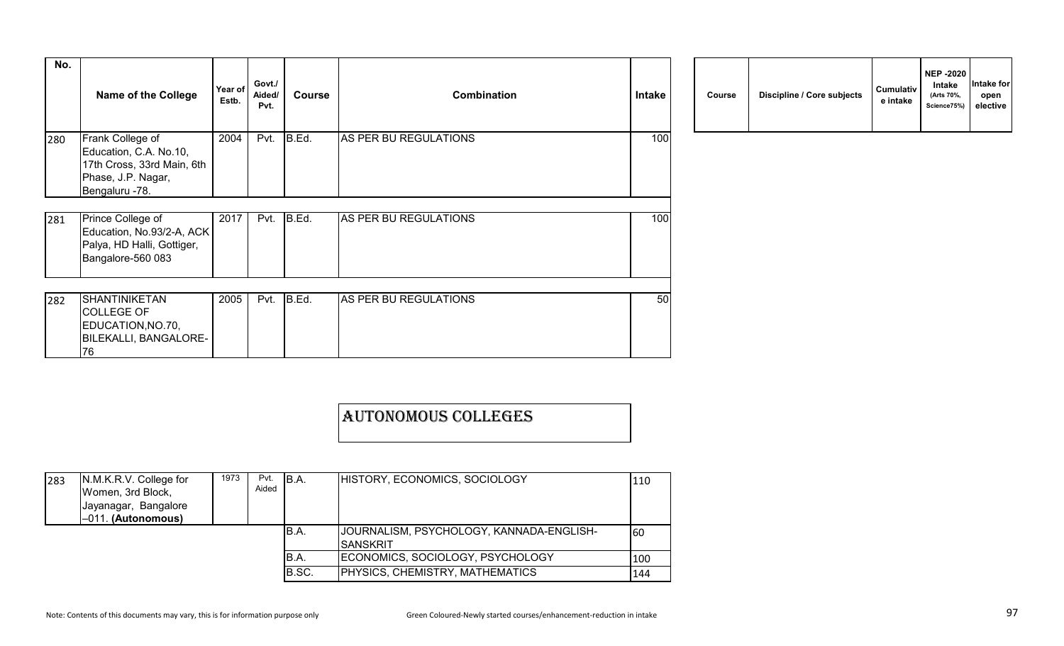| No. | <b>Name of the College</b>                                                                                       | Year of<br>Estb. | Govt./<br>Aided/<br>Pvt. | <b>Course</b> | <b>Combination</b>    | Intake | Course | Discipline / Core subjects | Cumulativ<br>e intake |
|-----|------------------------------------------------------------------------------------------------------------------|------------------|--------------------------|---------------|-----------------------|--------|--------|----------------------------|-----------------------|
| 280 | Frank College of<br>Education, C.A. No.10,<br>17th Cross, 33rd Main, 6th<br>Phase, J.P. Nagar,<br>Bengaluru -78. | 2004             | Pvt.                     | B.Ed.         | AS PER BU REGULATIONS | 100    |        |                            |                       |
| 281 | Prince College of<br>Education, No.93/2-A, ACK<br>Palya, HD Halli, Gottiger,<br>Bangalore-560 083                | 2017             | Pvt.                     | B.Ed.         | AS PER BU REGULATIONS | 100    |        |                            |                       |
| 282 | SHANTINIKETAN<br><b>COLLEGE OF</b><br>EDUCATION, NO.70,<br><b>BILEKALLI, BANGALORE-</b><br>76                    | 2005             | Pvt.                     | B.Ed.         | AS PER BU REGULATIONS | 50     |        |                            |                       |

| Course | Discipline / Core subjects | <b>Cumulativ</b><br>e intake | <b>NEP -2020</b><br>Intake<br>(Arts 70%,<br>Science75%) | Intake for<br>open<br>elective |
|--------|----------------------------|------------------------------|---------------------------------------------------------|--------------------------------|
|--------|----------------------------|------------------------------|---------------------------------------------------------|--------------------------------|

| <b>AUTONOMOUS COLLEGES</b> |  |
|----------------------------|--|
|                            |  |

| 283 | N.M.K.R.V. College for<br>Women, 3rd Block,<br>Jayanagar, Bangalore<br>$-011.$ (Autonomous) |  | Pvt.<br>Aided | IB.A. | HISTORY, ECONOMICS, SOCIOLOGY                               | 110 |
|-----|---------------------------------------------------------------------------------------------|--|---------------|-------|-------------------------------------------------------------|-----|
|     |                                                                                             |  |               | B.A.  | JOURNALISM, PSYCHOLOGY, KANNADA-ENGLISH-<br><b>SANSKRIT</b> | 160 |
|     |                                                                                             |  |               | B.A.  | ECONOMICS, SOCIOLOGY, PSYCHOLOGY                            | 100 |
|     |                                                                                             |  |               | B.SC. | PHYSICS, CHEMISTRY, MATHEMATICS                             | 144 |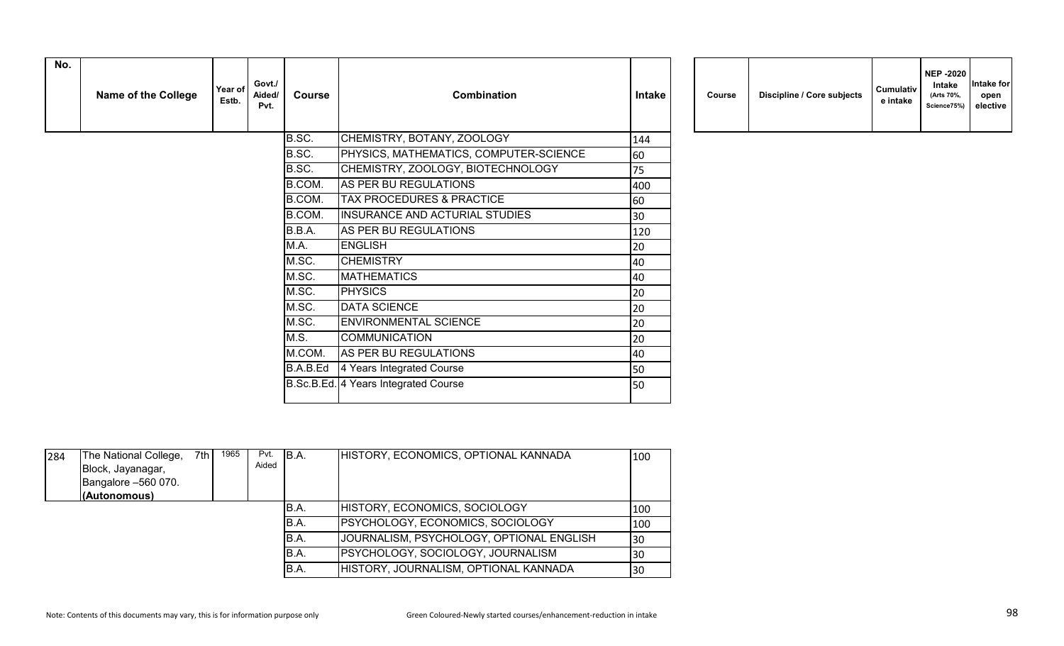| No. | <b>Name of the College</b> | Year of<br>Estb. | Govt./<br>Aided/<br>Pvt. | <b>Course</b> | <b>Combination</b>                     | <b>Intake</b> | Course | Discipline / Core subjects | Cumulativ<br>e intake |
|-----|----------------------------|------------------|--------------------------|---------------|----------------------------------------|---------------|--------|----------------------------|-----------------------|
|     |                            |                  |                          | B.SC.         | CHEMISTRY, BOTANY, ZOOLOGY             | 144           |        |                            |                       |
|     |                            |                  |                          | B.SC.         | PHYSICS, MATHEMATICS, COMPUTER-SCIENCE | 60            |        |                            |                       |
|     |                            |                  |                          | B.SC.         | CHEMISTRY, ZOOLOGY, BIOTECHNOLOGY      | 75            |        |                            |                       |
|     |                            |                  |                          | B.COM.        | AS PER BU REGULATIONS                  | 400           |        |                            |                       |
|     |                            |                  |                          | B.COM.        | TAX PROCEDURES & PRACTICE              | 60            |        |                            |                       |
|     |                            |                  |                          | B.COM.        | INSURANCE AND ACTURIAL STUDIES         | 30            |        |                            |                       |
|     |                            |                  |                          | B.B.A.        | AS PER BU REGULATIONS                  | 120           |        |                            |                       |
|     |                            |                  |                          | M.A.          | <b>ENGLISH</b>                         | 20            |        |                            |                       |
|     |                            |                  |                          | M.SC.         | <b>CHEMISTRY</b>                       | 40            |        |                            |                       |
|     |                            |                  |                          | M.SC.         | <b>MATHEMATICS</b>                     | 40            |        |                            |                       |
|     |                            |                  |                          | M.SC.         | <b>PHYSICS</b>                         | 20            |        |                            |                       |
|     |                            |                  |                          | M.SC.         | <b>DATA SCIENCE</b>                    | 20            |        |                            |                       |
|     |                            |                  |                          | M.SC.         | <b>ENVIRONMENTAL SCIENCE</b>           | 20            |        |                            |                       |
|     |                            |                  |                          | M.S.          | <b>COMMUNICATION</b>                   | 20            |        |                            |                       |
|     |                            |                  |                          | M.COM.        | AS PER BU REGULATIONS                  | 40            |        |                            |                       |
|     |                            |                  |                          | B.A.B.Ed      | 4 Years Integrated Course              | 50            |        |                            |                       |
|     |                            |                  |                          |               | B.Sc.B.Ed. 4 Years Integrated Course   | 50            |        |                            |                       |
|     |                            |                  |                          |               |                                        |               |        |                            |                       |

| Course | Discipline / Core subjects | <b>Cumulativ</b><br>e intake | <b>NEP -2020</b><br><b>Intake</b><br>(Arts 70%,<br>Science75%) | Intake for<br>open<br>elective |
|--------|----------------------------|------------------------------|----------------------------------------------------------------|--------------------------------|
|--------|----------------------------|------------------------------|----------------------------------------------------------------|--------------------------------|

| 284 | The National College,<br>Block, Jayanagar,<br>Bangalore -560 070.<br>(Autonomous) | 7th | 1965 | Pvt.<br>Aided | B.A. | HISTORY, ECONOMICS, OPTIONAL KANNADA     | 100 |
|-----|-----------------------------------------------------------------------------------|-----|------|---------------|------|------------------------------------------|-----|
|     |                                                                                   |     |      |               | B.A. | HISTORY, ECONOMICS, SOCIOLOGY            | 100 |
|     |                                                                                   |     |      |               | B.A. | <b>PSYCHOLOGY, ECONOMICS, SOCIOLOGY</b>  | 100 |
|     |                                                                                   |     |      |               | B.A. | JOURNALISM, PSYCHOLOGY, OPTIONAL ENGLISH | 30  |
|     |                                                                                   |     |      |               | B.A. | PSYCHOLOGY, SOCIOLOGY, JOURNALISM        | 30  |
|     |                                                                                   |     |      |               | B.A. | HISTORY, JOURNALISM, OPTIONAL KANNADA    | 30  |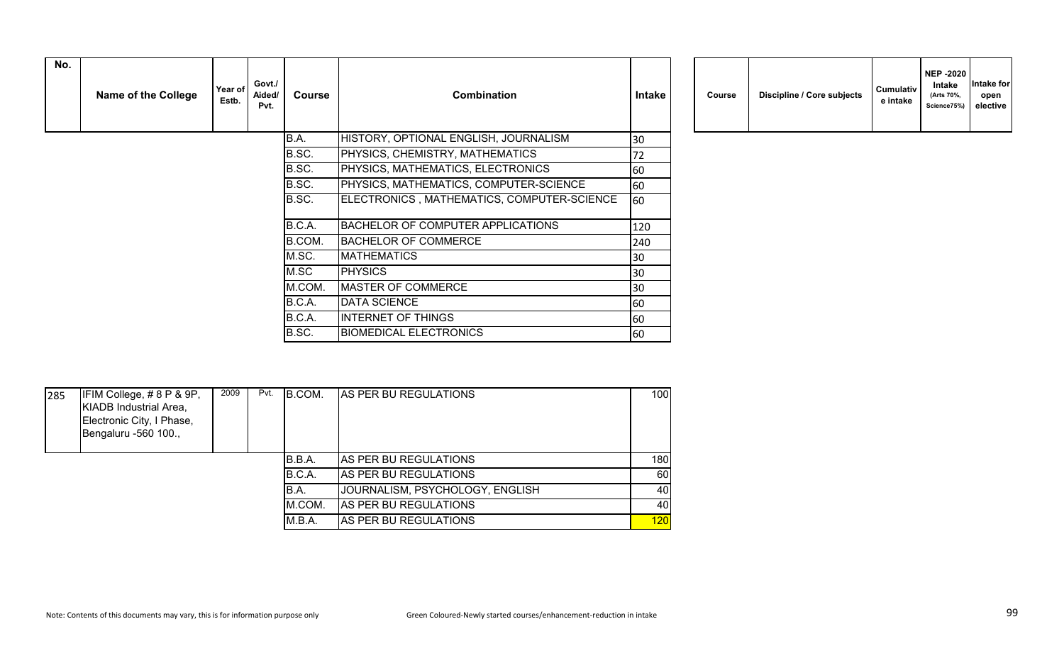| No. | <b>Name of the College</b> | Year of<br>Estb. | Govt./<br>Aided/<br>Pvt. | Course | <b>Combination</b>                         | <b>Intake</b> | Course | Discipline / Core subjects | Cumulativ<br>e intake |
|-----|----------------------------|------------------|--------------------------|--------|--------------------------------------------|---------------|--------|----------------------------|-----------------------|
|     |                            |                  |                          | B.A.   | HISTORY, OPTIONAL ENGLISH, JOURNALISM      | 30            |        |                            |                       |
|     |                            |                  |                          | B.SC.  | PHYSICS, CHEMISTRY, MATHEMATICS            | 72            |        |                            |                       |
|     |                            |                  |                          | B.SC.  | PHYSICS, MATHEMATICS, ELECTRONICS          | 60            |        |                            |                       |
|     |                            |                  |                          | B.SC.  | PHYSICS, MATHEMATICS, COMPUTER-SCIENCE     | 60            |        |                            |                       |
|     |                            |                  |                          | B.SC.  | ELECTRONICS, MATHEMATICS, COMPUTER-SCIENCE | 60            |        |                            |                       |
|     |                            |                  |                          | B.C.A. | BACHELOR OF COMPUTER APPLICATIONS          | 120           |        |                            |                       |
|     |                            |                  |                          | B.COM. | <b>BACHELOR OF COMMERCE</b>                | 240           |        |                            |                       |
|     |                            |                  |                          | M.SC.  | <b>MATHEMATICS</b>                         | 30            |        |                            |                       |
|     |                            |                  |                          | M.SC   | <b>PHYSICS</b>                             | 30            |        |                            |                       |
|     |                            |                  |                          | M.COM. | MASTER OF COMMERCE                         | 30            |        |                            |                       |
|     |                            |                  |                          | B.C.A. | DATA SCIENCE                               | 60            |        |                            |                       |
|     |                            |                  |                          | B.C.A. | <b>INTERNET OF THINGS</b>                  | 60            |        |                            |                       |
|     |                            |                  |                          | B.SC.  | <b>BIOMEDICAL ELECTRONICS</b>              | 60            |        |                            |                       |

| Course | Discipline / Core subjects | <b>Cumulativ</b><br>e intake | <b>NEP -2020</b><br>Intake<br>(Arts 70%,<br>Science75%) | Intake for<br>open<br>elective |
|--------|----------------------------|------------------------------|---------------------------------------------------------|--------------------------------|
|--------|----------------------------|------------------------------|---------------------------------------------------------|--------------------------------|

| 285 | IFIM College, #8 P & 9P,<br>KIADB Industrial Area,<br>Electronic City, I Phase,<br>Bengaluru -560 100., | 2009 | Pvt. | B.COM. | <b>AS PER BU REGULATIONS</b>    | 100 |
|-----|---------------------------------------------------------------------------------------------------------|------|------|--------|---------------------------------|-----|
|     |                                                                                                         |      |      | B.B.A. | <b>AS PER BU REGULATIONS</b>    | 180 |
|     |                                                                                                         |      |      | B.C.A. | AS PER BU REGULATIONS           | 60  |
|     |                                                                                                         |      |      | B.A.   | JOURNALISM, PSYCHOLOGY, ENGLISH | 40  |
|     |                                                                                                         |      |      | M.COM. | AS PER BU REGULATIONS           | 40  |
|     |                                                                                                         |      |      | M.B.A. | AS PER BU REGULATIONS           | 120 |